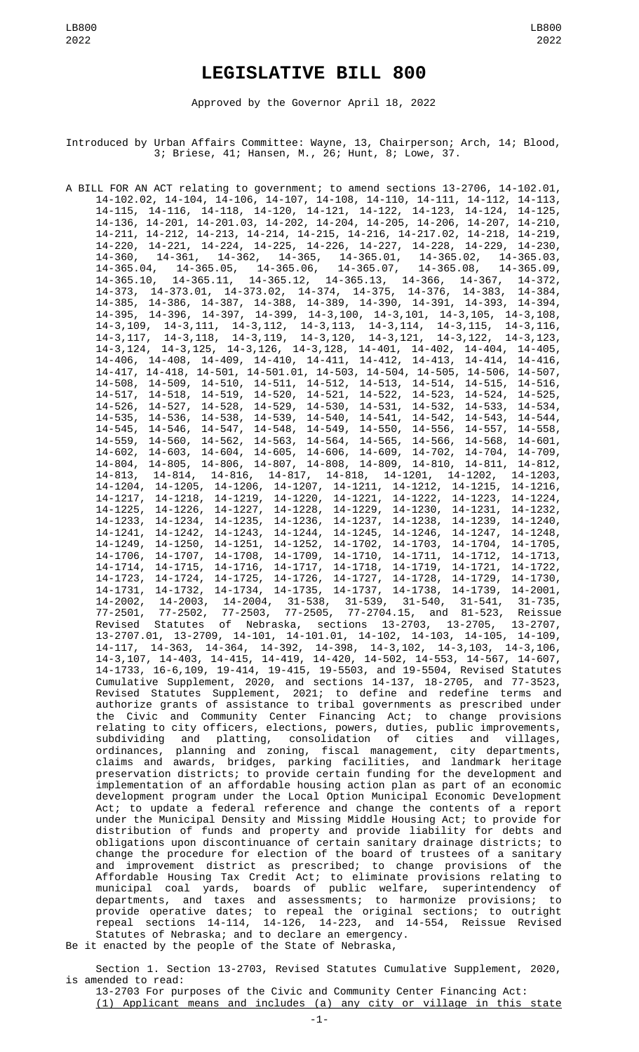# **LEGISLATIVE BILL 800**

Approved by the Governor April 18, 2022

Introduced by Urban Affairs Committee: Wayne, 13, Chairperson; Arch, 14; Blood, 3; Briese, 41; Hansen, M., 26; Hunt, 8; Lowe, 37.

A BILL FOR AN ACT relating to government; to amend sections 13-2706, 14-102.01, 14-102.02, 14-104, 14-106, 14-107, 14-108, 14-110, 14-111, 14-112, 14-113, 14-115, 14-116, 14-118, 14-120, 14-121, 14-122, 14-123, 14-124, 14-125, 14-136, 14-201, 14-201.03, 14-202, 14-204, 14-205, 14-206, 14-207, 14-210, 14-211, 14-212, 14-213, 14-214, 14-215, 14-216, 14-217.02, 14-218, 14-219, 14-220, 14-221, 14-224, 14-225, 14-226, 14-227, 14-228, 14-229, 14-230, 14-360, 14-361, 14-362, 14-365, 14-365.01, 14-365.02, 14-365.03, 14-365.04, 14-365.05, 14-365.06, 14-365.07, 14-365.08, 14-365.09, 14-365.10, 14-365.11, 14-365.12, 14-365.13, 14-366, 14-367, 14-372, 14-373, 14-373.01, 14-373.02, 14-374, 14-375, 14-376, 14-383, 14-384, 14-385, 14-386, 14-387, 14-388, 14-389, 14-390, 14-391, 14-393, 14-394, 14-395, 14-396, 14-397, 14-399, 14-3,100, 14-3,101, 14-3,105, 14-3,108, 14-3,109, 14-3,111, 14-3,112, 14-3,113, 14-3,114, 14-3,115, 14-3,116, 14-3,117, 14-3,118, 14-3,119, 14-3,120, 14-3,121, 14-3,122, 14-3,123, 14-3,124, 14-3,125, 14-3,126, 14-3,128, 14-401, 14-402, 14-404, 14-405, 14-406, 14-408, 14-409, 14-410, 14-411, 14-412, 14-413, 14-414, 14-416, 14-417, 14-418, 14-501, 14-501.01, 14-503, 14-504, 14-505, 14-506, 14-507, 14-508, 14-509, 14-510, 14-511, 14-512, 14-513, 14-514, 14-515, 14-516, 14-517, 14-518, 14-519, 14-520, 14-521, 14-522, 14-523, 14-524, 14-525, 14-526, 14-527, 14-528, 14-529, 14-530, 14-531, 14-532, 14-533, 14-534, 14-535, 14-536, 14-538, 14-539, 14-540, 14-541, 14-542, 14-543, 14-544, 14-545, 14-546, 14-547, 14-548, 14-549, 14-550, 14-556, 14-557, 14-558, 14-559, 14-560, 14-562, 14-563, 14-564, 14-565, 14-566, 14-568, 14-601, 14-602, 14-603, 14-604, 14-605, 14-606, 14-609, 14-702, 14-704, 14-709, 14-804, 14-805, 14-806, 14-807, 14-808, 14-809, 14-810, 14-811, 14-812, 14-813, 14-814, 14-816, 14-817, 14-818, 14-1201, 14-1202, 14-1203, 14-1204, 14-1205, 14-1206, 14-1207, 14-1211, 14-1212, 14-1215, 14-1216, 14-1217, 14-1218, 14-1219, 14-1220, 14-1221, 14-1222, 14-1223, 14-1224, 14-1225, 14-1226, 14-1227, 14-1228, 14-1229, 14-1230, 14-1231, 14-1232, 14-1233, 14-1234, 14-1235, 14-1236, 14-1237, 14-1238, 14-1239, 14-1240, 14-1241, 14-1242, 14-1243, 14-1244, 14-1245, 14-1246, 14-1247, 14-1248, 14-1249, 14-1250, 14-1251, 14-1252, 14-1702, 14-1703, 14-1704, 14-1705, 14-1706, 14-1707, 14-1708, 14-1709, 14-1710, 14-1711, 14-1712, 14-1713, 14-1714, 14-1715, 14-1716, 14-1717, 14-1718, 14-1719, 14-1721, 14-1722, 14-1723, 14-1724, 14-1725, 14-1726, 14-1727, 14-1728, 14-1729, 14-1730, 14-1731, 14-1732, 14-1734, 14-1735, 14-1737, 14-1738, 14-1739, 14-2001, 14-2002, 14-2003, 14-2004, 31-538, 31-539, 31-540, 31-541, 31-735, 77-2501, 77-2502, 77-2503, 77-2505, 77-2704.15, and 81-523, Reissue Revised Statutes of Nebraska, sections 13-2703, 13-2705, 13-2707, 13-2707.01, 13-2709, 14-101, 14-101.01, 14-102, 14-103, 14-105, 14-109, 14-117, 14-363, 14-364, 14-392, 14-398, 14-3,102, 14-3,103, 14-3,106, 14-3,107, 14-403, 14-415, 14-419, 14-420, 14-502, 14-553, 14-567, 14-607, 14-1733, 16-6,109, 19-414, 19-415, 19-5503, and 19-5504, Revised Statutes Cumulative Supplement, 2020, and sections 14-137, 18-2705, and 77-3523, Revised Statutes Supplement, 2021; to define and redefine terms and authorize grants of assistance to tribal governments as prescribed under the Civic and Community Center Financing Act; to change provisions relating to city officers, elections, powers, duties, public improvements, subdividing and platting, consolidation of cities and villages, ordinances, planning and zoning, fiscal management, city departments, claims and awards, bridges, parking facilities, and landmark heritage preservation districts; to provide certain funding for the development and implementation of an affordable housing action plan as part of an economic development program under the Local Option Municipal Economic Development Act; to update a federal reference and change the contents of a report under the Municipal Density and Missing Middle Housing Act; to provide for distribution of funds and property and provide liability for debts and obligations upon discontinuance of certain sanitary drainage districts; to change the procedure for election of the board of trustees of a sanitary and improvement district as prescribed; to change provisions of the Affordable Housing Tax Credit Act; to eliminate provisions relating to municipal coal yards, boards of public welfare, superintendency of departments, and taxes and assessments; to harmonize provisions; to provide operative dates; to repeal the original sections; to outright repeal sections 14-114, 14-126, 14-223, and 14-554, Reissue Revised Statutes of Nebraska; and to declare an emergency. Be it enacted by the people of the State of Nebraska,

Section 1. Section 13-2703, Revised Statutes Cumulative Supplement, 2020, is amended to read:

13-2703 For purposes of the Civic and Community Center Financing Act: (1) Applicant means and includes (a) any city or village in this state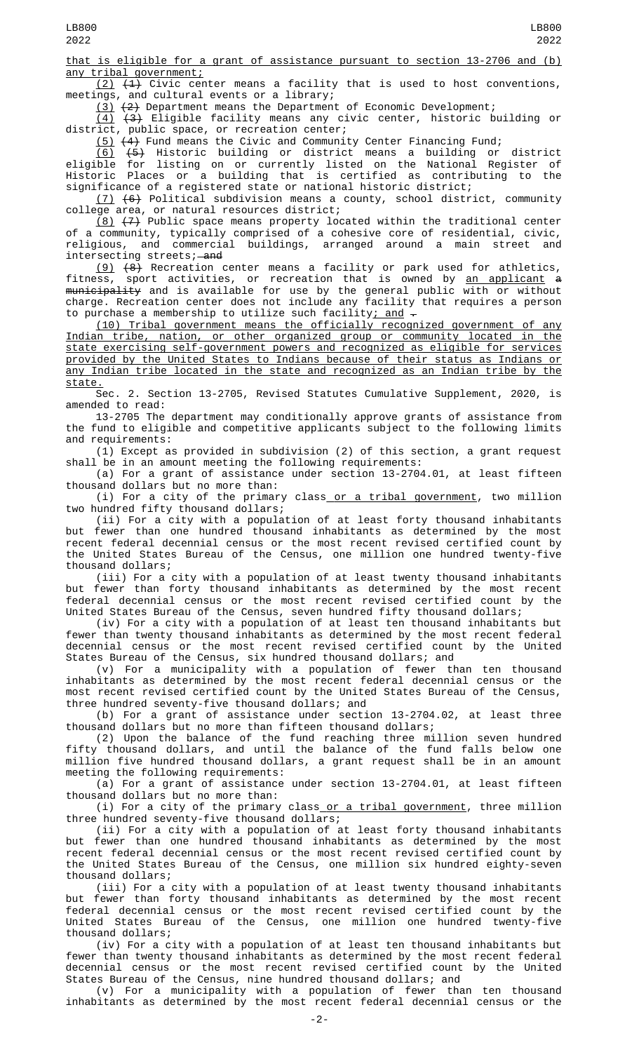that is eligible for a grant of assistance pursuant to section 13-2706 and (b) any tribal government;

 $(2)$   $(4)$  Civic center means a facility that is used to host conventions, meetings, and cultural events or a library;

(3) (2) Department means the Department of Economic Development;

 $(4)$   $(3)$  Eligible facility means any civic center, historic building or district, public space, or recreation center;

 $(5)$   $(4)$  Fund means the Civic and Community Center Financing Fund;

(6) (5) Historic building or district means a building or district eligible for listing on or currently listed on the National Register of Historic Places or a building that is certified as contributing to the significance of a registered state or national historic district;

(7) (6) Political subdivision means a county, school district, community college area, or natural resources district;

<u>(8)</u>  $(7)$  Public space means property located within the traditional center of a community, typically comprised of a cohesive core of residential, civic, religious, and commercial buildings, arranged around a main street and intersecting streets; and

(9) (8) Recreation center means a facility or park used for athletics, fitness, sport activities, or recreation that is owned by <u>an applicant</u> <del>a</del> <del>municipality</del> and is available for use by the general public with or without charge. Recreation center does not include any facility that requires a person to purchase a membership to utilize such facility<u>; and</u>  $\overline{\cdot}$ 

(10) Tribal government means the officially recognized government of any Indian tribe, nation, or other organized group or community located in the state exercising self-government powers and recognized as eligible for services provided by the United States to Indians because of their status as Indians or any Indian tribe located in the state and recognized as an Indian tribe by the <u>state.</u>

Sec. 2. Section 13-2705, Revised Statutes Cumulative Supplement, 2020, is amended to read:

13-2705 The department may conditionally approve grants of assistance from the fund to eligible and competitive applicants subject to the following limits and requirements:

(1) Except as provided in subdivision (2) of this section, a grant request shall be in an amount meeting the following requirements:

(a) For a grant of assistance under section 13-2704.01, at least fifteen thousand dollars but no more than:

(i) For a city of the primary class or a tribal government, two million two hundred fifty thousand dollars;

(ii) For a city with a population of at least forty thousand inhabitants but fewer than one hundred thousand inhabitants as determined by the most recent federal decennial census or the most recent revised certified count by the United States Bureau of the Census, one million one hundred twenty-five thousand dollars;

(iii) For a city with a population of at least twenty thousand inhabitants but fewer than forty thousand inhabitants as determined by the most recent federal decennial census or the most recent revised certified count by the United States Bureau of the Census, seven hundred fifty thousand dollars;

(iv) For a city with a population of at least ten thousand inhabitants but fewer than twenty thousand inhabitants as determined by the most recent federal decennial census or the most recent revised certified count by the United States Bureau of the Census, six hundred thousand dollars; and

(v) For a municipality with a population of fewer than ten thousand inhabitants as determined by the most recent federal decennial census or the most recent revised certified count by the United States Bureau of the Census, three hundred seventy-five thousand dollars; and

(b) For a grant of assistance under section 13-2704.02, at least three thousand dollars but no more than fifteen thousand dollars;

(2) Upon the balance of the fund reaching three million seven hundred fifty thousand dollars, and until the balance of the fund falls below one million five hundred thousand dollars, a grant request shall be in an amount meeting the following requirements:

(a) For a grant of assistance under section 13-2704.01, at least fifteen thousand dollars but no more than:

(i) For a city of the primary class<u> or a tribal government</u>, three million three hundred seventy-five thousand dollars;

(ii) For a city with a population of at least forty thousand inhabitants but fewer than one hundred thousand inhabitants as determined by the most recent federal decennial census or the most recent revised certified count by the United States Bureau of the Census, one million six hundred eighty-seven thousand dollars;

(iii) For a city with a population of at least twenty thousand inhabitants but fewer than forty thousand inhabitants as determined by the most recent federal decennial census or the most recent revised certified count by the United States Bureau of the Census, one million one hundred twenty-five thousand dollars;

(iv) For a city with a population of at least ten thousand inhabitants but fewer than twenty thousand inhabitants as determined by the most recent federal decennial census or the most recent revised certified count by the United States Bureau of the Census, nine hundred thousand dollars; and

(v) For a municipality with a population of fewer than ten thousand inhabitants as determined by the most recent federal decennial census or the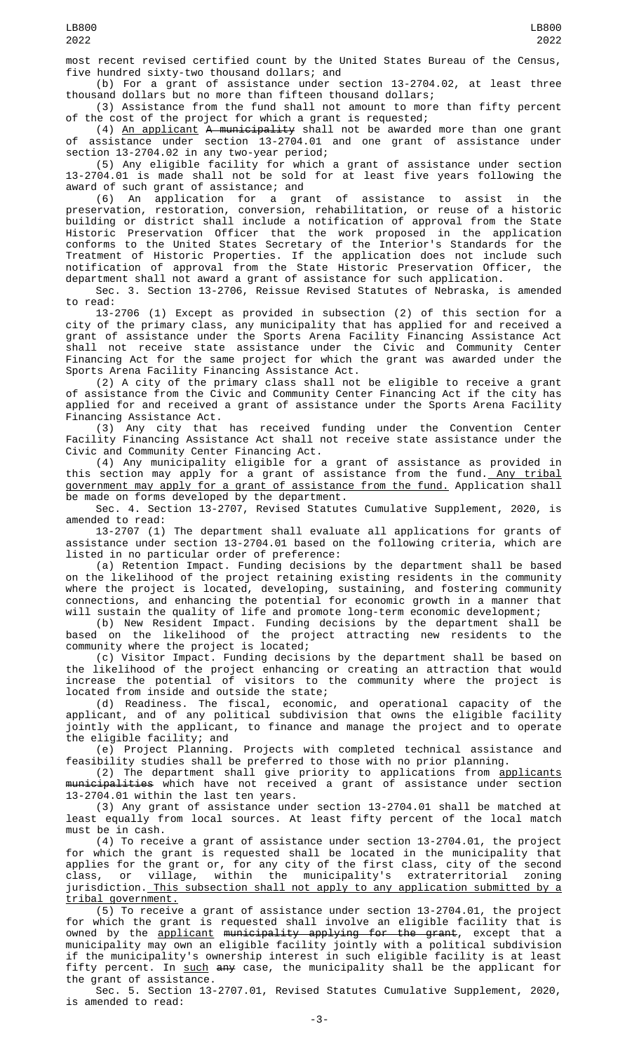most recent revised certified count by the United States Bureau of the Census, five hundred sixty-two thousand dollars; and

(b) For a grant of assistance under section 13-2704.02, at least three thousand dollars but no more than fifteen thousand dollars;

(3) Assistance from the fund shall not amount to more than fifty percent of the cost of the project for which a grant is requested;

(4) An applicant A municipality shall not be awarded more than one grant of assistance under section 13-2704.01 and one grant of assistance under section 13-2704.02 in any two-year period;

(5) Any eligible facility for which a grant of assistance under section 13-2704.01 is made shall not be sold for at least five years following the award of such grant of assistance; and

(6) An application for a grant of assistance to assist in the preservation, restoration, conversion, rehabilitation, or reuse of a historic building or district shall include a notification of approval from the State Historic Preservation Officer that the work proposed in the application conforms to the United States Secretary of the Interior's Standards for the Treatment of Historic Properties. If the application does not include such notification of approval from the State Historic Preservation Officer, the department shall not award a grant of assistance for such application.

Sec. 3. Section 13-2706, Reissue Revised Statutes of Nebraska, is amended to read:

13-2706 (1) Except as provided in subsection (2) of this section for a city of the primary class, any municipality that has applied for and received a grant of assistance under the Sports Arena Facility Financing Assistance Act shall not receive state assistance under the Civic and Community Center Financing Act for the same project for which the grant was awarded under the Sports Arena Facility Financing Assistance Act.

(2) A city of the primary class shall not be eligible to receive a grant of assistance from the Civic and Community Center Financing Act if the city has applied for and received a grant of assistance under the Sports Arena Facility Financing Assistance Act.

(3) Any city that has received funding under the Convention Center Facility Financing Assistance Act shall not receive state assistance under the Civic and Community Center Financing Act.

(4) Any municipality eligible for a grant of assistance as provided in this section may apply for a grant of assistance from the fund.<u> Any tribal</u> government may apply for a grant of assistance from the fund. Application shall be made on forms developed by the department.

Sec. 4. Section 13-2707, Revised Statutes Cumulative Supplement, 2020, is amended to read:

13-2707 (1) The department shall evaluate all applications for grants of assistance under section 13-2704.01 based on the following criteria, which are listed in no particular order of preference:

(a) Retention Impact. Funding decisions by the department shall be based on the likelihood of the project retaining existing residents in the community where the project is located, developing, sustaining, and fostering community connections, and enhancing the potential for economic growth in a manner that will sustain the quality of life and promote long-term economic development;

(b) New Resident Impact. Funding decisions by the department shall be based on the likelihood of the project attracting new residents to the community where the project is located;

(c) Visitor Impact. Funding decisions by the department shall be based on the likelihood of the project enhancing or creating an attraction that would increase the potential of visitors to the community where the project is located from inside and outside the state;

(d) Readiness. The fiscal, economic, and operational capacity of the applicant, and of any political subdivision that owns the eligible facility jointly with the applicant, to finance and manage the project and to operate the eligible facility; and

(e) Project Planning. Projects with completed technical assistance and feasibility studies shall be preferred to those with no prior planning.

(2) The department shall give priority to applications from <u>applicants</u> <del>municipalities</del> which have not received a grant of assistance under section 13-2704.01 within the last ten years.

(3) Any grant of assistance under section 13-2704.01 shall be matched at least equally from local sources. At least fifty percent of the local match must be in cash.

(4) To receive a grant of assistance under section 13-2704.01, the project which the grant is requested shall be located in the municipality that applies for the grant or, for any city of the first class, city of the second class, or village, within the municipality's extraterritorial zoning jurisdiction. This subsection shall not apply to any application submitted by a tribal government.

(5) To receive a grant of assistance under section 13-2704.01, the project for which the grant is requested shall involve an eligible facility that is owned by the <u>applicant</u> <del>municipality applying for the grant</del>, except that a municipality may own an eligible facility jointly with a political subdivision if the municipality's ownership interest in such eligible facility is at least fifty percent. In such any case, the municipality shall be the applicant for the grant of assistance.

Sec. 5. Section 13-2707.01, Revised Statutes Cumulative Supplement, 2020, is amended to read: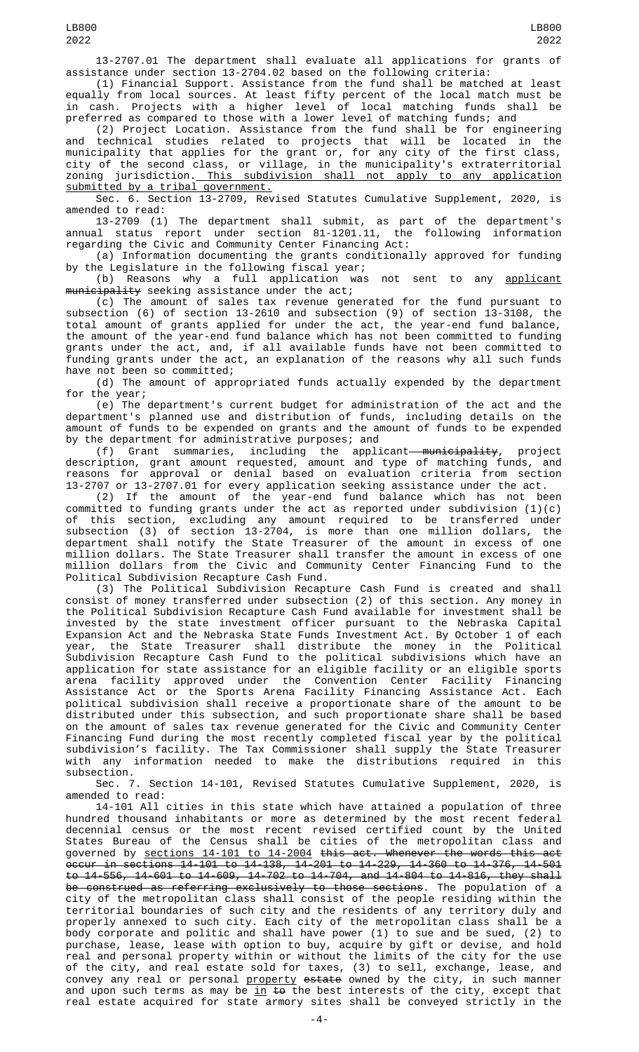13-2707.01 The department shall evaluate all applications for grants of assistance under section 13-2704.02 based on the following criteria:

(1) Financial Support. Assistance from the fund shall be matched at least equally from local sources. At least fifty percent of the local match must be in cash. Projects with a higher level of local matching funds shall be preferred as compared to those with a lower level of matching funds; and

(2) Project Location. Assistance from the fund shall be for engineering and technical studies related to projects that will be located in the municipality that applies for the grant or, for any city of the first class, city of the second class, or village, in the municipality's extraterritorial zoning jurisdiction.<u> This subdivision shall not apply to any application</u> submitted by a tribal government.

Sec. 6. Section 13-2709, Revised Statutes Cumulative Supplement, 2020, is amended to read:

13-2709 (1) The department shall submit, as part of the department's annual status report under section 81-1201.11, the following information regarding the Civic and Community Center Financing Act:

(a) Information documenting the grants conditionally approved for funding by the Legislature in the following fiscal year;

(b) Reasons why a full application was not sent to any <u>applicant</u> m<del>unicipality</del> seeking assistance under the act;

(c) The amount of sales tax revenue generated for the fund pursuant to subsection (6) of section 13-2610 and subsection (9) of section 13-3108, the total amount of grants applied for under the act, the year-end fund balance, the amount of the year-end fund balance which has not been committed to funding grants under the act, and, if all available funds have not been committed to funding grants under the act, an explanation of the reasons why all such funds have not been so committed;

(d) The amount of appropriated funds actually expended by the department for the year;

(e) The department's current budget for administration of the act and the department's planned use and distribution of funds, including details on the amount of funds to be expended on grants and the amount of funds to be expended by the department for administrative purposes; and

(f) Grant summaries, including the applicant—<del>municipality</del>, project description, grant amount requested, amount and type of matching funds, and reasons for approval or denial based on evaluation criteria from section 13-2707 or 13-2707.01 for every application seeking assistance under the act.

(2) If the amount of the year-end fund balance which has not been committed to funding grants under the act as reported under subdivision (1)(c) of this section, excluding any amount required to be transferred under subsection (3) of section 13-2704, is more than one million dollars, the department shall notify the State Treasurer of the amount in excess of one million dollars. The State Treasurer shall transfer the amount in excess of one million dollars from the Civic and Community Center Financing Fund to the Political Subdivision Recapture Cash Fund.

(3) The Political Subdivision Recapture Cash Fund is created and shall consist of money transferred under subsection (2) of this section. Any money in the Political Subdivision Recapture Cash Fund available for investment shall be invested by the state investment officer pursuant to the Nebraska Capital Expansion Act and the Nebraska State Funds Investment Act. By October 1 of each year, the State Treasurer shall distribute the money in the Political Subdivision Recapture Cash Fund to the political subdivisions which have an application for state assistance for an eligible facility or an eligible sports arena facility approved under the Convention Center Facility Financing Assistance Act or the Sports Arena Facility Financing Assistance Act. Each political subdivision shall receive a proportionate share of the amount to be distributed under this subsection, and such proportionate share shall be based on the amount of sales tax revenue generated for the Civic and Community Center Financing Fund during the most recently completed fiscal year by the political subdivision's facility. The Tax Commissioner shall supply the State Treasurer with any information needed to make the distributions required in this subsection.

Sec. 7. Section 14-101, Revised Statutes Cumulative Supplement, 2020, is amended to read:

14-101 All cities in this state which have attained a population of three hundred thousand inhabitants or more as determined by the most recent federal decennial census or the most recent revised certified count by the United States Bureau of the Census shall be cities of the metropolitan class and governed by sections 14-101 to 14-2004 this act. Whenever the words this act occur in sections 14-101 to 14-138, 14-201 to 14-229, 14-360 to 14-376, 14-501 to 14-556, 14-601 to 14-609, 14-702 to 14-704, and 14-804 to 14-816, they shall be construed as referring exclusively to those sections. The population of a city of the metropolitan class shall consist of the people residing within the territorial boundaries of such city and the residents of any territory duly and properly annexed to such city. Each city of the metropolitan class shall be a body corporate and politic and shall have power (1) to sue and be sued, (2) to purchase, lease, lease with option to buy, acquire by gift or devise, and hold real and personal property within or without the limits of the city for the use of the city, and real estate sold for taxes, (3) to sell, exchange, lease, and convey any real or personal <u>property</u> <del>estate</del> owned by the city, in such manner and upon such terms as may be <u>in</u> <del>to</del> the best interests of the city, except that real estate acquired for state armory sites shall be conveyed strictly in the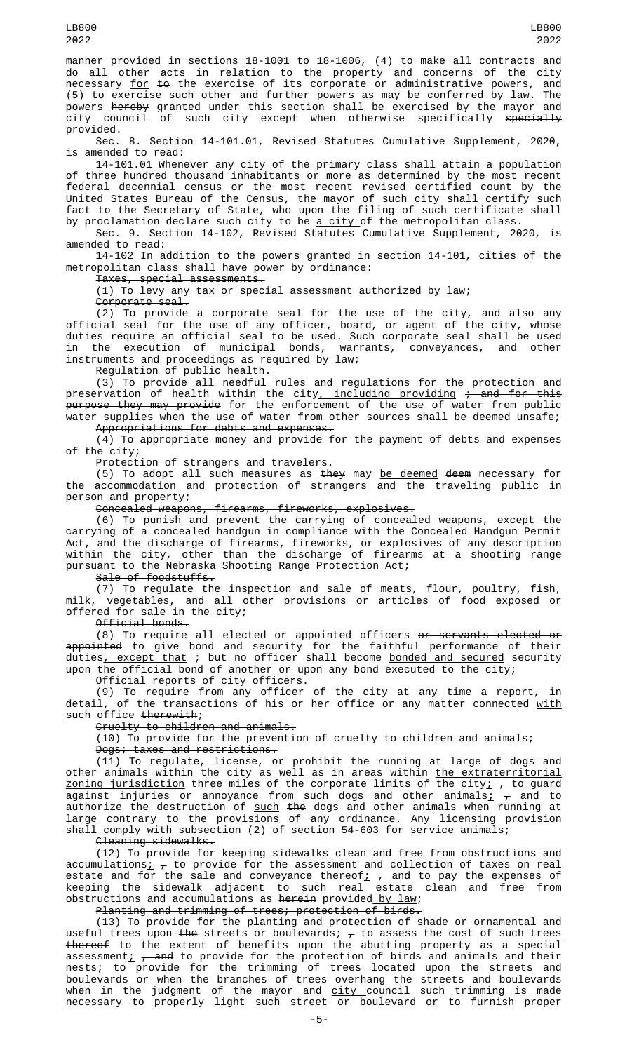manner provided in sections 18-1001 to 18-1006, (4) to make all contracts and do all other acts in relation to the property and concerns of the city necessary <u>for</u> <del>to</del> the exercise of its corporate or administrative powers, and (5) to exercise such other and further powers as may be conferred by law. The powers <del>hereby</del> granted <u>under this section shall be exercised by the mayor and</u> city council of such city except when otherwise <u>specifically</u> <del>specially</del> provided.

Sec. 8. Section 14-101.01, Revised Statutes Cumulative Supplement, 2020, is amended to read:

14-101.01 Whenever any city of the primary class shall attain a population of three hundred thousand inhabitants or more as determined by the most recent federal decennial census or the most recent revised certified count by the United States Bureau of the Census, the mayor of such city shall certify such fact to the Secretary of State, who upon the filing of such certificate shall by proclamation declare such city to be <u>a city </u>of the metropolitan class.

Sec. 9. Section 14-102, Revised Statutes Cumulative Supplement, 2020, is amended to read:

14-102 In addition to the powers granted in section 14-101, cities of the metropolitan class shall have power by ordinance:

Taxes, special assessments.

(1) To levy any tax or special assessment authorized by law;

Corporate seal.

(2) To provide a corporate seal for the use of the city, and also any official seal for the use of any officer, board, or agent of the city, whose duties require an official seal to be used. Such corporate seal shall be used in the execution of municipal bonds, warrants, conveyances, and other instruments and proceedings as required by law;

Regulation of public health.

(3) To provide all needful rules and regulations for the protection and preservation of health within the city<u>, including providing <del>; and for this</del></u> purpose they may provide for the enforcement of the use of water from public water supplies when the use of water from other sources shall be deemed unsafe; Appropriations for debts and expenses.

(4) To appropriate money and provide for the payment of debts and expenses of the city;

Protection of strangers and travelers.

(5) To adopt all such measures as <del>they</del> may <u>be deemed</u> <del>deem</del> necessary for the accommodation and protection of strangers and the traveling public in person and property;

Concealed weapons, firearms, fireworks, explosives.

(6) To punish and prevent the carrying of concealed weapons, except the carrying of a concealed handgun in compliance with the Concealed Handgun Permit Act, and the discharge of firearms, fireworks, or explosives of any description within the city, other than the discharge of firearms at a shooting range pursuant to the Nebraska Shooting Range Protection Act;

Sale of foodstuffs.

(7) To regulate the inspection and sale of meats, flour, poultry, fish, milk, vegetables, and all other provisions or articles of food exposed or offered for sale in the city;

Official bonds.

(8) To require all <u>elected or appointed officers <del>or servants elected or</del></u> <del>appointed</del> to give bond and security for the faithful performance of their duties<u>, except that</u> <del>; but</del> no officer shall become <u>bonded and secured</u> <del>security</del> upon the official bond of another or upon any bond executed to the city;

Official reports of city officers.

(9) To require from any officer of the city at any time a report, in detail, of the transactions of his or her office or any matter connected <u>with</u> such office therewith;

Cruelty to children and animals.

(10) To provide for the prevention of cruelty to children and animals;

Dogs; taxes and restrictions.

(11) To regulate, license, or prohibit the running at large of dogs and other animals within the city as well as in areas within <u>the extraterritorial</u> <u>zoning jurisdiction</u> <del>three miles of the corporate limits</del> of the city<u>;</u>  $_\tau$  to guard against injuries or annoyance from such dogs and other animals<u>;</u>  $_{\mathcal{T}}$  and to authorize the destruction of <u>such</u> <del>the</del> dogs and other animals when running at large contrary to the provisions of any ordinance. Any licensing provision shall comply with subsection (2) of section 54-603 for service animals; Cleaning sidewalks.

(12) To provide for keeping sidewalks clean and free from obstructions and accumulations $\texttt{j}$   $_{\tau}$  to provide for the assessment and collection of taxes on real estate and for the sale and conveyance thereof $_{L}$   $_{\tau}$  and to pay the expenses of keeping the sidewalk adjacent to such real estate clean and free from obstructions and accumulations as <del>herein</del> provided<u> by law</u>;

Planting and trimming of trees; protection of birds.

(13) To provide for the planting and protection of shade or ornamental and useful trees upon <del>the</del> streets or boulevards<u>;</u>  $_\tau$  to assess the cost <u>of such trees</u> thereof to the extent of benefits upon the abutting property as a special assessment;  $\tau$  and to provide for the protection of birds and animals and their nests; to provide for the trimming of trees located upon <del>the</del> streets and boulevards or when the branches of trees overhang the streets and boulevards when in the judgment of the mayor and <u>city c</u>ouncil such trimming is made necessary to properly light such street or boulevard or to furnish proper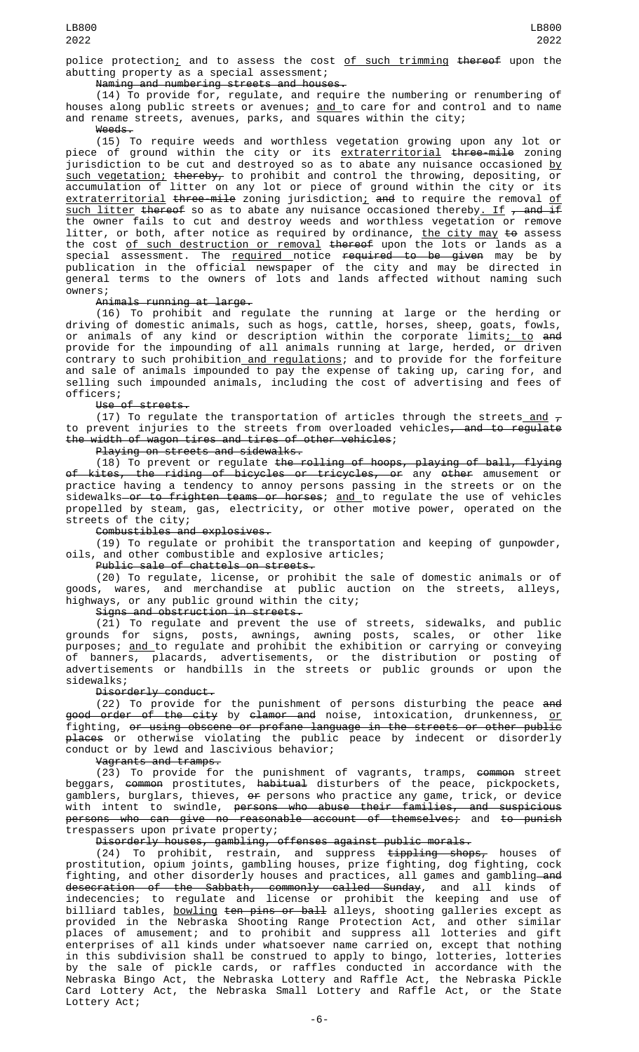police protection; and to assess the cost of such trimming thereof upon the abutting property as a special assessment;

Naming and numbering streets and houses.

(14) To provide for, regulate, and require the numbering or renumbering of houses along public streets or avenues; <u>and </u>to care for and control and to name and rename streets, avenues, parks, and squares within the city;

Weeds.

(15) To require weeds and worthless vegetation growing upon any lot or piece of ground within the city or its <u>extraterritorial</u> <del>three-mile</del> zoning jurisdiction to be cut and destroyed so as to abate any nuisance occasioned by such vegetation; thereby, to prohibit and control the throwing, depositing, or accumulation of litter on any lot or piece of ground within the city or its <u>extraterritorial</u> <del>three-mile</del> zoning jurisdiction<u>;</u> <del>and</del> to require the removal <u>of</u> <u>such litter</u> <del>thereof</del> so as to abate any nuisance occasioned thereby<u>. If</u> <del>, and if</del> the owner fails to cut and destroy weeds and worthless vegetation or remove litter, or both, after notice as required by ordinance, <u>the city may</u> <del>to</del> assess the cost of such destruction or removal thereof upon the lots or lands as a special assessment. The <u>required </u>notice <del>required to be given</del> may be by publication in the official newspaper of the city and may be directed in general terms to the owners of lots and lands affected without naming such owners;

### Animals running at large.

(16) To prohibit and regulate the running at large or the herding or driving of domestic animals, such as hogs, cattle, horses, sheep, goats, fowls, or animals of any kind or description within the corporate limits<u>; to</u> <del>and</del> provide for the impounding of all animals running at large, herded, or driven contrary to such prohibition<u> and regulations</u>; and to provide for the forfeiture and sale of animals impounded to pay the expense of taking up, caring for, and selling such impounded animals, including the cost of advertising and fees of officers;

Use of streets.

(17) To regulate the transportation of articles through the streets\_and  $_{\mathcal{T}}$ to prevent injuries to the streets from overloaded vehicles<del>, and to regulate</del> the width of wagon tires and tires of other vehicles;

Playing on streets and sidewalks.

(18) To prevent or regulate <del>the rolling of hoops, playing of ball, flying</del> of kites, the riding of bicycles or tricycles, or any other amusement or practice having a tendency to annoy persons passing in the streets or on the sidewalks—<del>or to frighten teams or horses</del>; <u>and </u>to regulate the use of vehicles propelled by steam, gas, electricity, or other motive power, operated on the streets of the city;

Combustibles and explosives.

(19) To regulate or prohibit the transportation and keeping of gunpowder, oils, and other combustible and explosive articles;

Public sale of chattels on streets.

(20) To regulate, license, or prohibit the sale of domestic animals or of goods, wares, and merchandise at public auction on the streets, alleys, highways, or any public ground within the city;

Signs and obstruction in streets.

(21) To regulate and prevent the use of streets, sidewalks, and public grounds for signs, posts, awnings, awning posts, scales, or other like purposes; <u>and t</u>o regulate and prohibit the exhibition or carrying or conveying of banners, placards, advertisements, or the distribution or posting of advertisements or handbills in the streets or public grounds or upon the sidewalks;

Disorderly conduct.

(22) To provide for the punishment of persons disturbing the peace and <del>good order of the city</del> by <del>clamor and</del> noise, intoxication, drunkenness, <u>or</u> fighting, or using obscene or profane language in the streets or other public <del>places</del> or otherwise violating the public peace by indecent or disorderly conduct or by lewd and lascivious behavior;

Vagrants and tramps.

(23) To provide for the punishment of vagrants, tramps, <del>common</del> street beggars, <del>common</del> prostitutes, <del>habitual</del> disturbers of the peace, pickpockets, gamblers, burglars, thieves, <del>or</del> persons who practice any game, trick, or device with intent to swindle, <del>persons who abuse their families, and suspicious</del> persons who can give no reasonable account of themselves; and to punish trespassers upon private property;

Disorderly houses, gambling, offenses against public morals.

(24) To prohibit, restrain, and suppress <del>tippling shops,</del> houses of prostitution, opium joints, gambling houses, prize fighting, dog fighting, cock fighting, and other disorderly houses and practices, all games and gambling—<del>and</del> desecration of the Sabbath, commonly called Sunday, and all kinds of indecencies; to regulate and license or prohibit the keeping and use of billiard tables, <u>bowling</u> <del>ten pins or ball</del> alleys, shooting galleries except as provided in the Nebraska Shooting Range Protection Act, and other similar places of amusement; and to prohibit and suppress all lotteries and gift enterprises of all kinds under whatsoever name carried on, except that nothing in this subdivision shall be construed to apply to bingo, lotteries, lotteries by the sale of pickle cards, or raffles conducted in accordance with the Nebraska Bingo Act, the Nebraska Lottery and Raffle Act, the Nebraska Pickle Card Lottery Act, the Nebraska Small Lottery and Raffle Act, or the State Lottery Act;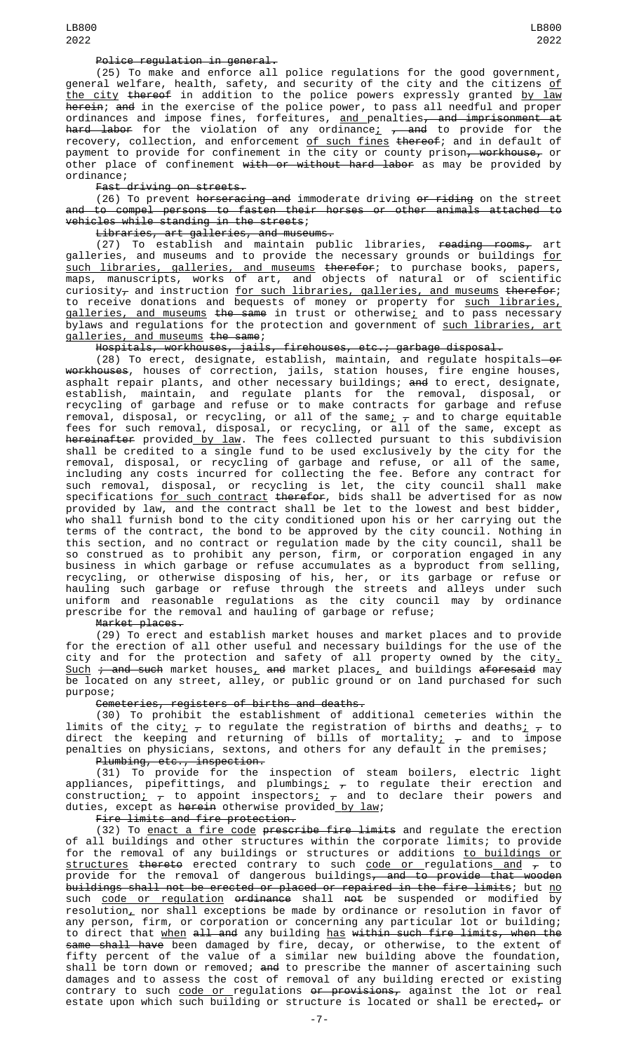#### Police regulation in general.

(25) To make and enforce all police regulations for the good government, general welfare, health, safety, and security of the city and the citizens <u>of</u> the city thereof in addition to the police powers expressly granted by law <del>herein</del>; <del>and</del> in the exercise of the police power, to pass all needful and proper ordinances and impose fines, forfeitures, <u>and p</u>enalties<del>, and imprisonment at</del> h<del>ard labor</del> for the violation of any ordinance<u>;</u> <del>, and</del> to provide for the recovery, collection, and enforcement <u>of such fines</u> <del>thereof</del>; and in default of payment to provide for confinement in the city or county prison<del>, workhouse,</del> or other place of confinement with or without hard labor as may be provided by ordinance;

Fast driving on streets.

(26) To prevent <del>horseracing and</del> immoderate driving <del>or riding</del> on the street and to compel persons to fasten their horses or other animals attached to vehicles while standing in the streets;

Libraries, art galleries, and museums.

(27) To establish and maintain public libraries, <del>reading rooms,</del> art galleries, and museums and to provide the necessary grounds or buildings <u>for</u> such libraries, galleries, and museums therefor; to purchase books, papers, maps, manuscripts, works of art, and objects of natural or of scientific curiosity $_{\mathcal{T}}$  and instruction <u>for such libraries, galleries, and museums</u> <del>therefor</del>; to receive donations and bequests of money or property for <u>such libraries,</u> <u>galleries, and museums</u> <del>the same</del> in trust or otherwise<u>;</u> and to pass necessary bylaws and regulations for the protection and government of <u>such libraries, art</u> galleries, and museums the same;

Hospitals, workhouses, jails, firehouses, etc.; garbage disposal.

(28) To erect, designate, establish, maintain, and regulate hospitals—<del>or</del> <del>workhouses</del>, houses of correction, jails, station houses, fire engine houses, asphalt repair plants, and other necessary buildings; <del>and</del> to erect, designate, establish, maintain, and regulate plants for the removal, disposal, or recycling of garbage and refuse or to make contracts for garbage and refuse removal, disposal, or recycling, or all of the same<u>;</u>  $_{\mathcal{T}}$  and to charge equitable fees for such removal, disposal, or recycling, or all of the same, except as h<del>ereinafter</del> provided <u>by law</u>. The fees collected pursuant to this subdivision shall be credited to a single fund to be used exclusively by the city for the removal, disposal, or recycling of garbage and refuse, or all of the same, including any costs incurred for collecting the fee. Before any contract for such removal, disposal, or recycling is let, the city council shall make specifications <u>for such contract</u> <del>therefor</del>, bids shall be advertised for as now provided by law, and the contract shall be let to the lowest and best bidder, who shall furnish bond to the city conditioned upon his or her carrying out the terms of the contract, the bond to be approved by the city council. Nothing in this section, and no contract or regulation made by the city council, shall be so construed as to prohibit any person, firm, or corporation engaged in any business in which garbage or refuse accumulates as a byproduct from selling, recycling, or otherwise disposing of his, her, or its garbage or refuse or hauling such garbage or refuse through the streets and alleys under such uniform and reasonable regulations as the city council may by ordinance prescribe for the removal and hauling of garbage or refuse;

Market places.

(29) To erect and establish market houses and market places and to provide for the erection of all other useful and necessary buildings for the use of the city and for the protection and safety of all property owned by the city<u>.</u>  $\texttt{Such}$   $\div$  and such market houses $_{L}$  and market places $_{L}$  and buildings aforesaid may be located on any street, alley, or public ground or on land purchased for such purpose;

### Cemeteries, registers of births and deaths.

(30) To prohibit the establishment of additional cemeteries within the limits of the city<u>;</u>  $_{\mathcal{T}}$  to regulate the registration of births and deaths<u>;</u>  $_{\mathcal{T}}$  to direct the keeping and returning of bills of mortality<u>;</u>  $_{\mathcal{T}}$  and to impose penalties on physicians, sextons, and others for any default in the premises; Plumbing, etc., inspection.

(31) To provide for the inspection of steam boilers, electric light appliances, pipefittings, and plumbings<u>;</u>  $_\tau$  to regulate their erection and construction;  $_{\tau}$  to appoint inspectors;  $_{\tau}$  and to declare their powers and construction;  $\frac{1}{7}$  to appoint inspectors;  $\frac{1}{7}$  and to duties, except as herein otherwise provided by law;

Fire limits and fire protection.

(32) To enact a fire code prescribe fire limits and regulate the erection of all buildings and other structures within the corporate limits; to provide for the removal of any buildings or structures or additions <u>to buildings or</u> <u>structures</u> <del>thereto</del> erected contrary to such <u>code or regulations and</u>  $_{\mathcal{T}}$  to provide for the removal of dangerous buildings<del>, and to provide that wooden</del> buildings shall not be erected or placed or repaired in the fire limits; but <u>no</u> such <u>code or regulation</u> <del>ordinance</del> shall <del>not</del> be suspended or modified by <code>resolution $_{\rm L}$ </code> nor shall exceptions be made by ordinance or resolution in favor of any person, firm, or corporation or concerning any particular lot or building; to direct that <u>when</u> <del>all and</del> any building <u>has</u> <del>within such fire limits, when the</del> same shall have been damaged by fire, decay, or otherwise, to the extent of fifty percent of the value of a similar new building above the foundation, shall be torn down or removed; <del>and</del> to prescribe the manner of ascertaining such damages and to assess the cost of removal of any building erected or existing contrary to such code or regulations or provisions, against the lot or real estate upon which such building or structure is located or shall be erected<sub>7</sub> or

LB800 2022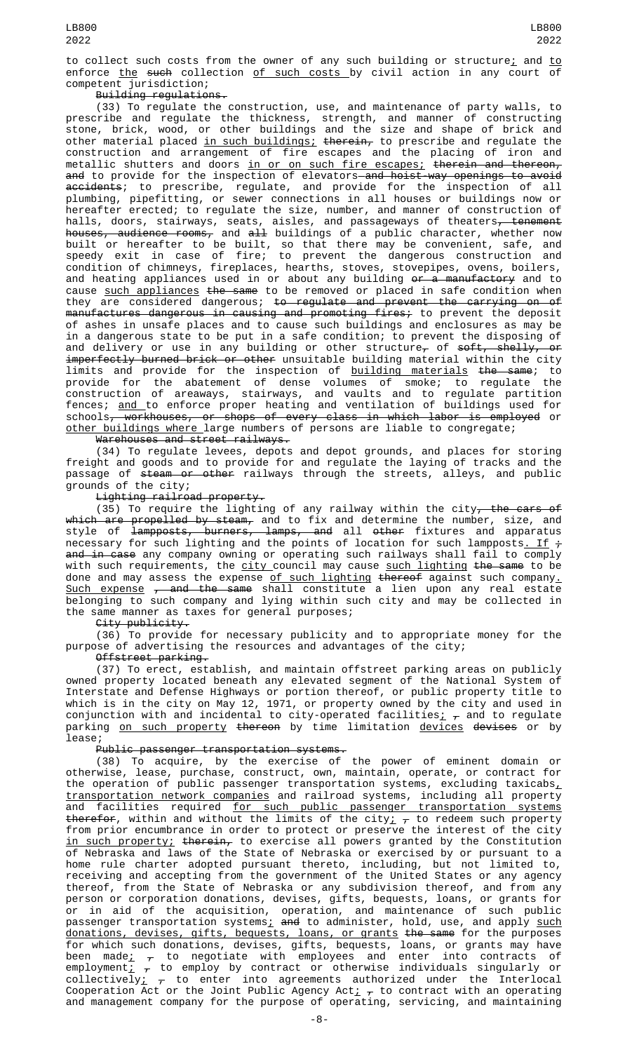to collect such costs from the owner of any such building or structure; and to enforce the such collection of such costs by civil action in any court of competent jurisdiction;

## Building regulations.

(33) To regulate the construction, use, and maintenance of party walls, to prescribe and regulate the thickness, strength, and manner of constructing stone, brick, wood, or other buildings and the size and shape of brick and other material placed <u>in such buildings; t<del>herein,</del> to prescribe and regulate the</u> construction and arrangement of fire escapes and the placing of iron and metallic shutters and doors <u>in or on such fire escapes;</u> <del>therein and thereon,</del> <del>and</del> to provide for the inspection of elevators—<del>and hoist-way openings to avoid</del> <del>accidents</del>; to prescribe, regulate, and provide for the inspection of all plumbing, pipefitting, or sewer connections in all houses or buildings now or hereafter erected; to regulate the size, number, and manner of construction of halls, doors, stairways, seats, aisles, and passageways of theaters<del>, tenement</del> h<del>ouses, audience rooms,</del> and <del>all</del> buildings of a public character, whether now built or hereafter to be built, so that there may be convenient, safe, and speedy exit in case of fire; to prevent the dangerous construction and condition of chimneys, fireplaces, hearths, stoves, stovepipes, ovens, boilers, and heating appliances used in or about any building <del>or a manufactory</del> and to cause <u>such appliances</u> <del>the same</del> to be removed or placed in safe condition when they are considered dangerous; to regulate and prevent the carrying on of manufactures dangerous in causing and promoting fires; to prevent the deposit of ashes in unsafe places and to cause such buildings and enclosures as may be in a dangerous state to be put in a safe condition; to prevent the disposing of and delivery or use in any building or other structure<del>,</del> of <del>soft, shelly, or</del> imperfectly burned brick or other unsuitable building material within the city limits and provide for the inspection of <u>building materials</u> <del>the same</del>; to provide for the abatement of dense volumes of smoke; to regulate the construction of areaways, stairways, and vaults and to regulate partition fences; <u>and </u>to enforce proper heating and ventilation of buildings used for schools, workhouses, or shops of every class in which labor is employed or other buildings where large numbers of persons are liable to congregate;

Warehouses and street railways.

(34) To regulate levees, depots and depot grounds, and places for storing freight and goods and to provide for and regulate the laying of tracks and the passage of <del>steam or other</del> railways through the streets, alleys, and public grounds of the city;

Lighting railroad property.

(35) To require the lighting of any railway within the city, the cars of <del>which are propelled by steam,</del> and to fix and determine the number, size, and style of <del>lampposts, burners, lamps, and</del> all <del>other</del> fixtures and apparatus necessary for such lighting and the points of location for such lampposts<u>. If</u>  $\div$ <del>and in case</del> any company owning or operating such railways shall fail to comply with such requirements, the <u>city c</u>ouncil may cause <u>such lighting <del>the same</del> to be</u> done and may assess the expense <u>of such lighting <del>thereof</del> against such company.</u> <u>Such expense</u> <del>, and the same</del> shall constitute a lien upon any real estate belonging to such company and lying within such city and may be collected in the same manner as taxes for general purposes;

City publicity.

(36) To provide for necessary publicity and to appropriate money for the purpose of advertising the resources and advantages of the city;

Offstreet parking.

(37) To erect, establish, and maintain offstreet parking areas on publicly owned property located beneath any elevated segment of the National System of Interstate and Defense Highways or portion thereof, or public property title to which is in the city on May 12, 1971, or property owned by the city and used in conjunction with and incidental to city-operated facilities<u>;</u>  $_\tau$  and to regulate parking <u>on such property</u> <del>thereon</del> by time limitation <u>devices</u> <del>devises</del> or by lease;

Public passenger transportation systems.

(38) To acquire, by the exercise of the power of eminent domain or otherwise, lease, purchase, construct, own, maintain, operate, or contract for the operation of public passenger transportation systems, excluding taxicabs $_{\text{{\textsf{L}}}}$ transportation network companies and railroad systems, including all property and facilities required <u>for such public passenger transportation systems</u> <del>therefor</del>, within and without the limits of the city<u>;</u>  $_\tau$  to redeem such property from prior encumbrance in order to protect or preserve the interest of the city in such property; therein, to exercise all powers granted by the Constitution of Nebraska and laws of the State of Nebraska or exercised by or pursuant to a home rule charter adopted pursuant thereto, including, but not limited to, receiving and accepting from the government of the United States or any agency thereof, from the State of Nebraska or any subdivision thereof, and from any person or corporation donations, devises, gifts, bequests, loans, or grants for or in aid of the acquisition, operation, and maintenance of such public passenger transportation systems<u>;</u> <del>and</del> to administer, hold, use, and apply <u>such</u> donations, devises, gifts, bequests, loans, or grants the same for the purposes for which such donations, devises, gifts, bequests, loans, or grants may have been made<u>;</u>  $_\mathcal{T}$  to negotiate with employees and enter into contracts of employment $_{\mathrm{\mathcal{L}}- \tau}$  to employ by contract or otherwise individuals singularly or collectively $_{L}$   $_{\tau}$  to enter into agreements authorized under the Interlocal Cooperation Act or the Joint Public Agency Act $_{L~\tau}$  to contract with an operating and management company for the purpose of operating, servicing, and maintaining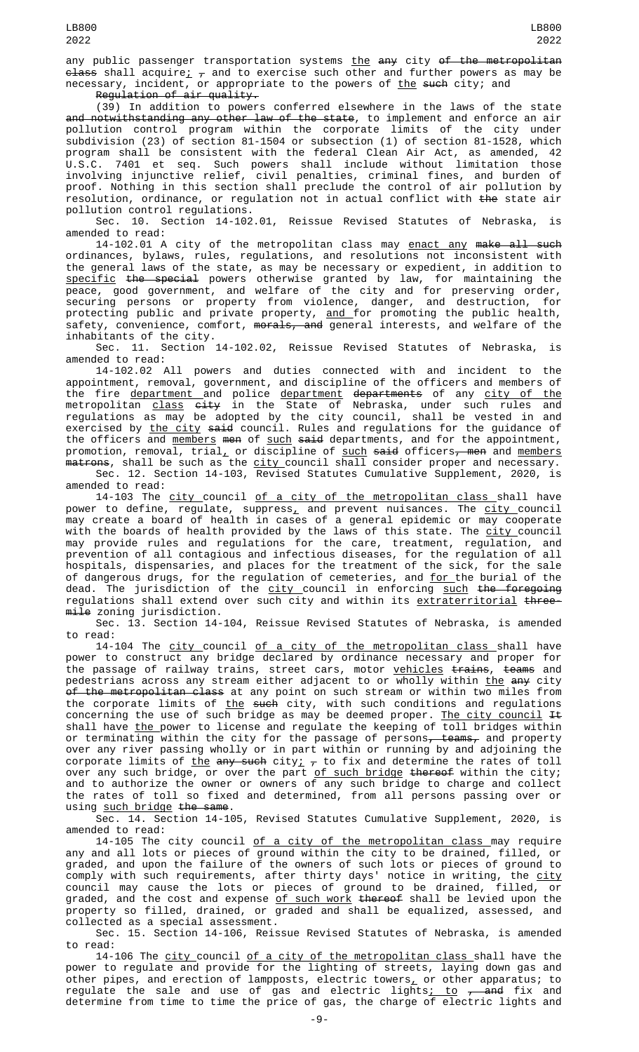any public passenger transportation systems the any city of the metropolitan  $_{\texttt{class}}$  shall acquire;  $_{\tau}$  and to exercise such other and further powers as may be necessary, incident, or appropriate to the powers of the such city; and Regulation of air quality.

(39) In addition to powers conferred elsewhere in the laws of the state and notwithstanding any other law of the state, to implement and enforce an air pollution control program within the corporate limits of the city under subdivision (23) of section 81-1504 or subsection (1) of section 81-1528, which program shall be consistent with the federal Clean Air Act, as amended, 42 U.S.C. 7401 et seq. Such powers shall include without limitation those involving injunctive relief, civil penalties, criminal fines, and burden of proof. Nothing in this section shall preclude the control of air pollution by resolution, ordinance, or regulation not in actual conflict with the state air pollution control regulations.

Sec. 10. Section 14-102.01, Reissue Revised Statutes of Nebraska, is amended to read:

14-102.01 A city of the metropolitan class may enact any make all such ordinances, bylaws, rules, regulations, and resolutions not inconsistent with the general laws of the state, as may be necessary or expedient, in addition to <u>specific</u> <del>the special</del> powers otherwise granted by law, for maintaining the peace, good government, and welfare of the city and for preserving order, securing persons or property from violence, danger, and destruction, for protecting public and private property, <u>and </u>for promoting the public health, safety, convenience, comfort, <del>morals, and</del> general interests, and welfare of the inhabitants of the city.

Sec. 11. Section 14-102.02, Reissue Revised Statutes of Nebraska, is amended to read:

14-102.02 All powers and duties connected with and incident to the appointment, removal, government, and discipline of the officers and members of the fire <u>department a</u>nd police <u>department</u> <del>departments</del> of any <u>city of the</u> metropolitan <u>class</u> <del>city</del> in the State of Nebraska, under such rules and regulations as may be adopted by the city council, shall be vested in and exercised by <u>the city</u> <del>said</del> council. Rules and regulations for the guidance of the officers and <u>members</u> <del>men</del> of <u>such</u> s<del>aid</del> departments, and for the appointment, promotion, removal, trial<u>,</u> or discipline of <u>such</u> <del>said</del> officers<del>, men</del> and <u>members</u> <del>matrons</del>, shall be such as the <u>city c</u>ouncil shall consider proper and necessary.

Sec. 12. Section 14-103, Revised Statutes Cumulative Supplement, 2020, is amended to read:

14-103 The city council of a city of the metropolitan class shall have power to define, regulate, suppress<u>,</u> and prevent nuisances. The <u>city c</u>ouncil may create a board of health in cases of a general epidemic or may cooperate with the boards of health provided by the laws of this state. The <u>city c</u>ouncil may provide rules and regulations for the care, treatment, regulation, and prevention of all contagious and infectious diseases, for the regulation of all hospitals, dispensaries, and places for the treatment of the sick, for the sale of dangerous drugs, for the regulation of cemeteries, and <u>for </u>the burial of the dead. The jurisdiction of the city council in enforcing such the foregoing regulations shall extend over such city and within its extraterritorial threemile zoning jurisdiction.

Sec. 13. Section 14-104, Reissue Revised Statutes of Nebraska, is amended to read:

14-104 The <u>city c</u>ouncil <u>of a city of the metropolitan class s</u>hall have power to construct any bridge declared by ordinance necessary and proper for the passage of railway trains, street cars, motor <u>vehicles</u> <del>trains</del>, <del>teams</del> and pedestrians across any stream either adjacent to or wholly within <u>the</u> <del>any</del> city <del>of the metropolitan class</del> at any point on such stream or within two miles from the corporate limits of <u>the</u> s<del>uch</del> city, with such conditions and regulations concerning the use of such bridge as may be deemed proper. <u>The city council</u> <del>It</del> shall have <u>the </u>power to license and regulate the keeping of toll bridges within or terminating within the city for the passage of persons<del>, teams,</del> and property over any river passing wholly or in part within or running by and adjoining the corporate limits of <u>the</u> <del>any such</del> city;  $_{\mathcal{T}}$  to fix and determine the rates of toll over any such bridge, or over the part <u>of such bridge</u> <del>thereof</del> within the city; and to authorize the owner or owners of any such bridge to charge and collect the rates of toll so fixed and determined, from all persons passing over or using such bridge the same.

Sec. 14. Section 14-105, Revised Statutes Cumulative Supplement, 2020, is amended to read:

14-105 The city council <u>of a city of the metropolitan class </u>may require any and all lots or pieces of ground within the city to be drained, filled, or graded, and upon the failure of the owners of such lots or pieces of ground to comply with such requirements, after thirty days' notice in writing, the <u>city</u> council may cause the lots or pieces of ground to be drained, filled, or graded, and the cost and expense <u>of such work</u> <del>thereof</del> shall be levied upon the property so filled, drained, or graded and shall be equalized, assessed, and collected as a special assessment.

Sec. 15. Section 14-106, Reissue Revised Statutes of Nebraska, is amended to read:

14-106 The <u>city council of a city of the metropolitan class s</u>hall have the power to regulate and provide for the lighting of streets, laying down gas and other pipes, and erection of lampposts, electric towers<u>,</u> or other apparatus; to regulate the sale and use of gas and electric lights<u>; to</u> <del>, and</del> fix and determine from time to time the price of gas, the charge of electric lights and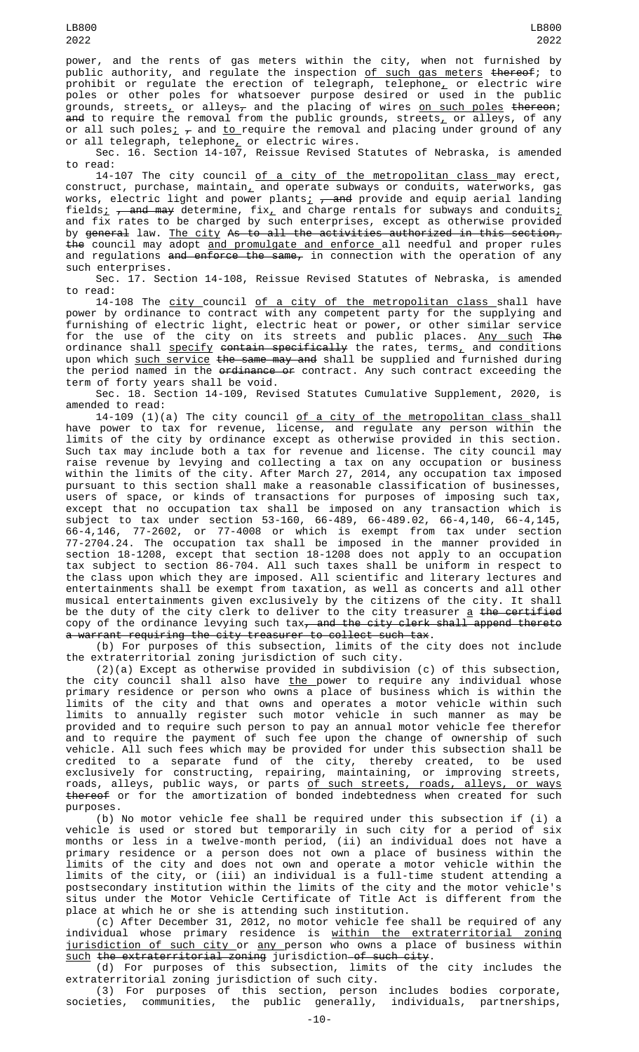power, and the rents of gas meters within the city, when not furnished by public authority, and regulate the inspection <u>of such gas meters</u> <del>thereof</del>; to prohibit or regulate the erection of telegraph, telephone<u>,</u> or electric wire poles or other poles for whatsoever purpose desired or used in the public grounds, streets $_{\rm \scriptscriptstyle L}$  or alleys $_{\rm \scriptscriptstyle T}$  and the placing of wires <u>on such poles</u> <del>thereon</del>; <del>and</del> to require the removal from the public grounds, streets<u>,</u> or alleys, of any or all such poles $_{L}$   $_{\tau}$  and <u>to </u>require the removal and placing under ground of any or all telegraph, telephone $_{L}$  or electric wires.

Sec. 16. Section 14-107, Reissue Revised Statutes of Nebraska, is amended to read:

14-107 The city council <u>of a city of the metropolitan class </u>may erect, construct, purchase, maintain $_{\rm \scriptscriptstyle L}$  and operate subways or conduits, waterworks, gas works, electric light and power plants<sub>i  $\tau$ </sub> and provide and equip aerial landing fields<u>;</u> <del>, and may</del> determine, fix<u>,</u> and charge rentals for subways and conduits<u>;</u> and fix rates to be charged by such enterprises, except as otherwise provided by <del>general</del> law. <u>The city</u> A<del>s to all the activities authorized in this section,</del> the council may adopt and promulgate and enforce all needful and proper rules and regulations <del>and enforce the same,</del> in connection with the operation of any such enterprises.

Sec. 17. Section 14-108, Reissue Revised Statutes of Nebraska, is amended to read:

14-108 The <u>city c</u>ouncil <u>of a city of the metropolitan class s</u>hall have power by ordinance to contract with any competent party for the supplying and furnishing of electric light, electric heat or power, or other similar service for the use of the city on its streets and public places. <u>Any such</u> <del>The</del> ordinance shall <u>specify</u> <del>contain specifically</del> the rates, terms<u>,</u> and conditions upon which <u>such service</u> <del>the same may and</del> shall be supplied and furnished during the period named in the ordinance or contract. Any such contract exceeding the term of forty years shall be void.

Sec. 18. Section 14-109, Revised Statutes Cumulative Supplement, 2020, is amended to read:

14-109 (1)(a) The city council <u>of a city of the metropolitan class s</u>hall have power to tax for revenue, license, and regulate any person within the limits of the city by ordinance except as otherwise provided in this section. Such tax may include both a tax for revenue and license. The city council may raise revenue by levying and collecting a tax on any occupation or business within the limits of the city. After March 27, 2014, any occupation tax imposed pursuant to this section shall make a reasonable classification of businesses, users of space, or kinds of transactions for purposes of imposing such tax, except that no occupation tax shall be imposed on any transaction which is subject to tax under section 53-160, 66-489, 66-489.02, 66-4,140, 66-4,145, 66-4,146, 77-2602, or 77-4008 or which is exempt from tax under section 77-2704.24. The occupation tax shall be imposed in the manner provided in section 18-1208, except that section 18-1208 does not apply to an occupation tax subject to section 86-704. All such taxes shall be uniform in respect to the class upon which they are imposed. All scientific and literary lectures and entertainments shall be exempt from taxation, as well as concerts and all other musical entertainments given exclusively by the citizens of the city. It shall be the duty of the city clerk to deliver to the city treasurer  $\underline{a}$  the certified copy of the ordinance levying such tax<del>, and the city clerk shall append thereto</del> a warrant requiring the city treasurer to collect such tax.

(b) For purposes of this subsection, limits of the city does not include the extraterritorial zoning jurisdiction of such city.

(2)(a) Except as otherwise provided in subdivision (c) of this subsection, the city council shall also have <u>the </u>power to require any individual whose primary residence or person who owns a place of business which is within the limits of the city and that owns and operates a motor vehicle within such limits to annually register such motor vehicle in such manner as may be provided and to require such person to pay an annual motor vehicle fee therefor and to require the payment of such fee upon the change of ownership of such vehicle. All such fees which may be provided for under this subsection shall be credited to a separate fund of the city, thereby created, to be used exclusively for constructing, repairing, maintaining, or improving streets, roads, alleys, public ways, or parts <u>of such streets, roads, alleys, or ways</u> thereof or for the amortization of bonded indebtedness when created for such purposes.

(b) No motor vehicle fee shall be required under this subsection if (i) a vehicle is used or stored but temporarily in such city for a period of six months or less in a twelve-month period, (ii) an individual does not have a primary residence or a person does not own a place of business within the limits of the city and does not own and operate a motor vehicle within the limits of the city, or (iii) an individual is a full-time student attending a postsecondary institution within the limits of the city and the motor vehicle's situs under the Motor Vehicle Certificate of Title Act is different from the place at which he or she is attending such institution.

(c) After December 31, 2012, no motor vehicle fee shall be required of any individual whose primary residence is within the extraterritorial zoning jurisdiction of such city or any person who owns a place of business within such the extraterritorial zoning jurisdiction of such city.

(d) For purposes of this subsection, limits of the city includes the extraterritorial zoning jurisdiction of such city.

(3) For purposes of this section, person includes bodies corporate, societies, communities, the public generally, individuals, partnerships,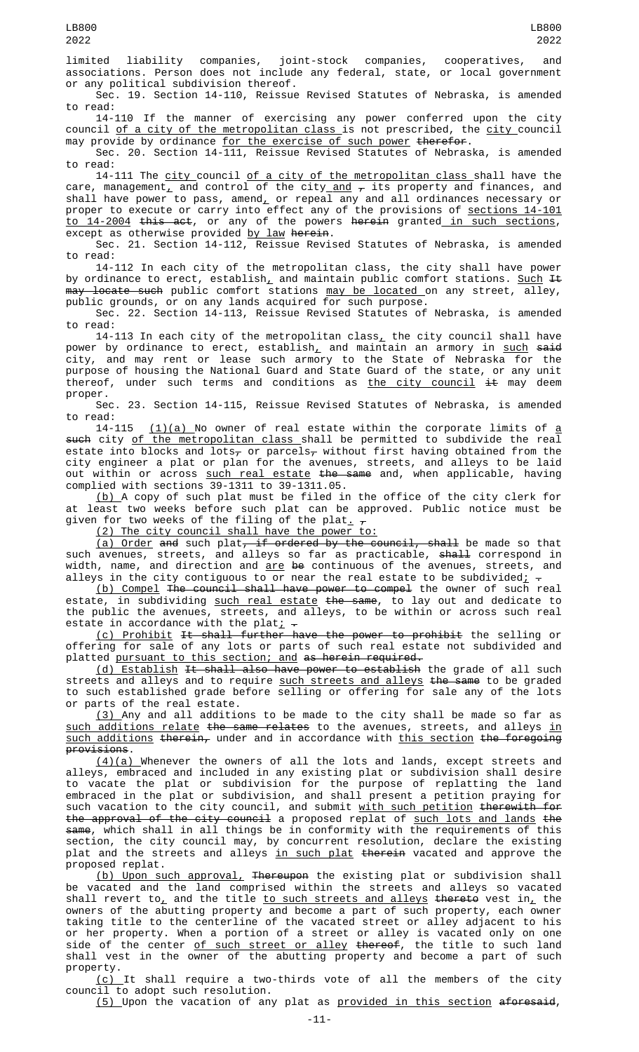limited liability companies, joint-stock companies, cooperatives, and associations. Person does not include any federal, state, or local government or any political subdivision thereof.

Sec. 19. Section 14-110, Reissue Revised Statutes of Nebraska, is amended to read:

14-110 If the manner of exercising any power conferred upon the city council <u>of a city of the metropolitan class </u>is not prescribed, the <u>city c</u>ouncil may provide by ordinance <u>for the exercise of such power</u> <del>therefor</del>.

Sec. 20. Section 14-111, Reissue Revised Statutes of Nebraska, is amended to read:

14-111 The <u>city </u>council <u>of a city of the metropolitan class s</u>hall have the care, management $_{\rm \mathcal{L}}$  and control of the city $_{\rm \mathcal{A}}$  and  $_{\rm \mathcal{\tau}}$  its property and finances, and shall have power to pass, amend $_{\rm L}$  or repeal any and all ordinances necessary or proper to execute or carry into effect any of the provisions of <u>sections 14-101</u> <u>to 14-2004</u> <del>this act</del>, or any of the powers <del>herein</del> granted<u> in such sections</u>, except as otherwise provided by law herein.

Sec. 21. Section 14-112, Reissue Revised Statutes of Nebraska, is amended to read:

14-112 In each city of the metropolitan class, the city shall have power by ordinance to erect, establish<u>,</u> and maintain public comfort stations. <u>Such</u> <del>It</del> may locate such public comfort stations may be located on any street, alley, public grounds, or on any lands acquired for such purpose.

Sec. 22. Section 14-113, Reissue Revised Statutes of Nebraska, is amended to read:

14-113 In each city of the metropolitan class, the city council shall have power by ordinance to erect, establish<u>,</u> and maintain an armory in <u>such</u> <del>said</del> city, and may rent or lease such armory to the State of Nebraska for the purpose of housing the National Guard and State Guard of the state, or any unit thereof, under such terms and conditions as <u>the city council</u> <del>it</del> may deem proper.

Sec. 23. Section 14-115, Reissue Revised Statutes of Nebraska, is amended to read:

14-115 <u>(1)(a) </u>No owner of real estate within the corporate limits of <u>a</u> such city of the metropolitan class shall be permitted to subdivide the real estate into blocks and lots<sub>7</sub> or parcels<sub>7</sub> without first having obtained from the city engineer a plat or plan for the avenues, streets, and alleys to be laid out within or across <u>such real estate</u> <del>the same</del> and, when applicable, having complied with sections 39-1311 to 39-1311.05.

(b) A copy of such plat must be filed in the office of the city clerk for at least two weeks before such plat can be approved. Public notice must be given for two weeks of the filing of the plat<u>.</u>  $_\tau$ 

(2) The city council shall have the power to:

(a) Order and such plat, if ordered by the council, shall be made so that such avenues, streets, and alleys so far as practicable, <del>shall</del> correspond in width, name, and direction and <u>are</u> <del>be</del> continuous of the avenues, streets, and alleys in the city contiguous to or near the real estate to be subdivided $\frac{1}{L}$  -

(b) Compel The council shall have power to compel the owner of such real estate, in subdividing <u>such real estate</u> <del>the same</del>, to lay out and dedicate to the public the avenues, streets, and alleys, to be within or across such real estate in accordance with the plat<u>;</u>  $\texttt{-}$ 

(c) Prohibit It shall further have the power to prohibit the selling or offering for sale of any lots or parts of such real estate not subdivided and platted pursuant to this section; and as herein required.

(d) Establish It shall also have power to establish the grade of all such streets and alleys and to require <u>such streets and alleys</u> <del>the same</del> to be graded to such established grade before selling or offering for sale any of the lots or parts of the real estate.

(3) Any and all additions to be made to the city shall be made so far as such additions relate the same relates to the avenues, streets, and alleys in  $\overline{\text{such addition}}$  therein, under and in accordance with this section the foregoing provisions.

 $(4)(a)$  Whenever the owners of all the lots and lands, except streets and alleys, embraced and included in any existing plat or subdivision shall desire to vacate the plat or subdivision for the purpose of replatting the land embraced in the plat or subdivision, and shall present a petition praying for such vacation to the city council, and submit <u>with such petition</u> <del>therewith for</del> the approval of the city council a proposed replat of such lots and lands the same, which shall in all things be in conformity with the requirements of this section, the city council may, by concurrent resolution, declare the existing plat and the streets and alleys <u>in such plat</u> <del>therein</del> vacated and approve the proposed replat.

(b) Upon such approval, Thereupon the existing plat or subdivision shall be vacated and the land comprised within the streets and alleys so vacated shall revert to $_{\rm \scriptscriptstyle L}$  and the title <u>to such streets and alleys</u> <del>thereto</del> vest in, the owners of the abutting property and become a part of such property, each owner taking title to the centerline of the vacated street or alley adjacent to his or her property. When a portion of a street or alley is vacated only on one side of the center <u>of such street or alley</u> <del>thereof</del>, the title to such land shall vest in the owner of the abutting property and become a part of such

property.<br> $(c)$ It shall require a two-thirds vote of all the members of the city council to adopt such resolution.

(5) Upon the vacation of any plat as provided in this section aforesaid,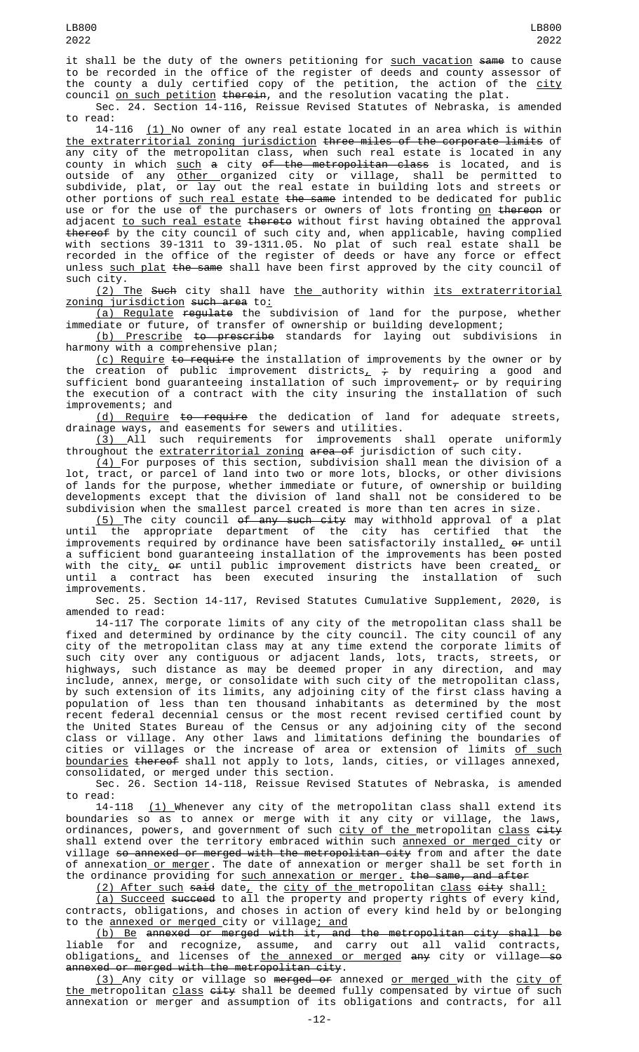it shall be the duty of the owners petitioning for such vacation same to cause to be recorded in the office of the register of deeds and county assessor of the county a duly certified copy of the petition, the action of the city council <u>on such petition</u> <del>therein</del>, and the resolution vacating the plat.

Sec. 24. Section 14-116, Reissue Revised Statutes of Nebraska, is amended to read:

14-116 (1) No owner of any real estate located in an area which is within the extraterritorial zoning jurisdiction three miles of the corporate limits of any city of the metropolitan class, when such real estate is located in any county in which <u>such</u> a city <del>of the metropolitan class</del> is located, and is outside of any <u>other o</u>rganized city or village, shall be permitted to subdivide, plat, or lay out the real estate in building lots and streets or other portions of <u>such real estate</u> <del>the same</del> intended to be dedicated for public use or for the use of the purchasers or owners of lots fronting <u>on</u> <del>thereon</del> or adjacent <u>to such real estate</u> <del>thereto</del> without first having obtained the approval thereof by the city council of such city and, when applicable, having complied with sections 39-1311 to 39-1311.05. No plat of such real estate shall be recorded in the office of the register of deeds or have any force or effect unless such plat the same shall have been first approved by the city council of such city.

(2) The Such city shall have the authority within its extraterritorial zoning jurisdiction such area to:

(a) Regulate regulate the subdivision of land for the purpose, whether immediate or future, of transfer of ownership or building development;

(b) Prescribe to prescribe standards for laying out subdivisions in harmony with a comprehensive plan;

<u>(c) Require</u> <del>to require</del> the installation of improvements by the owner or by the creation of public improvement districts $_+$   $\div$  by requiring a good and sufficient bond guaranteeing installation of such improvement $_\tau$  or by requiring the execution of a contract with the city insuring the installation of such improvements; and

(d) Require to require the dedication of land for adequate streets, drainage ways, and easements for sewers and utilities.

(3) All such requirements for improvements shall operate uniformly throughout the extraterritorial zoning area of jurisdiction of such city.

 $(\mathtt{4})$  For purposes of this section, subdivision shall mean the division of a lot, tract, or parcel of land into two or more lots, blocks, or other divisions of lands for the purpose, whether immediate or future, of ownership or building developments except that the division of land shall not be considered to be subdivision when the smallest parcel created is more than ten acres in size.

<u>(5) </u>The city council <del>of any such city</del> may withhold approval of a plat until the appropriate department of the city has certified that the improvements required by ordinance have been satisfactorily installed, or until a sufficient bond guaranteeing installation of the improvements has been posted with the city, <del>or</del> until public improvement districts have been created, or until a contract has been executed insuring the installation of such improvements.

Sec. 25. Section 14-117, Revised Statutes Cumulative Supplement, 2020, is amended to read:

14-117 The corporate limits of any city of the metropolitan class shall be fixed and determined by ordinance by the city council. The city council of any city of the metropolitan class may at any time extend the corporate limits of such city over any contiguous or adjacent lands, lots, tracts, streets, or highways, such distance as may be deemed proper in any direction, and may include, annex, merge, or consolidate with such city of the metropolitan class, by such extension of its limits, any adjoining city of the first class having a population of less than ten thousand inhabitants as determined by the most recent federal decennial census or the most recent revised certified count by the United States Bureau of the Census or any adjoining city of the second class or village. Any other laws and limitations defining the boundaries of cities or villages or the increase of area or extension of limits <u>of such</u> boundaries thereof shall not apply to lots, lands, cities, or villages annexed, consolidated, or merged under this section.

Sec. 26. Section 14-118, Reissue Revised Statutes of Nebraska, is amended to read:

14-118 <u>(1) </u>Whenever any city of the metropolitan class shall extend its boundaries so as to annex or merge with it any city or village, the laws, ordinances, powers, and government of such <u>city of the </u>metropolitan <u>class</u> <del>city</del> shall extend over the territory embraced within such annexed or merged city or village so annexed or merged with the metropolitan city from and after the date of annexation\_<u>or merger</u>. The date of annexation or merger shall be set forth in the ordinance providing for <u>such annexation or merger.</u> <del>the same, and after</del>

<u>(2) After such</u> s<del>aid</del> date<u>,</u> the <u>city of the metropolitan <u>class</u> <del>city</del> shall<u>:</u></u>

(a) Succeed succeed to all the property and property rights of every kind, contracts, obligations, and choses in action of every kind held by or belonging to the annexed or merged city or village; and

(b) Be annexed or merged with it, and the metropolitan city shall be liable for and recognize, assume, and carry out all valid contracts, obligations<u>,</u> and licenses of <u>the annexed or merged</u> <del>any</del> city or village—<del>s</del>o annexed or merged with the metropolitan city.

(3) Any city or village so merged or annexed or merged with the city of the metropolitan class city shall be deemed fully compensated by virtue of such annexation or merger and assumption of its obligations and contracts, for all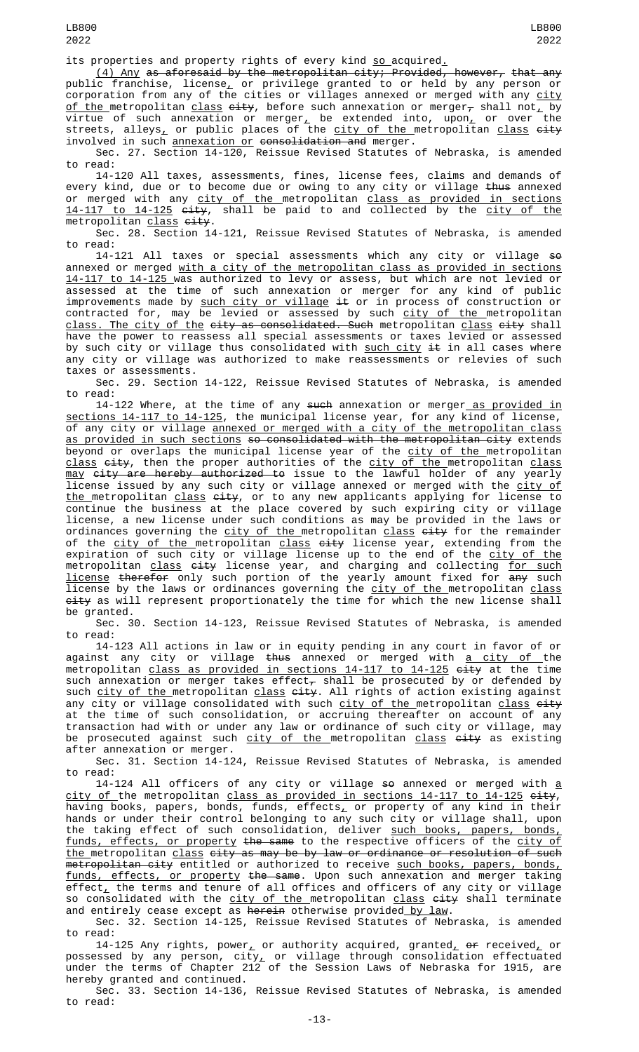its properties and property rights of every kind so acquired.

(4) Any as aforesaid by the metropolitan city; Provided, however, that any public franchise, license $_{\scriptscriptstyle\! L}$  or privilege granted to or held by any person or corporation from any of the cities or villages annexed or merged with any <u>city</u> <u>of the </u>metropolitan <u>class</u> <del>city</del>, before such annexation or merger $_{\mathcal{T}}$  shall not $_{\mathcal{L}}$  by virtue of such annexation or merger<u>,</u> be extended into, upon<u>,</u> or over the streets, alleys<u>,</u> or public places of the <u>city of the m</u>etropolitan <u>class</u> <del>city</del> involved in such <u>annexation or</u> <del>consolidation and</del> merger.

Sec. 27. Section 14-120, Reissue Revised Statutes of Nebraska, is amended to read:

14-120 All taxes, assessments, fines, license fees, claims and demands of every kind, due or to become due or owing to any city or village <del>thus</del> annexed or merged with any <u>city of the m</u>etropolitan <u>class as provided in sections</u> <u>14-117 to 14-125</u> <del>city</del>, shall be paid to and collected by the <u>city of the</u> metropolitan <u>class</u> <del>city</del>.

Sec. 28. Section 14-121, Reissue Revised Statutes of Nebraska, is amended to read:

14-121 All taxes or special assessments which any city or village so annexed or merged with a city of the metropolitan class as provided in sections 14-117 to 14-125 was authorized to levy or assess, but which are not levied or assessed at the time of such annexation or merger for any kind of public improvements made by <u>such city or village</u> <del>it</del> or in process of construction or contracted for, may be levied or assessed by such <u>city of the </u>metropolitan <u>class. The city of the</u> <del>city as consolidated. Such</del> metropolitan <u>class</u> <del>city</del> shall have the power to reassess all special assessments or taxes levied or assessed by such city or village thus consolidated with <u>such city</u> <del>it</del> in all cases where any city or village was authorized to make reassessments or relevies of such taxes or assessments.

Sec. 29. Section 14-122, Reissue Revised Statutes of Nebraska, is amended to read:

14-122 Where, at the time of any such annexation or merger as provided in sections 14-117 to 14-125, the municipal license year, for any kind of license, of any city or village <u>annexed or merged with a city of the metropolitan class</u> <u>as provided in such sections</u> s<del>o consolidated with the metropolitan city</del> extends beyond or overlaps the municipal license year of the <u>city of the </u>metropolitan <u>class</u> <del>city</del>, then the proper authorities of the <u>city of the m</u>etropolitan <u>class</u> <u>may</u> <del>city are hereby authorized to</del> issue to the lawful holder of any yearly license issued by any such city or village annexed or merged with the <u>city of</u> <u>the metropolitan class</u> <del>city</del>, or to any new applicants applying for license to continue the business at the place covered by such expiring city or village license, a new license under such conditions as may be provided in the laws or ordinances governing the <u>city of the m</u>etropolitan <u>class</u> <del>city</del> for the remainder of the <u>city of the </u>metropolitan <u>class</u> <del>city</del> license year, extending from the expiration of such city or village license up to the end of the <u>city of the</u> metropolitan <u>class</u> <del>city</del> license year, and charging and collecting <u>for such</u> license therefor only such portion of the yearly amount fixed for any such license by the laws or ordinances governing the <u>city of the </u>metropolitan <u>class</u> <del>city</del> as will represent proportionately the time for which the new license shall be granted.

Sec. 30. Section 14-123, Reissue Revised Statutes of Nebraska, is amended to read:

14-123 All actions in law or in equity pending in any court in favor of or against any city or village <del>thus</del> annexed or merged with <u>a city of </u>the metropolitan <u>class as provided in sections 14-117 to 14-125</u> <del>city</del> at the time such annexation or merger takes effect $_\tau$  shall be prosecuted by or defended by such <u>city of the </u>metropolitan <u>class</u> <del>city</del>. All rights of action existing against any city or village consolidated with such <u>city of the </u>metropolitan <u>class</u> <del>city</del> at the time of such consolidation, or accruing thereafter on account of any transaction had with or under any law or ordinance of such city or village, may be prosecuted against such <u>city of the metropolitan class</u> <del>city</del> as existing after annexation or merger.

Sec. 31. Section 14-124, Reissue Revised Statutes of Nebraska, is amended to read:

14-124 All officers of any city or village so annexed or merged with a <u>city of </u>the metropolitan <u>class as provided in sections 14-117 to 14-125</u> <del>city</del>, having books, papers, bonds, funds,  $\mathsf{effects}_\mathsf{\mathcal{L}}$  or property of any kind in their hands or under their control belonging to any such city or village shall, upon the taking effect of such consolidation, deliver <u>such books, papers, bonds,</u> <u>funds, effects, or property</u> <del>the same</del> to the respective officers of the <u>city of</u>  $t$ he metropolitan class city as may be by law or ordinance or resolution of such <del>metropolitan city</del> entitled or authorized to receive <u>such books, papers, bonds,</u> funds, effects, or property the same. Upon such annexation and merger taking effect $_{\rm {\bf \bot}}$  the terms and tenure of all offices and officers of any city or village so consolidated with the <u>city of the m</u>etropolitan <u>class</u> <del>city</del> shall terminate and entirely cease except as <del>herein</del> otherwise provided<u> by law</u>.

Sec. 32. Section 14-125, Reissue Revised Statutes of Nebraska, is amended to read:

14-125 Any rights, power<u>,</u> or authority acquired, granted<u>,</u>  $\bm{e}$ r received<u>,</u> or possessed by any person, city<u>,</u> or village through consolidation effectuated under the terms of Chapter 212 of the Session Laws of Nebraska for 1915, are hereby granted and continued.

Sec. 33. Section 14-136, Reissue Revised Statutes of Nebraska, is amended to read: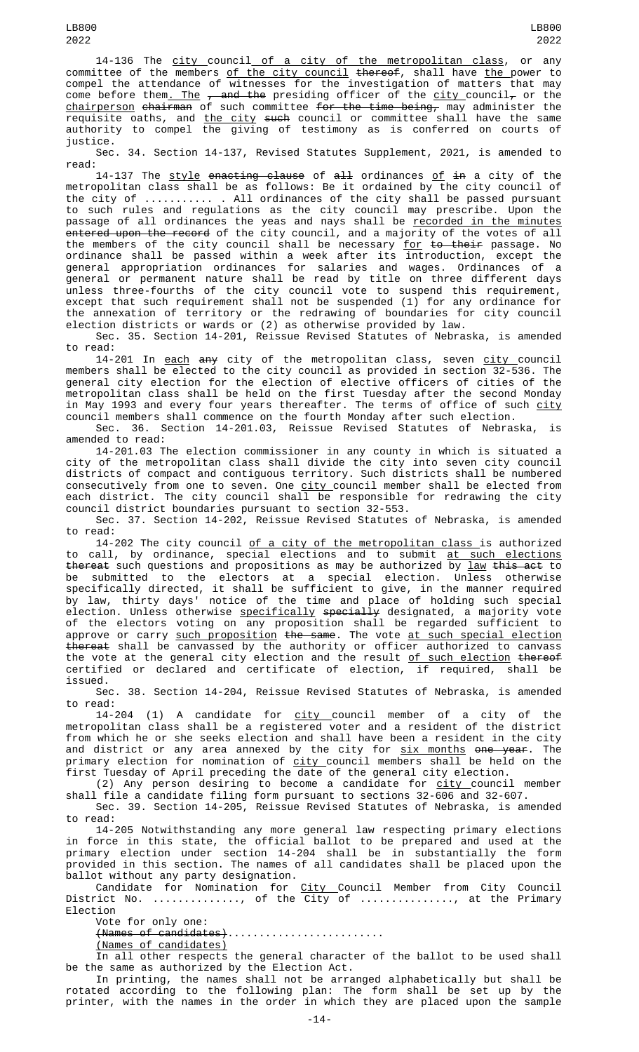14-136 The city council of a city of the metropolitan class, or any committee of the members <u>of the city council</u> <del>thereof</del>, shall have <u>the </u>power to compel the attendance of witnesses for the investigation of matters that may come before them<u>. The</u>  $_{7}$  and the presiding officer of the city council<sub>7</sub> or the <u>chairperson</u> <del>chairman</del> of such committee <del>for the time being,</del> may administer the requisite oaths, and <u>the city</u> <del>such</del> council or committee shall have the same authority to compel the giving of testimony as is conferred on courts of justice.

Sec. 34. Section 14-137, Revised Statutes Supplement, 2021, is amended to read:

14-137 The <u>style</u> e<del>nacting clause</del> of <del>all</del> ordinances <u>of</u> <del>in</del> a city of the metropolitan class shall be as follows: Be it ordained by the city council of the city of ........... . All ordinances of the city shall be passed pursuant to such rules and regulations as the city council may prescribe. Upon the passage of all ordinances the yeas and nays shall be <u>recorded in the minutes</u> entered upon the record of the city council, and a majority of the votes of  $\overline{all}$ the members of the city council shall be necessary <u>for</u> <del>to their</del> passage. No ordinance shall be passed within a week after its introduction, except the general appropriation ordinances for salaries and wages. Ordinances of a general or permanent nature shall be read by title on three different days unless three-fourths of the city council vote to suspend this requirement, except that such requirement shall not be suspended (1) for any ordinance for the annexation of territory or the redrawing of boundaries for city council election districts or wards or (2) as otherwise provided by law.

Sec. 35. Section 14-201, Reissue Revised Statutes of Nebraska, is amended to read:

14-201 In <u>each</u> <del>any</del> city of the metropolitan class, seven <u>city c</u>ouncil members shall be elected to the city council as provided in section 32-536. The general city election for the election of elective officers of cities of the metropolitan class shall be held on the first Tuesday after the second Monday in May 1993 and every four years thereafter. The terms of office of such city council members shall commence on the fourth Monday after such election.

Sec. 36. Section 14-201.03, Reissue Revised Statutes of Nebraska, is amended to read:

14-201.03 The election commissioner in any county in which is situated a city of the metropolitan class shall divide the city into seven city council districts of compact and contiguous territory. Such districts shall be numbered consecutively from one to seven. One <u>city c</u>ouncil member shall be elected from each district. The city council shall be responsible for redrawing the city council district boundaries pursuant to section 32-553.

Sec. 37. Section 14-202, Reissue Revised Statutes of Nebraska, is amended to read:

14-202 The city council <u>of a city of the metropolitan class </u>is authorized to call, by ordinance, special elections and to submit <u>at such elections</u> <del>thereat</del> such questions and propositions as may be authorized by <u>law</u> <del>this act</del> to be submitted to the electors at a special election. Unless otherwise specifically directed, it shall be sufficient to give, in the manner required by law, thirty days' notice of the time and place of holding such special election. Unless otherwise <u>specifically</u> <del>specially</del> designated, a majority vote of the electors voting on any proposition shall be regarded sufficient to approve or carry <u>such proposition</u> <del>the same</del>. The vote <u>at such special election</u> thereat shall be canvassed by the authority or officer authorized to canvass the vote at the general city election and the result <u>of such election</u> <del>thereof</del> certified or declared and certificate of election, if required, shall be issued.

Sec. 38. Section 14-204, Reissue Revised Statutes of Nebraska, is amended to read:

14-204 (1) A candidate for <u>city c</u>ouncil member of a city of the metropolitan class shall be a registered voter and a resident of the district from which he or she seeks election and shall have been a resident in the city and district or any area annexed by the city for <u>six months</u> <del>one year</del>. The primary election for nomination of <u>city c</u>ouncil members shall be held on the first Tuesday of April preceding the date of the general city election.

(2) Any person desiring to become a candidate for <u>city c</u>ouncil member shall file a candidate filing form pursuant to sections 32-606 and 32-607.

Sec. 39. Section 14-205, Reissue Revised Statutes of Nebraska, is amended to read:

14-205 Notwithstanding any more general law respecting primary elections in force in this state, the official ballot to be prepared and used at the primary election under section 14-204 shall be in substantially the form provided in this section. The names of all candidates shall be placed upon the ballot without any party designation.

Candidate for Nomination for <u>City C</u>ouncil Member from City Council District No. .............., of the City of ..............., at the Primary Election

Vote for only one:

(Names of candidates).........................

(Names of candidates)

In all other respects the general character of the ballot to be used shall be the same as authorized by the Election Act.

In printing, the names shall not be arranged alphabetically but shall be rotated according to the following plan: The form shall be set up by the printer, with the names in the order in which they are placed upon the sample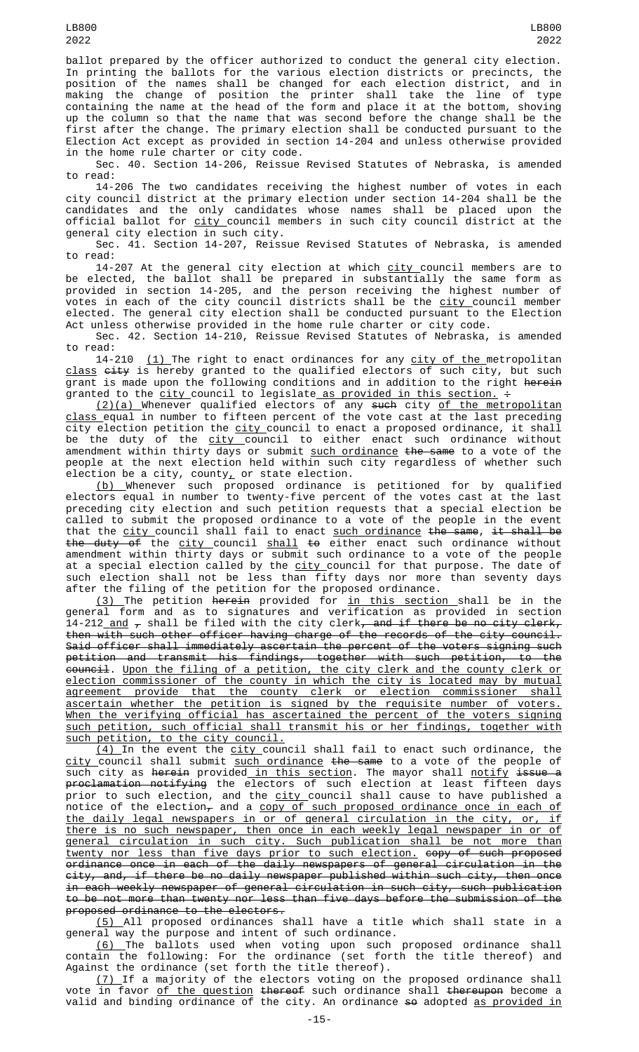ballot prepared by the officer authorized to conduct the general city election. In printing the ballots for the various election districts or precincts, the position of the names shall be changed for each election district, and in making the change of position the printer shall take the line of type containing the name at the head of the form and place it at the bottom, shoving up the column so that the name that was second before the change shall be the first after the change. The primary election shall be conducted pursuant to the Election Act except as provided in section 14-204 and unless otherwise provided in the home rule charter or city code.

Sec. 40. Section 14-206, Reissue Revised Statutes of Nebraska, is amended to read:

14-206 The two candidates receiving the highest number of votes in each city council district at the primary election under section 14-204 shall be the candidates and the only candidates whose names shall be placed upon the official ballot for <u>city c</u>ouncil members in such city council district at the general city election in such city.

Sec. 41. Section 14-207, Reissue Revised Statutes of Nebraska, is amended to read:

14-207 At the general city election at which <u>city c</u>ouncil members are to be elected, the ballot shall be prepared in substantially the same form as provided in section 14-205, and the person receiving the highest number of votes in each of the city council districts shall be the <u>city </u>council member elected. The general city election shall be conducted pursuant to the Election Act unless otherwise provided in the home rule charter or city code.

Sec. 42. Section 14-210, Reissue Revised Statutes of Nebraska, is amended

to read:<br>14-210 (1) The right to enact ordinances for any city of the metropolitan class city is hereby granted to the qualified electors of such city, but such grant is made upon the following conditions and in addition to the right herein granted to the <u>city c</u>ouncil to legislate<u> as provided in this section.</u> <del>:</del>

<u>(2)(a) </u>Whenever qualified electors of any <del>such</del> city <u>of the metropolitan</u> class equal in number to fifteen percent of the vote cast at the last preceding city election petition the <u>city </u>council to enact a proposed ordinance, it shall be the duty of the <u>city c</u>ouncil to either enact such ordinance without amendment within thirty days or submit <u>such ordinance</u> <del>the same</del> to a vote of the people at the next election held within such city regardless of whether such election be a city, county $_{\scriptscriptstyle\! L}$  or state election.

(b) Whenever such proposed ordinance is petitioned for by qualified electors equal in number to twenty-five percent of the votes cast at the last preceding city election and such petition requests that a special election be called to submit the proposed ordinance to a vote of the people in the event that the <u>city c</u>ouncil shall fail to enact <u>such ordinance</u> <del>the same, it shall be</del> the duty of the city council shall to either enact such ordinance without amendment within thirty days or submit such ordinance to a vote of the people at a special election called by the <u>city c</u>ouncil for that purpose. The date of such election shall not be less than fifty days nor more than seventy days after the filing of the petition for the proposed ordinance.

<u>(3) </u>The petition <del>herein</del> provided for <u>in this section s</u>hall be in the general form and as to signatures and verification as provided in section 14-212\_<u>and</u>  $_{\mathcal{T}}$  shall be filed with the city clerk<del>, and if there be no city clerk,</del> then with such other officer having charge of the records of the city council. Said officer shall immediately ascertain the percent of the voters signing such petition and transmit his findings, together with such petition, to the council. Upon the filing of a petition, the city clerk and the county clerk or election commissioner of the county in which the city is located may by mutual agreement provide that the county clerk or election commissioner shall ascertain whether the petition is signed by the requisite number of voters. When the verifying official has ascertained the percent of the voters signing such petition, such official shall transmit his or her findings, together with such petition, to the city council.

<u>(4)</u> In the event the <u>city c</u>ouncil shall fail to enact such ordinance, the <u>city c</u>ouncil shall submit <u>such ordinance</u> <del>the same</del> to a vote of the people of such city as <del>herein</del> provided<u> in this section</u>. The mayor shall <u>notify <del>i</del>ss<del>ue a</del></u> <del>proclamation notifying</del> the electors of such election at least fifteen days prior to such election, and the <u>city c</u>ouncil shall cause to have published a notice of the election<del>,</del> and a <u>copy of such proposed ordinance once in each of</u> the daily legal newspapers in or of general circulation in the city, or, if there is no such newspaper, then once in each weekly legal newspaper in or of general circulation in such city. Such publication shall be not more than twenty nor less than five days prior to such election. copy of such proposed ordinance once in each of the daily newspapers of general circulation in the city, and, if there be no daily newspaper published within such city, then once in each weekly newspaper of general circulation in such city, such publication to be not more than twenty nor less than five days before the submission of the proposed ordinance to the electors.

(5) All proposed ordinances shall have a title which shall state in a general way the purpose and intent of such ordinance.

<u>(6) </u>The ballots used when voting upon such proposed ordinance shall contain the following: For the ordinance (set forth the title thereof) and Against the ordinance (set forth the title thereof).

 $\left( 7\right)$  If a majority of the electors voting on the proposed ordinance shall vote in favor <u>of the question</u> <del>thereof</del> such ordinance shall <del>thereupon</del> become a valid and binding ordinance of the city. An ordinance <del>so</del> adopted <u>as provided in</u>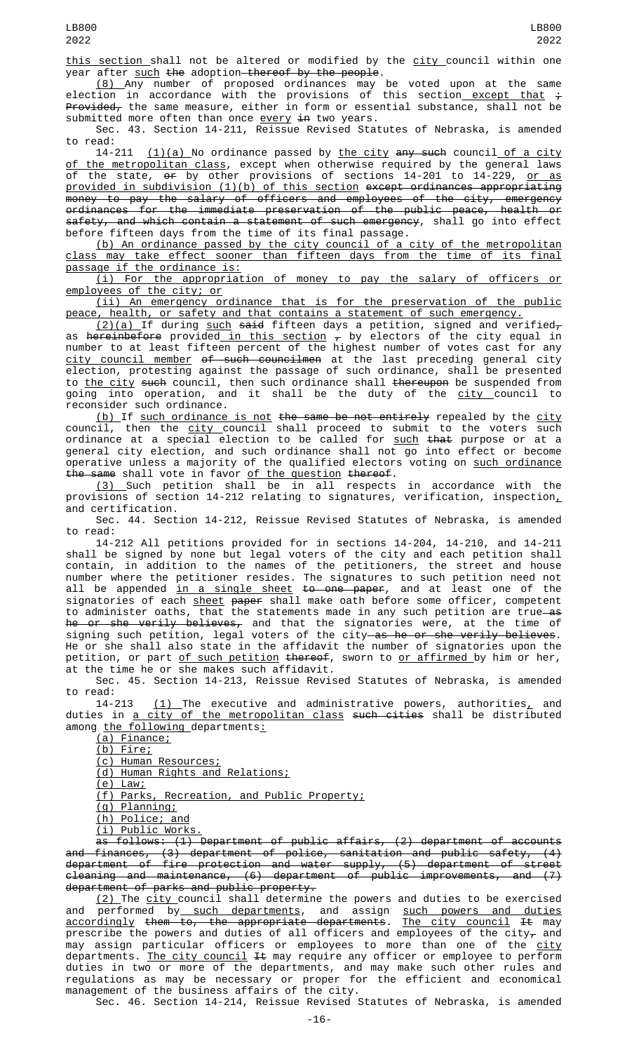this section shall not be altered or modified by the city council within one year after such the adoption thereof by the people.

(8) Any number of proposed ordinances may be voted upon at the same election in accordance with the provisions of this section<u> except that</u>  $\div$ <del>Provided,</del> the same measure, either in form or essential substance, shall not be submitted more often than once every in two years.

Sec. 43. Section 14-211, Reissue Revised Statutes of Nebraska, is amended to read:<br>14-211

 $(1)(a)$  No ordinance passed by the city any such council of a city of the metropolitan class, except when otherwise required by the general laws of the state, <del>or</del> by other provisions of sections 14-201 to 14-229, <u>or as</u> provided in subdivision (1)(b) of this section except ordinances appropriating money to pay the salary of officers and employees of the city, emergency ordinances for the immediate preservation of the public peace, health or safety, and which contain a statement of such emergency, shall go into effect before fifteen days from the time of its final passage.

(b) An ordinance passed by the city council of a city of the metropolitan class may take effect sooner than fifteen days from the time of its final passage if the ordinance is:

(i) For the appropriation of money to pay the salary of officers or employees of the city; or

(ii) An emergency ordinance that is for the preservation of the public peace, health, or safety and that contains a statement of such emergency.

<u>(2)(a) </u>If during <u>such</u> <del>said</del> fifteen days a petition, signed and verified<del>,</del> as <del>hereinbefore</del> provided<u> in this section</u>  $_{\mathcal{T}}$  by electors of the city equal in number to at least fifteen percent of the highest number of votes cast for any city council member of such councilmen at the last preceding general city election, protesting against the passage of such ordinance, shall be presented to the city such council, then such ordinance shall thereupon be suspended from going into operation, and it shall be the duty of the city council to reconsider such ordinance.

<u>(b) </u>If <u>such ordinance is not</u> <del>the same be not entirely</del> repealed by the <u>city</u> council, then the <u>city </u>council shall proceed to submit to the voters such ordinance at a special election to be called for <u>such</u> <del>that</del> purpose or at a general city election, and such ordinance shall not go into effect or become operative unless a majority of the qualified electors voting on <u>such ordinance</u> the same shall vote in favor of the question thereof.

(3) Such petition shall be in all respects in accordance with the provisions of section 14-212 relating to signatures, verification, inspection $_{\scriptscriptstyle L}$ and certification.

Sec. 44. Section 14-212, Reissue Revised Statutes of Nebraska, is amended to read:

14-212 All petitions provided for in sections 14-204, 14-210, and 14-211 shall be signed by none but legal voters of the city and each petition shall contain, in addition to the names of the petitioners, the street and house number where the petitioner resides. The signatures to such petition need not all be appended <u>in a single sheet</u> <del>to one paper</del>, and at least one of the signatories of each <u>sheet</u> <del>paper</del> shall make oath before some officer, competent to administer oaths, that the statements made in any such petition are true as h<del>e or she verily believes,</del> and that the signatories were, at the time of signing such petition, legal voters of the city<del> as he or she verily believes</del>. He or she shall also state in the affidavit the number of signatories upon the petition, or part <u>of such petition</u> <del>thereof</del>, sworn to <u>or affirmed by him</u> or her, at the time he or she makes such affidavit.

Sec. 45. Section 14-213, Reissue Revised Statutes of Nebraska, is amended to read:<br>14-213

 $(1)$  The executive and administrative powers, authorities, and duties in a city of the metropolitan class such cities shall be distributed among the following departments:

(a) Finance;

(b) Fire;

(c) Human Resources;

(d) Human Rights and Relations;

(e) Law;

(f) Parks, Recreation, and Public Property;

(g) Planning;

(h) Police; and

(i) Public Works.

as follows: (1) Department of public affairs, (2) department of accounts and finances, (3) department of police, sanitation and public safety, (4) department of fire protection and water supply, (5) department of street cleaning and maintenance, (6) department of public improvements, and (7) department of parks and public property.

<u>(2) </u>The <u>city </u>council shall determine the powers and duties to be exercised and performed by<u> such departments</u>, and assign <u>such powers and duties</u> accordingly them to, the appropriate departments. The city council It may prescribe the powers and duties of all officers and employees of the city $_\tau$  and may assign particular officers or employees to more than one of the <u>city</u> departments. <u>The city council</u> <del>It</del> may require any officer or employee to perform duties in two or more of the departments, and may make such other rules and regulations as may be necessary or proper for the efficient and economical management of the business affairs of the city.

Sec. 46. Section 14-214, Reissue Revised Statutes of Nebraska, is amended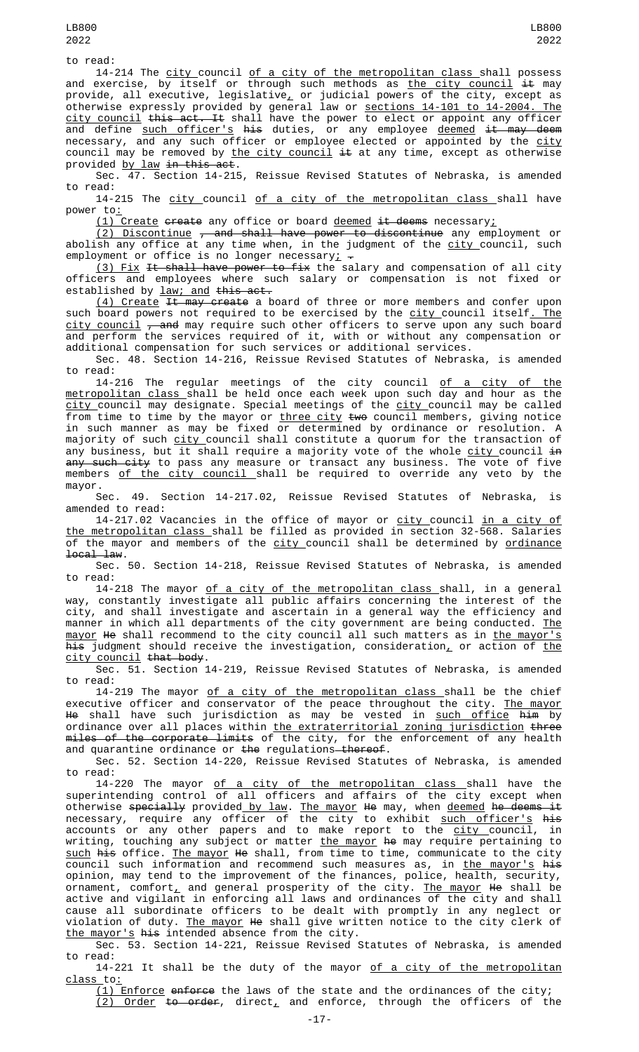14-214 The <u>city </u>council <u>of a city of the metropolitan class </u>shall possess and exercise, by itself or through such methods as <u>the city council</u> <del>it</del> may provide, all executive, legislative<u>,</u> or judicial powers of the city, except as otherwise expressly provided by general law or <u>sections 14-101 to 14-2004. The</u> city council this act. It shall have the power to elect or appoint any officer and define <u>such officer's</u> <del>his</del> duties, or any employee <u>deemed</u> <del>it may deem</del> necessary, and any such officer or employee elected or appointed by the <u>city</u> council may be removed by <u>the city council</u> <del>it</del> at any time, except as otherwise provided by law in this act.

Sec. 47. Section 14-215, Reissue Revised Statutes of Nebraska, is amended to read:

14-215 The city council of a city of the metropolitan class shall have power to:

 $(1)$  Create create any office or board deemed it deems necessary;

(2) Discontinue , and shall have power to discontinue any employment or abolish any office at any time when, in the judgment of the <u>city </u>council, such employment or office is no longer necessary<u>;</u>  $\textcolor{red} \div$ 

<u>(3) Fix</u> <del>It shall have power to fix</del> the salary and compensation of all city officers and employees where such salary or compensation is not fixed or established by law; and this act.

(4) Create It may create a board of three or more members and confer upon such board powers not required to be exercised by the <u>city c</u>ouncil itself<u>. The</u> <u>city council</u> <del>, and</del> may require such other officers to serve upon any such board and perform the services required of it, with or without any compensation or additional compensation for such services or additional services.

Sec. 48. Section 14-216, Reissue Revised Statutes of Nebraska, is amended to read:

14-216 The regular meetings of the city council <u>of a city of the</u> metropolitan class shall be held once each week upon such day and hour as the <u>city c</u>ouncil may designate. Special meetings of the <u>city </u>council may be called from time to time by the mayor or <u>three city</u> <del>two</del> council members, giving notice in such manner as may be fixed or determined by ordinance or resolution. A majority of such <u>city c</u>ouncil shall constitute a quorum for the transaction of any business, but it shall require a majority vote of the whole city council in <del>any such city</del> to pass any measure or transact any business. The vote of five members <u>of the city council </u>shall be required to override any veto by the mayor.

Sec. 49. Section 14-217.02, Reissue Revised Statutes of Nebraska, is amended to read:

14-217.02 Vacancies in the office of mayor or <u>city c</u>ouncil <u>in a city of</u> the metropolitan class shall be filled as provided in section 32-568. Salaries of the mayor and members of the city council shall be determined by ordinance local law.

Sec. 50. Section 14-218, Reissue Revised Statutes of Nebraska, is amended to read:

14-218 The mayor <u>of a city of the metropolitan class s</u>hall, in a general way, constantly investigate all public affairs concerning the interest of the city, and shall investigate and ascertain in a general way the efficiency and manner in which all departments of the city government are being conducted. <u>The</u> <u>mayor</u> <del>He</del> shall recommend to the city council all such matters as in <u>the mayor's</u> his judgment should receive the investigation, consideration, or action of the city council that body.

Sec. 51. Section 14-219, Reissue Revised Statutes of Nebraska, is amended to read:

14-219 The mayor <u>of a city of the metropolitan class s</u>hall be the chief executive officer and conservator of the peace throughout the city. <u>The mayor</u> <del>He</del> shall have such jurisdiction as may be vested in <u>such office</u> <del>him</del> by ordinance over all places within <u>the extraterritorial zoning jurisdiction</u> <del>three</del> <del>miles of the corporate limits</del> of the city, for the enforcement of any health and quarantine ordinance or <del>the</del> regulations<del> thereof</del>.

Sec. 52. Section 14-220, Reissue Revised Statutes of Nebraska, is amended to read:

14-220 The mayor <u>of a city of the metropolitan class s</u>hall have the superintending control of all officers and affairs of the city except when otherwise <del>specially</del> provided <u>by law</u>. <u>The mayor</u> <del>He</del> may, when <u>deemed</u> <del>he deems it</del> necessary, require any officer of the city to exhibit <u>such officer's</u> <del>his</del> accounts or any other papers and to make report to the <u>city c</u>ouncil, in writing, touching any subject or matter <u>the mayor</u> <del>he</del> may require pertaining to <u>such</u> <del>his</del> office. <u>The mayor</u> <del>He</del> shall, from time to time, communicate to the city council such information and recommend such measures as, in <u>the mayor's</u> <del>his</del> opinion, may tend to the improvement of the finances, police, health, security, ornament, comfort<u>,</u> and general prosperity of the city. <u>The mayor</u> <del>H</del>e shall be active and vigilant in enforcing all laws and ordinances of the city and shall cause all subordinate officers to be dealt with promptly in any neglect or violation of duty. The mayor He shall give written notice to the city clerk of the mayor's his intended absence from the city.

Sec. 53. Section 14-221, Reissue Revised Statutes of Nebraska, is amended to read:

14-221 It shall be the duty of the mayor of a city of the metropolitan class\_to:

(1) Enforce enforce the laws of the state and the ordinances of the city;  $(2)$  Order to order, direct, and enforce, through the officers of the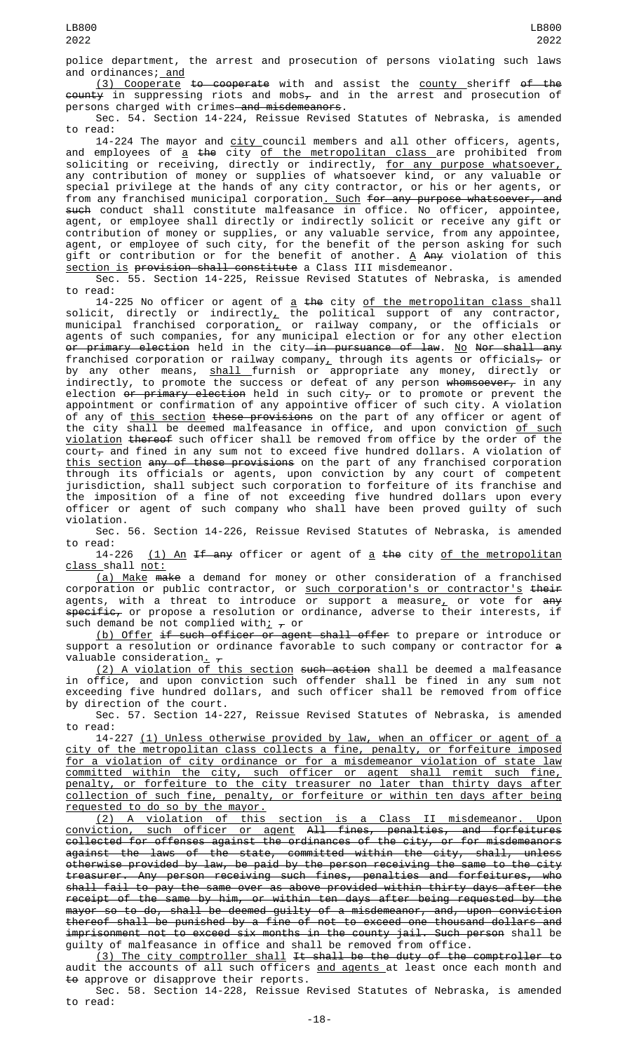police department, the arrest and prosecution of persons violating such laws and ordinances; and

(3) Cooperate to cooperate with and assist the county sheriff of the  $\overline{\text{county}}$  in suppressing riots and mobs<sub> $\tau$ </sub> and in the arrest and prosecution of persons charged with crimes and misdemeanors.

Sec. 54. Section 14-224, Reissue Revised Statutes of Nebraska, is amended to read:

14-224 The mayor and <u>city c</u>ouncil members and all other officers, agents, and employees of <u>a</u> <del>the</del> city <u>of the metropolitan class </u>are prohibited from soliciting or receiving, directly or indirectly, <u>for any purpose whatsoever,</u> any contribution of money or supplies of whatsoever kind, or any valuable or special privilege at the hands of any city contractor, or his or her agents, or from any franchised municipal corporation<u>. Such</u> <del>for any purpose whatsoever, and</del> such conduct shall constitute malfeasance in office. No officer, appointee, agent, or employee shall directly or indirectly solicit or receive any gift or contribution of money or supplies, or any valuable service, from any appointee, agent, or employee of such city, for the benefit of the person asking for such gift or contribution or for the benefit of another. <u>A</u> <del>Any</del> violation of this section is provision shall constitute a Class III misdemeanor.

Sec. 55. Section 14-225, Reissue Revised Statutes of Nebraska, is amended to read:

14-225 No officer or agent of <u>a</u> <del>the</del> city <u>of the metropolitan class s</u>hall solicit, directly or indirectly<sub> $\mu$ </sub> the political support of any contractor, municipal franchised corporation $_{\rm {\cal L}}$  or railway company, or the officials or agents of such companies, for any municipal election or for any other election <del>or primary election</del> held in the city<del> in pursuance of law</del>. <u>No</u> <del>Nor shall any</del> franchised corporation or railway company $_{\rm {\cal L}}$  through its agents or officials $_{\rm {\cal T}}$  or by any other means, <u>shall f</u>urnish or appropriate any money, directly or indirectly, to promote the success or defeat of any person <del>whomsoever,</del> in any election <del>or primary election</del> held in such city<del>,</del> or to promote or prevent the appointment or confirmation of any appointive officer of such city. A violation of any of <u>this section</u> <del>these provisions</del> on the part of any officer or agent of the city shall be deemed malfeasance in office, and upon conviction <u>of such</u> violation thereof such officer shall be removed from office by the order of the court $_{\tau}$  and fined in any sum not to exceed five hundred dollars. A violation of <u>this section</u> <del>any of these provisions</del> on the part of any franchised corporation through its officials or agents, upon conviction by any court of competent jurisdiction, shall subject such corporation to forfeiture of its franchise and the imposition of a fine of not exceeding five hundred dollars upon every officer or agent of such company who shall have been proved guilty of such violation.

Sec. 56. Section 14-226, Reissue Revised Statutes of Nebraska, is amended

to read:<br>14-226 (1) An If any officer or agent of a the city of the metropolitan class shall not:

(a) Make make a demand for money or other consideration of a franchised corporation or public contractor, or <u>such corporation's or contractor's</u> <del>their</del> agents, with a threat to introduce or support a measure<u>,</u> or vote for <del>any</del>  $specific<sub>r</sub>$  or propose a resolution or ordinance, adverse to their interests, if such demand be not complied with;  $\tau$  or

(b) Offer if such officer or agent shall offer to prepare or introduce or support a resolution or ordinance favorable to such company or contractor for a valuable consideration<u>.</u>  $_\tau$ 

<u>(2) A violation of this section</u> <del>such action</del> shall be deemed a malfeasance in office, and upon conviction such offender shall be fined in any sum not exceeding five hundred dollars, and such officer shall be removed from office by direction of the court.

Sec. 57. Section 14-227, Reissue Revised Statutes of Nebraska, is amended to read:

14-227 (1) Unless otherwise provided by law, when an officer or agent of a city of the metropolitan class collects a fine, penalty, or forfeiture imposed for a violation of city ordinance or for a misdemeanor violation of state law committed within the city, such officer or agent shall remit such fine, penalty, or forfeiture to the city treasurer no later than thirty days after collection of such fine, penalty, or forfeiture or within ten days after being **requested to do so by the mayor.** 

(2) A violation of this section is a Class II misdemeanor. Upon conviction, such officer or agent All fines, penalties, and forfeitures collected for offenses against the ordinances of the city, or for misdemeanors against the laws of the state, committed within the city, shall, unless otherwise provided by law, be paid by the person receiving the same to the city treasurer. Any person receiving such fines, penalties and forfeitures, who shall fail to pay the same over as above provided within thirty days after the receipt of the same by him, or within ten days after being requested by the mayor so to do, shall be deemed guilty of a misdemeanor, and, upon conviction thereof shall be punished by a fine of not to exceed one thousand dollars and imprisonment not to exceed six months in the county jail. Such person shall be guilty of malfeasance in office and shall be removed from office.

(3) The city comptroller shall It shall be the duty of the comptroller to audit the accounts of all such officers and agents at least once each month and to approve or disapprove their reports.

Sec. 58. Section 14-228, Reissue Revised Statutes of Nebraska, is amended to read: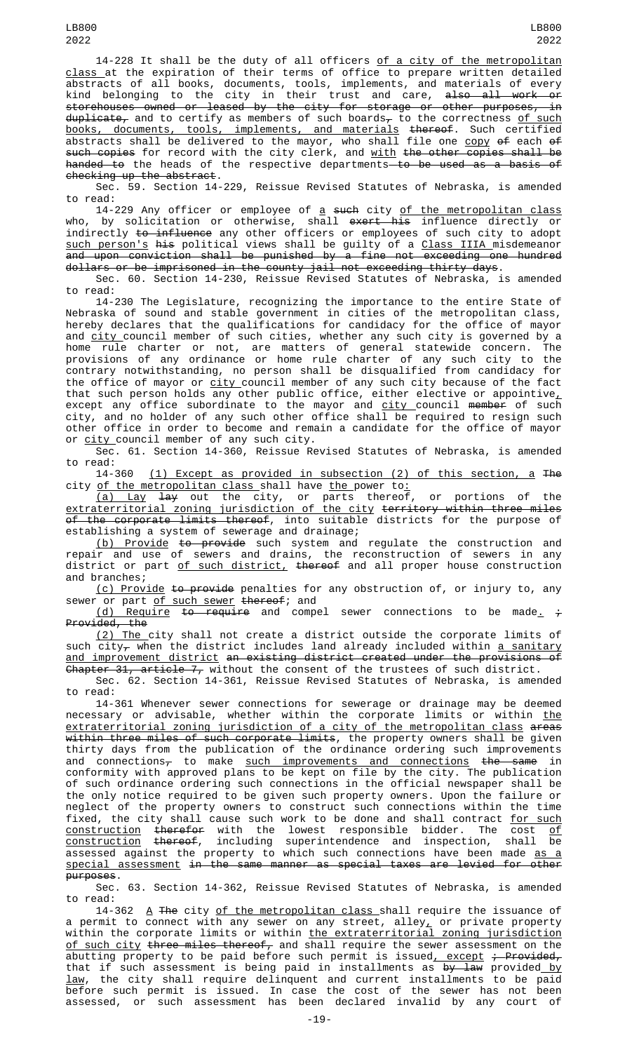14-228 It shall be the duty of all officers of a city of the metropolitan <u>class </u>at the expiration of their terms of office to prepare written detailed abstracts of all books, documents, tools, implements, and materials of every kind belonging to the city in their trust and care, <del>also all work or</del> storehouses owned or leased by the city for storage or other purposes, in  $\tt{duplicate_\tau}$  and to certify as members of such boards $_\tau$  to the correctness <u>of such</u> books, documents, tools, implements, and materials thereof. Such certified abstracts shall be delivered to the mayor, who shall file one <u>copy</u> <del>of</del> each <del>of</del> such copies for record with the city clerk, and with the other copies shall be handed to the heads of the respective departments to be used as a basis of checking up the abstract.

Sec. 59. Section 14-229, Reissue Revised Statutes of Nebraska, is amended to read:

14-229 Any officer or employee of <u>a</u> <del>such</del> city <u>of the metropolitan class</u> who, by solicitation or otherwise, shall <del>exert his</del> influence directly or indirectly to influence any other officers or employees of such city to adopt such person's his political views shall be guilty of a Class IIIA misdemeanor and upon conviction shall be punished by a fine not exceeding one hundred dollars or be imprisoned in the county jail not exceeding thirty days.

Sec. 60. Section 14-230, Reissue Revised Statutes of Nebraska, is amended to read:

14-230 The Legislature, recognizing the importance to the entire State of Nebraska of sound and stable government in cities of the metropolitan class, hereby declares that the qualifications for candidacy for the office of mayor and <u>city </u>council member of such cities, whether any such city is governed by a home rule charter or not, are matters of general statewide concern. The provisions of any ordinance or home rule charter of any such city to the contrary notwithstanding, no person shall be disqualified from candidacy for the office of mayor or <u>city c</u>ouncil member of any such city because of the fact that such person holds any other public office, either elective or appointive $_{L}$ except any office subordinate to the mayor and <u>city c</u>ouncil <del>member</del> of such city, and no holder of any such other office shall be required to resign such other office in order to become and remain a candidate for the office of mayor or <u>city c</u>ouncil member of any such city.

Sec. 61. Section 14-360, Reissue Revised Statutes of Nebraska, is amended to read:

 $(1)$  Except as provided in subsection (2) of this section, a The city <u>of the metropolitan class s</u>hall have <u>the </u>power to<u>:</u>

(a) Lay lay out the city, or parts thereof, or portions of the extraterritorial zoning jurisdiction of the city territory within three miles <del>of the corporate limits thereof</del>, into suitable districts for the purpose of establishing a system of sewerage and drainage;

(b) Provide to provide such system and regulate the construction and repair and use of sewers and drains, the reconstruction of sewers in any district or part <u>of such district,</u> <del>thereof</del> and all proper house construction and branches;

(c) Provide to provide penalties for any obstruction of, or injury to, any sewer or part <u>of such sewer</u> <del>thereof</del>; and

(d) Require to require and compel sewer connections to be made<sub>-</sub>  $\frac{1}{t}$ Provided, the

(2) The city shall not create a district outside the corporate limits of such  $city<sub>\tau</sub>$  when the district includes land already included within a sanitary and improvement district an existing district created under the provisions of Chapter 31, article 7, without the consent of the trustees of such district.

Sec. 62. Section 14-361, Reissue Revised Statutes of Nebraska, is amended to read:

14-361 Whenever sewer connections for sewerage or drainage may be deemed necessary or advisable, whether within the corporate limits or within <u>the</u> extraterritorial zoning jurisdiction of a city of the metropolitan class areas <del>within three miles of such corporate limits</del>, the property owners shall be given thirty days from the publication of the ordinance ordering such improvements and connections<del>,</del> to make <u>such improvements and connections</u> <del>the same</del> in conformity with approved plans to be kept on file by the city. The publication of such ordinance ordering such connections in the official newspaper shall be the only notice required to be given such property owners. Upon the failure or neglect of the property owners to construct such connections within the time fixed, the city shall cause such work to be done and shall contract <u>for such</u> <u>construction</u> <del>therefor</del> with the lowest responsible bidder. The cost <u>of</u> construction thereof, including superintendence and inspection, shall be assessed against the property to which such connections have been made <u>as a</u> special assessment in the same manner as special taxes are levied for other purposes.

Sec. 63. Section 14-362, Reissue Revised Statutes of Nebraska, is amended to read:

14-362 A The city of the metropolitan class shall require the issuance of a permit to connect with any sewer on any street, alley $_{L}$  or private property within the corporate limits or within <u>the extraterritorial zoning jurisdiction</u> <u>of such city</u> <del>three miles thereof,</del> and shall require the sewer assessment on the abutting property to be paid before such permit is issued<u>, except</u> <del>; Provided,</del> that if such assessment is being paid in installments as <del>by law</del> provided<u> by</u> law, the city shall require delinquent and current installments to be paid before such permit is issued. In case the cost of the sewer has not been assessed, or such assessment has been declared invalid by any court of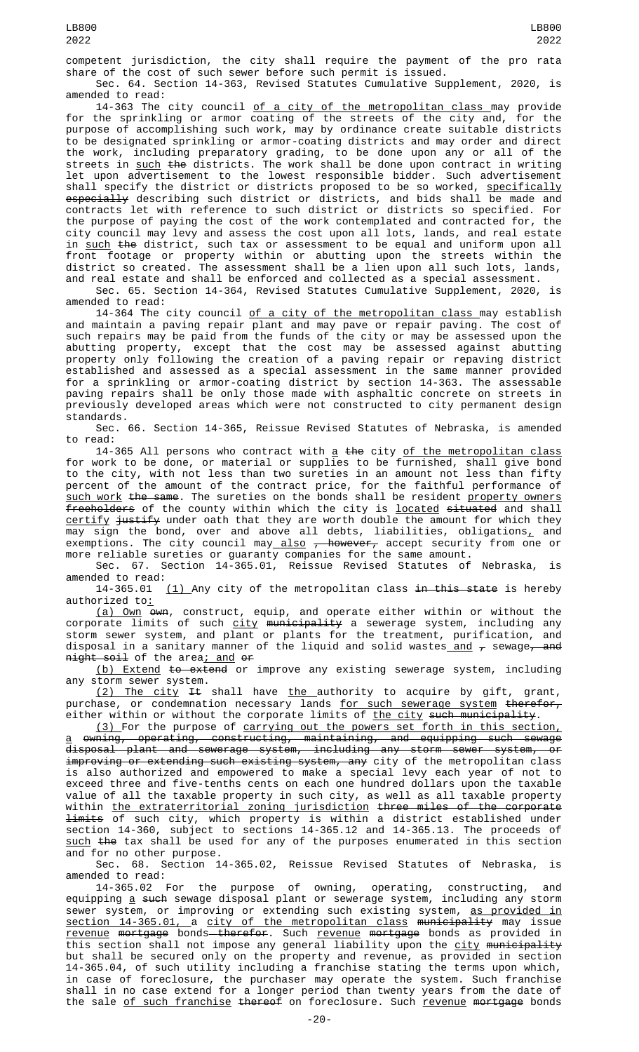competent jurisdiction, the city shall require the payment of the pro rata share of the cost of such sewer before such permit is issued.

Sec. 64. Section 14-363, Revised Statutes Cumulative Supplement, 2020, is amended to read:

14-363 The city council <u>of a city of the metropolitan class </u>may provide for the sprinkling or armor coating of the streets of the city and, for the purpose of accomplishing such work, may by ordinance create suitable districts to be designated sprinkling or armor-coating districts and may order and direct the work, including preparatory grading, to be done upon any or all of the streets in <u>such</u> <del>the</del> districts. The work shall be done upon contract in writing let upon advertisement to the lowest responsible bidder. Such advertisement shall specify the district or districts proposed to be so worked, <u>specifically</u> especially describing such district or districts, and bids shall be made and contracts let with reference to such district or districts so specified. For the purpose of paying the cost of the work contemplated and contracted for, the city council may levy and assess the cost upon all lots, lands, and real estate in <u>such</u> <del>the</del> district, such tax or assessment to be equal and uniform upon all front footage or property within or abutting upon the streets within the district so created. The assessment shall be a lien upon all such lots, lands, and real estate and shall be enforced and collected as a special assessment.

Sec. 65. Section 14-364, Revised Statutes Cumulative Supplement, 2020, is amended to read:

14-364 The city council of a city of the metropolitan class may establish and maintain a paving repair plant and may pave or repair paving. The cost of such repairs may be paid from the funds of the city or may be assessed upon the abutting property, except that the cost may be assessed against abutting property only following the creation of a paving repair or repaving district established and assessed as a special assessment in the same manner provided for a sprinkling or armor-coating district by section 14-363. The assessable paving repairs shall be only those made with asphaltic concrete on streets in previously developed areas which were not constructed to city permanent design standards.

Sec. 66. Section 14-365, Reissue Revised Statutes of Nebraska, is amended to read:

14-365 All persons who contract with <u>a</u> <del>the</del> city <u>of the metropolitan class</u> for work to be done, or material or supplies to be furnished, shall give bond to the city, with not less than two sureties in an amount not less than fifty percent of the amount of the contract price, for the faithful performance of <u>such work</u> <del>the same</del>. The sureties on the bonds shall be resident <u>property owners</u> freeholders of the county within which the city is located situated and shall <u>certify</u> <del>justify</del> under oath that they are worth double the amount for which they may sign the bond, over and above all debts, liabilities, obligations<u>,</u> and exemptions. The city council may  $\frac{also}{f}$  however, accept security from one or more reliable sureties or guaranty companies for the same amount.

Sec. 67. Section 14-365.01, Reissue Revised Statutes of Nebraska, is amended to read:

14-365.01 (1) Any city of the metropolitan class in this state is hereby authorized to:

(a) Own own, construct, equip, and operate either within or without the corporate limits of such <u>city</u> <del>municipality</del> a sewerage system, including any storm sewer system, and plant or plants for the treatment, purification, and disposal in a sanitary manner of the liquid and solid wastes\_<u>and</u>  $_{\mathcal{T}}$  sewage<del>, and</del> <del>night soil</del> of the area<u>; and</u> <del>or</del>

(b) Extend to extend or improve any existing sewerage system, including any storm sewer system.

 $(2)$  The city It shall have the authority to acquire by gift, grant, purchase, or condemnation necessary lands for such sewerage system therefor, either within or without the corporate limits of the city such municipality.

(3) For the purpose of carrying out the powers set forth in this section, a owning, operating, constructing, maintaining, and equipping such sewage disposal plant and sewerage system, including any storm sewer system, or improving or extending such existing system, any city of the metropolitan class is also authorized and empowered to make a special levy each year of not to exceed three and five-tenths cents on each one hundred dollars upon the taxable value of all the taxable property in such city, as well as all taxable property within the extraterritorial zoning jurisdiction three miles of the corporate limits of such city, which property is within a district established under section 14-360, subject to sections 14-365.12 and 14-365.13. The proceeds of such the tax shall be used for any of the purposes enumerated in this section and for no other purpose.

Sec. 68. Section 14-365.02, Reissue Revised Statutes of Nebraska, is amended to read:<br>14-365.02 For the

purpose of owning, operating, constructing, and equipping <u>a</u> <del>such</del> sewage disposal plant or sewerage system, including any storm sewer system, or improving or extending such existing system, <u>as provided in</u> section 14-365.01, a city of the metropolitan class municipality may issue <u>revenue</u> <del>mortgage</del> bonds<del> therefor</del>. Such <u>revenue</u> <del>mortgage</del> bonds as provided in this section shall not impose any general liability upon the <u>city</u> <del>municipality</del> but shall be secured only on the property and revenue, as provided in section 14-365.04, of such utility including a franchise stating the terms upon which, in case of foreclosure, the purchaser may operate the system. Such franchise shall in no case extend for a longer period than twenty years from the date of the sale <u>of such franchise</u> <del>thereof</del> on foreclosure. Such <u>revenue</u> <del>mortgage</del> bonds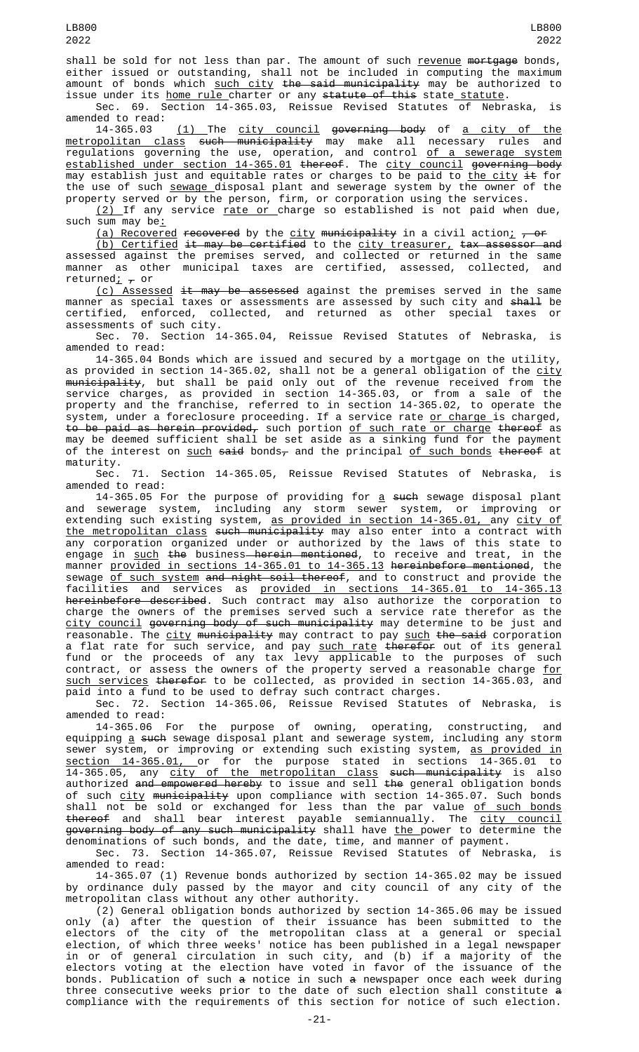shall be sold for not less than par. The amount of such revenue mortgage bonds, either issued or outstanding, shall not be included in computing the maximum amount of bonds which <u>such city</u> <del>the said municipality</del> may be authorized to issue under its <u>home rule charter</u> or any statute of this state statute.

Sec. 69. Section 14-365.03, Reissue Revised Statutes of Nebraska, is amended to read:

14-365.03 <u>(1) </u>The <u>city council</u> g<del>overning body</del> of <u>a city of the</u> <u>metropolitan class</u> <del>such municipality</del> may make all necessary rules and regulations governing the use, operation, and control <u>of a sewerage system</u> established under section 14-365.01 thereof. The city council governing body may establish just and equitable rates or charges to be paid to <u>the city</u> <del>it</del> for the use of such <u>sewage d</u>isposal plant and sewerage system by the owner of the property served or by the person, firm, or corporation using the services.

<u>(2) </u>If any service <u>rate or c</u>harge so established is not paid when due, such sum may be:

(a) Recovered recovered by the city municipality in a civil action;  $\frac{1}{r}$  or

<u>(b) Certified</u> <del>it may be certified</del> to the <u>city treasurer,</u> <del>tax assessor and</del> assessed against the premises served, and collected or returned in the same manner as other municipal taxes are certified, assessed, collected, and returned $\frac{1}{r}$  or

(c) Assessed it may be assessed against the premises served in the same manner as special taxes or assessments are assessed by such city and <del>shall</del> be certified, enforced, collected, and returned as other special taxes or assessments of such city.

Sec. 70. Section 14-365.04, Reissue Revised Statutes of Nebraska, is amended to read:

14-365.04 Bonds which are issued and secured by a mortgage on the utility, as provided in section 14-365.02, shall not be a general obligation of the <u>city</u> <del>municipality</del>, but shall be paid only out of the revenue received from the service charges, as provided in section 14-365.03, or from a sale of the property and the franchise, referred to in section 14-365.02, to operate the system, under a foreclosure proceeding. If a service rate <u>or charge is</u> charged, to be paid as herein provided, such portion of such rate or charge thereof as may be deemed sufficient shall be set aside as a sinking fund for the payment of the interest on such said bonds<sub> $\tau$ </sub> and the principal of such bonds thereof at maturity.

Sec. 71. Section 14-365.05, Reissue Revised Statutes of Nebraska, is amended to read:

14-365.05 For the purpose of providing for <u>a</u> <del>such</del> sewage disposal plant and sewerage system, including any storm sewer system, or improving or extending such existing system, <u>as provided in section 14-365.01, a</u>ny <u>city of</u> <u>the metropolitan class</u> <del>such municipality</del> may also enter into a contract with any corporation organized under or authorized by the laws of this state to engage in <u>such</u> <del>the</del> business<del> herein mentioned</del>, to receive and treat, in the manner <u>provided in sections 14-365.01 to 14-365.13</u> <del>hereinbefore mentioned</del>, the sewage of such system and night soil thereof, and to construct and provide the facilities and services as provided in sections 14-365.01 to 14-365.13 hereinbefore described. Such contract may also authorize the corporation to charge the owners of the premises served such a service rate therefor as the <u>city council</u> <del>governing body of such municipality</del> may determine to be just and reasonable. The <u>city</u> <del>municipality</del> may contract to pay <u>such</u> <del>the said</del> corporation a flat rate for such service, and pay <u>such rate</u> <del>therefor</del> out of its general fund or the proceeds of any tax levy applicable to the purposes of such contract, or assess the owners of the property served a reasonable charge <u>for</u> such services therefor to be collected, as provided in section 14-365.03, and paid into a fund to be used to defray such contract charges.

Sec. 72. Section 14-365.06, Reissue Revised Statutes of Nebraska, is amended to read:

14-365.06 For the purpose of owning, operating, constructing, and equipping <u>a</u> <del>such</del> sewage disposal plant and sewerage system, including any storm sewer system, or improving or extending such existing system, <u>as provided in</u> section 14-365.01, or for the purpose stated in sections 14-365.01 to 14-365.05, any <u>city of the metropolitan class</u> <del>such municipality</del> is also authorized <del>and empowered hereby</del> to issue and sell <del>the</del> general obligation bonds of such <u>city</u> <del>municipality</del> upon compliance with section 14-365.07. Such bonds shall not be sold or exchanged for less than the par value <u>of such bonds</u> <del>thereof</del> and shall bear interest payable semiannually. The <u>city council</u> <del>governing body of any such municipality</del> shall have <u>the </u>power to determine the denominations of such bonds, and the date, time, and manner of payment.

Sec. 73. Section 14-365.07, Reissue Revised Statutes of Nebraska, is amended to read:

14-365.07 (1) Revenue bonds authorized by section 14-365.02 may be issued by ordinance duly passed by the mayor and city council of any city of the metropolitan class without any other authority.

(2) General obligation bonds authorized by section 14-365.06 may be issued only (a) after the question of their issuance has been submitted to the electors of the city of the metropolitan class at a general or special election, of which three weeks' notice has been published in a legal newspaper in or of general circulation in such city, and (b) if a majority of the electors voting at the election have voted in favor of the issuance of the bonds. Publication of such a notice in such a newspaper once each week during three consecutive weeks prior to the date of such election shall constitute a compliance with the requirements of this section for notice of such election.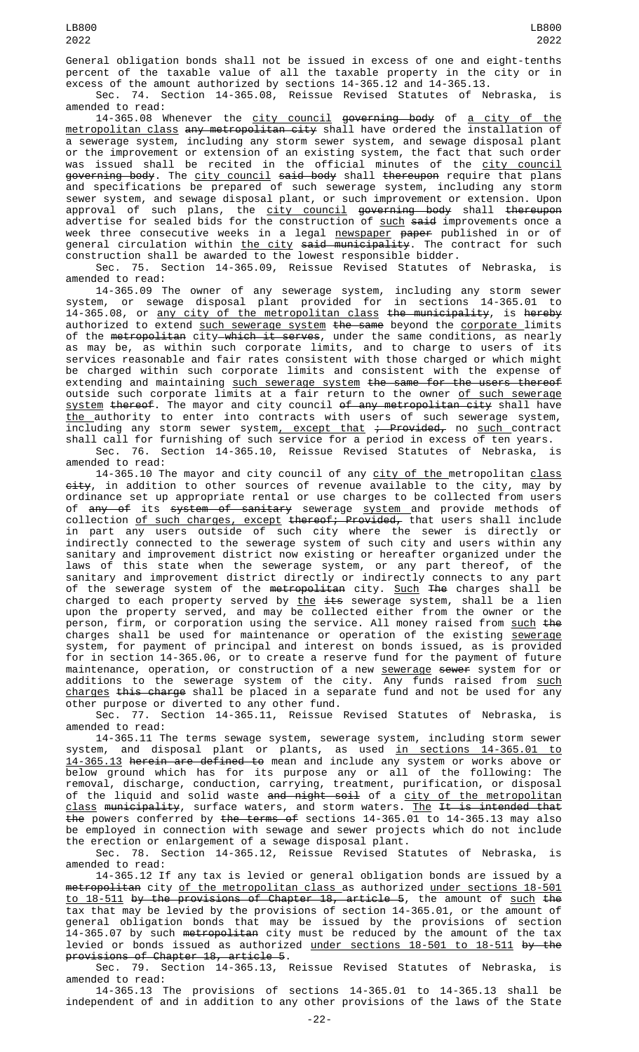General obligation bonds shall not be issued in excess of one and eight-tenths percent of the taxable value of all the taxable property in the city or in excess of the amount authorized by sections 14-365.12 and 14-365.13.

Sec. 74. Section 14-365.08, Reissue Revised Statutes of Nebraska, is amended to read:

14-365.08 Whenever the <u>city council</u> <del>governing body</del> of <u>a city of the</u> <u>metropolitan class</u> <del>any metropolitan city</del> shall have ordered the installation of a sewerage system, including any storm sewer system, and sewage disposal plant or the improvement or extension of an existing system, the fact that such order was issued shall be recited in the official minutes of the city council <del>governing body</del>. The <u>city council</u> <del>said body</del> shall <del>thereupon</del> require that plans and specifications be prepared of such sewerage system, including any storm sewer system, and sewage disposal plant, or such improvement or extension. Upon approval of such plans, the <u>city council</u> <del>governing body</del> shall <del>thereupon</del> advertise for sealed bids for the construction of <u>such</u> <del>said</del> improvements once a week three consecutive weeks in a legal <u>newspaper</u> <del>paper</del> published in or of general circulation within <u>the city</u> <del>said municipality</del>. The contract for such construction shall be awarded to the lowest responsible bidder.

Sec. 75. Section 14-365.09, Reissue Revised Statutes of Nebraska, is amended to read:

14-365.09 The owner of any sewerage system, including any storm sewer system, or sewage disposal plant provided for in sections 14-365.01 to 14-365.08, or <u>any city of the metropolitan class</u> <del>the municipality</del>, is <del>hereby</del> authorized to extend <u>such sewerage system</u> <del>the same</del> beyond the <u>corporate </u>limits of the metropolitan city which it serves, under the same conditions, as nearly as may be, as within such corporate limits, and to charge to users of its services reasonable and fair rates consistent with those charged or which might be charged within such corporate limits and consistent with the expense of extending and maintaining <u>such sewerage system</u> <del>the same for the users thereof</del> outside such corporate limits at a fair return to the owner <u>of such sewerage</u> <u>system</u> <del>thereof</del>. The mayor and city council <del>of any metropolitan city</del> shall have the authority to enter into contracts with users of such sewerage system, including any storm sewer system<u>, except that</u> <del>; Provided,</del> no <u>such c</u>ontract shall call for furnishing of such service for a period in excess of ten years. Sec. 76. Section 14-365.10, Reissue Revised Statutes of Nebraska, is

amended to read: 14-365.10 The mayor and city council of any city of the metropolitan class <del>city</del>, in addition to other sources of revenue available to the city, may by ordinance set up appropriate rental or use charges to be collected from users of <del>any of</del> its <del>system of sanitary</del> sewerage <u>system a</u>nd provide methods of collection <u>of such charges, except</u> <del>thereof; Provided,</del> that users shall include in part any users outside of such city where the sewer is directly or indirectly connected to the sewerage system of such city and users within any sanitary and improvement district now existing or hereafter organized under the laws of this state when the sewerage system, or any part thereof, of the sanitary and improvement district directly or indirectly connects to any part of the sewerage system of the <del>metropolitan</del> city. <u>Such</u> <del>The</del> charges shall be charged to each property served by <u>the</u> <del>its</del> sewerage system, shall be a lien upon the property served, and may be collected either from the owner or the person, firm, or corporation using the service. All money raised from <u>such</u> <del>the</del> charges shall be used for maintenance or operation of the existing <u>sewerage</u> system, for payment of principal and interest on bonds issued, as is provided for in section 14-365.06, or to create a reserve fund for the payment of future maintenance, operation, or construction of a new <u>sewerage</u> <del>sewer</del> system for or additions to the sewerage system of the city. Any funds raised from <u>such</u> <u>charges</u> <del>this charge</del> shall be placed in a separate fund and not be used for any other purpose or diverted to any other fund.

Sec. 77. Section 14-365.11, Reissue Revised Statutes of Nebraska, is amended to read:

14-365.11 The terms sewage system, sewerage system, including storm sewer system, and disposal plant or plants, as used <u>in sections 14-365.01 to</u> 14-365.13 herein are defined to mean and include any system or works above or below ground which has for its purpose any or all of the following: The removal, discharge, conduction, carrying, treatment, purification, or disposal of the liquid and solid waste <del>and night soil</del> of a <u>city of the metropolitan</u> <u>class</u> <del>municipality</del>, surface waters, and storm waters. <u>The</u> <del>It is intended that</del> the powers conferred by the terms of sections 14-365.01 to 14-365.13 may also be employed in connection with sewage and sewer projects which do not include the erection or enlargement of a sewage disposal plant.

Sec. 78. Section 14-365.12, Reissue Revised Statutes of Nebraska, is amended to read:

14-365.12 If any tax is levied or general obligation bonds are issued by a metropolitan city of the metropolitan class as authorized under sections 18-501 <u>to 18-511</u> <del>by the provisions of Chapter 18, article 5</del>, the amount of <u>such</u> <del>the</del> tax that may be levied by the provisions of section 14-365.01, or the amount of general obligation bonds that may be issued by the provisions of section 14-365.07 by such <del>metropolitan</del> city must be reduced by the amount of the tax levied or bonds issued as authorized <u>under sections 18-501 to 18-511</u> <del>by the</del> provisions of Chapter 18, article 5.

Sec. 79. Section 14-365.13, Reissue Revised Statutes of Nebraska, is amended to read:

14-365.13 The provisions of sections 14-365.01 to 14-365.13 shall be independent of and in addition to any other provisions of the laws of the State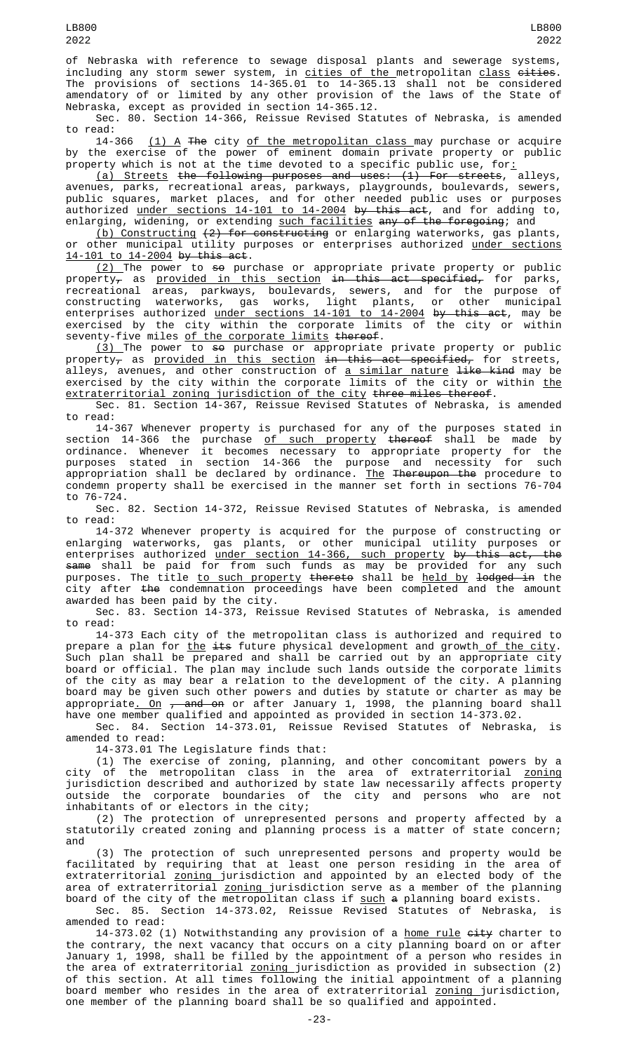of Nebraska with reference to sewage disposal plants and sewerage systems, including any storm sewer system, in <u>cities of the </u>metropolitan <u>class</u> <del>cities</del>. The provisions of sections 14-365.01 to 14-365.13 shall not be considered amendatory of or limited by any other provision of the laws of the State of Nebraska, except as provided in section 14-365.12.

Sec. 80. Section 14-366, Reissue Revised Statutes of Nebraska, is amended to read:

14-366 <u>(1) A</u> <del>The</del> city <u>of the metropolitan class </u>may purchase or acquire by the exercise of the power of eminent domain private property or public property which is not at the time devoted to a specific public use, for:

(a) Streets the following purposes and uses: (1) For streets, alleys, avenues, parks, recreational areas, parkways, playgrounds, boulevards, sewers, public squares, market places, and for other needed public uses or purposes authorized <u>under sections 14-101 to 14-2004</u> <del>by this act</del>, and for adding to, enlarging, widening, or extending <u>such facilities</u> <del>any of the foregoing</del>; and

(b) Constructing (2) for constructing or enlarging waterworks, gas plants, or other municipal utility purposes or enterprises authorized under sections 14-101 to 14-2004 by this act.

<u>(2) </u>The power to <del>so</del> purchase or appropriate private property or public property<sub>7</sub> as <u>provided in this section</u> <del>in this act specified,</del> for parks, recreational areas, parkways, boulevards, sewers, and for the purpose of constructing waterworks, gas works, light plants, or other municipal enterprises authorized <u>under sections 14-101 to 14-2004</u> <del>by this act</del>, may be exercised by the city within the corporate limits of the city or within seventy-five miles of the corporate limits thereof.

 $\texttt{(3)}$  The power to <del>so</del> purchase or appropriate private property or public property<sub>7</sub> as <u>provided in this section</u> <del>in this act specified,</del> for streets, alleys, avenues, and other construction of <u>a similar nature</u> <del>like kind</del> may be exercised by the city within the corporate limits of the city or within <u>the</u> extraterritorial zoning jurisdiction of the city three miles thereof.

Sec. 81. Section 14-367, Reissue Revised Statutes of Nebraska, is amended to read:

14-367 Whenever property is purchased for any of the purposes stated in section 14-366 the purchase <u>of such property</u> <del>thereof</del> shall be made by ordinance. Whenever it becomes necessary to appropriate property for the purposes stated in section 14-366 the purpose and necessity for such appropriation shall be declared by ordinance. The Thereupon the procedure to condemn property shall be exercised in the manner set forth in sections 76-704 to 76-724.

Sec. 82. Section 14-372, Reissue Revised Statutes of Nebraska, is amended to read:

14-372 Whenever property is acquired for the purpose of constructing or enlarging waterworks, gas plants, or other municipal utility purposes or enterprises authorized <u>under section 14-366, such property</u> <del>by this act, the</del> <del>same</del> shall be paid for from such funds as may be provided for any such purposes. The title <u>to such property</u> <del>thereto</del> shall be <u>held by <del>lodged i</del>n the</u> city after the condemnation proceedings have been completed and the amount awarded has been paid by the city.

Sec. 83. Section 14-373, Reissue Revised Statutes of Nebraska, is amended to read:

14-373 Each city of the metropolitan class is authorized and required to prepare a plan for <u>the</u> <del>its</del> future physical development and growth<u> of the city</u>. Such plan shall be prepared and shall be carried out by an appropriate city board or official. The plan may include such lands outside the corporate limits of the city as may bear a relation to the development of the city. A planning board may be given such other powers and duties by statute or charter as may be appropriate<u>. On</u> <del>, and on</del> or after January 1, 1998, the planning board shall have one member qualified and appointed as provided in section 14-373.02.

Sec. 84. Section 14-373.01, Reissue Revised Statutes of Nebraska, is amended to read:

14-373.01 The Legislature finds that:

(1) The exercise of zoning, planning, and other concomitant powers by a city of the metropolitan class in the area of extraterritorial <u>zoning</u> jurisdiction described and authorized by state law necessarily affects property outside the corporate boundaries of the city and persons who are not inhabitants of or electors in the city;

(2) The protection of unrepresented persons and property affected by a statutorily created zoning and planning process is a matter of state concern; and

(3) The protection of such unrepresented persons and property would be facilitated by requiring that at least one person residing in the area of extraterritorial <u>zoning j</u>urisdiction and appointed by an elected body of the area of extraterritorial <u>zoning j</u>urisdiction serve as a member of the planning board of the city of the metropolitan class if <u>such</u> <del>a</del> planning board exists.

Sec. 85. Section 14-373.02, Reissue Revised Statutes of Nebraska, is amended to read:

14-373.02 (1) Notwithstanding any provision of a <u>home rule</u> <del>city</del> charter to the contrary, the next vacancy that occurs on a city planning board on or after January 1, 1998, shall be filled by the appointment of a person who resides in the area of extraterritorial <u>zoning j</u>urisdiction as provided in subsection (2) of this section. At all times following the initial appointment of a planning board member who resides in the area of extraterritorial <u>zoning j</u>urisdiction, one member of the planning board shall be so qualified and appointed.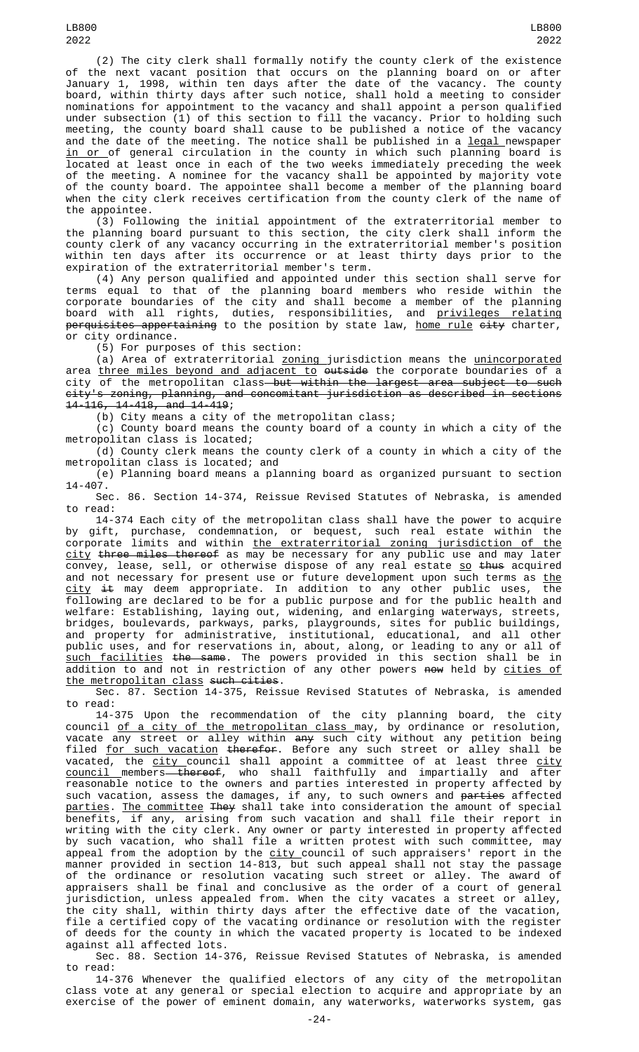(2) The city clerk shall formally notify the county clerk of the existence of the next vacant position that occurs on the planning board on or after January 1, 1998, within ten days after the date of the vacancy. The county board, within thirty days after such notice, shall hold a meeting to consider nominations for appointment to the vacancy and shall appoint a person qualified under subsection (1) of this section to fill the vacancy. Prior to holding such meeting, the county board shall cause to be published a notice of the vacancy and the date of the meeting. The notice shall be published in a <u>legal </u>newspaper <u>in or </u>of general circulation in the county in which such planning board is located at least once in each of the two weeks immediately preceding the week of the meeting. A nominee for the vacancy shall be appointed by majority vote of the county board. The appointee shall become a member of the planning board when the city clerk receives certification from the county clerk of the name of the appointee.

(3) Following the initial appointment of the extraterritorial member to the planning board pursuant to this section, the city clerk shall inform the county clerk of any vacancy occurring in the extraterritorial member's position within ten days after its occurrence or at least thirty days prior to the expiration of the extraterritorial member's term.

(4) Any person qualified and appointed under this section shall serve for terms equal to that of the planning board members who reside within the corporate boundaries of the city and shall become a member of the planning board with all rights, duties, responsibilities, and <u>privileges relating</u> <del>perquisites appertaining</del> to the position by state law, <u>home rule</u> <del>city</del> charter, or city ordinance.

(5) For purposes of this section:

(a) Area of extraterritorial <u>zoning j</u>urisdiction means the <u>unincorporated</u> area <u>three miles beyond and adjacent to</u> <del>outside</del> the corporate boundaries of a city of the metropolitan class but within the largest area subject to such city's zoning, planning, and concomitant jurisdiction as described in sections 14-116, 14-418, and 14-419;

(b) City means a city of the metropolitan class;

(c) County board means the county board of a county in which a city of the metropolitan class is located;

(d) County clerk means the county clerk of a county in which a city of the metropolitan class is located; and

(e) Planning board means a planning board as organized pursuant to section 14-407.

Sec. 86. Section 14-374, Reissue Revised Statutes of Nebraska, is amended to read:

14-374 Each city of the metropolitan class shall have the power to acquire by gift, purchase, condemnation, or bequest, such real estate within the corporate limits and within the extraterritorial zoning jurisdiction of <u>city</u> <del>three miles thereof</del> as may be necessary for any public use and may later convey, lease, sell, or otherwise dispose of any real estate <u>so</u> <del>thus</del> acquired and not necessary for present use or future development upon such terms as <u>the</u> <u>city</u> <del>it</del> may deem appropriate. In addition to any other public uses, the following are declared to be for a public purpose and for the public health and welfare: Establishing, laying out, widening, and enlarging waterways, streets, bridges, boulevards, parkways, parks, playgrounds, sites for public buildings, and property for administrative, institutional, educational, and all other public uses, and for reservations in, about, along, or leading to any or all of such facilities the same. The powers provided in this section shall be in addition to and not in restriction of any other powers <del>now</del> held by <u>cities of</u> the metropolitan class such cities.

Sec. 87. Section 14-375, Reissue Revised Statutes of Nebraska, is amended to read:

14-375 Upon the recommendation of the city planning board, the city council <u>of a city of the metropolitan class </u>may, by ordinance or resolution, vacate any street or alley within <del>any</del> such city without any petition being filed <u>for such vacation</u> <del>therefor</del>. Before any such street or alley shall be vacated, the <u>city c</u>ouncil shall appoint a committee of at least three <u>city</u> <u>council members— thereof</u>, who shall faithfully and impartially and after reasonable notice to the owners and parties interested in property affected by such vacation, assess the damages, if any, to such owners and <del>parties</del> affected parties. The committee They shall take into consideration the amount of special benefits, if any, arising from such vacation and shall file their report in writing with the city clerk. Any owner or party interested in property affected by such vacation, who shall file a written protest with such committee, may appeal from the adoption by the <u>city c</u>ouncil of such appraisers' report in the manner provided in section 14-813, but such appeal shall not stay the passage of the ordinance or resolution vacating such street or alley. The award of appraisers shall be final and conclusive as the order of a court of general jurisdiction, unless appealed from. When the city vacates a street or alley, the city shall, within thirty days after the effective date of the vacation, file a certified copy of the vacating ordinance or resolution with the register of deeds for the county in which the vacated property is located to be indexed against all affected lots.

Sec. 88. Section 14-376, Reissue Revised Statutes of Nebraska, is amended to read:

14-376 Whenever the qualified electors of any city of the metropolitan class vote at any general or special election to acquire and appropriate by an exercise of the power of eminent domain, any waterworks, waterworks system, gas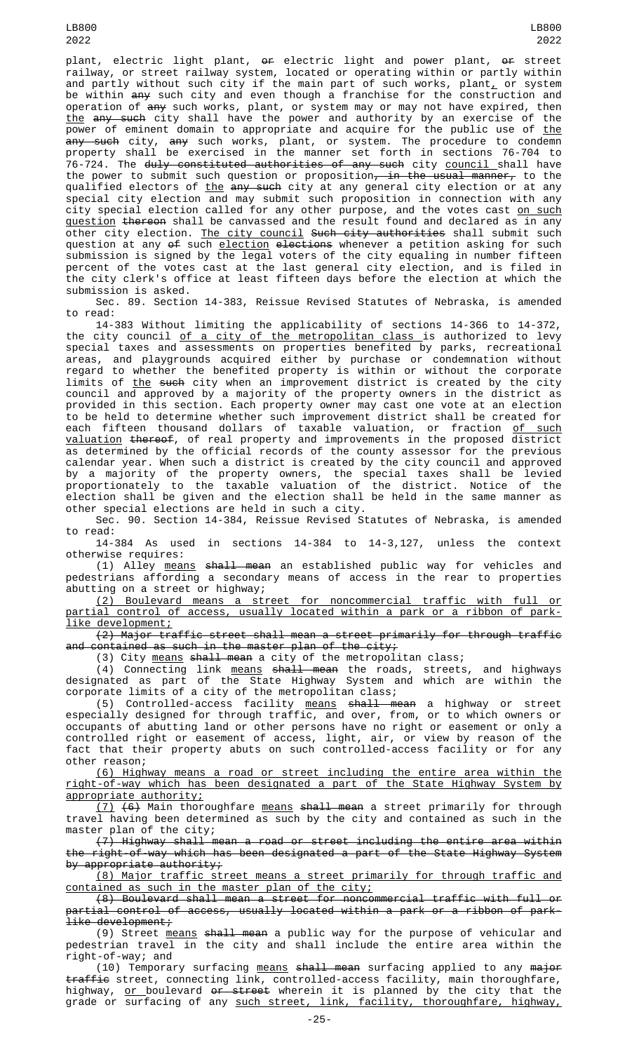LB800 2022

plant, electric light plant, or electric light and power plant, or street railway, or street railway system, located or operating within or partly within and partly without such city if the main part of such works, plant $_{\rm {\mathcal L}}$  or system be within <del>any</del> such city and even though a franchise for the construction and operation of <del>any</del> such works, plant, or system may or may not have expired, then <u>the</u> <del>any such</del> city shall have the power and authority by an exercise of the power of eminent domain to appropriate and acquire for the public use of <u>the</u> <del>any such</del> city, <del>any</del> such works, plant, or system. The procedure to condemn property shall be exercised in the manner set forth in sections 76-704 to .<br>76-724. The <del>duly constituted authorities of any such</del> city <u>council shall</u> have the power to submit such question or proposition<del>, in the usual manner,</del> to the qualified electors of <u>the</u> <del>any such</del> city at any general city election or at any special city election and may submit such proposition in connection with any city special election called for any other purpose, and the votes cast <u>on such</u> <u>question</u> <del>thereon</del> shall be canvassed and the result found and declared as in any other city election. The city council Such city authorities shall submit such question at any <del>of</del> such <u>election</u> <del>elections</del> whenever a petition asking for such submission is signed by the legal voters of the city equaling in number fifteen percent of the votes cast at the last general city election, and is filed in the city clerk's office at least fifteen days before the election at which the submission is asked.

Sec. 89. Section 14-383, Reissue Revised Statutes of Nebraska, is amended to read:

14-383 Without limiting the applicability of sections 14-366 to 14-372, the city council <u>of a city of the metropolitan class </u>is authorized to levy special taxes and assessments on properties benefited by parks, recreational areas, and playgrounds acquired either by purchase or condemnation without regard to whether the benefited property is within or without the corporate limits of <u>the</u> <del>such</del> city when an improvement district is created by the city council and approved by a majority of the property owners in the district as provided in this section. Each property owner may cast one vote at an election to be held to determine whether such improvement district shall be created for each fifteen thousand dollars of taxable valuation, or fraction <u>of such</u> valuation thereof, of real property and improvements in the proposed district as determined by the official records of the county assessor for the previous calendar year. When such a district is created by the city council and approved by a majority of the property owners, the special taxes shall be levied proportionately to the taxable valuation of the district. Notice of the election shall be given and the election shall be held in the same manner as other special elections are held in such a city.

Sec. 90. Section 14-384, Reissue Revised Statutes of Nebraska, is amended to read:

14-384 As used in sections 14-384 to 14-3,127, unless the context otherwise requires:

(1) Alley means shall mean an established public way for vehicles and pedestrians affording a secondary means of access in the rear to properties abutting on a street or highway;

(2) Boulevard means a street for noncommercial traffic with full or partial control of access, usually located within a park or a ribbon of parklike development;

(2) Major traffic street shall mean a street primarily for through traffic and contained as such in the master plan of the city;

(3) City <u>means</u> shall mean a city of the metropolitan class;

(4) Connecting link <u>means</u> <del>shall mean</del> the roads, streets, and highways designated as part of the State Highway System and which are within the corporate limits of a city of the metropolitan class;

(5) Controlled-access facility <u>means</u> <del>shall mean</del> a highway or street especially designed for through traffic, and over, from, or to which owners or occupants of abutting land or other persons have no right or easement or only a controlled right or easement of access, light, air, or view by reason of the fact that their property abuts on such controlled-access facility or for any other reason;

(6) Highway means a road or street including the entire area within the right-of-way which has been designated a part of the State Highway System by appropriate authority;

(7) (6) Main thoroughfare means shall mean a street primarily for through travel having been determined as such by the city and contained as such in the master plan of the city;

(7) Highway shall mean a road or street including the entire area within the right-of-way which has been designated a part of the State Highway System by appropriate authority;

(8) Major traffic street means a street primarily for through traffic and contained as such in the master plan of the city;

(8) Boulevard shall mean a street for noncommercial traffic with full or partial control of access, usually located within a park or a ribbon of parklike development;

(9) Street <u>means</u> <del>shall mean</del> a public way for the purpose of vehicular and pedestrian travel in the city and shall include the entire area within the right-of-way; and

(10) Temporary surfacing means shall mean surfacing applied to any major traffic street, connecting link, controlled-access facility, main thoroughfare, highway, <u>or </u>boulevard <del>or street</del> wherein it is planned by the city that the grade or surfacing of any <u>such street, link, facility, thoroughfare, highway,</u>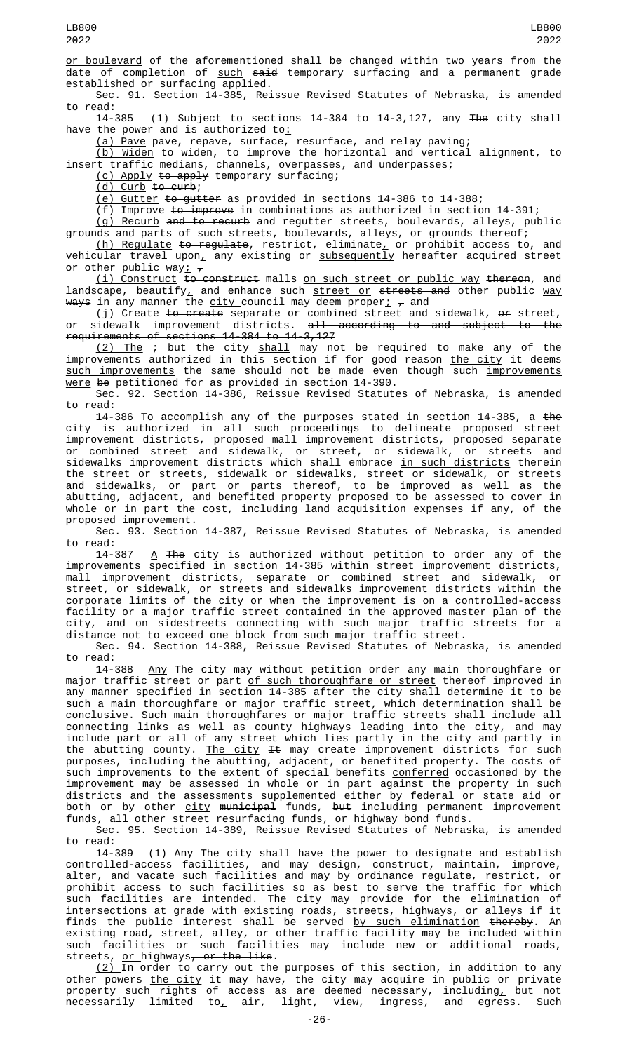or boulevard of the aforementioned shall be changed within two years from the date of completion of such said temporary surfacing and a permanent grade established or surfacing applied.

Sec. 91. Section 14-385, Reissue Revised Statutes of Nebraska, is amended to read:<br>14-385

 $(1)$  Subject to sections 14-384 to 14-3,127, any The city shall have the power and is authorized to:

<u>(a) Pave</u> p<del>ave</del>, repave, surface, resurface, and relay paving;

<u>(b) Widen</u> <del>to widen</del>, <del>to</del> improve the horizontal and vertical alignment, <del>to</del> insert traffic medians, channels, overpasses, and underpasses;

<u>(c) Apply <del>to apply</del> temporary surfacing;</u>

 $(d)$  Curb to curb;

(e) Gutter to gutter as provided in sections 14-386 to 14-388;

(f) Improve to improve in combinations as authorized in section 14-391;

(g) Recurb and to recurb and regutter streets, boulevards, alleys, public grounds and parts of such streets, boulevards, alleys, or grounds thereof;

<u>(h) Regulate</u> <del>to regulate</del>, restrict, eliminate $_{\rm \bot}$  or prohibit access to, and vehicular travel upon<u>,</u> any existing or <u>subsequently</u> <del>hereafter</del> acquired street or other public way;  $\tau$ 

(i) Construct to construct malls on such street or public way thereon, and landscape, beautify<u>,</u> and enhance such <u>street or</u> <del>streets and</del> other public <u>way</u> <del>ways</del> in any manner the <u>city c</u>ouncil may deem proper<u>;</u>  $_{\mathcal{T}}$  and

<u>(j) Create</u> <del>to create</del> separate or combined street and sidewalk, <del>or</del> street, or sidewalk improvement districts<u>.</u> <del>all according to and subject to the</del> requirements of sections 14-384 to 14-3,127

<u>(2) The</u> <del>; but the</del> city <u>shall</u> <del>may</del> not be required to make any of the improvements authorized in this section if for good reason <u>the city</u> <del>it</del> deems <u>such improvements</u> <del>the same</del> should not be made even though such <u>improvements</u> <u>were</u> <del>be</del> petitioned for as provided in section 14-390.

Sec. 92. Section 14-386, Reissue Revised Statutes of Nebraska, is amended to read:

14-386 To accomplish any of the purposes stated in section 14-385, <u>a</u> <del>the</del> city is authorized in all such proceedings to delineate proposed street improvement districts, proposed mall improvement districts, proposed separate or combined street and sidewalk, <del>or</del> street, <del>or</del> sidewalk, or streets and sidewalks improvement districts which shall embrace <u>in such districts</u> <del>therein</del> the street or streets, sidewalk or sidewalks, street or sidewalk, or streets and sidewalks, or part or parts thereof, to be improved as well as the abutting, adjacent, and benefited property proposed to be assessed to cover in whole or in part the cost, including land acquisition expenses if any, of the proposed improvement.

Sec. 93. Section 14-387, Reissue Revised Statutes of Nebraska, is amended to read:

14-387  $\,$  <del>The</del> city is authorized without petition to order any of the improvements specified in section 14-385 within street improvement districts, mall improvement districts, separate or combined street and sidewalk, or street, or sidewalk, or streets and sidewalks improvement districts within the corporate limits of the city or when the improvement is on a controlled-access facility or a major traffic street contained in the approved master plan of the city, and on sidestreets connecting with such major traffic streets for a distance not to exceed one block from such major traffic street.

Sec. 94. Section 14-388, Reissue Revised Statutes of Nebraska, is amended

to read:<br>14-388 Any The city may without petition order any main thoroughfare or major traffic street or part <u>of such thoroughfare or street</u> <del>thereof</del> improved in any manner specified in section 14-385 after the city shall determine it to be such a main thoroughfare or major traffic street, which determination shall be conclusive. Such main thoroughfares or major traffic streets shall include all connecting links as well as county highways leading into the city, and may include part or all of any street which lies partly in the city and partly in the abutting county. <u>The city</u> <del>It</del> may create improvement districts for such purposes, including the abutting, adjacent, or benefited property. The costs of such improvements to the extent of special benefits <u>conferred</u> <del>occasioned</del> by the improvement may be assessed in whole or in part against the property in such districts and the assessments supplemented either by federal or state aid or both or by other <u>city</u> <del>municipal</del> funds, <del>but</del> including permanent improvement funds, all other street resurfacing funds, or highway bond funds.

Sec. 95. Section 14-389, Reissue Revised Statutes of Nebraska, is amended to read:<br>14-389

 $(1)$  Any The city shall have the power to designate and establish controlled-access facilities, and may design, construct, maintain, improve, alter, and vacate such facilities and may by ordinance regulate, restrict, or prohibit access to such facilities so as best to serve the traffic for which such facilities are intended. The city may provide for the elimination of intersections at grade with existing roads, streets, highways, or alleys if it finds the public interest shall be served <u>by such elimination</u> <del>thereby</del>. An existing road, street, alley, or other traffic facility may be included within such facilities or such facilities may include new or additional roads, streets, or highways<del>, or the like</del>.

 $(2)$  In order to carry out the purposes of this section, in addition to any other powers <u>the city</u> <del>it</del> may have, the city may acquire in public or private property such rights of access as are deemed necessary, including<u>,</u> but not necessarily limited to $_{\rm \star}$  air, light, view, ingress, and egress. Such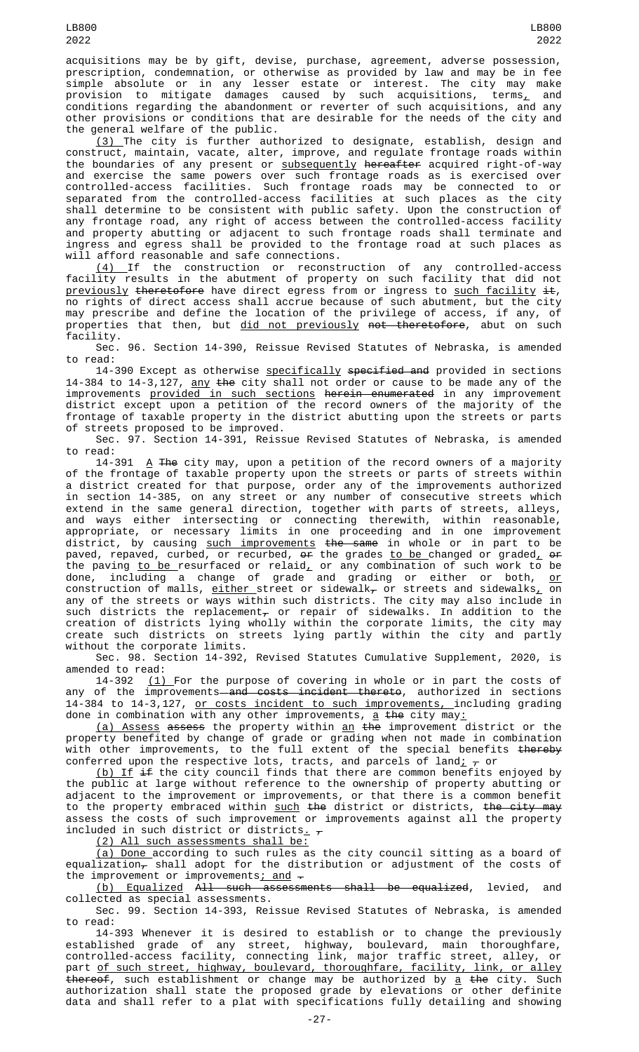acquisitions may be by gift, devise, purchase, agreement, adverse possession, prescription, condemnation, or otherwise as provided by law and may be in fee simple absolute or in any lesser estate or interest. The city may make provision to mitigate damages caused by such acquisitions, terms<u>,</u> and conditions regarding the abandonment or reverter of such acquisitions, and any other provisions or conditions that are desirable for the needs of the city and the general welfare of the public.

(3) The city is further authorized to designate, establish, design and construct, maintain, vacate, alter, improve, and regulate frontage roads within the boundaries of any present or subsequently hereafter acquired right-of-way and exercise the same powers over such frontage roads as is exercised over controlled-access facilities. Such frontage roads may be connected to or separated from the controlled-access facilities at such places as the city shall determine to be consistent with public safety. Upon the construction of any frontage road, any right of access between the controlled-access facility and property abutting or adjacent to such frontage roads shall terminate and ingress and egress shall be provided to the frontage road at such places as will afford reasonable and safe connections.

(4) If the construction or reconstruction of any controlled-access facility results in the abutment of property on such facility that did not <u>previously</u> <del>theretofore</del> have direct egress from or ingress to <u>such facility</u> <del>it</del>, <u>provisusly</u> endested that the control of such abutment, but the city may prescribe and define the location of the privilege of access, if any, of properties that then, but did not previously not theretofore, abut on such facility.

Sec. 96. Section 14-390, Reissue Revised Statutes of Nebraska, is amended to read:

14-390 Except as otherwise specifically specified and provided in sections 14-384 to 14-3,127, any the city shall not order or cause to be made any of the improvements <u>provided in such sections</u> <del>herein enumerated</del> in any improvement district except upon a petition of the record owners of the majority of the frontage of taxable property in the district abutting upon the streets or parts of streets proposed to be improved.

Sec. 97. Section 14-391, Reissue Revised Statutes of Nebraska, is amended

to read:  $\Delta$  The city may, upon a petition of the record owners of a majority of the frontage of taxable property upon the streets or parts of streets within a district created for that purpose, order any of the improvements authorized in section 14-385, on any street or any number of consecutive streets which extend in the same general direction, together with parts of streets, alleys, and ways either intersecting or connecting therewith, within reasonable, appropriate, or necessary limits in one proceeding and in one improvement district, by causing <u>such improvements</u> <del>the same</del> in whole or in part to be paved, repaved, curbed, or recurbed, <del>or</del> the grades <u>to be </u>changed or graded<u>,</u> <del>or</del> the paving <u>to be </u>resurfaced or relaid<u>,</u> or any combination of such work to be done, including a change of grade and grading or either or both, <u>or</u> construction of malls, <u>either </u>street or sidewalk<del>,</del> or streets and sidewalks<u>,</u> on any of the streets or ways within such districts. The city may also include in such districts the replacement $_\tau$  or repair of sidewalks. In addition to the creation of districts lying wholly within the corporate limits, the city may create such districts on streets lying partly within the city and partly without the corporate limits.

Sec. 98. Section 14-392, Revised Statutes Cumulative Supplement, 2020, is amended to read:

14-392 <u>(1) </u>For the purpose of covering in whole or in part the costs of any of the improvements<del> and costs incident thereto</del>, authorized in sections 14-384 to 14-3,127, or costs incident to such improvements, including grading done in combination with any other improvements, <u>a</u> <del>the</del> city may<u>:</u>

(a) Assess assess the property within an the improvement district or the property benefited by change of grade or grading when not made in combination with other improvements, to the full extent of the special benefits <del>thereby</del> conferred upon the respective lots, tracts, and parcels of land $\downarrow_\tau$  or

(b) If if the city council finds that there are common benefits enjoyed by the public at large without reference to the ownership of property abutting or adjacent to the improvement or improvements, or that there is a common benefit to the property embraced within <u>such</u> <del>the</del> district or districts, <del>the city may</del> assess the costs of such improvement or improvements against all the property included in such district or districts<sub>-</sub>

(2) All such assessments shall be:

(a) Done according to such rules as the city council sitting as a board of equalization $_7$  shall adopt for the distribution or adjustment of the costs of the improvement or improvements; and  $-$ 

(b) Equalized All such assessments shall be equalized, levied, and collected as special assessments.

Sec. 99. Section 14-393, Reissue Revised Statutes of Nebraska, is amended to read:

14-393 Whenever it is desired to establish or to change the previously established grade of any street, highway, boulevard, main thoroughfare, controlled-access facility, connecting link, major traffic street, alley, or part of such street, highway, boulevard, thoroughfare, facility, link, or alley <del>thereof</del>, such establishment or change may be authorized by <u>a</u> <del>the</del> city. Such authorization shall state the proposed grade by elevations or other definite data and shall refer to a plat with specifications fully detailing and showing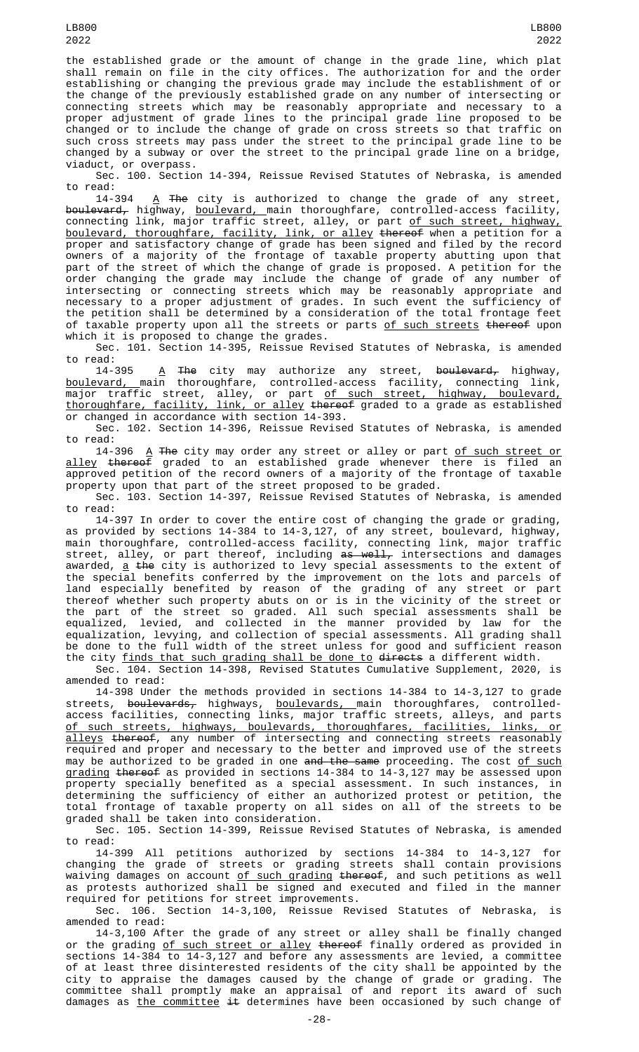LB800

the established grade or the amount of change in the grade line, which plat shall remain on file in the city offices. The authorization for and the order establishing or changing the previous grade may include the establishment of or the change of the previously established grade on any number of intersecting or connecting streets which may be reasonably appropriate and necessary to a proper adjustment of grade lines to the principal grade line proposed to be changed or to include the change of grade on cross streets so that traffic on such cross streets may pass under the street to the principal grade line to be changed by a subway or over the street to the principal grade line on a bridge, viaduct, or overpass.

Sec. 100. Section 14-394, Reissue Revised Statutes of Nebraska, is amended to read:

14-394  $\,$   $\rm{A}$  The city is authorized to change the grade of any street, <del>boulevard,</del> highway, <u>boulevard, m</u>ain thoroughfare, controlled-access facility, connecting link, major traffic street, alley, or part <u>of such street, highway,</u> boulevard, thoroughfare, facility, link, or alley thereof when a petition for a proper and satisfactory change of grade has been signed and filed by the record owners of a majority of the frontage of taxable property abutting upon that part of the street of which the change of grade is proposed. A petition for the order changing the grade may include the change of grade of any number of intersecting or connecting streets which may be reasonably appropriate and necessary to a proper adjustment of grades. In such event the sufficiency of the petition shall be determined by a consideration of the total frontage feet of taxable property upon all the streets or parts of such streets thereof upon which it is proposed to change the grades.

Sec. 101. Section 14-395, Reissue Revised Statutes of Nebraska, is amended to read:

14-395 <u>A</u> <del>The</del> city may authorize any street, <del>boulevard,</del> highway, <u>boulevard, m</u>ain thoroughfare, controlled-access facility, connecting link, major traffic street, alley, or part <u>of such street, highway, boulevard,</u> thoroughfare, facility, link, or alley thereof graded to a grade as established or changed in accordance with section 14-393.

Sec. 102. Section 14-396, Reissue Revised Statutes of Nebraska, is amended to read:

14-396 <u>A</u> <del>The</del> city may order any street or alley or part <u>of such street or</u> <u>alley</u> <del>thereof</del> graded to an established grade whenever there is filed an approved petition of the record owners of a majority of the frontage of taxable property upon that part of the street proposed to be graded.

Sec. 103. Section 14-397, Reissue Revised Statutes of Nebraska, is amended to read:

14-397 In order to cover the entire cost of changing the grade or grading, as provided by sections 14-384 to 14-3,127, of any street, boulevard, highway, main thoroughfare, controlled-access facility, connecting link, major traffic street, alley, or part thereof, including <del>as well,</del> intersections and damages awarded, <u>a</u> <del>the</del> city is authorized to levy special assessments to the extent of the special benefits conferred by the improvement on the lots and parcels of land especially benefited by reason of the grading of any street or part thereof whether such property abuts on or is in the vicinity of the street or the part of the street so graded. All such special assessments shall be equalized, levied, and collected in the manner provided by law for the equalization, levying, and collection of special assessments. All grading shall be done to the full width of the street unless for good and sufficient reason the city <u>finds that such grading shall be done to</u> d<del>irects</del> a different width.

Sec. 104. Section 14-398, Revised Statutes Cumulative Supplement, 2020, is amended to read:

14-398 Under the methods provided in sections 14-384 to 14-3,127 to grade streets, <del>boulevards,</del> highways, <u>boulevards, m</u>ain thoroughfares, controlledaccess facilities, connecting links, major traffic streets, alleys, and parts of such streets, highways, boulevards, thoroughfares, facilities, links, or alleys thereof, any number of intersecting and connecting streets reasonably required and proper and necessary to the better and improved use of the streets may be authorized to be graded in one and the same proceeding. The cost of such grading thereof as provided in sections 14-384 to 14-3,127 may be assessed upon property specially benefited as a special assessment. In such instances, in determining the sufficiency of either an authorized protest or petition, the total frontage of taxable property on all sides on all of the streets to be graded shall be taken into consideration.

Sec. 105. Section 14-399, Reissue Revised Statutes of Nebraska, is amended to read:

14-399 All petitions authorized by sections 14-384 to 14-3,127 for changing the grade of streets or grading streets shall contain provisions waiving damages on account <u>of such grading</u> <del>thereof</del>, and such petitions as well as protests authorized shall be signed and executed and filed in the manner required for petitions for street improvements.

Sec. 106. Section 14-3,100, Reissue Revised Statutes of Nebraska, is amended to read:

14-3,100 After the grade of any street or alley shall be finally changed or the grading <u>of such street or alley</u> <del>thereof</del> finally ordered as provided in sections 14-384 to 14-3,127 and before any assessments are levied, a committee of at least three disinterested residents of the city shall be appointed by the city to appraise the damages caused by the change of grade or grading. The committee shall promptly make an appraisal of and report its award of such damages as <u>the committee</u> <del>it</del> determines have been occasioned by such change of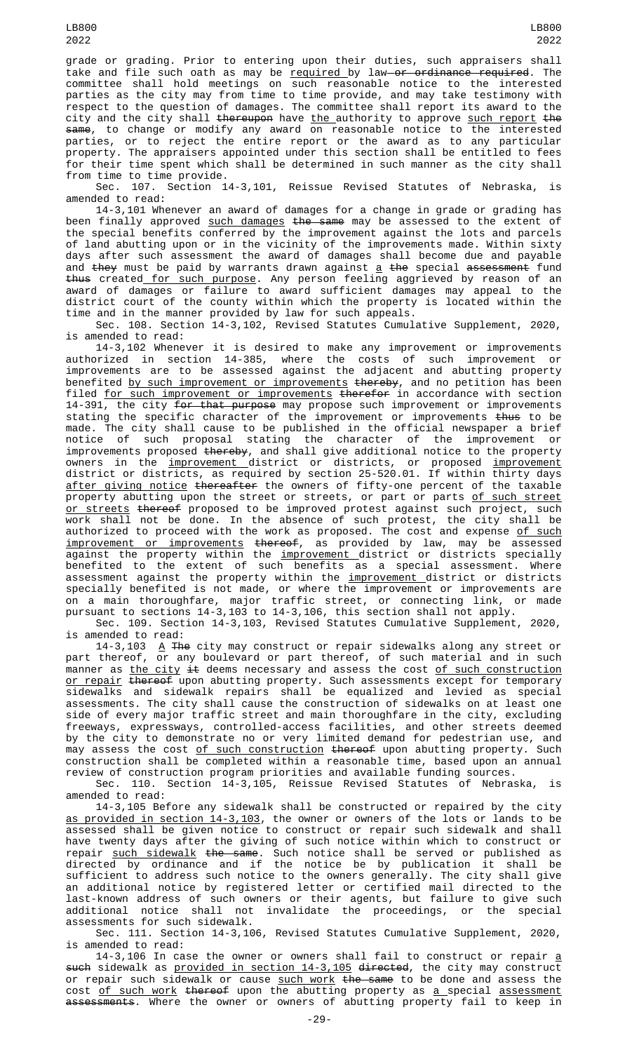grade or grading. Prior to entering upon their duties, such appraisers shall take and file such oath as may be <u>required </u>by law<del> or ordinance required</del>. The committee shall hold meetings on such reasonable notice to the interested parties as the city may from time to time provide, and may take testimony with respect to the question of damages. The committee shall report its award to the city and the city shall <del>thereupon</del> have <u>the </u>authority to approve <u>such report</u> <del>the</del> same, to change or modify any award on reasonable notice to the interested parties, or to reject the entire report or the award as to any particular property. The appraisers appointed under this section shall be entitled to fees for their time spent which shall be determined in such manner as the city shall from time to time provide.

Sec. 107. Section 14-3,101, Reissue Revised Statutes of Nebraska, is amended to read:

14-3,101 Whenever an award of damages for a change in grade or grading has been finally approved such damages the same may be assessed to the extent of the special benefits conferred by the improvement against the lots and parcels of land abutting upon or in the vicinity of the improvements made. Within sixty days after such assessment the award of damages shall become due and payable and <del>they</del> must be paid by warrants drawn against <u>a</u> <del>the</del> special <del>assessment</del> fund <del>thus</del> created<u> for such purpose</u>. Any person feeling aggrieved by reason of an award of damages or failure to award sufficient damages may appeal to the district court of the county within which the property is located within the time and in the manner provided by law for such appeals.

Sec. 108. Section 14-3,102, Revised Statutes Cumulative Supplement, 2020, is amended to read:

14-3,102 Whenever it is desired to make any improvement or improvements authorized in section 14-385, where the costs of such improvement or improvements are to be assessed against the adjacent and abutting property benefited <u>by such improvement or improvements</u> <del>thereby</del>, and no petition has been filed <u>for such improvement or improvements</u> <del>therefor</del> in accordance with section 14-391, the city <del>for that purpose</del> may propose such improvement or improvements stating the specific character of the improvement or improvements <del>thus</del> to be made. The city shall cause to be published in the official newspaper a brief notice of such proposal stating the character of the improvement or improvements proposed <del>thereby</del>, and shall give additional notice to the property owners in the <u>improvement d</u>istrict or districts, or proposed <u>improvement</u> district or districts, as required by section 25-520.01. If within thirty days <u>after giving notice</u> <del>thereafter</del> the owners of fifty-one percent of the taxable property abutting upon the street or streets, or part or parts <u>of such street</u> or streets thereof proposed to be improved protest against such project, such work shall not be done. In the absence of such protest, the city shall be authorized to proceed with the work as proposed. The cost and expense <u>of such</u> improvement or improvements thereof, as provided by law, may be assessed against the property within the <u>improvement d</u>istrict or districts specially benefited to the extent of such benefits as a special assessment. Where assessment against the property within the <u>improvement d</u>istrict or districts specially benefited is not made, or where the improvement or improvements are on a main thoroughfare, major traffic street, or connecting link, or made pursuant to sections 14-3,103 to 14-3,106, this section shall not apply.

Sec. 109. Section 14-3,103, Revised Statutes Cumulative Supplement, 2020, is amended to read:

14-3,103  $\,$   $\Delta$  The city may construct or repair sidewalks along any street or part thereof, or any boulevard or part thereof, of such material and in such manner as <u>the city</u> <del>it</del> deems necessary and assess the cost <u>of such construction</u> <u>or repair</u> <del>thereof</del> upon abutting property. Such assessments except for temporary sidewalks and sidewalk repairs shall be equalized and levied as special assessments. The city shall cause the construction of sidewalks on at least one side of every major traffic street and main thoroughfare in the city, excluding freeways, expressways, controlled-access facilities, and other streets deemed by the city to demonstrate no or very limited demand for pedestrian use, and may assess the cost <u>of such construction</u> <del>thereof</del> upon abutting property. Such construction shall be completed within a reasonable time, based upon an annual review of construction program priorities and available funding sources.

Sec. 110. Section 14-3,105, Reissue Revised Statutes of Nebraska, is amended to read:

14-3,105 Before any sidewalk shall be constructed or repaired by the city as provided in section 14-3,103, the owner or owners of the lots or lands to be assessed shall be given notice to construct or repair such sidewalk and shall have twenty days after the giving of such notice within which to construct or repair <u>such sidewalk</u> <del>the same</del>. Such notice shall be served or published as directed by ordinance and if the notice be by publication it shall be sufficient to address such notice to the owners generally. The city shall give an additional notice by registered letter or certified mail directed to the last-known address of such owners or their agents, but failure to give such additional notice shall not invalidate the proceedings, or the special assessments for such sidewalk.

Sec. 111. Section 14-3,106, Revised Statutes Cumulative Supplement, 2020, is amended to read:

14-3,106 In case the owner or owners shall fail to construct or repair a <del>such</del> sidewalk as <u>provided in section 14-3,105</u> <del>directed</del>, the city may construct or repair such sidewalk or cause <u>such work</u> <del>the same</del> to be done and assess the cost <u>of such work</u> thereof upon the abutting property as <u>a special assessment</u> assessments. Where the owner or owners of abutting property fail to keep in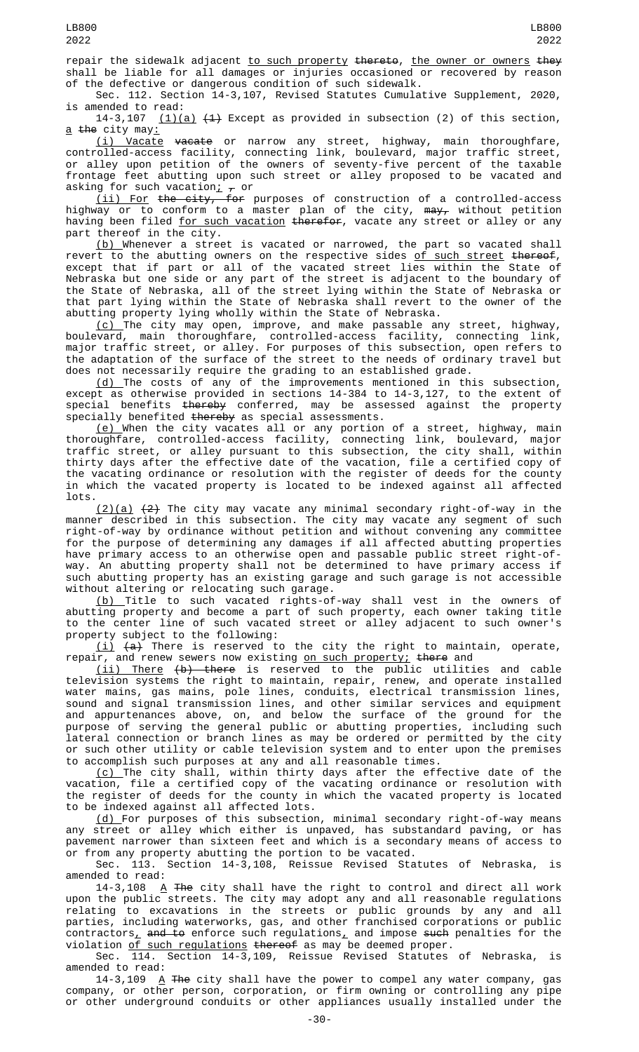repair the sidewalk adjacent to such property thereto, the owner or owners they shall be liable for all damages or injuries occasioned or recovered by reason of the defective or dangerous condition of such sidewalk.

Sec. 112. Section 14-3,107, Revised Statutes Cumulative Supplement, 2020,

is amended to read:<br> $14-3,107$  (1)(  $(1)(a)$   $(4)$  Except as provided in subsection (2) of this section,  $a$  the city may:

(i) Vacate vacate or narrow any street, highway, main thoroughfare, controlled-access facility, connecting link, boulevard, major traffic street, or alley upon petition of the owners of seventy-five percent of the taxable frontage feet abutting upon such street or alley proposed to be vacated and asking for such vacation;  $\frac{1}{f}$  or

(ii) For the city, for purposes of construction of a controlled-access highway or to conform to a master plan of the city, <del>may,</del> without petition having been filed <u>for such vacation</u> <del>therefor</del>, vacate any street or alley or any part thereof in the city.

(b) Whenever a street is vacated or narrowed, the part so vacated shall revert to the abutting owners on the respective sides <u>of such street</u> <del>thereof</del>, except that if part or all of the vacated street lies within the State of Nebraska but one side or any part of the street is adjacent to the boundary of the State of Nebraska, all of the street lying within the State of Nebraska or that part lying within the State of Nebraska shall revert to the owner of the abutting property lying wholly within the State of Nebraska.

(c) The city may open, improve, and make passable any street, highway, boulevard, main thoroughfare, controlled-access facility, connecting link, major traffic street, or alley. For purposes of this subsection, open refers to the adaptation of the surface of the street to the needs of ordinary travel but does not necessarily require the grading to an established grade.

(d) The costs of any of the improvements mentioned in this subsection, except as otherwise provided in sections 14-384 to 14-3,127, to the extent of special benefits <del>thereby</del> conferred, may be assessed against the property specially benefited thereby as special assessments.

(e) When the city vacates all or any portion of a street, highway, main thoroughfare, controlled-access facility, connecting link, boulevard, major traffic street, or alley pursuant to this subsection, the city shall, within thirty days after the effective date of the vacation, file a certified copy of the vacating ordinance or resolution with the register of deeds for the county in which the vacated property is located to be indexed against all affected lots.

(2)(a) (2) The city may vacate any minimal secondary right-of-way in the manner described in this subsection. The city may vacate any segment of such right-of-way by ordinance without petition and without convening any committee for the purpose of determining any damages if all affected abutting properties have primary access to an otherwise open and passable public street right-ofway. An abutting property shall not be determined to have primary access if such abutting property has an existing garage and such garage is not accessible without altering or relocating such garage.

(b) Title to such vacated rights-of-way shall vest in the owners of abutting property and become a part of such property, each owner taking title to the center line of such vacated street or alley adjacent to such owner's property subject to the following:

 $(i)$   $(a)$  There is reserved to the city the right to maintain, operate, repair, and renew sewers now existing <u>on such property;</u> <del>there</del> and

(ii) There (b) there is reserved to the public utilities and cable television systems the right to maintain, repair, renew, and operate installed water mains, gas mains, pole lines, conduits, electrical transmission lines, sound and signal transmission lines, and other similar services and equipment and appurtenances above, on, and below the surface of the ground for the purpose of serving the general public or abutting properties, including such lateral connection or branch lines as may be ordered or permitted by the city or such other utility or cable television system and to enter upon the premises to accomplish such purposes at any and all reasonable times.

<u>(c) </u>The city shall, within thirty days after the effective date of the vacation, file a certified copy of the vacating ordinance or resolution with the register of deeds for the county in which the vacated property is located to be indexed against all affected lots.

(d) For purposes of this subsection, minimal secondary right-of-way means any street or alley which either is unpaved, has substandard paving, or has pavement narrower than sixteen feet and which is a secondary means of access to or from any property abutting the portion to be vacated.

Sec. 113. Section 14-3,108, Reissue Revised Statutes of Nebraska, is amended to read:

14-3,108  $\,$   $\rm{A}$  The city shall have the right to control and direct all work upon the public streets. The city may adopt any and all reasonable regulations relating to excavations in the streets or public grounds by any and all parties, including waterworks, gas, and other franchised corporations or public contractors<u>,</u> <del>and to</del> enforce such regulations, and impose <del>such</del> penalties for the violation <u>of such regulations</u> <del>thereof</del> as may be deemed proper.

Sec. 114. Section 14-3,109, Reissue Revised Statutes of Nebraska, is amended to read:

14-3,109  $\overline{A}$  The city shall have the power to compel any water company, gas company, or other person, corporation, or firm owning or controlling any pipe or other underground conduits or other appliances usually installed under the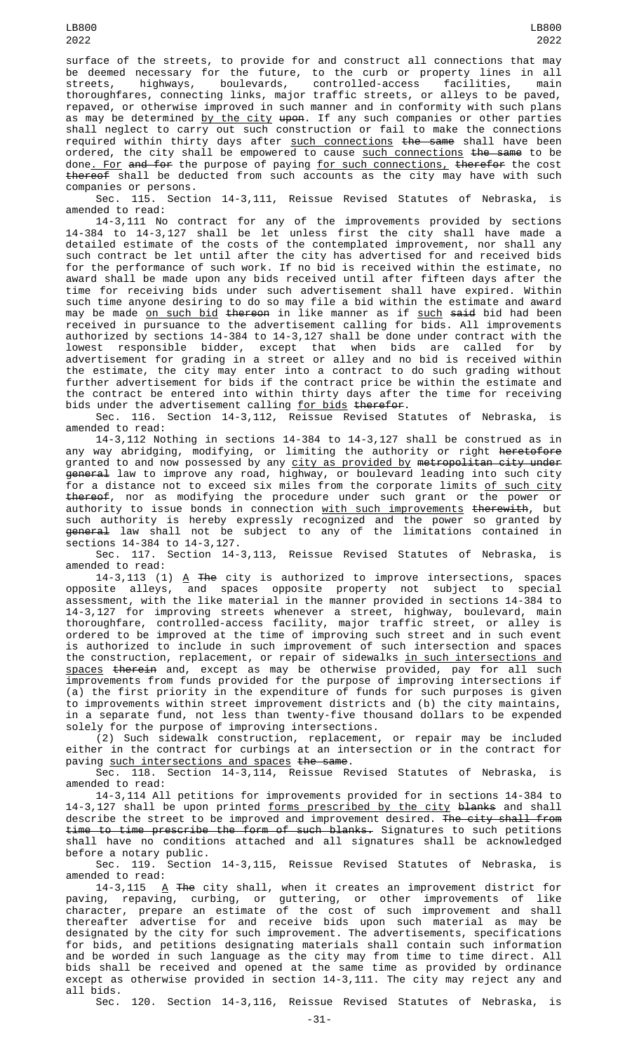surface of the streets, to provide for and construct all connections that may be deemed necessary for the future, to the curb or property lines in all streets, highways, boulevards, controlled-access facilities, main thoroughfares, connecting links, major traffic streets, or alleys to be paved, repaved, or otherwise improved in such manner and in conformity with such plans as may be determined <u>by the city</u> <del>upon</del>. If any such companies or other parties shall neglect to carry out such construction or fail to make the connections required within thirty days after <u>such connections</u> <del>the same</del> shall have been ordered, the city shall be empowered to cause <u>such connections</u> <del>the same</del> to be done. For and for the purpose of paying for such connections, therefor the cost thereof shall be deducted from such accounts as the city may have with such companies or persons.

Sec. 115. Section 14-3,111, Reissue Revised Statutes of Nebraska, is amended to read:

14-3,111 No contract for any of the improvements provided by sections 14-384 to 14-3,127 shall be let unless first the city shall have made a detailed estimate of the costs of the contemplated improvement, nor shall any such contract be let until after the city has advertised for and received bids for the performance of such work. If no bid is received within the estimate, no award shall be made upon any bids received until after fifteen days after the time for receiving bids under such advertisement shall have expired. Within such time anyone desiring to do so may file a bid within the estimate and award may be made <u>on such bid</u> <del>thereon</del> in like manner as if <u>such</u> <del>said</del> bid had been received in pursuance to the advertisement calling for bids. All improvements authorized by sections 14-384 to 14-3,127 shall be done under contract with the lowest responsible bidder, except that when bids are called for by advertisement for grading in a street or alley and no bid is received within the estimate, the city may enter into a contract to do such grading without further advertisement for bids if the contract price be within the estimate and the contract be entered into within thirty days after the time for receiving bids under the advertisement calling <u>for bids</u> <del>therefor</del>.

Sec. 116. Section 14-3,112, Reissue Revised Statutes of Nebraska, amended to read:

14-3,112 Nothing in sections 14-384 to 14-3,127 shall be construed as in any way abridging, modifying, or limiting the authority or right heretofore granted to and now possessed by any city as provided by metropolitan city under general law to improve any road, highway, or boulevard leading into such city for a distance not to exceed six miles from the corporate limits <u>of such city</u> thereof, nor as modifying the procedure under such grant or the power or authority to issue bonds in connection <u>with such improvements</u> <del>therewith</del>, but such authority is hereby expressly recognized and the power so granted by <del>general</del> law shall not be subject to any of the limitations contained in sections 14-384 to 14-3,127.

Sec. 117. Section 14-3,113, Reissue Revised Statutes of Nebraska, is amended to read:

14-3,113 (1) <u>A</u> <del>The</del> city is authorized to improve intersections, spaces opposite alleys, and spaces opposite property not subject to special assessment, with the like material in the manner provided in sections 14-384 to 14-3,127 for improving streets whenever a street, highway, boulevard, main thoroughfare, controlled-access facility, major traffic street, or alley is ordered to be improved at the time of improving such street and in such event is authorized to include in such improvement of such intersection and spaces the construction, replacement, or repair of sidewalks in such intersections and <u>spaces</u> <del>therein</del> and, except as may be otherwise provided, pay for all such improvements from funds provided for the purpose of improving intersections if (a) the first priority in the expenditure of funds for such purposes is given to improvements within street improvement districts and (b) the city maintains, in a separate fund, not less than twenty-five thousand dollars to be expended solely for the purpose of improving intersections.

(2) Such sidewalk construction, replacement, or repair may be included either in the contract for curbings at an intersection or in the contract for paving such intersections and spaces the same.

Sec. 118. Section 14-3,114, Reissue Revised Statutes of Nebraska, is Sec. 118.<br>amended to read:

14-3,114 All petitions for improvements provided for in sections 14-384 to 14-3,127 shall be upon printed <u>forms prescribed by the city</u> <del>blanks</del> and shall describe the street to be improved and improvement desired. <del>The city shall from</del> time to time prescribe the form of such blanks. Signatures to such petitions shall have no conditions attached and all signatures shall be acknowledged before a notary public.

Sec. 119. Section 14-3,115, Reissue Revised Statutes of Nebraska, is amended to read:

14-3,115  $\,$   $\rm{A}$  <del>The</del> city shall, when it creates an improvement district for paving, repaving, curbing, or guttering, or other improvements of like character, prepare an estimate of the cost of such improvement and shall thereafter advertise for and receive bids upon such material as may be designated by the city for such improvement. The advertisements, specifications for bids, and petitions designating materials shall contain such information and be worded in such language as the city may from time to time direct. All bids shall be received and opened at the same time as provided by ordinance except as otherwise provided in section 14-3,111. The city may reject any and all bids.

Sec. 120. Section 14-3,116, Reissue Revised Statutes of Nebraska, is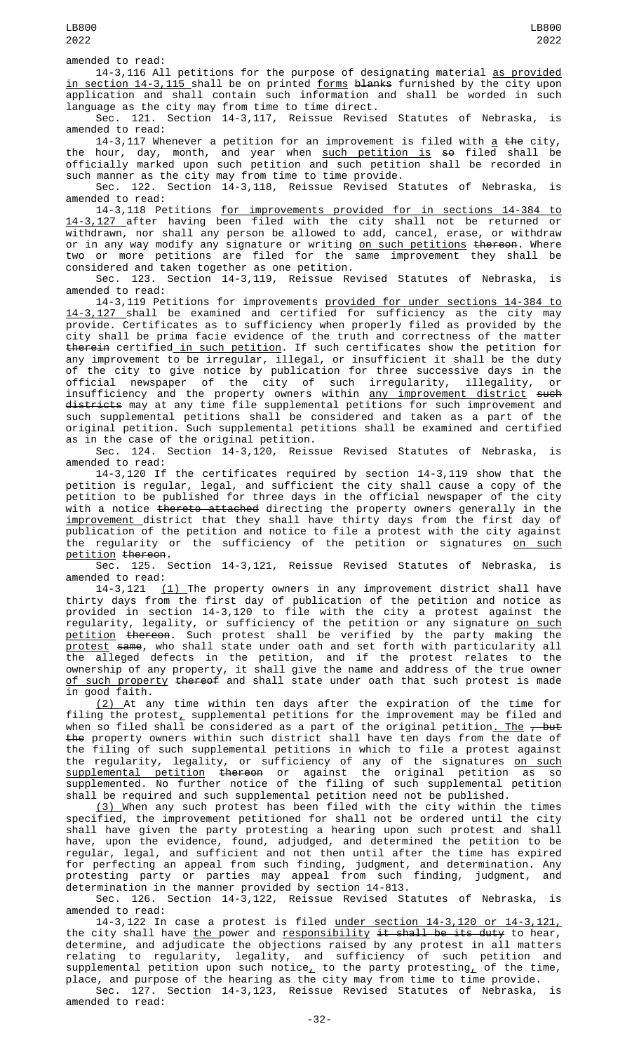amended to read:

14-3,116 All petitions for the purpose of designating material as provided in section 14-3,115 shall be on printed forms blanks furnished by the city upon application and shall contain such information and shall be worded in such language as the city may from time to time direct.

Sec. 121. Section 14-3,117, Reissue Revised Statutes of Nebraska, is amended to read:

14-3,117 Whenever a petition for an improvement is filed with <u>a</u> <del>the</del> city, the hour, day, month, and year when <u>such petition is</u> <del>so</del> filed shall be officially marked upon such petition and such petition shall be recorded in such manner as the city may from time to time provide.

Sec. 122. Section 14-3,118, Reissue Revised Statutes of Nebraska, is amended to read:

14-3,118 Petitions for improvements provided for in sections 14-384 to 14-3,127 after having been filed with the city shall not be returned or withdrawn, nor shall any person be allowed to add, cancel, erase, or withdraw or in any way modify any signature or writing <u>on such petitions</u> <del>thereon</del>. Where two or more petitions are filed for the same improvement they shall be considered and taken together as one petition.

Sec. 123. Section 14-3,119, Reissue Revised Statutes of Nebraska, is amended to read:

14-3,119 Petitions for improvements provided for under sections 14-384 to 14-3,127 shall be examined and certified for sufficiency as the city may provide. Certificates as to sufficiency when properly filed as provided by the city shall be prima facie evidence of the truth and correctness of the matter therein certified in such petition. If such certificates show the petition for any improvement to be irregular, illegal, or insufficient it shall be the duty of the city to give notice by publication for three successive days in the official newspaper of the city of such irregularity, illegality, or insufficiency and the property owners within <u>any improvement district</u> <del>such</del> districts may at any time file supplemental petitions for such improvement and such supplemental petitions shall be considered and taken as a part of the original petition. Such supplemental petitions shall be examined and certified as in the case of the original petition.

Sec. 124. Section 14-3,120, Reissue Revised Statutes of Nebraska, is amended to read:

14-3,120 If the certificates required by section 14-3,119 show that the petition is regular, legal, and sufficient the city shall cause a copy of the petition to be published for three days in the official newspaper of the city with a notice <del>thereto attached</del> directing the property owners generally in the improvement district that they shall have thirty days from the first day of publication of the petition and notice to file a protest with the city against the regularity or the sufficiency of the petition or signatures on such petition thereon.

Sec. 125. Section 14-3,121, Reissue Revised Statutes of Nebraska, is amended to read:

14-3,121 <u>(1)</u> The property owners in any improvement district shall have thirty days from the first day of publication of the petition and notice as provided in section 14-3,120 to file with the city a protest against the regularity, legality, or sufficiency of the petition or any signature <u>on such</u> petition thereon. Such protest shall be verified by the party making the protest same, who shall state under oath and set forth with particularity all the alleged defects in the petition, and if the protest relates to the ownership of any property, it shall give the name and address of the true owner <u>of such property</u> <del>thereof</del> and shall state under oath that such protest is made in good faith.

(2) At any time within ten days after the expiration of the time for filing the protest $_{\rm {\bf \bot}}$  supplemental petitions for the improvement may be filed and when so filed shall be considered as a part of the original petition<u>. The</u> <del>, but</del> the property owners within such district shall have ten days from the date of the filing of such supplemental petitions in which to file a protest against the regularity, legality, or sufficiency of any of the signatures <u>on such</u> supplemental petition thereon or against the original petition as so supplemented. No further notice of the filing of such supplemental petition shall be required and such supplemental petition need not be published.

(3) When any such protest has been filed with the city within the times specified, the improvement petitioned for shall not be ordered until the city shall have given the party protesting a hearing upon such protest and shall have, upon the evidence, found, adjudged, and determined the petition to be regular, legal, and sufficient and not then until after the time has expired for perfecting an appeal from such finding, judgment, and determination. Any protesting party or parties may appeal from such finding, judgment, and determination in the manner provided by section 14-813.

Sec. 126. Section 14-3,122, Reissue Revised Statutes of Nebraska, is amended to read:

14-3,122 In case a protest is filed under section 14-3,120 or 14-3,121, the city shall have <u>the </u>power and <u>responsibility <del>it shall be its duty</del> to hear,</u> determine, and adjudicate the objections raised by any protest in all matters relating to regularity, legality, and sufficiency of such petition and supplemental petition upon such notice, to the party protesting, of the time, place, and purpose of the hearing as the city may from time to time provide.

Sec. 127. Section 14-3,123, Reissue Revised Statutes of Nebraska, is amended to read: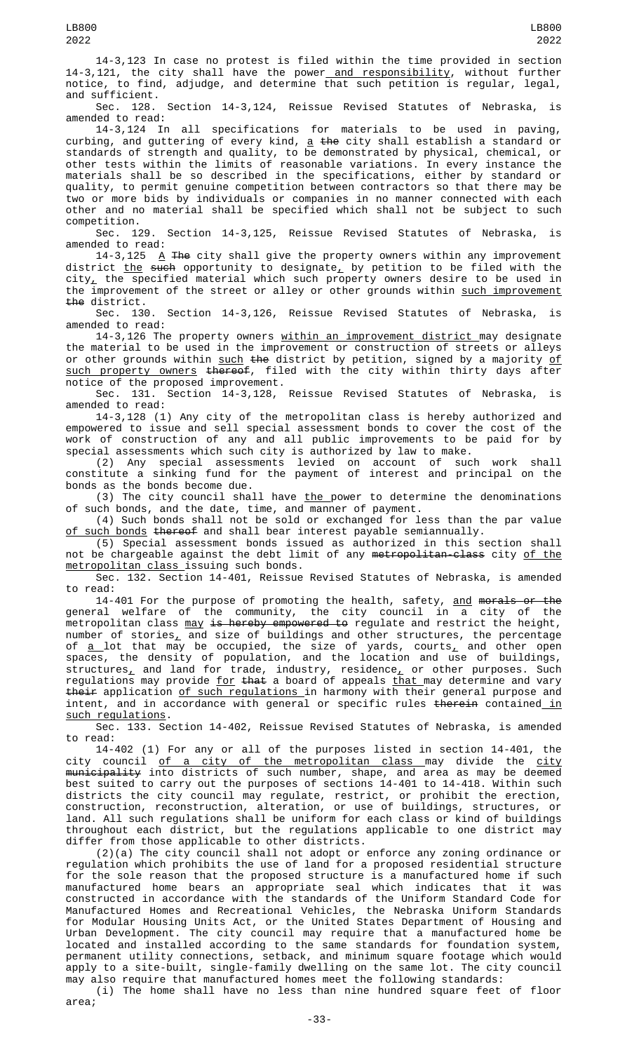14-3,123 In case no protest is filed within the time provided in section 14-3,121, the city shall have the power<u> and responsibility</u>, without further notice, to find, adjudge, and determine that such petition is regular, legal, and sufficient.

Sec. 128. Section 14-3,124, Reissue Revised Statutes of Nebraska, is amended to read:

14-3,124 In all specifications for materials to be used in paving, curbing, and guttering of every kind, <u>a</u> <del>the</del> city shall establish a standard or standards of strength and quality, to be demonstrated by physical, chemical, or other tests within the limits of reasonable variations. In every instance the materials shall be so described in the specifications, either by standard or quality, to permit genuine competition between contractors so that there may be two or more bids by individuals or companies in no manner connected with each other and no material shall be specified which shall not be subject to such competition.

Sec. 129. Section 14-3,125, Reissue Revised Statutes of Nebraska, is amended to read:

14-3,125 A The city shall give the property owners within any improvement district <u>the</u> <del>such</del> opportunity to designate<u>,</u> by petition to be filed with the city $_{\rm \star}$  the specified material which such property owners desire to be used in the improvement of the street or alley or other grounds within <u>such improvement</u> the district.

Sec. 130. Section 14-3,126, Reissue Revised Statutes of Nebraska, is amended to read:

14-3,126 The property owners <u>within an improvement district </u>may designate the material to be used in the improvement or construction of streets or alleys or other grounds within <u>such</u> <del>the</del> district by petition, signed by a majority <u>of</u> such property owners thereof, filed with the city within thirty days after notice of the proposed improvement.

Sec. 131. Section 14-3,128, Reissue Revised Statutes of Nebraska, is amended to read:

14-3,128 (1) Any city of the metropolitan class is hereby authorized and empowered to issue and sell special assessment bonds to cover the cost of the work of construction of any and all public improvements to be paid for by special assessments which such city is authorized by law to make.

(2) Any special assessments levied on account of such work shall constitute a sinking fund for the payment of interest and principal on the bonds as the bonds become due.

(3) The city council shall have <u>the p</u>ower to determine the denominations of such bonds, and the date, time, and manner of payment.

(4) Such bonds shall not be sold or exchanged for less than the par value <u>of such bonds</u> <del>thereof</del> and shall bear interest payable semiannually.

(5) Special assessment bonds issued as authorized in this section shall not be chargeable against the debt limit of any <del>metropolitan-class</del> city <u>of the</u> metropolitan class issuing such bonds.

Sec. 132. Section 14-401, Reissue Revised Statutes of Nebraska, is amended to read:

14-401 For the purpose of promoting the health, safety, <u>and</u> <del>morals or the</del> general welfare of the community, the city council in a city of the metropolitan class <u>may <del>is hereby empowered to</del> regulate and restrict the height,</u> number of stories $_{\rm \star}$  and size of buildings and other structures, the percentage of <u>a </u>lot that may be occupied, the size of yards, courts<u>,</u> and other open spaces, the density of population, and the location and use of buildings, <code>structures $\_$ </code> and land for trade, industry, residence $\_$  or other purposes. Such regulations may provide <u>for</u> <del>that</del> a board of appeals <u>that </u>may determine and vary <del>their</del> application <u>of such regulations </u>in harmony with their general purpose and intent, and in accordance with general or specific rules <del>therein</del> contained<u> in</u> such regulations.

Sec. 133. Section 14-402, Reissue Revised Statutes of Nebraska, is amended to read:

14-402 (1) For any or all of the purposes listed in section 14-401, the city council <u>of a city of the metropolitan class m</u>ay divide the <u>city</u> <del>municipality</del> into districts of such number, shape, and area as may be deemed best suited to carry out the purposes of sections 14-401 to 14-418. Within such districts the city council may regulate, restrict, or prohibit the erection, construction, reconstruction, alteration, or use of buildings, structures, or land. All such regulations shall be uniform for each class or kind of buildings throughout each district, but the regulations applicable to one district may differ from those applicable to other districts.

 $(2)(a)$  The city council shall not adopt or enforce any zoning ordinance or regulation which prohibits the use of land for a proposed residential structure for the sole reason that the proposed structure is a manufactured home if such manufactured home bears an appropriate seal which indicates that it was constructed in accordance with the standards of the Uniform Standard Code for Manufactured Homes and Recreational Vehicles, the Nebraska Uniform Standards for Modular Housing Units Act, or the United States Department of Housing and Urban Development. The city council may require that a manufactured home be located and installed according to the same standards for foundation system, permanent utility connections, setback, and minimum square footage which would apply to a site-built, single-family dwelling on the same lot. The city council may also require that manufactured homes meet the following standards:

(i) The home shall have no less than nine hundred square feet of floor area;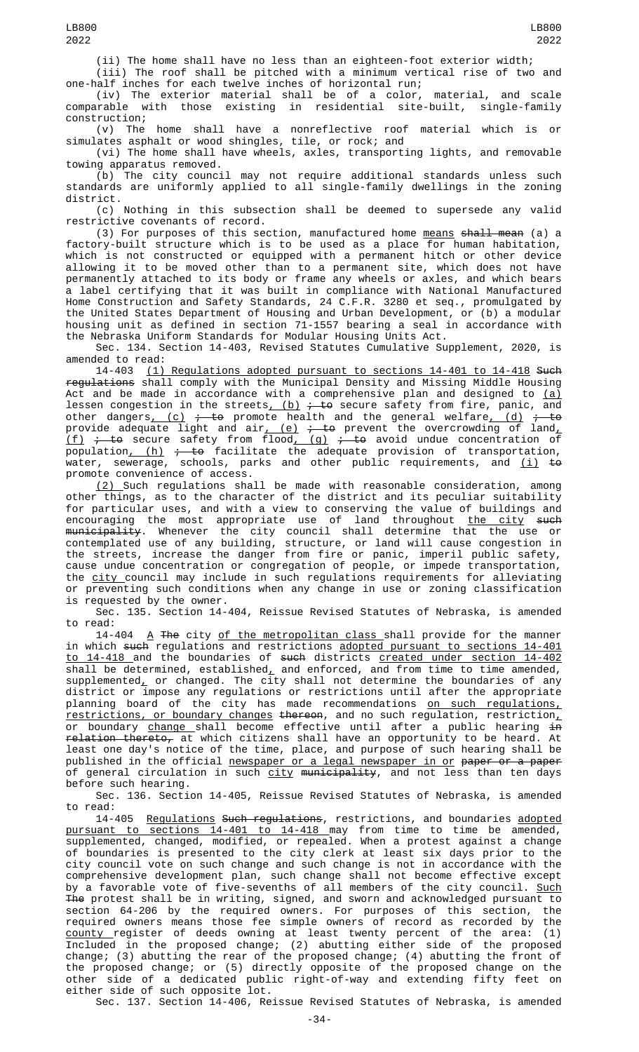(ii) The home shall have no less than an eighteen-foot exterior width; (iii) The roof shall be pitched with a minimum vertical rise of two and

one-half inches for each twelve inches of horizontal run; (iv) The exterior material shall be of a color, material, and scale comparable with those existing in residential site-built, single-family construction;

(v) The home shall have a nonreflective roof material which is or simulates asphalt or wood shingles, tile, or rock; and

(vi) The home shall have wheels, axles, transporting lights, and removable towing apparatus removed.

(b) The city council may not require additional standards unless such standards are uniformly applied to all single-family dwellings in the zoning district.

(c) Nothing in this subsection shall be deemed to supersede any valid restrictive covenants of record.

(3) For purposes of this section, manufactured home <u>means</u> <del>shall mean</del> (a) a factory-built structure which is to be used as a place for human habitation, which is not constructed or equipped with a permanent hitch or other device allowing it to be moved other than to a permanent site, which does not have permanently attached to its body or frame any wheels or axles, and which bears a label certifying that it was built in compliance with National Manufactured Home Construction and Safety Standards, 24 C.F.R. 3280 et seq., promulgated by the United States Department of Housing and Urban Development, or (b) a modular housing unit as defined in section 71-1557 bearing a seal in accordance with the Nebraska Uniform Standards for Modular Housing Units Act.

Sec. 134. Section 14-403, Revised Statutes Cumulative Supplement, 2020, is amended to read:

14-403 (1) Regulations adopted pursuant to sections 14-401 to 14-418 Such regulations shall comply with the Municipal Density and Missing Middle Housing Act and be made in accordance with a comprehensive plan and designed to <u>(a)</u> lessen congestion in the streets<u>, (b)</u> <del>; to</del> secure safety from fire, panic, and other dangers<u>, (c)</u> <del>; to</del> promote health and the general welfare<u>, (d)</u> <del>; to</del> provide adequate light and air<u>, (e)</u> <del>; to</del> prevent the overcrowding of land<u>,</u> <u>(f)</u> <del>; to</del> secure safety from flood<u>, (g)</u> <del>; to</del> avoid undue concentration of population<u>, (h)</u> <del>; to</del> facilitate the adequate provision of transportation, water, sewerage, schools, parks and other public requirements, and <u>(i)</u> <del>to</del> promote convenience of access.

(2) Such regulations shall be made with reasonable consideration, among other things, as to the character of the district and its peculiar suitability for particular uses, and with a view to conserving the value of buildings and encouraging the most appropriate use of land throughout <u>the city</u> <del>such</del> <del>municipality</del>. Whenever the city council shall determine that the use or contemplated use of any building, structure, or land will cause congestion in the streets, increase the danger from fire or panic, imperil public safety, cause undue concentration or congregation of people, or impede transportation, the <u>city </u>council may include in such regulations requirements for alleviating or preventing such conditions when any change in use or zoning classification is requested by the owner.

Sec. 135. Section 14-404, Reissue Revised Statutes of Nebraska, is amended

to read:<br>14-404 A The city of the metropolitan class shall provide for the manner in which such regulations and restrictions adopted pursuant to sections 14-401 to 14-418 and the boundaries of such districts created under section 14-402 shall be determined, established $_{\mathcal{L}}$  and enforced, and from time to time amended, supplemented<u>,</u> or changed. The city shall not determine the boundaries of any district or impose any regulations or restrictions until after the appropriate planning board of the city has made recommendations <u>on such regulations,</u>  $\mathsf{restrictions},$  or boundary changes thereon, and no such regulation, restriction, or boundary <u>change s</u>hall become effective until after a public hearing <del>in</del> relation thereto, at which citizens shall have an opportunity to be heard. At least one day's notice of the time, place, and purpose of such hearing shall be published in the official <u>newspaper or a legal newspaper in or</u> <del>paper or a paper</del> of general circulation in such <u>city</u> <del>municipality</del>, and not less than ten days before such hearing.

Sec. 136. Section 14-405, Reissue Revised Statutes of Nebraska, is amended to read:

14-405 Regulations Such regulations, restrictions, and boundaries adopted pursuant to sections 14-401 to 14-418 may from time to time be amended, supplemented, changed, modified, or repealed. When a protest against a change of boundaries is presented to the city clerk at least six days prior to the city council vote on such change and such change is not in accordance with the comprehensive development plan, such change shall not become effective except by a favorable vote of five-sevenths of all members of the city council. <u>Such</u> The protest shall be in writing, signed, and sworn and acknowledged pursuant to section 64-206 by the required owners. For purposes of this section, the required owners means those fee simple owners of record as recorded by the county register of deeds owning at least twenty percent of the area: (1) Included in the proposed change; (2) abutting either side of the proposed change; (3) abutting the rear of the proposed change; (4) abutting the front of the proposed change; or (5) directly opposite of the proposed change on the other side of a dedicated public right-of-way and extending fifty feet on either side of such opposite lot.

Sec. 137. Section 14-406, Reissue Revised Statutes of Nebraska, is amended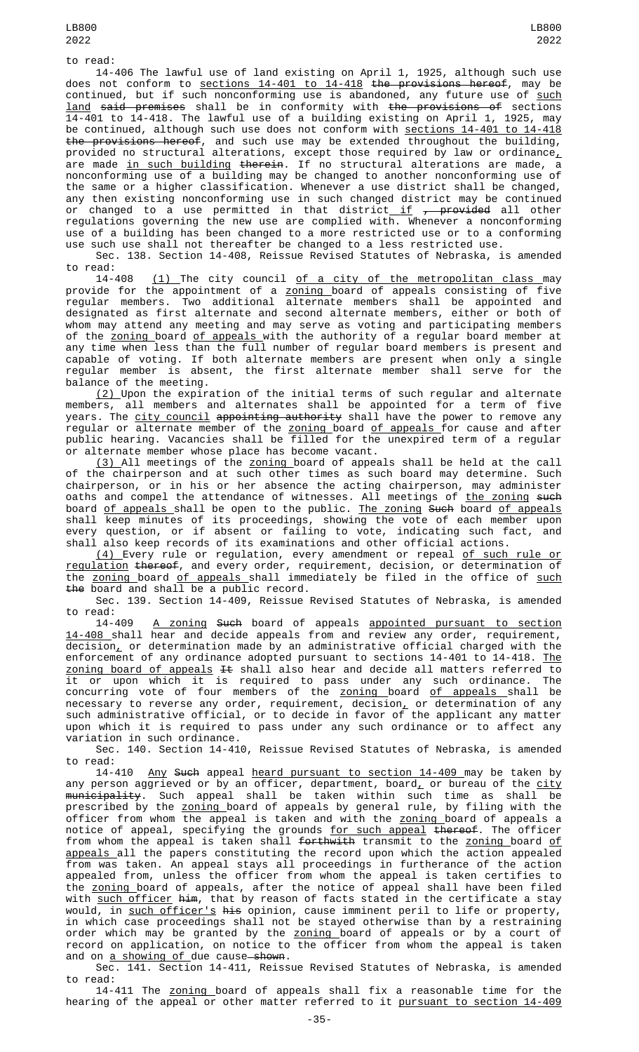to read:

14-406 The lawful use of land existing on April 1, 1925, although such use does not conform to sections 14-401 to 14-418 the provisions hereof, may be continued, but if such nonconforming use is abandoned, any future use of such <u>land</u> <del>said premises</del> shall be in conformity with <del>the provisions of</del> sections 14-401 to 14-418. The lawful use of a building existing on April 1, 1925, may be continued, although such use does not conform with <u>sections 14-401 to 14-418</u> the provisions hereof, and such use may be extended throughout the building, provided no structural alterations, except those required by law or ordinance $_{L}$ are made in such building therein. If no structural alterations are made, a nonconforming use of a building may be changed to another nonconforming use of the same or a higher classification. Whenever a use district shall be changed, any then existing nonconforming use in such changed district may be continued or changed to a use permitted in that district<u> if</u> <del>, provided</del> all other regulations governing the new use are complied with. Whenever a nonconforming use of a building has been changed to a more restricted use or to a conforming use such use shall not thereafter be changed to a less restricted use. Sec. 138. Section 14-408, Reissue Revised Statutes of Nebraska, is amended

to read:

14-408 <u>(1) </u>The city council <u>of a city of the metropolitan class m</u>ay provide for the appointment of a <u>zoning </u>board of appeals consisting of five regular members. Two additional alternate members shall be appointed and designated as first alternate and second alternate members, either or both of whom may attend any meeting and may serve as voting and participating members of the <u>zoning </u>board <u>of appeals </u>with the authority of a regular board member at any time when less than the full number of regular board members is present and capable of voting. If both alternate members are present when only a single regular member is absent, the first alternate member shall serve for the balance of the meeting.

<u>(2) </u>Upon the expiration of the initial terms of such regular and alternate members, all members and alternates shall be appointed for a term of five years. The city council appointing authority shall have the power to remove any regular or alternate member of the <u>zoning board of appeals for cause and afte</u>r public hearing. Vacancies shall be filled for the unexpired term of a regular or alternate member whose place has become vacant.

(3) All meetings of the zoning board of appeals shall be held at the call of the chairperson and at such other times as such board may determine. Such chairperson, or in his or her absence the acting chairperson, may administer oaths and compel the attendance of witnesses. All meetings of <u>the zoning</u> <del>such</del> board <u>of appeals </u>shall be open to the public. <u>The zoning</u> <del>Such</del> board <u>of appeals</u> shall keep minutes of its proceedings, showing the vote of each member upon every question, or if absent or failing to vote, indicating such fact, and shall also keep records of its examinations and other official actions.

<u>(4) E</u>very rule or regulation, every amendment or repeal <u>of such rule or</u> regulation thereof, and every order, requirement, decision, or determination of the <u>zoning </u>board <u>of appeals shall immediatel</u>y be filed in the office of <u>such</u> the board and shall be a public record.

Sec. 139. Section 14-409, Reissue Revised Statutes of Nebraska, is amended to read:

14-409 <u>A zoning</u> <del>Such</del> board of appeals <u>appointed pursuant to section</u> 14-408 shall hear and decide appeals from and review any order, requirement,  $\overline{\text{decision}}$  or determination made by an administrative official charged with the enforcement of any ordinance adopted pursuant to sections 14-401 to 14-418. The zoning board of appeals It shall also hear and decide all matters referred to it or upon which it is required to pass under any such ordinance. The concurring vote of four members of the <u>zoning b</u>oard <u>of appeals s</u>hall be necessary to reverse any order, requirement, decision $_{\bm L}$  or determination of any such administrative official, or to decide in favor of the applicant any matter upon which it is required to pass under any such ordinance or to affect any variation in such ordinance.

Sec. 140. Section 14-410, Reissue Revised Statutes of Nebraska, is amended to read:

14-410 <u>Any</u> <del>Such</del> appeal <u>heard pursuant to section 14-409 </u>may be taken by any person aggrieved or by an officer, department, board<u>,</u> or bureau of the <u>city</u> <del>municipality</del>. Such appeal shall be taken within such time as shall be prescribed by the <u>zoning </u>board of appeals by general rule, by filing with the officer from whom the appeal is taken and with the <u>zoning </u>board of appeals a notice of appeal, specifying the grounds <u>for such appeal</u> <del>thereof</del>. The officer from whom the appeal is taken shall <del>forthwith</del> transmit to the <u>zoning </u>board <u>of</u> appeals all the papers constituting the record upon which the action appealed from was taken. An appeal stays all proceedings in furtherance of the action appealed from, unless the officer from whom the appeal is taken certifies to the zoning board of appeals, after the notice of appeal shall have been filed with <u>such officer</u> <del>him</del>, that by reason of facts stated in the certificate a stay would, in <u>such officer's</u> <del>his</del> opinion, cause imminent peril to life or property, in which case proceedings shall not be stayed otherwise than by a restraining order which may be granted by the <u>zoning b</u>oard of appeals or by a court of record on application, on notice to the officer from whom the appeal is taken and on a showing of due cause-shown.

Sec. 141. Section 14-411, Reissue Revised Statutes of Nebraska, is amended to read:

14-411 The zoning board of appeals shall fix a reasonable time for the hearing of the appeal or other matter referred to it pursuant to section 14-409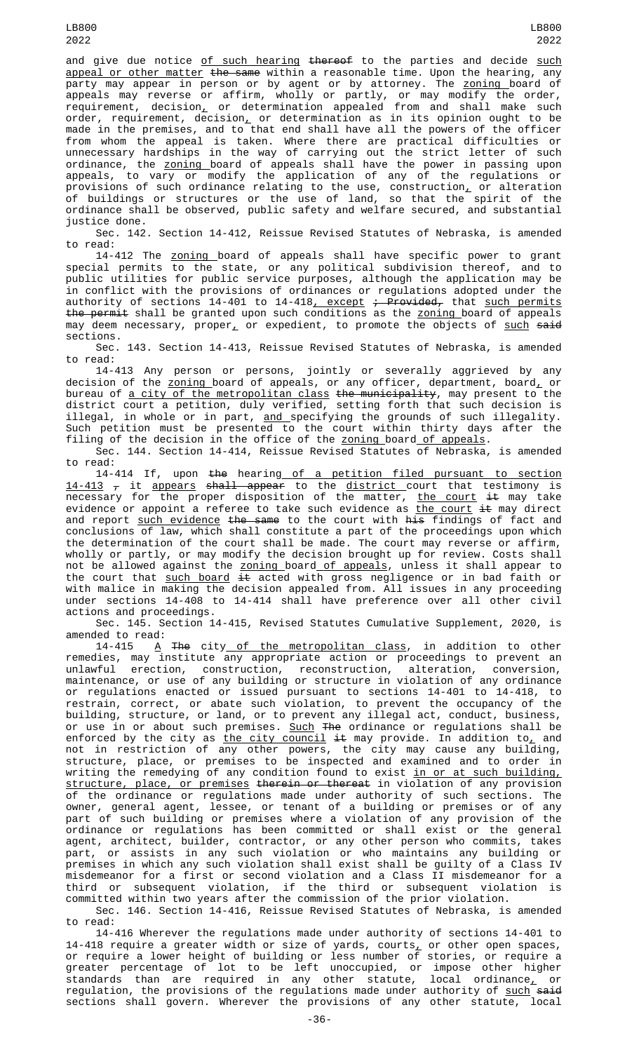and give due notice of such hearing thereof to the parties and decide such appeal or other matter the same within a reasonable time. Upon the hearing, any party may appear in person or by agent or by attorney. The <u>zoning </u>board of appeals may reverse or affirm, wholly or partly, or may modify the order, requirement, decision, or determination appealed from and shall make such order, requirement, decision<u>,</u> or determination as in its opinion ought to be made in the premises, and to that end shall have all the powers of the officer from whom the appeal is taken. Where there are practical difficulties or unnecessary hardships in the way of carrying out the strict letter of such ordinance, the <u>zoning b</u>oard of appeals shall have the power in passing upon appeals, to vary or modify the application of any of the regulations or provisions of such ordinance relating to the use, construction<u>,</u> or alteration of buildings or structures or the use of land, so that the spirit of the ordinance shall be observed, public safety and welfare secured, and substantial justice done.

Sec. 142. Section 14-412, Reissue Revised Statutes of Nebraska, is amended to read:

14-412 The <u>zoning </u>board of appeals shall have specific power to grant special permits to the state, or any political subdivision thereof, and to public utilities for public service purposes, although the application may be in conflict with the provisions of ordinances or regulations adopted under the authority of sections 14-401 to 14-418<u>, except</u> <del>; Provided,</del> that <u>such permits</u> <del>the permit</del> shall be granted upon such conditions as the <u>zoning </u>board of appeals may deem necessary, proper<u>,</u> or expedient, to promote the objects of <u>such</u> <del>said</del> sections.

Sec. 143. Section 14-413, Reissue Revised Statutes of Nebraska, is amended to read:

14-413 Any person or persons, jointly or severally aggrieved by any decision of the <u>zoning </u>board of appeals, or any officer, department, board<u>,</u> or bureau of <u>a city of the metropolitan class</u> <del>the municipality</del>, may present to the district court a petition, duly verified, setting forth that such decision is illegal, in whole or in part, <u>and specifying</u> the grounds of such illegality. Such petition must be presented to the court within thirty days after the filing of the decision in the office of the <u>zoning </u>board <u>of appeals</u>.

Sec. 144. Section 14-414, Reissue Revised Statutes of Nebraska, is amended to read:

14-414 If, upon the hearing of a petition filed pursuant to section <u>14-413</u>  $_{\mathcal{T}}$  it <u>appears</u> <del>shall appear</del> to the <u>district c</u>ourt that testimony is necessary for the proper disposition of the matter, <u>the court</u> <del>it</del> may take evidence or appoint a referee to take such evidence as <u>the court</u> <del>it</del> may direct and report <u>such evidence</u> <del>the same</del> to the court with <del>his</del> findings of fact and conclusions of law, which shall constitute a part of the proceedings upon which the determination of the court shall be made. The court may reverse or affirm, wholly or partly, or may modify the decision brought up for review. Costs shall not be allowed against the <u>zoning b</u>oard<u> of appeals</u>, unless it shall appear to the court that <u>such board</u> <del>it</del> acted with gross negligence or in bad faith or with malice in making the decision appealed from. All issues in any proceeding under sections 14-408 to 14-414 shall have preference over all other civil actions and proceedings.

Sec. 145. Section 14-415, Revised Statutes Cumulative Supplement, 2020, is amended to read:

14-415 <u>A</u> <del>The</del> city<u> of the metropolitan class</u>, in addition to other remedies, may institute any appropriate action or proceedings to prevent an unlawful erection, construction, reconstruction, alteration, conversion, maintenance, or use of any building or structure in violation of any ordinance or regulations enacted or issued pursuant to sections 14-401 to 14-418, to restrain, correct, or abate such violation, to prevent the occupancy of the building, structure, or land, or to prevent any illegal act, conduct, business, or use in or about such premises. <u>Such</u> <del>The</del> ordinance or regulations shall be enforced by the city as <u>the city council</u> <del>it</del> may provide. In addition to<u>,</u> and not in restriction of any other powers, the city may cause any building, structure, place, or premises to be inspected and examined and to order in writing the remedying of any condition found to exist <u>in or at such building,</u> structure, place, or premises therein or thereat in violation of any provision of the ordinance or regulations made under authority of such sections. The owner, general agent, lessee, or tenant of a building or premises or of any part of such building or premises where a violation of any provision of the ordinance or regulations has been committed or shall exist or the general agent, architect, builder, contractor, or any other person who commits, takes part, or assists in any such violation or who maintains any building or premises in which any such violation shall exist shall be guilty of a Class IV misdemeanor for a first or second violation and a Class II misdemeanor for a third or subsequent violation, if the third or subsequent violation is committed within two years after the commission of the prior violation.

Sec. 146. Section 14-416, Reissue Revised Statutes of Nebraska, is amended to read:

14-416 Wherever the regulations made under authority of sections 14-401 to 14-418 require a greater width or size of yards, courts $_{\rm {\cal L}}$  or other open spaces, or require a lower height of building or less number of stories, or require a greater percentage of lot to be left unoccupied, or impose other higher standards than are required in any other statute, local ordinance, or regulation, the provisions of the regulations made under authority of <u>such</u> <del>said</del> sections shall govern. Wherever the provisions of any other statute, local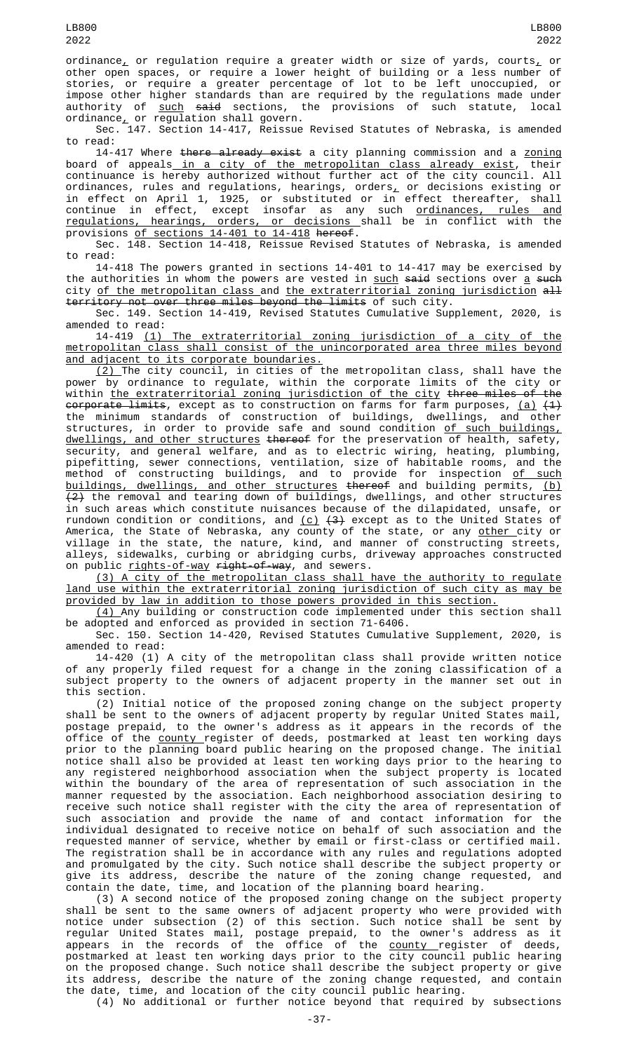LB800

ordinance<sub>L</sub> or regulation require a greater width or size of yards, courts<sub>L</sub> or other open spaces, or require a lower height of building or a less number of stories, or require a greater percentage of lot to be left unoccupied, or impose other higher standards than are required by the regulations made under authority of <u>such</u> <del>said</del> sections, the provisions of such statute, local ordinance $_{\scriptscriptstyle\perp}$  or regulation shall govern.

Sec. 147. Section 14-417, Reissue Revised Statutes of Nebraska, is amended to read:

14-417 Where there already exist a city planning commission and a zoning board of appeals<u> in a city of the metropolitan class already exist</u>, their continuance is hereby authorized without further act of the city council. All ordinances, rules and regulations, hearings, orders $_{\rm L}$  or decisions existing or in effect on April 1, 1925, or substituted or in effect thereafter, shall continue in effect, except insofar as any such <u>ordinances, rules and</u> regulations, hearings, orders, or decisions shall be in conflict with the provisions of sections 14-401 to 14-418 hereof.

Sec. 148. Section 14-418, Reissue Revised Statutes of Nebraska, is amended to read:

14-418 The powers granted in sections 14-401 to 14-417 may be exercised by the authorities in whom the powers are vested in <u>such</u> <del>said</del> sections over <u>a</u> <del>such</del> city of the metropolitan class and the extraterritorial zoning jurisdiction all territory not over three miles beyond the limits of such city.

Sec. 149. Section 14-419, Revised Statutes Cumulative Supplement, 2020, is amended to read:

14-419 (1) The extraterritorial zoning jurisdiction of a city of the metropolitan class shall consist of the unincorporated area three miles beyond and adjacent to its corporate boundaries.

(2) The city council, in cities of the metropolitan class, shall have the power by ordinance to regulate, within the corporate limits of the city or<br>within the extraterritorial zoning iurisdiction of the city three miles of the within  ${\sf the\; extraterritorial\; zoning\; jurisdiction\; of\; the\; city\; three\; miles\; of\;}$ <del>corporate limits</del>, except as to construction on farms for farm purposes, <u>(a)</u> <del>(1)</del> the minimum standards of construction of buildings, dwellings, and other structures, in order to provide safe and sound condition <u>of such buildings,</u> dwellings, and other structures thereof for the preservation of health, safety, security, and general welfare, and as to electric wiring, heating, plumbing, pipefitting, sewer connections, ventilation, size of habitable rooms, and the method of constructing buildings, and to provide for inspection <u>of such</u> buildings, dwellings, and other structures thereof and building permits, (b)  $\{2\}$  the removal and tearing down of buildings, dwellings, and other structures in such areas which constitute nuisances because of the dilapidated, unsafe, or rundown condition or conditions, and  $(c)$   $(3)$  except as to the United States of America, the State of Nebraska, any county of the state, or any <u>other c</u>ity or village in the state, the nature, kind, and manner of constructing streets, alleys, sidewalks, curbing or abridging curbs, driveway approaches constructed on public <u>rights-of-way</u> <del>right-of-way</del>, and sewers.

(3) A city of the metropolitan class shall have the authority to regulate land use within the extraterritorial zoning jurisdiction of such city as may be provided by law in addition to those powers provided in this section.

(4) Any building or construction code implemented under this section shall be adopted and enforced as provided in section 71-6406.

Sec. 150. Section 14-420, Revised Statutes Cumulative Supplement, 2020, is amended to read:

14-420 (1) A city of the metropolitan class shall provide written notice of any properly filed request for a change in the zoning classification of a subject property to the owners of adjacent property in the manner set out in this section.

(2) Initial notice of the proposed zoning change on the subject property shall be sent to the owners of adjacent property by regular United States mail, postage prepaid, to the owner's address as it appears in the records of the office of the <u>county </u>register of deeds, postmarked at least ten working days prior to the planning board public hearing on the proposed change. The initial notice shall also be provided at least ten working days prior to the hearing to any registered neighborhood association when the subject property is located within the boundary of the area of representation of such association in the manner requested by the association. Each neighborhood association desiring to receive such notice shall register with the city the area of representation of such association and provide the name of and contact information for the individual designated to receive notice on behalf of such association and the requested manner of service, whether by email or first-class or certified mail. The registration shall be in accordance with any rules and regulations adopted and promulgated by the city. Such notice shall describe the subject property or give its address, describe the nature of the zoning change requested, and contain the date, time, and location of the planning board hearing.

(3) A second notice of the proposed zoning change on the subject property shall be sent to the same owners of adjacent property who were provided with notice under subsection (2) of this section. Such notice shall be sent by regular United States mail, postage prepaid, to the owner's address as it appears in the records of the office of the <u>county </u>register of deeds, postmarked at least ten working days prior to the city council public hearing on the proposed change. Such notice shall describe the subject property or give its address, describe the nature of the zoning change requested, and contain the date, time, and location of the city council public hearing.

(4) No additional or further notice beyond that required by subsections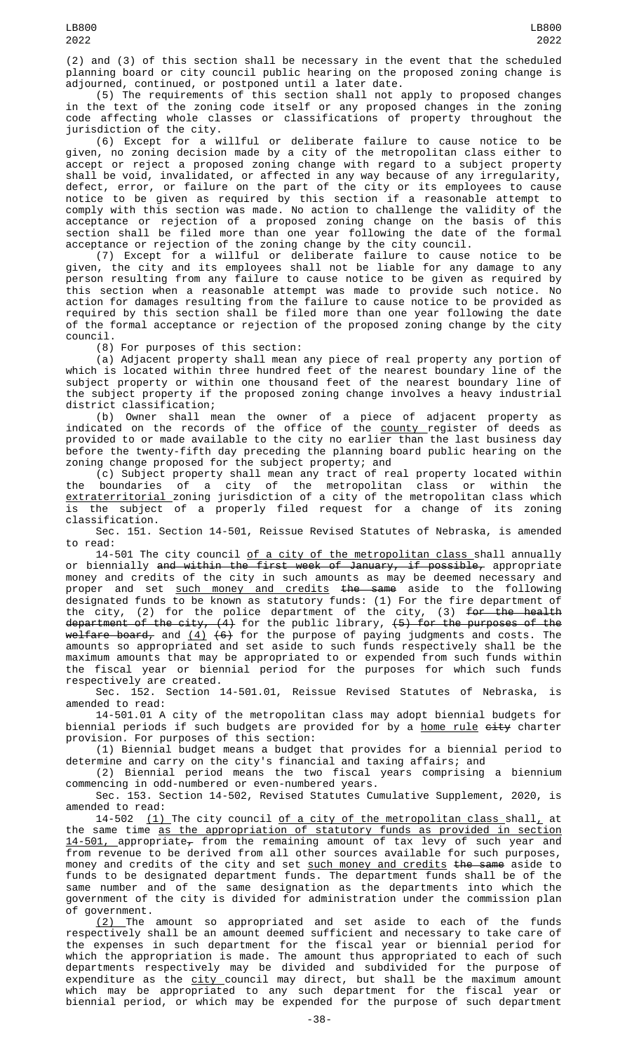2022

(2) and (3) of this section shall be necessary in the event that the scheduled planning board or city council public hearing on the proposed zoning change is adjourned, continued, or postponed until a later date.

(5) The requirements of this section shall not apply to proposed changes in the text of the zoning code itself or any proposed changes in the zoning code affecting whole classes or classifications of property throughout the jurisdiction of the city.

(6) Except for a willful or deliberate failure to cause notice to be given, no zoning decision made by a city of the metropolitan class either to accept or reject a proposed zoning change with regard to a subject property shall be void, invalidated, or affected in any way because of any irregularity, defect, error, or failure on the part of the city or its employees to cause notice to be given as required by this section if a reasonable attempt to comply with this section was made. No action to challenge the validity of the acceptance or rejection of a proposed zoning change on the basis of this section shall be filed more than one year following the date of the formal acceptance or rejection of the zoning change by the city council.

(7) Except for a willful or deliberate failure to cause notice to be given, the city and its employees shall not be liable for any damage to any person resulting from any failure to cause notice to be given as required by this section when a reasonable attempt was made to provide such notice. No action for damages resulting from the failure to cause notice to be provided as required by this section shall be filed more than one year following the date of the formal acceptance or rejection of the proposed zoning change by the city council.

(8) For purposes of this section:

(a) Adjacent property shall mean any piece of real property any portion of which is located within three hundred feet of the nearest boundary line of the subject property or within one thousand feet of the nearest boundary line of the subject property if the proposed zoning change involves a heavy industrial district classification;

(b) Owner shall mean the owner of a piece of adjacent property as indicated on the records of the office of the <u>county </u>register of deeds as provided to or made available to the city no earlier than the last business day before the twenty-fifth day preceding the planning board public hearing on the zoning change proposed for the subject property; and

(c) Subject property shall mean any tract of real property located within the boundaries of a city of the metropolitan class or within the extraterritorial zoning jurisdiction of a city of the metropolitan class which is the subject of a properly filed request for a change of its zoning classification.

Sec. 151. Section 14-501, Reissue Revised Statutes of Nebraska, is amended to read:

14-501 The city council <u>of a city of the metropolitan class s</u>hall annually or biennially <del>and within the first week of January, if possible,</del> appropriate money and credits of the city in such amounts as may be deemed necessary and proper and set <u>such money and credits</u> <del>the same</del> aside to the following designated funds to be known as statutory funds: (1) For the fire department of the city, (2) for the police department of the city, (3) <del>for the health</del> department of the city, (4) for the public library, <del>(5) for the purposes of the</del> <del>welfare board,</del> and <u>(4)</u> <del>(6)</del> for the purpose of paying judgments and costs. The amounts so appropriated and set aside to such funds respectively shall be the maximum amounts that may be appropriated to or expended from such funds within the fiscal year or biennial period for the purposes for which such funds respectively are created.

Sec. 152. Section 14-501.01, Reissue Revised Statutes of Nebraska, is amended to read:

14-501.01 A city of the metropolitan class may adopt biennial budgets for biennial periods if such budgets are provided for by a <u>home rule</u> eity charter provision. For purposes of this section:

(1) Biennial budget means a budget that provides for a biennial period to determine and carry on the city's financial and taxing affairs; and

(2) Biennial period means the two fiscal years comprising a biennium commencing in odd-numbered or even-numbered years.

Sec. 153. Section 14-502, Revised Statutes Cumulative Supplement, 2020, is amended to read:

14-502  $(1)$  The city council of a city of the metropolitan class shall, at the same time as the appropriation of statutory funds as provided in section <u>14-501, a</u>ppropriate<del>,</del> from the remaining amount of tax levy of such year and from revenue to be derived from all other sources available for such purposes, money and credits of the city and set <u>such money and credits</u> <del>the same</del> aside to funds to be designated department funds. The department funds shall be of the same number and of the same designation as the departments into which the government of the city is divided for administration under the commission plan of government.

(2) The amount so appropriated and set aside to each of the funds respectively shall be an amount deemed sufficient and necessary to take care of the expenses in such department for the fiscal year or biennial period for which the appropriation is made. The amount thus appropriated to each of such departments respectively may be divided and subdivided for the purpose of expenditure as the <u>city c</u>ouncil may direct, but shall be the maximum amount which may be appropriated to any such department for the fiscal year or biennial period, or which may be expended for the purpose of such department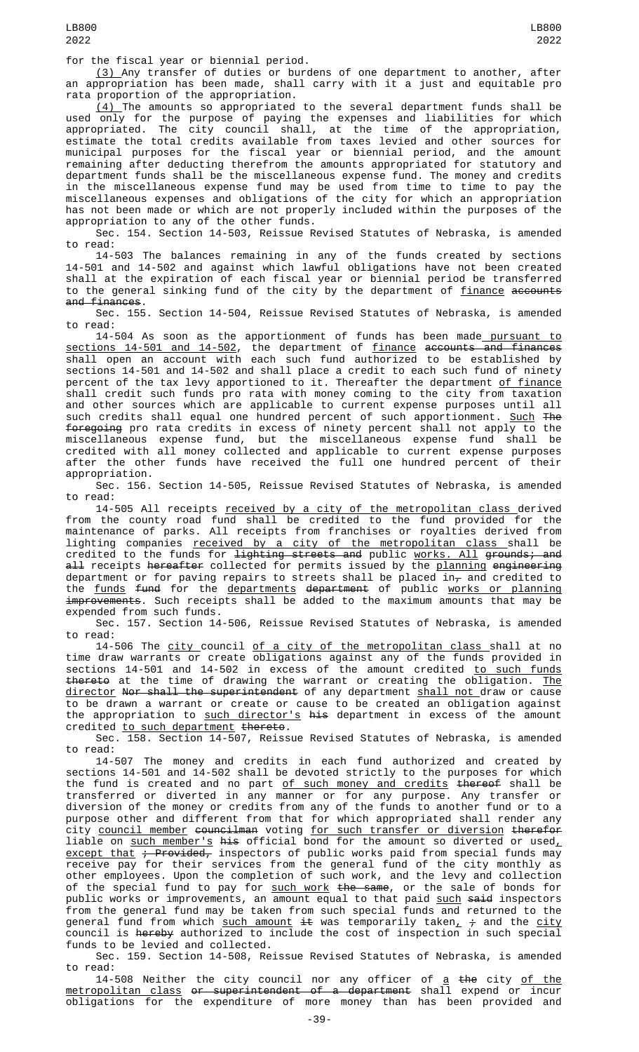for the fiscal year or biennial period.

(3) Any transfer of duties or burdens of one department to another, after an appropriation has been made, shall carry with it a just and equitable pro<br>rata proportion of the appropriation. rata proportion of the appropriation.

 $\left( 4\right)$  The amounts so appropriated to the several department funds shall be used only for the purpose of paying the expenses and liabilities for which appropriated. The city council shall, at the time of the appropriation, estimate the total credits available from taxes levied and other sources for municipal purposes for the fiscal year or biennial period, and the amount remaining after deducting therefrom the amounts appropriated for statutory and department funds shall be the miscellaneous expense fund. The money and credits in the miscellaneous expense fund may be used from time to time to pay the miscellaneous expenses and obligations of the city for which an appropriation has not been made or which are not properly included within the purposes of the appropriation to any of the other funds.

Sec. 154. Section 14-503, Reissue Revised Statutes of Nebraska, is amended to read:

14-503 The balances remaining in any of the funds created by sections 14-501 and 14-502 and against which lawful obligations have not been created shall at the expiration of each fiscal year or biennial period be transferred to the general sinking fund of the city by the department of <u>finance</u> <del>accounts</del> and finances.

Sec. 155. Section 14-504, Reissue Revised Statutes of Nebraska, is amended to read:

14-504 As soon as the apportionment of funds has been made pursuant to sections 14-501 and 14-502, the department of finance accounts and finances shall open an account with each such fund authorized to be established by sections 14-501 and 14-502 and shall place a credit to each such fund of ninety percent of the tax levy apportioned to it. Thereafter the department <u>of finance</u> shall credit such funds pro rata with money coming to the city from taxation and other sources which are applicable to current expense purposes until all such credits shall equal one hundred percent of such apportionment. Such The foregoing pro rata credits in excess of ninety percent shall not apply to the miscellaneous expense fund, but the miscellaneous expense fund shall be credited with all money collected and applicable to current expense purposes after the other funds have received the full one hundred percent of their appropriation.

Sec. 156. Section 14-505, Reissue Revised Statutes of Nebraska, is amended to read:

14-505 All receipts <u>received by a city of the metropolitan class </u>derived from the county road fund shall be credited to the fund provided for the maintenance of parks. All receipts from franchises or royalties derived from lighting companies <u>received by a city of the metropolitan class s</u>hall be credited to the funds for <del>lighting streets and</del> public <u>works. All</u> <del>grounds; and</del> <del>all</del> receipts <del>hereafter</del> collected for permits issued by the <u>planning</u> e<del>ngineering</del> department or for paving repairs to streets shall be placed in $_\mathcal{T}$  and credited to the <u>funds</u> <del>fund</del> for the <u>departments</u> <del>department</del> of public <u>works or planning</u> improvements. Such receipts shall be added to the maximum amounts that may be expended from such funds.

Sec. 157. Section 14-506, Reissue Revised Statutes of Nebraska, is amended to read:

14-506 The <u>city council of a city of the metropolitan class s</u>hall at no time draw warrants or create obligations against any of the funds provided in sections 14-501 and 14-502 in excess of the amount credited <u>to such funds</u> thereto at the time of drawing the warrant or creating the obligation. The director Nor shall the superintendent of any department shall not draw or cause to be drawn a warrant or create or cause to be created an obligation against the appropriation to <u>such director's</u> <del>his</del> department in excess of the amount credited <u>to such department</u> <del>thereto</del>.

Sec. 158. Section 14-507, Reissue Revised Statutes of Nebraska, is amended to read:

14-507 The money and credits in each fund authorized and created by sections 14-501 and 14-502 shall be devoted strictly to the purposes for which the fund is created and no part of such money and credits thereof shall be transferred or diverted in any manner or for any purpose. Any transfer or diversion of the money or credits from any of the funds to another fund or to a purpose other and different from that for which appropriated shall render any city <u>council member</u> <del>councilman</del> voting <u>for such transfer or diversion</u> <del>therefor</del> liable on <u>such member's</u> <del>his</del> official bond for the amount so diverted or used $_{\scriptscriptstyle\perp}$ <u>except that</u> <del>; Provided,</del> inspectors of public works paid from special funds may receive pay for their services from the general fund of the city monthly as other employees. Upon the completion of such work, and the levy and collection of the special fund to pay for <u>such work</u> <del>the same</del>, or the sale of bonds for public works or improvements, an amount equal to that paid <u>such</u> <del>said</del> inspectors from the general fund may be taken from such special funds and returned to the general fund from which <u>such amount</u> <del>it</del> was temporarily taken<u>,</u> <del>;</del> and the <u>city</u> council is <del>hereby</del> authorized to include the cost of inspection in such special funds to be levied and collected.

Sec. 159. Section 14-508, Reissue Revised Statutes of Nebraska, is amended to read:

14-508 Neither the city council nor any officer of <u>a</u> <del>the</del> city <u>of the</u> metropolitan class or superintendent of a department shall expend or incur obligations for the expenditure of more money than has been provided and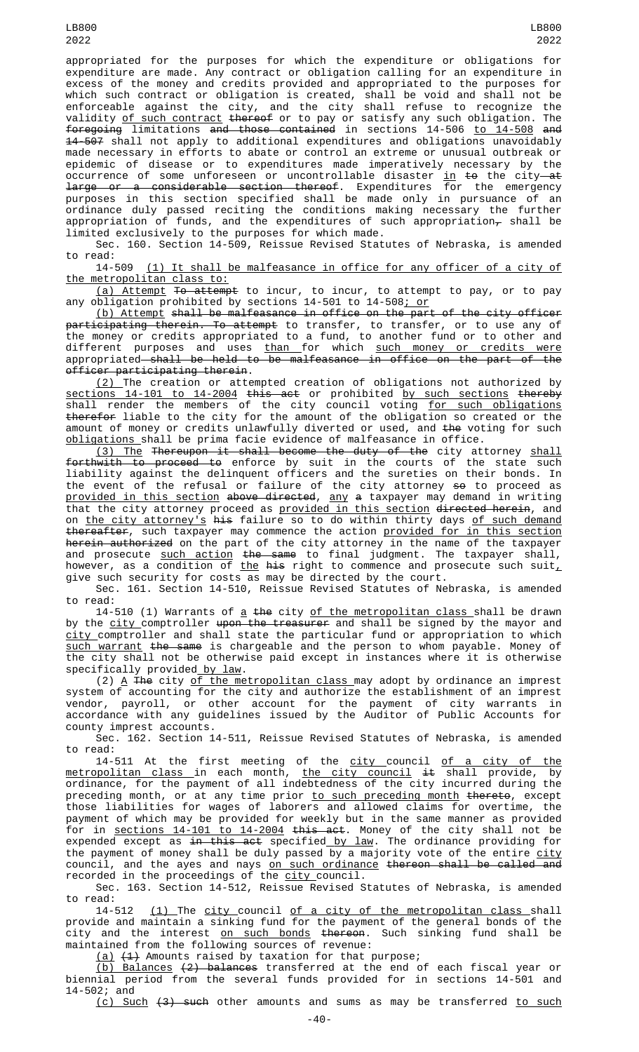occurrence of some unforeseen or uncontrollable disaster <u>in</u> <del>to</del> the city<del> at</del> large or a considerable section thereof. Expenditures for the emergency purposes in this section specified shall be made only in pursuance of an ordinance duly passed reciting the conditions making necessary the further appropriation of funds, and the expenditures of such appropriation $_\tau$  shall be limited exclusively to the purposes for which made.

Sec. 160. Section 14-509, Reissue Revised Statutes of Nebraska, is amended to read:<br>14-509

(1) It shall be malfeasance in office for any officer of a city of the metropolitan class to:

(a) Attempt To attempt to incur, to incur, to attempt to pay, or to pay any obligation prohibited by sections 14-501 to 14-508<u>; or</u>

(b) Attempt shall be malfeasance in office on the part of the city officer participating therein. To attempt to transfer, to transfer, or to use any of the money or credits appropriated to a fund, to another fund or to other and different purposes and uses <u>than </u>for which <u>such money or credits were</u> appropriated shall be held to be malfeasance in office on the part of the officer participating therein.

(2) The creation or attempted creation of obligations not authorized by sections 14-101 to 14-2004 this act or prohibited by such sections thereby shall render the members of the city council voting <u>for such obligations</u> therefor liable to the city for the amount of the obligation so created or the amount of money or credits unlawfully diverted or used, and <del>the</del> voting for such obligations shall be prima facie evidence of malfeasance in office.

<u>(3) The</u> <del>Thereupon it shall become the duty of the</del> city attorney <u>shall</u> forthwith to proceed to enforce by suit in the courts of the state such liability against the delinquent officers and the sureties on their bonds. In the event of the refusal or failure of the city attorney <del>so</del> to proceed as provided in this section above directed, any a taxpayer may demand in writing that the city attorney proceed as <u>provided in this section</u> <del>directed herein</del>, and on <u>the city attorney's</u> <del>his</del> failure so to do within thirty days <u>of such demand</u> thereafter, such taxpayer may commence the action provided for in this section herein authorized on the part of the city attorney in the name of the taxpayer and prosecute <u>such action</u> <del>the same</del> to final judgment. The taxpayer shall, however, as a condition of <u>the</u> <del>his</del> right to commence and prosecute such suit<u>,</u> give such security for costs as may be directed by the court.

Sec. 161. Section 14-510, Reissue Revised Statutes of Nebraska, is amended to read:

14-510 (1) Warrants of <u>a</u> the city <u>of the metropolitan class shall be</u> drawn by the city comptroller upon the treasurer and shall be signed by the mayor and city comptroller and shall state the particular fund or appropriation to which such warrant the same is chargeable and the person to whom payable. Money of the city shall not be otherwise paid except in instances where it is otherwise specifically provided by law.

(2)  $\Delta$  <del>The</del> city <u>of the metropolitan class m</u>ay adopt by ordinance an imprest system of accounting for the city and authorize the establishment of an imprest vendor, payroll, or other account for the payment of city warrants in accordance with any guidelines issued by the Auditor of Public Accounts for county imprest accounts.

Sec. 162. Section 14-511, Reissue Revised Statutes of Nebraska, is amended to read:

14-511 At the first meeting of the <u>city c</u>ouncil <u>of a city of the</u> <u>metropolitan class i</u>n each month, <u>the city council</u> <del>it</del> shall provide, by ordinance, for the payment of all indebtedness of the city incurred during the preceding month, or at any time prior <u>to such preceding month</u> <del>thereto</del>, except those liabilities for wages of laborers and allowed claims for overtime, the payment of which may be provided for weekly but in the same manner as provided for in <u>sections 14-101 to 14-2004</u> <del>this act</del>. Money of the city shall not be expended except as <del>in this act</del> specified <u>by law</u>. The ordinance providing for the payment of money shall be duly passed by a majority vote of the entire city council, and the ayes and nays <u>on such ordinance</u> <del>thereon shall be called and</del> recorded in the proceedings of the <u>city c</u>ouncil.

Sec. 163. Section 14-512, Reissue Revised Statutes of Nebraska, is amended to read:

14-512 <u>(1) The city council of a city of the metropolitan class s</u>hall provide and maintain a sinking fund for the payment of the general bonds of the city and the interest <u>on such bonds</u> <del>thereon</del>. Such sinking fund shall be maintained from the following sources of revenue:

 $(a)$   $(1)$  Amounts raised by taxation for that purpose;

(b) Balances (2) balances transferred at the end of each fiscal year or biennial period from the several funds provided for in sections 14-501 and 14-502; and

(c) Such (3) such other amounts and sums as may be transferred to such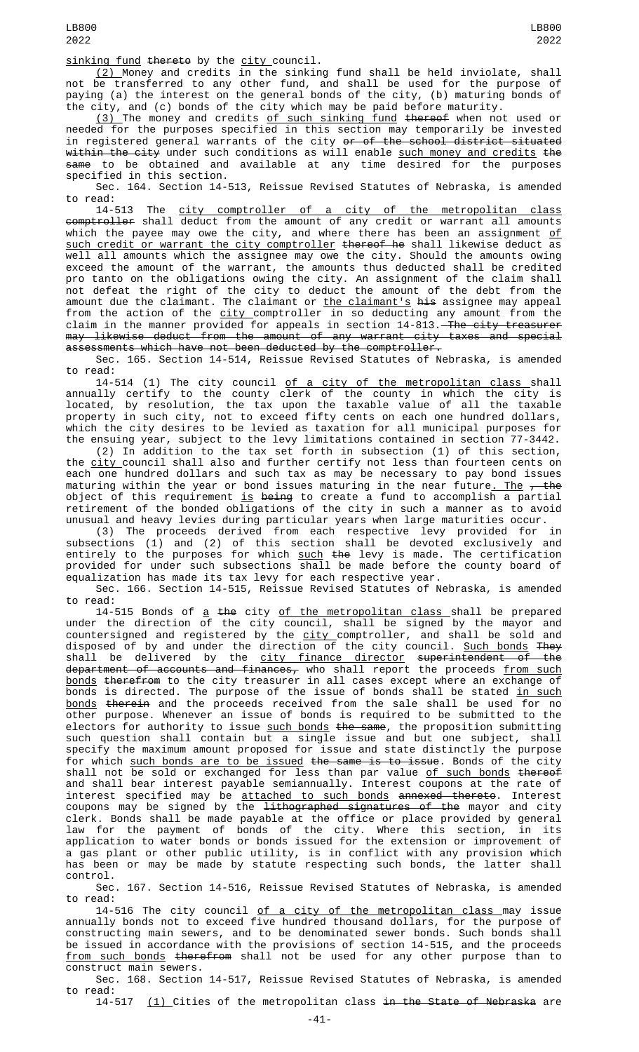sinking fund thereto by the city council.

(2) Money and credits in the sinking fund shall be held inviolate, shall not be transferred to any other fund, and shall be used for the purpose of paying (a) the interest on the general bonds of the city, (b) maturing bonds of the city, and (c) bonds of the city which may be paid before maturity.

(3) The money and credits of such sinking fund thereof when not used or needed for the purposes specified in this section may temporarily be invested in registered general warrants of the city <del>or of the school district situated</del> <del>within the city</del> under such conditions as will enable <u>such money and credits</u> <del>the</del> same to be obtained and available at any time desired for the purposes specified in this section.

Sec. 164. Section 14-513, Reissue Revised Statutes of Nebraska, is amended to read:

14-513 The city comptroller of a city of the metropolitan class comptroller shall deduct from the amount of any credit or warrant all amounts which the payee may owe the city, and where there has been an assignment of <u>such credit or warrant the city comptroller</u> <del>thereof he</del> shall likewise deduct as well all amounts which the assignee may owe the city. Should the amounts owing exceed the amount of the warrant, the amounts thus deducted shall be credited pro tanto on the obligations owing the city. An assignment of the claim shall not defeat the right of the city to deduct the amount of the debt from the amount due the claimant. The claimant or <u>the claimant's</u> <del>his</del> assignee may appeal from the action of the <u>city c</u>omptroller in so deducting any amount from the claim in the manner provided for appeals in section 14-813.<del> The city treasurer</del> may likewise deduct from the amount of any warrant city taxes and special assessments which have not been deducted by the comptroller.

Sec. 165. Section 14-514, Reissue Revised Statutes of Nebraska, is amended to read:

14-514 (1) The city council <u>of a city of the metropolitan class s</u>hall annually certify to the county clerk of the county in which the city is located, by resolution, the tax upon the taxable value of all the taxable property in such city, not to exceed fifty cents on each one hundred dollars, which the city desires to be levied as taxation for all municipal purposes for the ensuing year, subject to the levy limitations contained in section 77-3442.

(2) In addition to the tax set forth in subsection (1) of this section, the <u>city </u>council shall also and further certify not less than fourteen cents on each one hundred dollars and such tax as may be necessary to pay bond issues maturing within the year or bond issues maturing in the near future<u>. The</u> <del>, the</del> object of this requirement <u>is</u> <del>being</del> to create a fund to accomplish a partial retirement of the bonded obligations of the city in such a manner as to avoid unusual and heavy levies during particular years when large maturities occur.

(3) The proceeds derived from each respective levy provided for in subsections (1) and (2) of this section shall be devoted exclusively and entirely to the purposes for which <u>such</u> <del>the</del> levy is made. The certification provided for under such subsections shall be made before the county board of equalization has made its tax levy for each respective year.

Sec. 166. Section 14-515, Reissue Revised Statutes of Nebraska, is amended to read:

14-515 Bonds of <u>a</u> <del>the</del> city <u>of the metropolitan class s</u>hall be prepared under the direction of the city council, shall be signed by the mayor and countersigned and registered by the <u>city c</u>omptroller, and shall be sold and disposed of by and under the direction of the city council. <u>Such bonds</u> <del>They</del> shall be delivered by the <u>city finance director</u> <del>superintendent of the</del> department of accounts and finances, who shall report the proceeds from such bonds therefrom to the city treasurer in all cases except where an exchange of bonds is directed. The purpose of the issue of bonds shall be stated <u>in such</u> bonds therein and the proceeds received from the sale shall be used for no other purpose. Whenever an issue of bonds is required to be submitted to the electors for authority to issue <u>such bonds</u> <del>the same</del>, the proposition submitting such question shall contain but a single issue and but one subject, shall specify the maximum amount proposed for issue and state distinctly the purpose for which <u>such bonds are to be issued</u> <del>the same is to issue</del>. Bonds of the city shall not be sold or exchanged for less than par value <u>of such bonds</u> <del>thereof</del> and shall bear interest payable semiannually. Interest coupons at the rate of interest specified may be <u>attached to such bonds</u> <del>annexed thereto</del>. Interest coupons may be signed by the <del>lithographed signatures of the</del> mayor and city clerk. Bonds shall be made payable at the office or place provided by general law for the payment of bonds of the city. Where this section, in its application to water bonds or bonds issued for the extension or improvement of a gas plant or other public utility, is in conflict with any provision which has been or may be made by statute respecting such bonds, the latter shall control.

Sec. 167. Section 14-516, Reissue Revised Statutes of Nebraska, is amended to read:

14-516 The city council of a city of the metropolitan class may issue annually bonds not to exceed five hundred thousand dollars, for the purpose of constructing main sewers, and to be denominated sewer bonds. Such bonds shall be issued in accordance with the provisions of section 14-515, and the proceeds from such bonds therefrom shall not be used for any other purpose than to construct main sewers.

Sec. 168. Section 14-517, Reissue Revised Statutes of Nebraska, is amended to read:

14-517 (1) Cities of the metropolitan class in the State of Nebraska are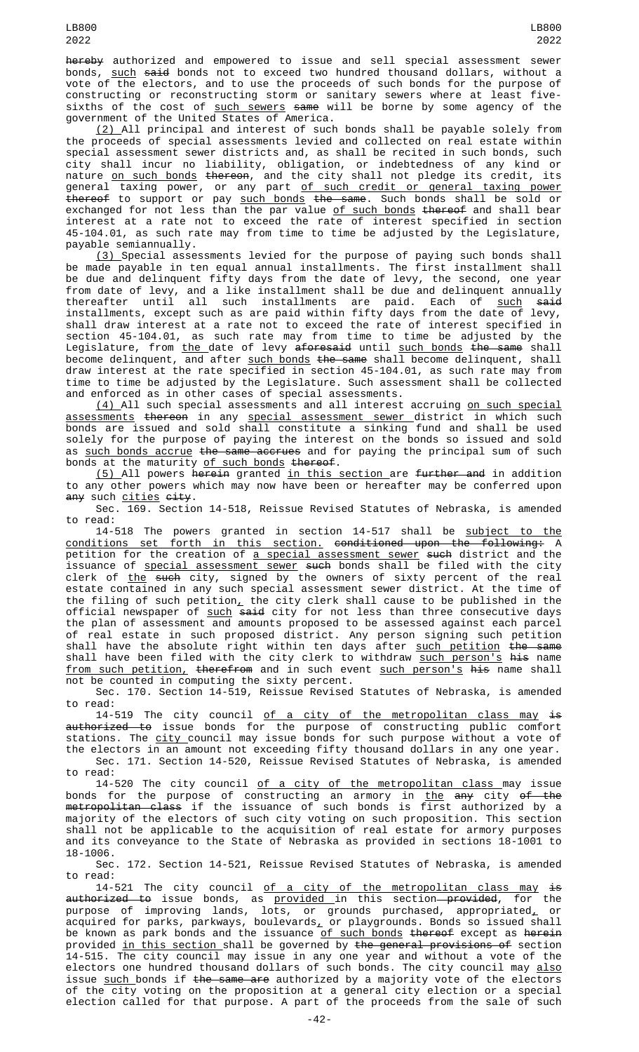hereby authorized and empowered to issue and sell special assessment sewer bonds, <u>such</u> <del>said</del> bonds not to exceed two hundred thousand dollars, without a vote of the electors, and to use the proceeds of such bonds for the purpose of constructing or reconstructing storm or sanitary sewers where at least fivesixths of the cost of <u>such sewers</u> <del>same</del> will be borne by some agency of the government of the United States of America.

(2) All principal and interest of such bonds shall be payable solely from the proceeds of special assessments levied and collected on real estate within special assessment sewer districts and, as shall be recited in such bonds, such city shall incur no liability, obligation, or indebtedness of any kind or nature <u>on such bonds</u> <del>thereon</del>, and the city shall not pledge its credit, its general taxing power, or any part <u>of such credit or general taxing power</u> thereof to support or pay such bonds the same. Such bonds shall be sold or exchanged for not less than the par value <u>of such bonds</u> <del>thereof</del> and shall bear interest at a rate not to exceed the rate of interest specified in section 45-104.01, as such rate may from time to time be adjusted by the Legislature, payable semiannually.

(3) Special assessments levied for the purpose of paying such bonds shall be made payable in ten equal annual installments. The first installment shall be due and delinquent fifty days from the date of levy, the second, one year from date of levy, and a like installment shall be due and delinquent annually thereafter until all such installments are paid. Each of <u>such</u> <del>said</del> installments, except such as are paid within fifty days from the date of levy, shall draw interest at a rate not to exceed the rate of interest specified in section 45-104.01, as such rate may from time to time be adjusted by the Legislature, from <u>the </u>date of levy <del>aforesaid</del> until <u>such bonds</u> <del>the same</del> shall become delinquent, and after <u>such bonds</u> <del>the same</del> shall become delinquent, shall draw interest at the rate specified in section 45-104.01, as such rate may from time to time be adjusted by the Legislature. Such assessment shall be collected and enforced as in other cases of special assessments.

(4) All such special assessments and all interest accruing on such special assessments thereon in any special assessment sewer district in which such bonds are issued and sold shall constitute a sinking fund and shall be used solely for the purpose of paying the interest on the bonds so issued and sold as <u>such bonds accrue</u> <del>the same accrues</del> and for paying the principal sum of such bonds at the maturity <u>of such bonds</u> <del>thereof</del>.

(5) All powers herein granted in this section are further and in addition to any other powers which may now have been or hereafter may be conferred upon any such cities eity.

Sec. 169. Section 14-518, Reissue Revised Statutes of Nebraska, is amended to read:

14-518 The powers granted in section 14-517 shall be subject to the conditions set forth in this section. conditioned upon the following: A petition for the creation of <u>a special assessment sewer</u> <del>such</del> district and the issuance of <u>special assessment sewer</u> <del>such</del> bonds shall be filed with the city clerk of <u>the</u> <del>such</del> city, signed by the owners of sixty percent of the real estate contained in any such special assessment sewer district. At the time of the filing of such petition, the city clerk shall cause to be published in the official newspaper of <u>such</u> <del>said</del> city for not less than three consecutive days the plan of assessment and amounts proposed to be assessed against each parcel of real estate in such proposed district. Any person signing such petition shall have the absolute right within ten days after <u>such petition</u> <del>the same</del> shall have been filed with the city clerk to withdraw <u>such person's</u> <del>his</del> name <u>from such petition,</u> <del>therefrom</del> and in such event <u>such person's</u> <del>his</del> name shall not be counted in computing the sixty percent.

Sec. 170. Section 14-519, Reissue Revised Statutes of Nebraska, is amended to read:

14-519 The city council <u>of a city of the metropolitan class may</u> <del>is</del> <del>authorized to</del> issue bonds for the purpose of constructing public comfort stations. The <u>city c</u>ouncil may issue bonds for such purpose without a vote of the electors in an amount not exceeding fifty thousand dollars in any one year. Sec. 171. Section 14-520, Reissue Revised Statutes of Nebraska, is amended to read:

14-520 The city council <u>of a city of the metropolitan class may</u> issue bonds for the purpose of constructing an armory in <u>the</u> <del>any</del> city <del>of the</del> <del>metropolitan class</del> if the issuance of such bonds is first authorized by a majority of the electors of such city voting on such proposition. This section shall not be applicable to the acquisition of real estate for armory purposes and its conveyance to the State of Nebraska as provided in sections 18-1001 to 18-1006.

Sec. 172. Section 14-521, Reissue Revised Statutes of Nebraska, is amended to read:

14-521 The city council <u>of a city of the metropolitan class may</u> <del>is</del> <del>authorized to</del> issue bonds, as <u>provided </u>in this section—<del>provided</del>, for the purpose of improving lands, lots, or grounds purchased, appropriated<u>,</u> or acquired for parks, parkways, boulevards<u>,</u> or playgrounds. Bonds so issued shall be known as park bonds and the issuance <u>of such bonds</u> <del>thereof</del> except as <del>herein</del> provided <u>in this section </u>shall be governed by <del>the general provisions of</del> section 14-515. The city council may issue in any one year and without a vote of the electors one hundred thousand dollars of such bonds. The city council may <u>also</u> issue such bonds if the same are authorized by a majority vote of the electors of the city voting on the proposition at a general city election or a special election called for that purpose. A part of the proceeds from the sale of such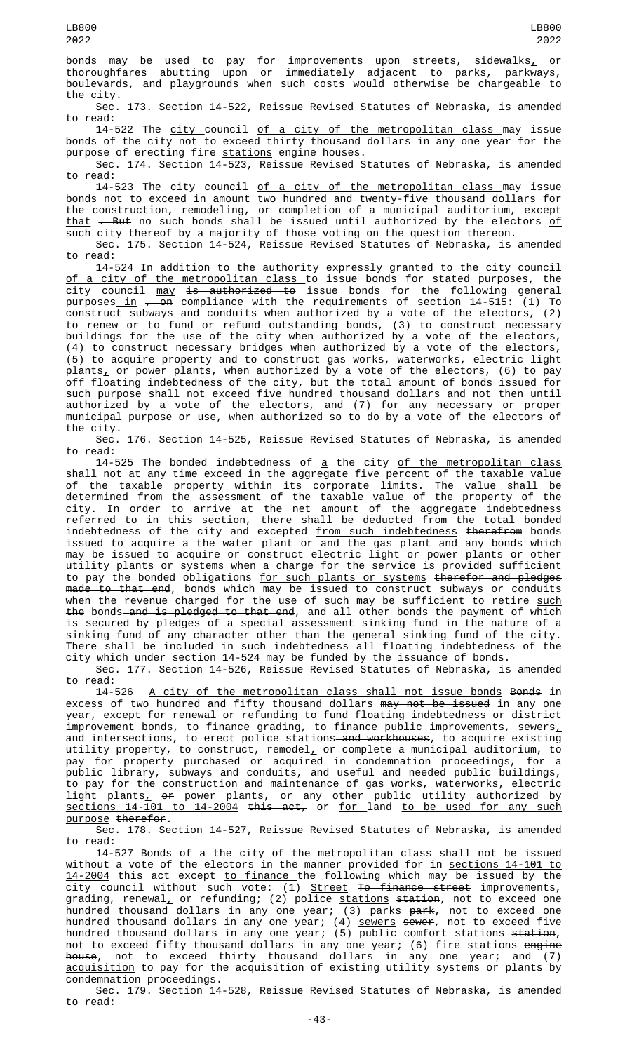bonds may be used to pay for improvements upon streets, sidewalks<u>,</u> or thoroughfares abutting upon or immediately adjacent to parks, parkways, boulevards, and playgrounds when such costs would otherwise be chargeable to the city.

Sec. 173. Section 14-522, Reissue Revised Statutes of Nebraska, is amended to read:

14-522 The city council of a city of the metropolitan class may issue bonds of the city not to exceed thirty thousand dollars in any one year for the purpose of erecting fire <u>stations</u> <del>engine houses</del>.

Sec. 174. Section 14-523, Reissue Revised Statutes of Nebraska, is amended to read:

14-523 The city council <u>of a city of the metropolitan class </u>may issue bonds not to exceed in amount two hundred and twenty-five thousand dollars for the construction, remodeling<u>,</u> or completion of a municipal auditorium<u>, except</u> <u>that</u> <del>. But</del> no such bonds shall be issued until authorized by the electors <u>of</u> such city thereof by a majority of those voting on the question thereon.

Sec. 175. Section 14-524, Reissue Revised Statutes of Nebraska, is amended to read:

14-524 In addition to the authority expressly granted to the city council <u>of a city of the metropolitan class </u>to issue bonds for stated purposes, the city council <u>may <del>is authorized to</del> issue bonds for the following general</u> purposes\_<u>in</u> <del>, on</del> compliance with the requirements of section 14-515: (1) To construct subways and conduits when authorized by a vote of the electors, (2) to renew or to fund or refund outstanding bonds, (3) to construct necessary buildings for the use of the city when authorized by a vote of the electors, (4) to construct necessary bridges when authorized by a vote of the electors, (5) to acquire property and to construct gas works, waterworks, electric light plants<u>,</u> or power plants, when authorized by a vote of the electors, (6) to pay off floating indebtedness of the city, but the total amount of bonds issued for such purpose shall not exceed five hundred thousand dollars and not then until authorized by a vote of the electors, and (7) for any necessary or proper municipal purpose or use, when authorized so to do by a vote of the electors of the city.

Sec. 176. Section 14-525, Reissue Revised Statutes of Nebraska, is amended to read:

 $14-525$  The bonded indebtedness of  $a$  the city of the metropolitan class shall not at any time exceed in the aggregate five percent of the taxable value of the taxable property within its corporate limits. The value shall be determined from the assessment of the taxable value of the property of the city. In order to arrive at the net amount of the aggregate indebtedness referred to in this section, there shall be deducted from the total bonded indebtedness of the city and excepted <u>from such indebtedness</u> <del>therefrom</del> bonds issued to acquire <u>a</u> <del>the</del> water plant <u>or</u> <del>and the</del> gas plant and any bonds which may be issued to acquire or construct electric light or power plants or other utility plants or systems when a charge for the service is provided sufficient to pay the bonded obligations for such plants or systems therefor and pledges <del>made to that end</del>, bonds which may be issued to construct subways or conduits when the revenue charged for the use of such may be sufficient to retire <u>such</u> <del>the</del> bonds—<del>and is pledged to that end</del>, and all other bonds the payment of which is secured by pledges of a special assessment sinking fund in the nature of a sinking fund of any character other than the general sinking fund of the city. There shall be included in such indebtedness all floating indebtedness of the city which under section 14-524 may be funded by the issuance of bonds.

Sec. 177. Section 14-526, Reissue Revised Statutes of Nebraska, is amended to read:<br>14-526

A city of the metropolitan class shall not issue bonds Bonds in excess of two hundred and fifty thousand dollars may not be issued in any one year, except for renewal or refunding to fund floating indebtedness or district improvement bonds, to finance grading, to finance public improvements, sewers $_{\text{{\textsf{\text{L}}}}}$ and intersections, to erect police stations—<del>and workhouses</del>, to acquire existing utility property, to construct, remodel $_{L}$  or complete a municipal auditorium, to pay for property purchased or acquired in condemnation proceedings, for a public library, subways and conduits, and useful and needed public buildings, to pay for the construction and maintenance of gas works, waterworks, electric light plants $_{\rm \star}$  o<del>r</del> power plants, or any other public utility authorized by <u>sections 14-101 to 14-2004 this act,</u> or <u>for l</u>and <u>to be used for any such</u> purpose therefor.

Sec. 178. Section 14-527, Reissue Revised Statutes of Nebraska, is amended to read:

14-527 Bonds of a the city of the metropolitan class shall not be issued without a vote of the electors in the manner provided for in <u>sections 14-101 to</u> <u>14-2004</u> <del>this act</del> except <u>to finance </u>the following which may be issued by the city council without such vote: (1) <u>Street</u> <del>To finance street</del> improvements, grading, renewal<u>,</u> or refunding; (2) police <u>stations</u> <del>station</del>, not to exceed one hundred thousand dollars in any one year; (3) <u>parks</u> <del>park</del>, not to exceed one hundred thousand dollars in any one year; (4) <u>sewers</u> <del>sewer</del>, not to exceed five hundred thousand dollars in any one year; (5) public comfort <u>stations</u> <del>station</del>, not to exceed fifty thousand dollars in any one year; (6) fire <u>stations</u> e<del>ngine</del> <del>house</del>, not to exceed thirty thousand dollars in any one year; and (7) acquisition to pay for the acquisition of existing utility systems or plants by condemnation proceedings.

Sec. 179. Section 14-528, Reissue Revised Statutes of Nebraska, is amended to read: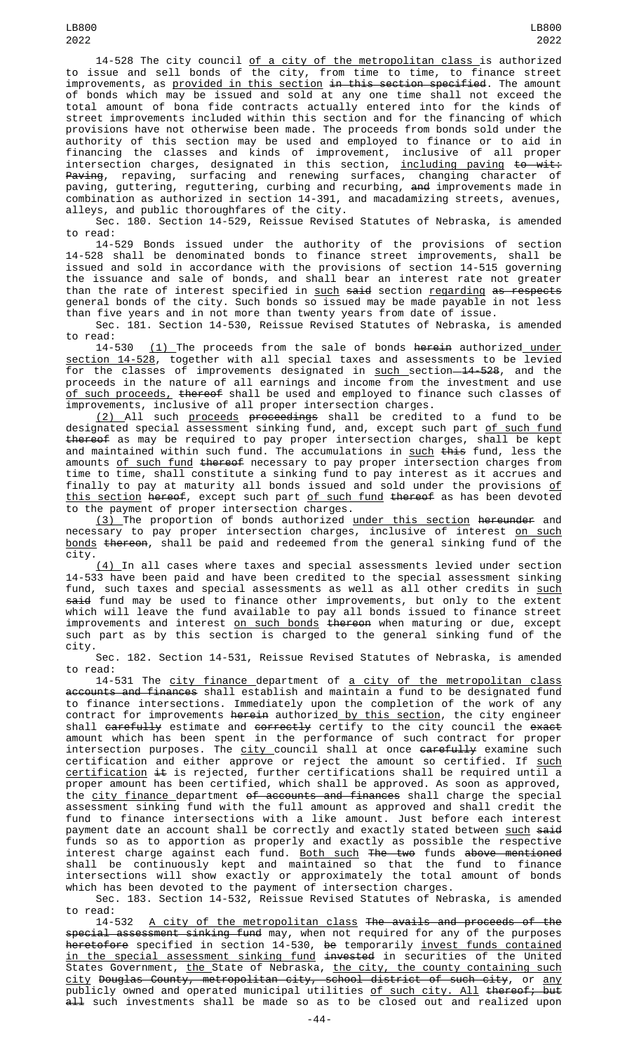14-528 The city council of a city of the metropolitan class is authorized to issue and sell bonds of the city, from time to time, to finance street improvements, as <u>provided in this section</u> <del>in this section specified</del>. The amount of bonds which may be issued and sold at any one time shall not exceed the total amount of bona fide contracts actually entered into for the kinds of street improvements included within this section and for the financing of which provisions have not otherwise been made. The proceeds from bonds sold under the authority of this section may be used and employed to finance or to aid in financing the classes and kinds of improvement, inclusive of all proper intersection charges, designated in this section, <u>including paving</u> <del>to wit:</del> <del>Paving</del>, repaving, surfacing and renewing surfaces, changing character of paving, guttering, reguttering, curbing and recurbing, <del>and</del> improvements made in combination as authorized in section 14-391, and macadamizing streets, avenues, alleys, and public thoroughfares of the city.

Sec. 180. Section 14-529, Reissue Revised Statutes of Nebraska, is amended to read:

14-529 Bonds issued under the authority of the provisions of section 14-528 shall be denominated bonds to finance street improvements, shall be issued and sold in accordance with the provisions of section 14-515 governing the issuance and sale of bonds, and shall bear an interest rate not greater than the rate of interest specified in <u>such</u> <del>said</del> section <u>regarding</u> <del>as respects</del> general bonds of the city. Such bonds so issued may be made payable in not less than five years and in not more than twenty years from date of issue.

Sec. 181. Section 14-530, Reissue Revised Statutes of Nebraska, is amended to read:

14-530 (1) The proceeds from the sale of bonds herein authorized under section 14-528, together with all special taxes and assessments to be levied for the classes of improvements designated in <u>such section 14-52</u>8, and the proceeds in the nature of all earnings and income from the investment and use <u>of such proceeds,</u> <del>thereof</del> shall be used and employed to finance such classes of improvements, inclusive of all proper intersection charges.

(2) All such proceeds proceedings shall be credited to a fund to be designated special assessment sinking fund, and, except such part <u>of such fund</u> thereof as may be required to pay proper intersection charges, shall be kept and maintained within such fund. The accumulations in <u>such</u> <del>this</del> fund, less the amounts of such fund thereof necessary to pay proper intersection charges from time to time, shall constitute a sinking fund to pay interest as it accrues and finally to pay at maturity all bonds issued and sold under the provisions <u>of</u> <u>this section</u> <del>hereof</del>, except such part <u>of such fund</u> <del>thereof</del> as has been devoted to the payment of proper intersection charges.

<u>(3) </u>The proportion of bonds authorized <u>under this section</u> <del>hereunder</del> and necessary to pay proper intersection charges, inclusive of interest <u>on such</u> bonds thereon, shall be paid and redeemed from the general sinking fund of the city.

(4) In all cases where taxes and special assessments levied under section 14-533 have been paid and have been credited to the special assessment sinking fund, such taxes and special assessments as well as all other credits in <u>such</u> <del>said</del> fund may be used to finance other improvements, but only to the extent which will leave the fund available to pay all bonds issued to finance street improvements and interest <u>on such bonds</u> <del>thereon</del> when maturing or due, except such part as by this section is charged to the general sinking fund of the city.

Sec. 182. Section 14-531, Reissue Revised Statutes of Nebraska, is amended to read:

14-531 The <u>city finance d</u>epartment of <u>a city of the metropolitan class</u> accounts and finances shall establish and maintain a fund to be designated fund to finance intersections. Immediately upon the completion of the work of any contract for improvements <del>herein</del> authorized<u> by this section</u>, the city engineer shall <del>carefully</del> estimate and <del>correctly</del> certify to the city council the <del>exact</del> amount which has been spent in the performance of such contract for proper intersection purposes. The <u>city c</u>ouncil shall at once <del>carefully</del> examine such certification and either approve or reject the amount so certified. If <u>such</u> certification it is rejected, further certifications shall be required until a proper amount has been certified, which shall be approved. As soon as approved, the city finance department of accounts and finances shall charge the special assessment sinking fund with the full amount as approved and shall credit the fund to finance intersections with a like amount. Just before each interest payment date an account shall be correctly and exactly stated between <u>such</u> <del>said</del> funds so as to apportion as properly and exactly as possible the respective interest charge against each fund. <u>Both such</u> <del>The two</del> funds <del>above mentioned</del> shall be continuously kept and maintained so that the fund to finance intersections will show exactly or approximately the total amount of bonds which has been devoted to the payment of intersection charges.

Sec. 183. Section 14-532, Reissue Revised Statutes of Nebraska, is amended to read:

14-532 A city of the metropolitan class The avails and proceeds of the special assessment sinking fund may, when not required for any of the purposes h<del>eretofore</del> specified in section 14-530, <del>be</del> temporarily <u>invest funds contained</u> in the special assessment sinking fund invested in securities of the United States Government, <u>the </u>State of Nebraska, <u>the city, the county containing such</u> <u>city</u> <del>Douglas County, metropolitan city, school district of such city, or <u>any</u></del> publicly owned and operated municipal utilities <u>of such city. All</u> <del>thereof; but</del> all such investments shall be made so as to be closed out and realized upon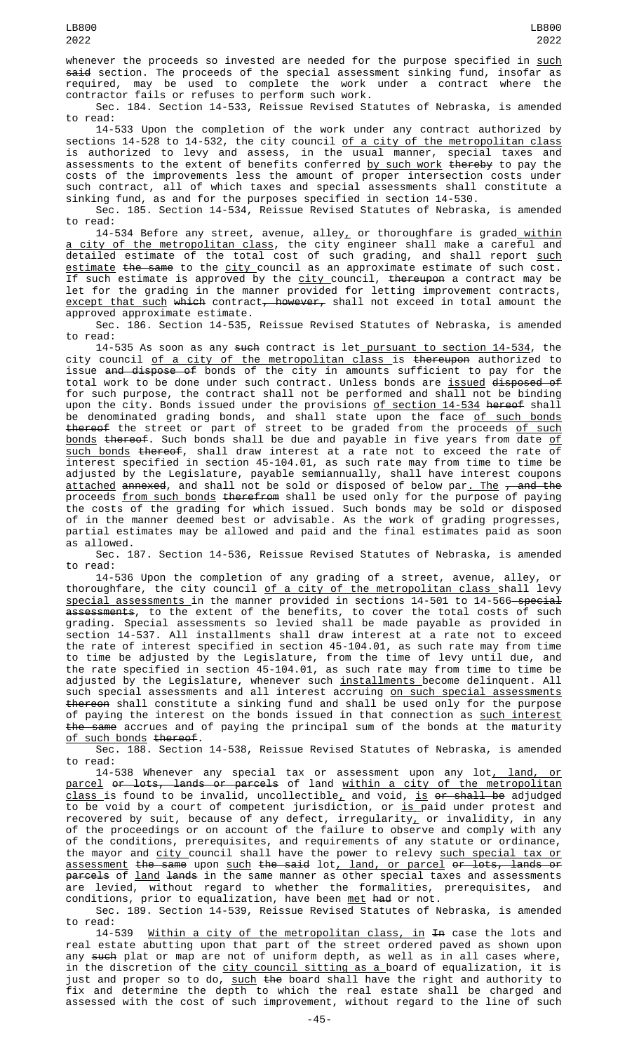whenever the proceeds so invested are needed for the purpose specified in such said section. The proceeds of the special assessment sinking fund, insofar as<br>required, may be used to complete the work under a contract where the required, may be used to complete the work under a contract where the contractor fails or refuses to perform such work.

Sec. 184. Section 14-533, Reissue Revised Statutes of Nebraska, is amended to read:

14-533 Upon the completion of the work under any contract authorized by sections 14-528 to 14-532, the city council <u>of a city of the metropolitan class</u> is authorized to levy and assess, in the usual manner, special taxes and assessments to the extent of benefits conferred by such work thereby to pay the costs of the improvements less the amount of proper intersection costs under such contract, all of which taxes and special assessments shall constitute a sinking fund, as and for the purposes specified in section 14-530.

Sec. 185. Section 14-534, Reissue Revised Statutes of Nebraska, is amended read:

14-534 Before any street, avenue, alley, or thoroughfare is graded within a city of the metropolitan class, the city engineer shall make a careful and detailed estimate of the total cost of such grading, and shall report such estimate the same to the city council as an approximate estimate of such cost. If such estimate is approved by the city council, thereupon a contract may be let for the grading in the manner provided for letting improvement contracts,  $except$  that such which contract, however, shall not exceed in total amount the approved approximate estimate.

Sec. 186. Section 14-535, Reissue Revised Statutes of Nebraska, is amended to read:

14-535 As soon as any <del>such</del> contract is let\_<u>pursuant to section 14-534</u>, the city council <u>of a city of the metropolitan class </u>is <del>thereupon</del> authorized to issue <del>and dispose of</del> bonds of the city in amounts sufficient to pay for the total work to be done under such contract. Unless bonds are issued disposed of for such purpose, the contract shall not be performed and shall not be binding upon the city. Bonds issued under the provisions <u>of section 14-534</u> <del>hereof</del> shall be denominated grading bonds, and shall state upon the face <u>of such bonds</u> <del>thereof</del> the street or part of street to be graded from the proceeds <u>of such</u> bonds thereof. Such bonds shall be due and payable in five years from date of such bonds thereof, shall draw interest at a rate not to exceed the rate of interest specified in section 45-104.01, as such rate may from time to time be adjusted by the Legislature, payable semiannually, shall have interest coupons <u>attached</u> <del>annexed</del>, and shall not be sold or disposed of below par<u>. The</u> <del>, and the</del> proceeds <u>from such bonds</u> <del>therefrom</del> shall be used only for the purpose of paying the costs of the grading for which issued. Such bonds may be sold or disposed of in the manner deemed best or advisable. As the work of grading progresses, partial estimates may be allowed and paid and the final estimates paid as soon as allowed.

Sec. 187. Section 14-536, Reissue Revised Statutes of Nebraska, is amended to read:

14-536 Upon the completion of any grading of a street, avenue, alley, or thoroughfare, the city council <u>of a city of the metropolitan class s</u>hall levy <u>special assessments </u>in the manner provided in sections 14-501 to 14-566—<del>special</del>  $\frac{1}{4}$  assessments, to the extent of the benefits, to cover the total costs of such grading. Special assessments so levied shall be made payable as provided in section 14-537. All installments shall draw interest at a rate not to exceed the rate of interest specified in section 45-104.01, as such rate may from time to time be adjusted by the Legislature, from the time of levy until due, and the rate specified in section 45-104.01, as such rate may from time to time be adjusted by the Legislature, whenever such <u>installments </u>become delinquent. All such special assessments and all interest accruing <u>on such special assessments</u> thereon shall constitute a sinking fund and shall be used only for the purpose of paying the interest on the bonds issued in that connection as <u>such interest</u> the same accrues and of paying the principal sum of the bonds at the maturity of such bonds thereof.

Sec. 188. Section 14-538, Reissue Revised Statutes of Nebraska, is amended to read:

14-538 Whenever any special tax or assessment upon any lot<u>, land, or</u> parcel or lots, lands or parcels of land within a city of the metropolitan <u>class </u>is found to be invalid, uncollectible $_{{\bm L}}$  and void, <u>is</u> <del>or shall be</del> adjudged to be void by a court of competent jurisdiction, or <u>is p</u>aid under protest and recovered by suit, because of any defect, irregularity $_{L}$  or invalidity, in any of the proceedings or on account of the failure to observe and comply with any of the conditions, prerequisites, and requirements of any statute or ordinance, the mayor and <u>city c</u>ouncil shall have the power to relevy <u>such special tax or</u> <u>assessment</u> <del>the same</del> upon <u>such</u> <del>the said</del> lot<u>, land, or parcel <del>or lots, lands or</del></u> <del>parcels</del> of <u>land</u> <del>lands</del> in the same manner as other special taxes and assessments are levied, without regard to whether the formalities, prerequisites, and conditions, prior to equalization, have been <u>met</u> <del>had</del> or not.

Sec. 189. Section 14-539, Reissue Revised Statutes of Nebraska, is amended to read:

14-539 <u>Within a city of the metropolitan class, in</u> <del>In</del> case the lots and real estate abutting upon that part of the street ordered paved as shown upon any such plat or map are not of uniform depth, as well as in all cases where, in the discretion of the <u>city council sitting as a </u>board of equalization, it is just and proper so to do, <u>such</u> <del>the</del> board shall have the right and authority to fix and determine the depth to which the real estate shall be charged and assessed with the cost of such improvement, without regard to the line of such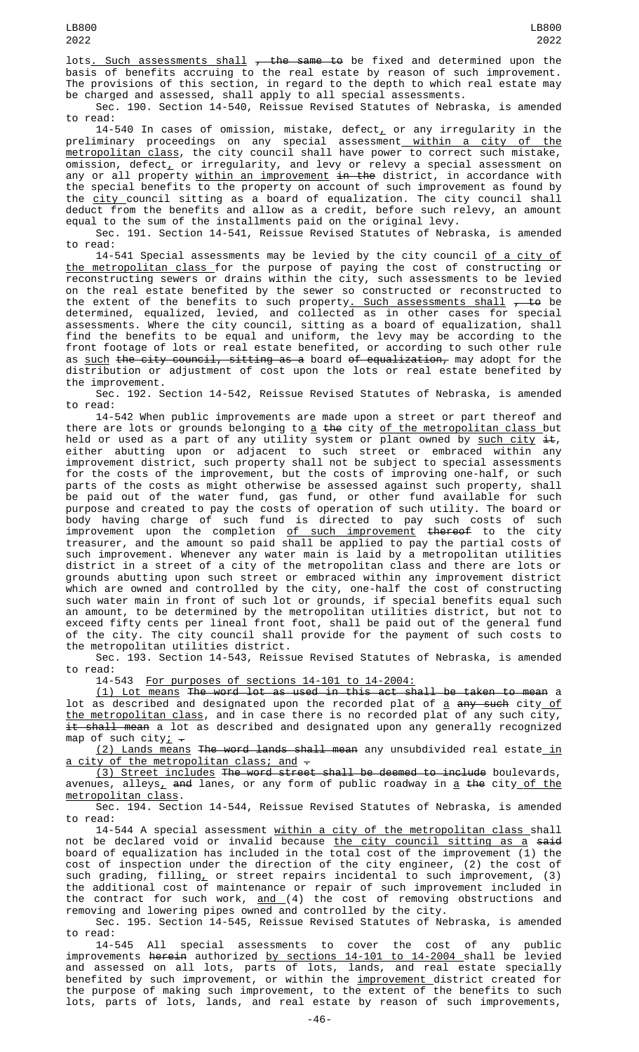lots. Such assessments shall  $\tau$  the same to be fixed and determined upon the basis of benefits accruing to the real estate by reason of such improvement. The provisions of this section, in regard to the depth to which real estate may be charged and assessed, shall apply to all special assessments.

Sec. 190. Section 14-540, Reissue Revised Statutes of Nebraska, is amended to read:

14-540 In cases of omission, mistake, defect $_{\rm \scriptscriptstyle L}$  or any irregularity in the preliminary proceedings on any special assessment<u> within a city of the</u> metropolitan class, the city council shall have power to correct such mistake, omission, defect $_{\scriptscriptstyle\rm L}$  or irregularity, and levy or relevy a special assessment on any or all property <u>within an improvement</u> <del>in the</del> district, in accordance with the special benefits to the property on account of such improvement as found by the city council sitting as a board of equalization. The city council shall deduct from the benefits and allow as a credit, before such relevy, an amount equal to the sum of the installments paid on the original levy.

Sec. 191. Section 14-541, Reissue Revised Statutes of Nebraska, is amended to read:

14-541 Special assessments may be levied by the city council of a city of the metropolitan class for the purpose of paying the cost of constructing or reconstructing sewers or drains within the city, such assessments to be levied on the real estate benefited by the sewer so constructed or reconstructed to the extent of the benefits to such property<u>. Such assessments shall</u> <del>, to</del> be determined, equalized, levied, and collected as in other cases for special assessments. Where the city council, sitting as a board of equalization, shall find the benefits to be equal and uniform, the levy may be according to the front footage of lots or real estate benefited, or according to such other rule as <u>such</u> <del>the city council, sitting as a</del> board <del>of equalization,</del> may adopt for the distribution or adjustment of cost upon the lots or real estate benefited by the improvement.

Sec. 192. Section 14-542, Reissue Revised Statutes of Nebraska, is amended to read:

14-542 When public improvements are made upon a street or part thereof and there are lots or grounds belonging to <u>a</u> <del>the</del> city <u>of the metropolitan class b</u>ut held or used as a part of any utility system or plant owned by <u>such city</u> <del>it</del>, either abutting upon or adjacent to such street or embraced within any improvement district, such property shall not be subject to special assessments for the costs of the improvement, but the costs of improving one-half, or such parts of the costs as might otherwise be assessed against such property, shall be paid out of the water fund, gas fund, or other fund available for such purpose and created to pay the costs of operation of such utility. The board or body having charge of such fund is directed to pay such costs of such improvement upon the completion <u>of such improvement</u> <del>thereof</del> to the city treasurer, and the amount so paid shall be applied to pay the partial costs of such improvement. Whenever any water main is laid by a metropolitan utilities district in a street of a city of the metropolitan class and there are lots or grounds abutting upon such street or embraced within any improvement district which are owned and controlled by the city, one-half the cost of constructing such water main in front of such lot or grounds, if special benefits equal such an amount, to be determined by the metropolitan utilities district, but not to exceed fifty cents per lineal front foot, shall be paid out of the general fund of the city. The city council shall provide for the payment of such costs to the metropolitan utilities district.

Sec. 193. Section 14-543, Reissue Revised Statutes of Nebraska, is amended to read:

14-543 For purposes of sections 14-101 to 14-2004:

(1) Lot means The word lot as used in this act shall be taken to mean a lot as described and designated upon the recorded plat of <u>a</u> <del>any such</del> city<u> of</u> the metropolitan class, and in case there is no recorded plat of any such city, it shall mean a lot as described and designated upon any generally recognized map of such city;  $\overline{\cdot}$ 

(2) Lands means The word lands shall mean any unsubdivided real estate in a city of the metropolitan class; and -

(3) Street includes The word street shall be deemed to include boulevards,  $a$ venues,  $a$ lleys<sub> $\overline{a}$ </sub> and lanes, or any form of public roadway in  $\underline{a}$  the city of the metropolitan class.

Sec. 194. Section 14-544, Reissue Revised Statutes of Nebraska, is amended to read:

14-544 A special assessment <u>within a city of the metropolitan class s</u>hall not be declared void or invalid because <u>the city council sitting as a</u> <del>said</del> board of equalization has included in the total cost of the improvement (1) the cost of inspection under the direction of the city engineer, (2) the cost of such grading, filling, or street repairs incidental to such improvement, (3) the additional cost of maintenance or repair of such improvement included in the contract for such work, <u>and (</u>4) the cost of removing obstructions and removing and lowering pipes owned and controlled by the city.

Sec. 195. Section 14-545, Reissue Revised Statutes of Nebraska, is amended to read:

14-545 All special assessments to cover the cost of any public improvements <del>herein</del> authorized <u>by sections 14-101 to 14-2004 s</u>hall be levied and assessed on all lots, parts of lots, lands, and real estate specially benefited by such improvement, or within the <u>improvement d</u>istrict created for the purpose of making such improvement, to the extent of the benefits to such lots, parts of lots, lands, and real estate by reason of such improvements,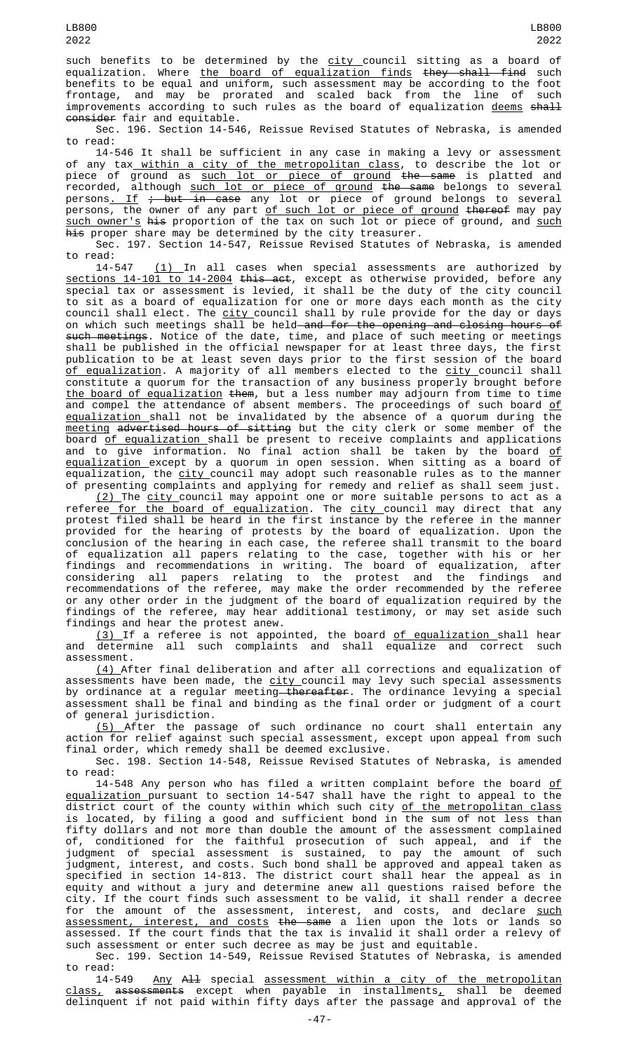such benefits to be determined by the city council sitting as a board of equalization. Where <u>the board of equalization finds</u> <del>they shall find</del> such benefits to be equal and uniform, such assessment may be according to the foot frontage, and may be prorated and scaled back from the line of such improvements according to such rules as the board of equalization <u>deems</u> <del>shall</del> <del>consider</del> fair and equitable.

Sec. 196. Section 14-546, Reissue Revised Statutes of Nebraska, is amended to read:

14-546 It shall be sufficient in any case in making a levy or assessment of any tax<u> within a city of the metropolitan class</u>, to describe the lot or piece of ground as <u>such lot or piece of ground</u> <del>the same</del> is platted and recorded, although <u>such lot or piece of ground</u> <del>the same</del> belongs to several persons<u>. If</u> <del>; but in case</del> any lot or piece of ground belongs to several persons, the owner of any part <u>of such lot or piece of ground</u> <del>thereof</del> may pay <u>such owner's</u> <del>his</del> proportion of the tax on such lot or piece of ground, and <u>such</u> his proper share may be determined by the city treasurer.

Sec. 197. Section 14-547, Reissue Revised Statutes of Nebraska, is amended to read:

14-547 <u>(1) </u> In all cases when special assessments are authorized by sections 14-101 to 14-2004 this act, except as otherwise provided, before any special tax or assessment is levied, it shall be the duty of the city council to sit as a board of equalization for one or more days each month as the city council shall elect. The <u>city </u>council shall by rule provide for the day or days on which such meetings shall be held—<del>and for the opening and closing hours of</del> such meetings. Notice of the date, time, and place of such meeting or meetings shall be published in the official newspaper for at least three days, the first publication to be at least seven days prior to the first session of the board <u>of equalization</u>. A majority of all members elected to the <u>city c</u>ouncil shall constitute a quorum for the transaction of any business properly brought before the board of equalization them, but a less number may adjourn from time to time and compel the attendance of absent members. The proceedings of such board <u>of</u> equalization shall not be invalidated by the absence of a quorum during the <u>meeting</u> <del>advertised hours of sitting</del> but the city clerk or some member of the board <u>of equalization </u>shall be present to receive complaints and applications and to give information. No final action shall be taken by the board <u>of</u> equalization except by a quorum in open session. When sitting as a board of equalization, the city council may adopt such reasonable rules as to the manner of presenting complaints and applying for remedy and relief as shall seem just.

<u>(2) </u>The <u>city c</u>ouncil may appoint one or more suitable persons to act as a referee for the board of equalization. The city council may direct that any protest filed shall be heard in the first instance by the referee in the manner provided for the hearing of protests by the board of equalization. Upon the conclusion of the hearing in each case, the referee shall transmit to the board of equalization all papers relating to the case, together with his or her findings and recommendations in writing. The board of equalization, after considering all papers relating to the protest and the findings and recommendations of the referee, may make the order recommended by the referee or any other order in the judgment of the board of equalization required by the findings of the referee, may hear additional testimony, or may set aside such findings and hear the protest anew.

<u>(3) </u>If a referee is not appointed, the board <u>of equalization s</u>hall hear and determine all such complaints and shall equalize and correct such assessment.

(4) After final deliberation and after all corrections and equalization of assessments have been made, the <u>city c</u>ouncil may levy such special assessments by ordinance at a regular meeting<del> thereafter</del>. The ordinance levying a special assessment shall be final and binding as the final order or judgment of a court of general jurisdiction.

(5) After the passage of such ordinance no court shall entertain any action for relief against such special assessment, except upon appeal from such final order, which remedy shall be deemed exclusive.

Sec. 198. Section 14-548, Reissue Revised Statutes of Nebraska, is amended to read:

14-548 Any person who has filed a written complaint before the board of equalization pursuant to section 14-547 shall have the right to appeal to the district court of the county within which such city <u>of the metropolitan class</u> is located, by filing a good and sufficient bond in the sum of not less than fifty dollars and not more than double the amount of the assessment complained of, conditioned for the faithful prosecution of such appeal, and if the judgment of special assessment is sustained, to pay the amount of such judgment, interest, and costs. Such bond shall be approved and appeal taken as specified in section 14-813. The district court shall hear the appeal as in equity and without a jury and determine anew all questions raised before the city. If the court finds such assessment to be valid, it shall render a decree for the amount of the assessment, interest, and costs, and declare <u>such</u> assessment, interest, and costs the same a lien upon the lots or lands so assessed. If the court finds that the tax is invalid it shall order a relevy of such assessment or enter such decree as may be just and equitable.

Sec. 199. Section 14-549, Reissue Revised Statutes of Nebraska, is amended to read:

14-549 <u>Any</u> <del>All</del> special <u>assessment within a city of the metropolitan</u>  $\tt{class}_L$  a<del>ssessments</del> except when payable in installments $_L$  shall be deemed delinquent if not paid within fifty days after the passage and approval of the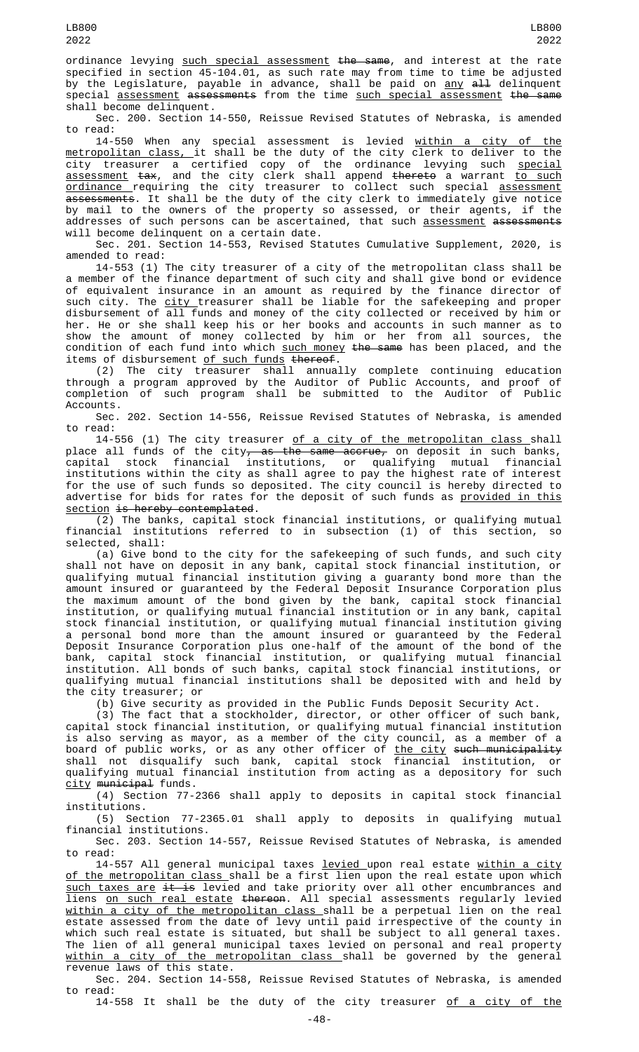ordinance levying such special assessment the same, and interest at the rate specified in section 45-104.01, as such rate may from time to time be adjusted by the Legislature, payable in advance, shall be paid on <u>any</u> <del>all</del> delinquent special <u>assessment</u> <del>assessments</del> from the time <u>such special assessment</u> <del>the same</del> shall become delinquent.

Sec. 200. Section 14-550, Reissue Revised Statutes of Nebraska, is amended to read:

14-550 When any special assessment is levied <u>within a city of the</u> metropolitan class, it shall be the duty of the city clerk to deliver to the city treasurer a certified copy of the ordinance levying such <u>special</u> <u>assessment</u> <del>tax</del>, and the city clerk shall append <del>thereto</del> a warrant <u>to such</u> <u>ordinance requiring the city treasurer to collect such special <u>assessment</u></u> assessments. It shall be the duty of the city clerk to immediately give notice by mail to the owners of the property so assessed, or their agents, if the addresses of such persons can be ascertained, that such <u>assessment</u> <del>assessments</del> will become delinquent on a certain date.

Sec. 201. Section 14-553, Revised Statutes Cumulative Supplement, 2020, is amended to read:

14-553 (1) The city treasurer of a city of the metropolitan class shall be a member of the finance department of such city and shall give bond or evidence of equivalent insurance in an amount as required by the finance director of such city. The <u>city </u>treasurer shall be liable for the safekeeping and proper disbursement of all funds and money of the city collected or received by him or her. He or she shall keep his or her books and accounts in such manner as to show the amount of money collected by him or her from all sources, the condition of each fund into which such money the same has been placed, and the items of disbursement <u>of such funds</u> <del>thereof</del>.

(2) The city treasurer shall annually complete continuing education through a program approved by the Auditor of Public Accounts, and proof of completion of such program shall be submitted to the Auditor of Public Accounts.

Sec. 202. Section 14-556, Reissue Revised Statutes of Nebraska, is amended to read:

14-556 (1) The city treasurer of a city of the metropolitan class shall place all funds of the city<del>, as the same accrue,</del> on deposit in such banks,<br>capital stock financial institutions, or qualifying mutual financial financial institutions, or qualifying mutual financial institutions within the city as shall agree to pay the highest rate of interest for the use of such funds so deposited. The city council is hereby directed to advertise for bids for rates for the deposit of such funds as <u>provided in this</u> section is hereby contemplated.

(2) The banks, capital stock financial institutions, or qualifying mutual financial institutions referred to in subsection (1) of this section, so selected, shall:

(a) Give bond to the city for the safekeeping of such funds, and such city shall not have on deposit in any bank, capital stock financial institution, or qualifying mutual financial institution giving a guaranty bond more than the amount insured or guaranteed by the Federal Deposit Insurance Corporation plus the maximum amount of the bond given by the bank, capital stock financial institution, or qualifying mutual financial institution or in any bank, capital stock financial institution, or qualifying mutual financial institution giving a personal bond more than the amount insured or guaranteed by the Federal Deposit Insurance Corporation plus one-half of the amount of the bond of the bank, capital stock financial institution, or qualifying mutual financial institution. All bonds of such banks, capital stock financial institutions, or qualifying mutual financial institutions shall be deposited with and held by the city treasurer; or

(b) Give security as provided in the Public Funds Deposit Security Act.

(3) The fact that a stockholder, director, or other officer of such bank, capital stock financial institution, or qualifying mutual financial institution is also serving as mayor, as a member of the city council, as a member of a board of public works, or as any other officer of <u>the city</u> <del>such municipality</del> shall not disqualify such bank, capital stock financial institution, or qualifying mutual financial institution from acting as a depository for such city municipal funds.

(4) Section 77-2366 shall apply to deposits in capital stock financial institutions.

(5) Section 77-2365.01 shall apply to deposits in qualifying mutual financial institutions.

Sec. 203. Section 14-557, Reissue Revised Statutes of Nebraska, is amended to read:

14-557 All general municipal taxes <u>levied upon real estate within a city</u> of the metropolitan class shall be a first lien upon the real estate upon which such taxes are it is levied and take priority over all other encumbrances and liens <u>on such real estate</u> <del>thereon</del>. All special assessments regularly levied within a city of the metropolitan class shall be a perpetual lien on the real estate assessed from the date of levy until paid irrespective of the county in which such real estate is situated, but shall be subject to all general taxes. The lien of all general municipal taxes levied on personal and real property within a city of the metropolitan class shall be governed by the general revenue laws of this state.

Sec. 204. Section 14-558, Reissue Revised Statutes of Nebraska, is amended to read:

14-558 It shall be the duty of the city treasurer of a city of the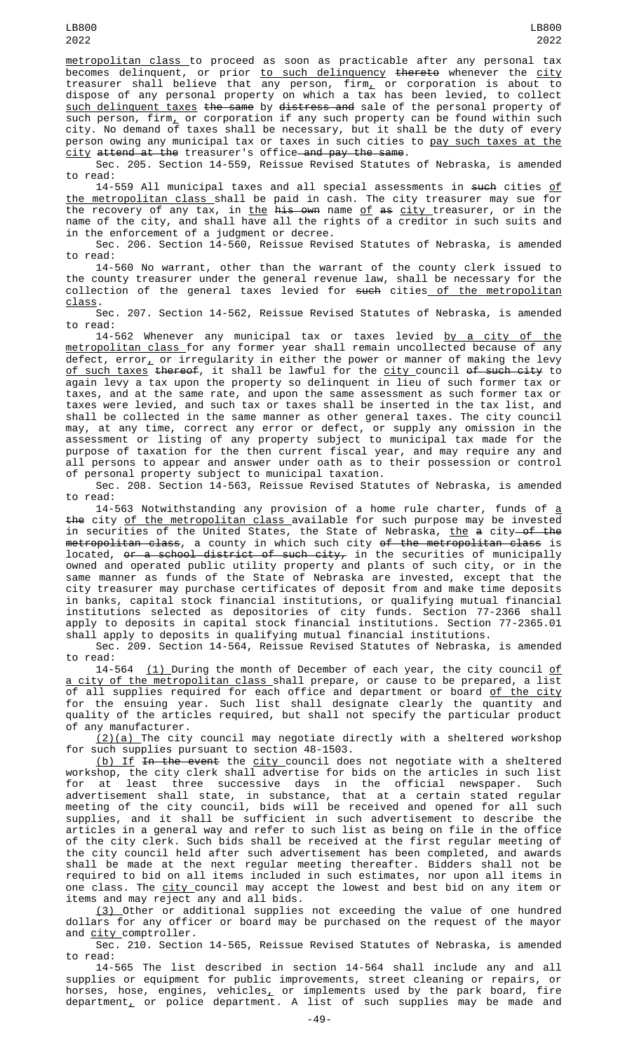metropolitan class to proceed as soon as practicable after any personal tax becomes delinquent, or prior <u>to such delinquency</u> <del>thereto</del> whenever the <u>city</u> treasurer shall believe that any person, firm, or corporation is about to dispose of any personal property on which a tax has been levied, to collect such delinquent taxes the same by distress and sale of the personal property of such person, firm $_{{\scriptscriptstyle\perp}}$  or corporation if any such property can be found within such city. No demand of taxes shall be necessary, but it shall be the duty of every person owing any municipal tax or taxes in such cities to <u>pay such taxes at the</u> <u>city</u> <del>attend at the</del> treasurer's office—<del>and pay the same</del>.

Sec. 205. Section 14-559, Reissue Revised Statutes of Nebraska, is amended to read:

14-559 All municipal taxes and all special assessments in such cities of the metropolitan class shall be paid in cash. The city treasurer may sue for the recovery of any tax, in <u>the</u> <del>his own</del> name <u>of <del>as</del> city treasurer, or in the</u> name of the city, and shall have all the rights of a creditor in such suits and in the enforcement of a judgment or decree.

Sec. 206. Section 14-560, Reissue Revised Statutes of Nebraska, is amended to read:

14-560 No warrant, other than the warrant of the county clerk issued to the county treasurer under the general revenue law, shall be necessary for the collection of the general taxes levied for <del>such</del> cities<u> of the metropolitan</u> class.

Sec. 207. Section 14-562, Reissue Revised Statutes of Nebraska, is amended to read:

14-562 Whenever any municipal tax or taxes levied <u>by a city of the</u> metropolitan class for any former year shall remain uncollected because of any defect, error $_{\scriptscriptstyle \rm L}$  or irregularity in either the power or manner of making the levy <u>of such taxes</u> <del>thereof</del>, it shall be lawful for the <u>city c</u>ouncil <del>of such city</del> to again levy a tax upon the property so delinquent in lieu of such former tax or taxes, and at the same rate, and upon the same assessment as such former tax or taxes were levied, and such tax or taxes shall be inserted in the tax list, and shall be collected in the same manner as other general taxes. The city council may, at any time, correct any error or defect, or supply any omission in the assessment or listing of any property subject to municipal tax made for the purpose of taxation for the then current fiscal year, and may require any and all persons to appear and answer under oath as to their possession or control of personal property subject to municipal taxation.

Sec. 208. Section 14-563, Reissue Revised Statutes of Nebraska, is amended to read:

14-563 Notwithstanding any provision of a home rule charter, funds of <u>a</u> the city of the metropolitan class available for such purpose may be invested in securities of the United States, the State of Nebraska, <u>the</u> <del>a</del> city—<del>of the</del> m<del>etropolitan class</del>, a county in which such city <del>of the metropolitan class</del> is located, <del>or a school district of such city,</del> in the securities of municipally owned and operated public utility property and plants of such city, or in the same manner as funds of the State of Nebraska are invested, except that the city treasurer may purchase certificates of deposit from and make time deposits in banks, capital stock financial institutions, or qualifying mutual financial institutions selected as depositories of city funds. Section 77-2366 shall apply to deposits in capital stock financial institutions. Section 77-2365.01 shall apply to deposits in qualifying mutual financial institutions.

Sec. 209. Section 14-564, Reissue Revised Statutes of Nebraska, is amended to read:

14-564  $(1)$  During the month of December of each year, the city council of <u>a city of the metropolitan class s</u>hall prepare, or cause to be prepared, a list of all supplies required for each office and department or board <u>of the city</u> for the ensuing year. Such list shall designate clearly the quantity and quality of the articles required, but shall not specify the particular product of any manufacturer.

 $(2)(a)$  The city council may negotiate directly with a sheltered workshop for such supplies pursuant to section 48-1503.

(b) If In the event the city council does not negotiate with a sheltered workshop, the city clerk shall advertise for bids on the articles in such list for at least three successive days in the official newspaper. Such advertisement shall state, in substance, that at a certain stated regular meeting of the city council, bids will be received and opened for all such supplies, and it shall be sufficient in such advertisement to describe the articles in a general way and refer to such list as being on file in the office of the city clerk. Such bids shall be received at the first regular meeting of the city council held after such advertisement has been completed, and awards shall be made at the next regular meeting thereafter. Bidders shall not be required to bid on all items included in such estimates, nor upon all items in one class. The <u>city c</u>ouncil may accept the lowest and best bid on any item or items and may reject any and all bids.

(3) Other or additional supplies not exceeding the value of one hundred dollars for any officer or board may be purchased on the request of the mayor and city comptroller.

Sec. 210. Section 14-565, Reissue Revised Statutes of Nebraska, is amended to read:

14-565 The list described in section 14-564 shall include any and all supplies or equipment for public improvements, street cleaning or repairs, or horses, hose, engines, vehicles<u>,</u> or implements used by the park board, fire department, or police department. A list of such supplies may be made and

-49-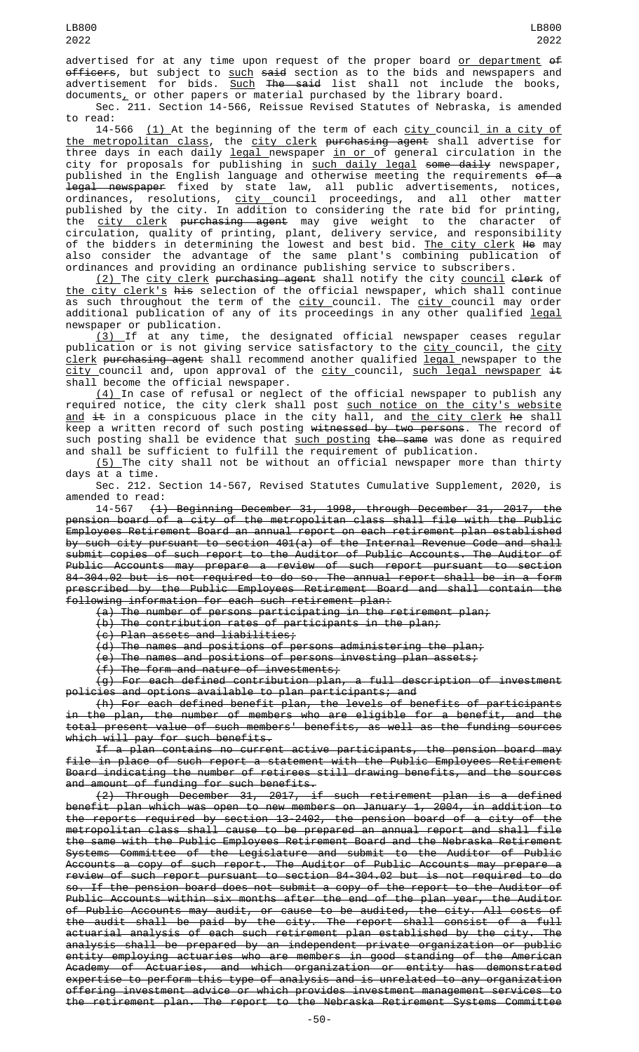advertised for at any time upon request of the proper board <u>or department</u> <del>of</del> <del>officers</del>, but subject to <u>such</u> <del>said</del> section as to the bids and newspapers and advertisement for bids. <u>Such</u> <del>The said</del> list shall not include the books, documents $_{\rm \scriptscriptstyle L}$  or other papers or material purchased by the library board.

Sec. 211. Section 14-566, Reissue Revised Statutes of Nebraska, is amended to read:<br>14-566

 $(1)$  At the beginning of the term of each  $\frac{\text{city}}{\text{city}}$  council in a city of the metropolitan class, the city clerk purchasing agent shall advertise for three days in each daily <u>legal newspaper in or of general circulation in the</u> city for proposals for publishing in <u>such daily legal</u> <del>some daily</del> newspaper, published in the English language and otherwise meeting the requirements <del>of a</del> <del>legal newspaper</del> fixed by state law, all public advertisements, notices, ordinances, resolutions, <u>city c</u>ouncil proceedings, and all other matter published by the city. In addition to considering the rate bid for printing, the <u>city clerk</u> <del>purchasing agent</del> may give weight to the character of circulation, quality of printing, plant, delivery service, and responsibility of the bidders in determining the lowest and best bid. <u>The city clerk</u> <del>He</del> may also consider the advantage of the same plant's combining publication of ordinances and providing an ordinance publishing service to subscribers.

<u>(2) </u>The <u>city clerk</u> <del>purchasing agent</del> shall notify the city <u>council</u> <del>clerk</del> of the city clerk's his selection of the official newspaper, which shall continue as such throughout the term of the <u>city c</u>ouncil. The <u>city c</u>ouncil may order additional publication of any of its proceedings in any other qualified <u>legal</u> newspaper or publication.

(3) If at any time, the designated official newspaper ceases regular publication or is not giving service satisfactory to the <u>city c</u>ouncil, the <u>city</u> clerk purchasing agent shall recommend another qualified legal newspaper to the city council and, upon approval of the city council, such legal newspaper  $\pm$ shall become the official newspaper.

 $(4)$  In case of refusal or neglect of the official newspaper to publish any required notice, the city clerk shall post such notice on the city's website <u>and</u> <del>it</del> in a conspicuous place in the city hall, and <u>the city clerk</u> <del>he</del> shall keep a written record of such posting <del>witnessed by two persons</del>. The record of such posting shall be evidence that <u>such posting <del>the same</del> was done as required</u> and shall be sufficient to fulfill the requirement of publication.

(5) The city shall not be without an official newspaper more than thirty days at a time.

Sec. 212. Section 14-567, Revised Statutes Cumulative Supplement, 2020, is amended to read:

14-567 (1) Beginning December 31, 1998, through December 31, 2017, the pension board of a city of the metropolitan class shall file with the Public Employees Retirement Board an annual report on each retirement plan established by such city pursuant to section 401(a) of the Internal Revenue Code and shall submit copies of such report to the Auditor of Public Accounts. The Auditor of Public Accounts may prepare a review of such report pursuant to section 84-304.02 but is not required to do so. The annual report shall be in a form prescribed by the Public Employees Retirement Board and shall contain the following information for each such retirement plan:

(a) The number of persons participating in the retirement plan;

(b) The contribution rates of participants in the plan;

(c) Plan assets and liabilities;

(d) The names and positions of persons administering the plan;

(e) The names and positions of persons investing plan assets;

(f) The form and nature of investments;

(g) For each defined contribution plan, a full description of investment policies and options available to plan participants; and

(h) For each defined benefit plan, the levels of benefits of participants in the plan, the number of members who are eligible for a benefit, and the total present value of such members' benefits, as well as the funding sources which will pay for such benefits.

If a plan contains no current active participants, the pension board may file in place of such report a statement with the Public Employees Retirement Board indicating the number of retirees still drawing benefits, and the sources and amount of funding for such benefits.

(2) Through December 31, 2017, if such retirement plan is a defined benefit plan which was open to new members on January 1, 2004, in addition to the reports required by section 13-2402, the pension board of a city of the metropolitan class shall cause to be prepared an annual report and shall file the same with the Public Employees Retirement Board and the Nebraska Retirement Systems Committee of the Legislature and submit to the Auditor of Public Accounts a copy of such report. The Auditor of Public Accounts may prepare a review of such report pursuant to section 84-304.02 but is not required to do so. If the pension board does not submit a copy of the report to the Auditor of Public Accounts within six months after the end of the plan year, the Auditor of Public Accounts may audit, or cause to be audited, the city. All costs of the audit shall be paid by the city. The report shall consist of a full actuarial analysis of each such retirement plan established by the city. The analysis shall be prepared by an independent private organization or public entity employing actuaries who are members in good standing of the American Academy of Actuaries, and which organization or entity has demonstrated expertise to perform this type of analysis and is unrelated to any organization offering investment advice or which provides investment management services to the retirement plan. The report to the Nebraska Retirement Systems Committee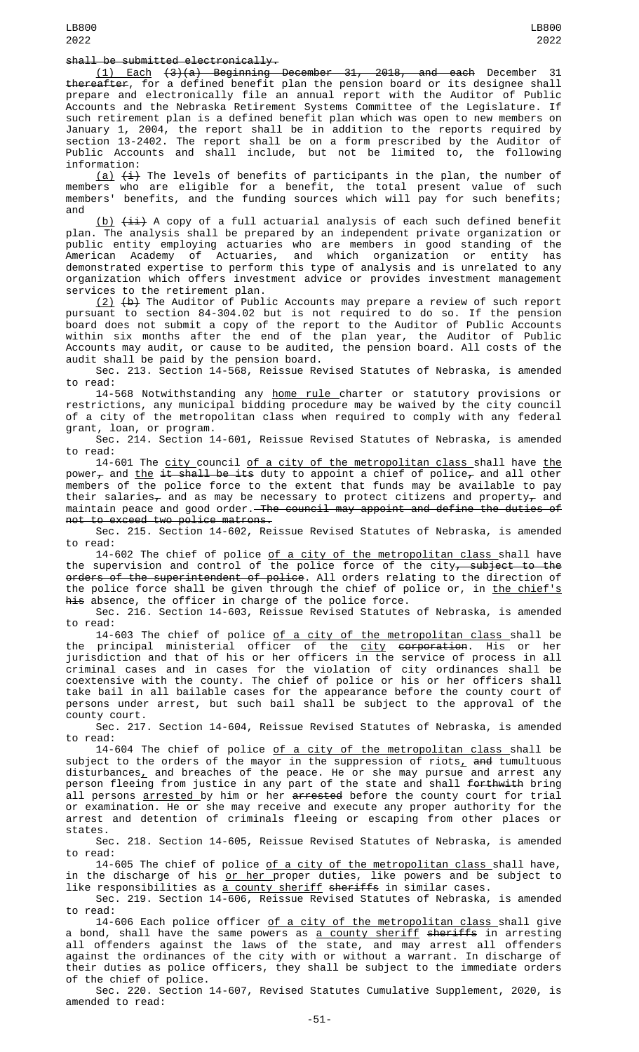## shall be submitted electronically.

LB800 2022

(1) Each (3)(a) Beginning December 31, 2018, and each December 31 thereafter, for a defined benefit plan the pension board or its designee shall prepare and electronically file an annual report with the Auditor of Public Accounts and the Nebraska Retirement Systems Committee of the Legislature. If such retirement plan is a defined benefit plan which was open to new members on January 1, 2004, the report shall be in addition to the reports required by section 13-2402. The report shall be on a form prescribed by the Auditor of Public Accounts and shall include, but not be limited to, the following information:

<u>(a)</u>  $\overline{\texttt{(i)}}$  The levels of benefits of participants in the plan, the number of members who are eligible for a benefit, the total present value of such members' benefits, and the funding sources which will pay for such benefits; and

 $(b)$   $(ii)$  A copy of a full actuarial analysis of each such defined benefit plan. The analysis shall be prepared by an independent private organization or public entity employing actuaries who are members in good standing of the American Academy of Actuaries, and which organization or entity has demonstrated expertise to perform this type of analysis and is unrelated to any organization which offers investment advice or provides investment management services to the retirement plan.

 $(2)$   $(b)$  The Auditor of Public Accounts may prepare a review of such report pursuant to section 84-304.02 but is not required to do so. If the pension board does not submit a copy of the report to the Auditor of Public Accounts within six months after the end of the plan year, the Auditor of Public Accounts may audit, or cause to be audited, the pension board. All costs of the audit shall be paid by the pension board.

Sec. 213. Section 14-568, Reissue Revised Statutes of Nebraska, is amended to read:

14-568 Notwithstanding any <u>home rule c</u>harter or statutory provisions or restrictions, any municipal bidding procedure may be waived by the city council of a city of the metropolitan class when required to comply with any federal grant, loan, or program.

Sec. 214. Section 14-601, Reissue Revised Statutes of Nebraska, is amended to read:

14-601 The city council of a city of the metropolitan class shall have the power<sub> $\tau$ </sub> and the it shall be its duty to appoint a chief of police<sub> $\tau$ </sub> and all other members of the police force to the extent that funds may be available to pay their salaries $_{\mathcal{T}}$  and as may be necessary to protect citizens and property $_{\mathcal{T}}$  and maintain peace and good order.—<del>The council may appoint and define the duties of</del> not to exceed two police matrons.

Sec. 215. Section 14-602, Reissue Revised Statutes of Nebraska, is amended to read:

14-602 The chief of police <u>of a city of the metropolitan class </u>shall have the supervision and control of the police force of the city<del>, subject to the</del> orders of the superintendent of police. All orders relating to the direction of the police force shall be given through the chief of police or, in the chief's his absence, the officer in charge of the police force.

Sec. 216. Section 14-603, Reissue Revised Statutes of Nebraska, is amended to read:

14-603 The chief of police <u>of a city of the metropolitan class </u>shall be the principal ministerial officer of the <u>city</u> <del>corporation</del>. His or her jurisdiction and that of his or her officers in the service of process in all criminal cases and in cases for the violation of city ordinances shall be coextensive with the county. The chief of police or his or her officers shall take bail in all bailable cases for the appearance before the county court of persons under arrest, but such bail shall be subject to the approval of the county court.

Sec. 217. Section 14-604, Reissue Revised Statutes of Nebraska, is amended to read:

14-604 The chief of police <u>of a city of the metropolitan class </u>shall be subject to the orders of the mayor in the suppression of riots<u>,</u> <del>and</del> tumultuous disturbances $_{\perp}$  and breaches of the peace. He or she may pursue and arrest any person fleeing from justice in any part of the state and shall <del>forthwith</del> bring all persons arrested by him or her arrested before the county court for trial or examination. He or she may receive and execute any proper authority for the arrest and detention of criminals fleeing or escaping from other places or states.

Sec. 218. Section 14-605, Reissue Revised Statutes of Nebraska, is amended to read:

14-605 The chief of police of a city of the metropolitan class shall have, in the discharge of his <u>or her </u>proper duties, like powers and be subject to like responsibilities as <u>a county sheriff</u> <del>sheriffs</del> in similar cases.

Sec. 219. Section 14-606, Reissue Revised Statutes of Nebraska, is amended to read:

14-606 Each police officer of a city of the metropolitan class shall give a bond, shall have the same powers as <u>a county sheriff</u> <del>sheriffs</del> in arresting all offenders against the laws of the state, and may arrest all offenders against the ordinances of the city with or without a warrant. In discharge of their duties as police officers, they shall be subject to the immediate orders of the chief of police.

Sec. 220. Section 14-607, Revised Statutes Cumulative Supplement, 2020, is amended to read: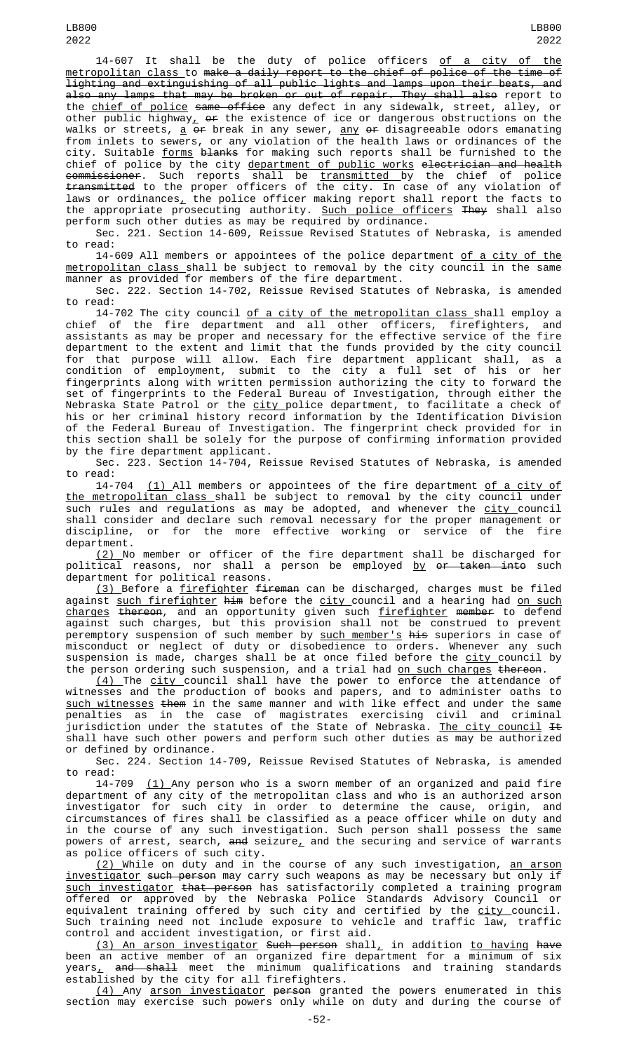14-607 It shall be the duty of police officers of a city of the metropolitan class to make a daily report to the chief of police of the time of lighting and extinguishing of all public lights and lamps upon their beats, and also any lamps that may be broken or out of repair. They shall also report to the <u>chief of police</u> <del>same office</del> any defect in any sidewalk, street, alley, or other public highway $_{L}$  <del>or</del> the existence of ice or dangerous obstructions on the walks or streets, <u>a</u> <del>or</del> break in any sewer, <u>any</u> <del>or</del> disagreeable odors emanating from inlets to sewers, or any violation of the health laws or ordinances of the city. Suitable <u>forms</u> <del>blanks</del> for making such reports shall be furnished to the chief of police by the city <u>department of public works</u> e<del>lectrician and health</del> <del>commissioner</del>. Such reports shall be <u>transmitted </u>by the chief of police transmitted to the proper officers of the city. In case of any violation of laws or ordinances $_{\scriptscriptstyle\! L}$  the police officer making report shall report the facts to the appropriate prosecuting authority. <u>Such police officers</u> <del>They</del> shall also perform such other duties as may be required by ordinance.

Sec. 221. Section 14-609, Reissue Revised Statutes of Nebraska, is amended to read:

14-609 All members or appointees of the police department of a city of the metropolitan class shall be subject to removal by the city council in the same manner as provided for members of the fire department.

Sec. 222. Section 14-702, Reissue Revised Statutes of Nebraska, is amended to read:

14-702 The city council <u>of a city of the metropolitan class </u>shall employ a chief of the fire department and all other officers, firefighters, and assistants as may be proper and necessary for the effective service of the fire department to the extent and limit that the funds provided by the city council for that purpose will allow. Each fire department applicant shall, as a condition of employment, submit to the city a full set of his or her fingerprints along with written permission authorizing the city to forward the set of fingerprints to the Federal Bureau of Investigation, through either the Nebraska State Patrol or the <u>city p</u>olice department, to facilitate a check of his or her criminal history record information by the Identification Division of the Federal Bureau of Investigation. The fingerprint check provided for in this section shall be solely for the purpose of confirming information provided by the fire department applicant.

Sec. 223. Section 14-704, Reissue Revised Statutes of Nebraska, is amended to read:

14-704 <u>(1) </u>All members or appointees of the fire department <u>of a city of</u> the metropolitan class shall be subject to removal by the city council under such rules and regulations as may be adopted, and whenever the city council shall consider and declare such removal necessary for the proper management or discipline, or for the more effective working or service of the fire department.

(2) No member or officer of the fire department shall be discharged for political reasons, nor shall a person be employed <u>by <del>or taken into</del> such</u> department for political reasons.

<u>(3) </u>Before a <u>firefighter</u> <del>fireman</del> can be discharged, charges must be filed against <u>such firefighter</u> <del>him</del> before the <u>city c</u>ouncil and a hearing had <u>on such</u> <u>charges</u> <del>thereon</del>, and an opportunity given such <u>firefighter</u> <del>member</del> to defend against such charges, but this provision shall not be construed to prevent peremptory suspension of such member by <u>such member's</u> <del>his</del> superiors in case of misconduct or neglect of duty or disobedience to orders. Whenever any such suspension is made, charges shall be at once filed before the <u>city c</u>ouncil by the person ordering such suspension, and a trial had <u>on such charges</u> <del>thereon</del>.

(4) The city council shall have the power to enforce the attendance of witnesses and the production of books and papers, and to administer oaths to such witnesses them in the same manner and with like effect and under the same penalties as in the case of magistrates exercising civil and criminal jurisdiction under the statutes of the State of Nebraska. <u>The city council</u> <del>It</del> shall have such other powers and perform such other duties as may be authorized or defined by ordinance.

Sec. 224. Section 14-709, Reissue Revised Statutes of Nebraska, is amended to read:<br>14-709

 $(1)$  Any person who is a sworn member of an organized and paid fire department of any city of the metropolitan class and who is an authorized arson investigator for such city in order to determine the cause, origin, and circumstances of fires shall be classified as a peace officer while on duty and in the course of any such investigation. Such person shall possess the same powers of arrest, search, <del>and</del> seizure<u>,</u> and the securing and service of warrants as police officers of such city.

<u>(2) </u>While on duty and in the course of any such investigation, <u>an arson</u> investigator such person may carry such weapons as may be necessary but only if such investigator that person has satisfactorily completed a training program offered or approved by the Nebraska Police Standards Advisory Council or equivalent training offered by such city and certified by the <u>city c</u>ouncil. Such training need not include exposure to vehicle and traffic law, traffic control and accident investigation, or first aid.

<u>(3) An arson investigator</u> <del>Such person</del> shall<u>,</u> in addition <u>to having</u> <del>have</del> been an active member of an organized fire department for a minimum of six<br>years, and shall meet the minimum qualifications and training standards and shall meet the minimum qualifications and training standards established by the city for all firefighters.

(4) Any arson investigator person granted the powers enumerated in this section may exercise such powers only while on duty and during the course of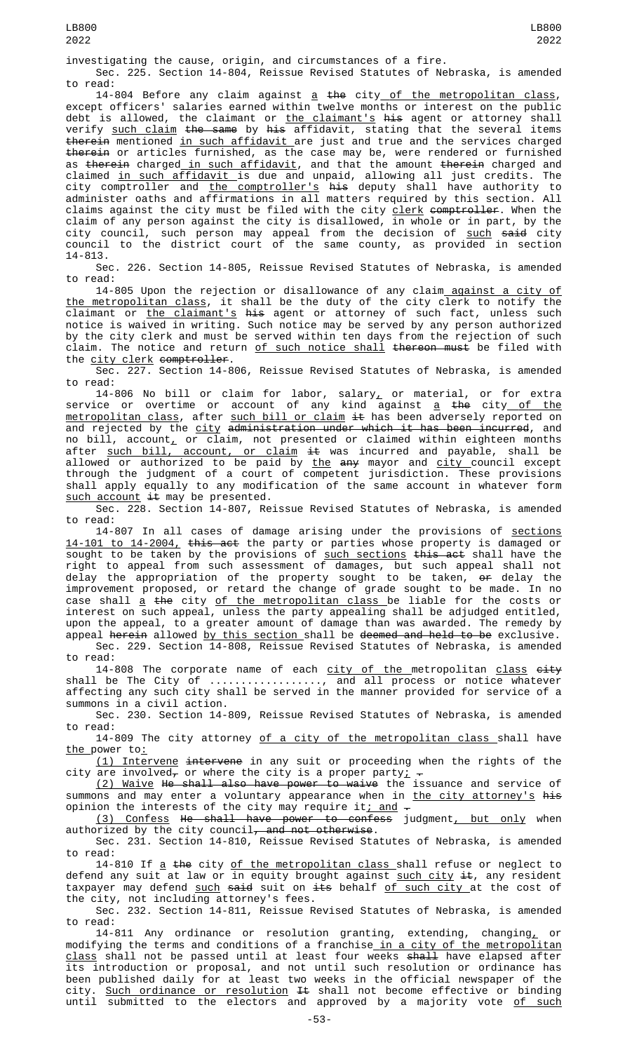investigating the cause, origin, and circumstances of a fire.

Sec. 225. Section 14-804, Reissue Revised Statutes of Nebraska, is amended to read:

14-804 Before any claim against  $\underline{a}$  the city of the metropolitan class, except officers' salaries earned within twelve months or interest on the public debt is allowed, the claimant or <u>the claimant's</u> <del>his</del> agent or attorney shall verify <u>such claim</u> <del>the same</del> by <del>his</del> affidavit, stating that the several items therein mentioned in such affidavit are just and true and the services charged therein or articles furnished, as the case may be, were rendered or furnished as <del>therein</del> charged<u> in such affidavit</u>, and that the amount <del>therein</del> charged and claimed <u>in such affidavit </u>is due and unpaid, allowing all just credits. The city comptroller and <u>the comptroller's</u> <del>his</del> deputy shall have authority to administer oaths and affirmations in all matters required by this section. All claims against the city must be filed with the city <u>clerk</u> <del>comptroller</del>. When the claim of any person against the city is disallowed, in whole or in part, by the city council, such person may appeal from the decision of <u>such</u> <del>said</del> city council to the district court of the same county, as provided in section 14-813.

Sec. 226. Section 14-805, Reissue Revised Statutes of Nebraska, is amended to read:

14-805 Upon the rejection or disallowance of any claim against a city of the metropolitan class, it shall be the duty of the city clerk to notify the claimant or <u>the claimant's</u> <del>his</del> agent or attorney of such fact, unless such notice is waived in writing. Such notice may be served by any person authorized by the city clerk and must be served within ten days from the rejection of such claim. The notice and return of such notice shall thereon must be filed with the  $\frac{\text{city}}{\text{c}}$  clerk comptroller.

Sec. 227. Section 14-806, Reissue Revised Statutes of Nebraska, is amended to read:

14-806 No bill or claim for labor, salary, or material, or for extra service or overtime or account of any kind against <u>a</u> <del>the</del> city<u> of the</u> <u>metropolitan class</u>, after <u>such bill or claim</u> <del>it</del> has been adversely reported on and rejected by the <u>city</u> <del>administration under which it has been incurred</del>, and no bill, account<u>,</u> or claim, not presented or claimed within eighteen months after <u>such bill, account, or claim</u> <del>it</del> was incurred and payable, shall be allowed or authorized to be paid by the any mayor and city council except through the judgment of a court of competent jurisdiction. These provisions shall apply equally to any modification of the same account in whatever form  $such$   $account$   $\pm t$  may be presented.

Sec. 228. Section 14-807, Reissue Revised Statutes of Nebraska, is amended to read:

14-807 In all cases of damage arising under the provisions of sections 14-101 to 14-2004, this act the party or parties whose property is damaged or sought to be taken by the provisions of <u>such sections</u> <del>this act</del> shall have the right to appeal from such assessment of damages, but such appeal shall not delay the appropriation of the property sought to be taken, <del>or</del> delay the improvement proposed, or retard the change of grade sought to be made. In no case shall <u>a</u> <del>the</del> city <u>of the metropolitan class </u>be liable for the costs or interest on such appeal, unless the party appealing shall be adjudged entitled, upon the appeal, to a greater amount of damage than was awarded. The remedy by

appeal herein allowed by this section shall be deemed and held to be exclusive. Sec. 229. Section 14-808, Reissue Revised Statutes of Nebraska, is amended to read:

14-808 The corporate name of each city of the metropolitan class eity shall be The City of .................., and all process or notice whatever affecting any such city shall be served in the manner provided for service of a summons in a civil action.

Sec. 230. Section 14-809, Reissue Revised Statutes of Nebraska, is amended to read:

14-809 The city attorney of a city of the metropolitan class shall have <u>the p</u>ower to<u>:</u>

<u>(1) Intervene</u> <del>intervene</del> in any suit or proceeding when the rights of the city are involved<del>,</del> or where the city is a proper party<u>;</u>  $\texttt{-}$ 

<u>(2) Waive</u> <del>He shall also have power to waive</del> the issuance and service of summons and may enter a voluntary appearance when in <u>the city attorney's</u> <del>his</del> opinion the interests of the city may require it<u>; and</u>  $\hbox{\large -}$ 

(3) Confess He shall have power to confess judgment, but only when authorized by the city council<del>, and not otherwise</del>.

Sec. 231. Section 14-810, Reissue Revised Statutes of Nebraska, is amended to read:

14-810 If <u>a</u> <del>the</del> city <u>of the metropolitan class shall refuse or neglect to</u> defend any suit at law or in equity brought against <u>such city</u> <del>it</del>, any resident taxpayer may defend <u>such</u> <del>said</del> suit on <del>its</del> behalf <u>of such city </u>at the cost of the city, not including attorney's fees.

Sec. 232. Section 14-811, Reissue Revised Statutes of Nebraska, is amended to read:

14-811 Any ordinance or resolution granting, extending, changing $_{\tt L}$  or modifying the terms and conditions of a franchise<u> in a city of the metropolitan</u> class shall not be passed until at least four weeks shall have elapsed after its introduction or proposal, and not until such resolution or ordinance has been published daily for at least two weeks in the official newspaper of the city. <u>Such ordinance or resolution</u> <del>It</del> shall not become effective or binding until submitted to the electors and approved by a majority vote <u>of such</u>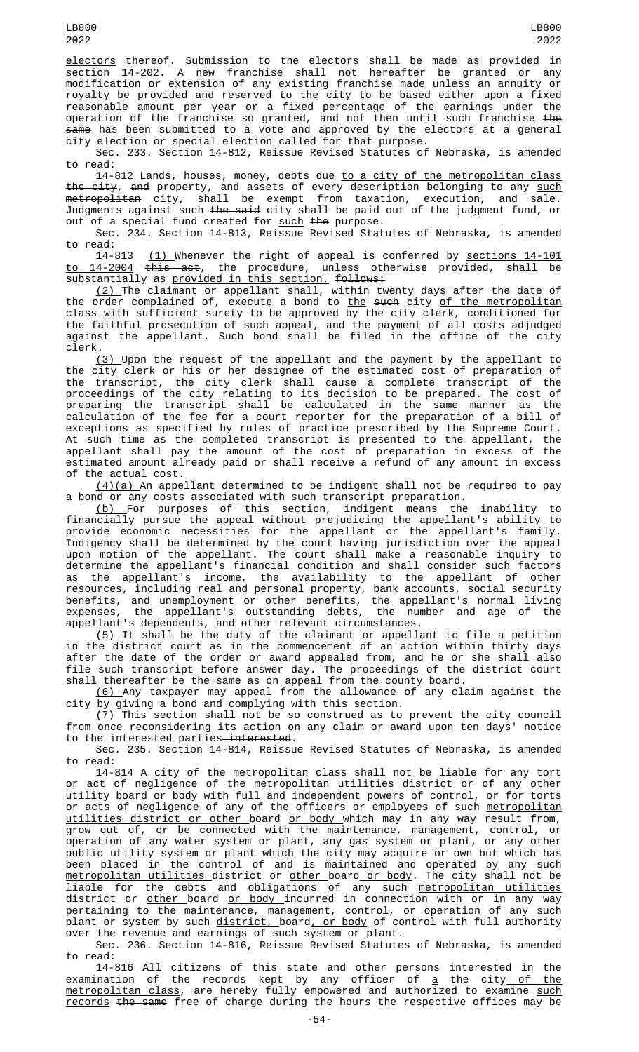electors thereof. Submission to the electors shall be made as provided in section 14-202. A new franchise shall not hereafter be granted or any modification or extension of any existing franchise made unless an annuity or royalty be provided and reserved to the city to be based either upon a fixed reasonable amount per year or a fixed percentage of the earnings under the operation of the franchise so granted, and not then until <u>such franchise</u> <del>the</del> same has been submitted to a vote and approved by the electors at a general city election or special election called for that purpose.

Sec. 233. Section 14-812, Reissue Revised Statutes of Nebraska, is amended to read:

14-812 Lands, houses, money, debts due <u>to a city of the metropolitan class</u> <del>the city</del>, <del>and</del> property, and assets of every description belonging to any <u>such</u> <del>metropolitan</del> city, shall be exempt from taxation, execution, and sale. Judgments against <u>such</u> <del>the said</del> city shall be paid out of the judgment fund, or out of a special fund created for <u>such</u> <del>the</del> purpose.

Sec. 234. Section 14-813, Reissue Revised Statutes of Nebraska, is amended

to read:<br>14-813  $(1)$  Whenever the right of appeal is conferred by <u>sections 14-101</u><br>this act, the procedure, unless otherwise provided, shall be to 14-2004 this act, the procedure, unless otherwise provided, shall be substantially as <u>provided in this section.</u> <del>follows:</del>

<u>(2) </u>The claimant or appellant shall, within twenty days after the date of the order complained of, execute a bond to <u>the</u> s<del>uch</del> city <u>of the metropolitan</u> <u>class </u>with sufficient surety to be approved by the <u>city c</u>lerk, conditioned for the faithful prosecution of such appeal, and the payment of all costs adjudged against the appellant. Such bond shall be filed in the office of the city clerk.

(3) Upon the request of the appellant and the payment by the appellant to the city clerk or his or her designee of the estimated cost of preparation of the transcript, the city clerk shall cause a complete transcript of the proceedings of the city relating to its decision to be prepared. The cost of preparing the transcript shall be calculated in the same manner as the calculation of the fee for a court reporter for the preparation of a bill of exceptions as specified by rules of practice prescribed by the Supreme Court. At such time as the completed transcript is presented to the appellant, the appellant shall pay the amount of the cost of preparation in excess of the estimated amount already paid or shall receive a refund of any amount in excess of the actual cost.

(4)(a) An appellant determined to be indigent shall not be required to pay a bond or any costs associated with such transcript preparation.

(b) For purposes of this section, indigent means the inability to financially pursue the appeal without prejudicing the appellant's ability to provide economic necessities for the appellant or the appellant's family. Indigency shall be determined by the court having jurisdiction over the appeal upon motion of the appellant. The court shall make a reasonable inquiry to determine the appellant's financial condition and shall consider such factors as the appellant's income, the availability to the appellant of other resources, including real and personal property, bank accounts, social security benefits, and unemployment or other benefits, the appellant's normal living expenses, the appellant's outstanding debts, the number and age of the appellant's dependents, and other relevant circumstances.

(5) It shall be the duty of the claimant or appellant to file a petition in the district court as in the commencement of an action within thirty days after the date of the order or award appealed from, and he or she shall also file such transcript before answer day. The proceedings of the district court shall thereafter be the same as on appeal from the county board.

(6) Any taxpayer may appeal from the allowance of any claim against the city by giving a bond and complying with this section.

(7) This section shall not be so construed as to prevent the city council from once reconsidering its action on any claim or award upon ten days' notice to the interested parties interested.

Sec. 235. Section 14-814, Reissue Revised Statutes of Nebraska, is amended to read:

14-814 A city of the metropolitan class shall not be liable for any tort or act of negligence of the metropolitan utilities district or of any other utility board or body with full and independent powers of control, or for torts or acts of negligence of any of the officers or employees of such <u>metropolitan</u> <u>utilities district or other b</u>oard <u>or body </u>which may in any way result from, grow out of, or be connected with the maintenance, management, control, or operation of any water system or plant, any gas system or plant, or any other public utility system or plant which the city may acquire or own but which has been placed in the control of and is maintained and operated by any such <u>metropolitan utilities d</u>istrict or <u>other board or body</u>. The city shall not be liable for the debts and obligations of any such <u>metropolitan utilities</u> district or <u>other </u>board <u>or body </u>incurred in connection with or in any way pertaining to the maintenance, management, control, or operation of any such plant or system by such <u>district, </u>board<u>, or body</u> of control with full authority over the revenue and earnings of such system or plant.

Sec. 236. Section 14-816, Reissue Revised Statutes of Nebraska, is amended to read:

14-816 All citizens of this state and other persons interested in the examination of the records kept by any officer of <u>a</u> <del>the</del> city<u> of the</u> <u>metropolitan class</u>, are <del>hereby fully empowered and</del> authorized to examine <u>such</u> records the same free of charge during the hours the respective offices may be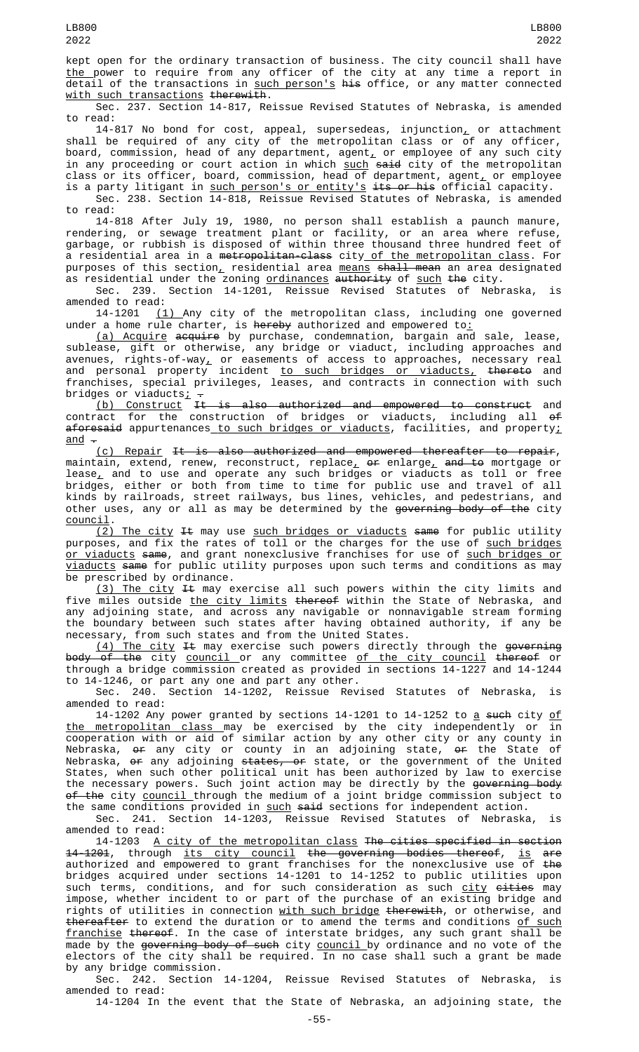kept open for the ordinary transaction of business. The city council shall have <u>the </u>power to require from any officer of the city at any time a report in detail of the transactions in <u>such person's</u> <del>his</del> office, or any matter connected with such transactions therewith.

Sec. 237. Section 14-817, Reissue Revised Statutes of Nebraska, is amended to read:

14-817 No bond for cost, appeal, supersedeas, injunction<u>,</u> or attachment shall be required of any city of the metropolitan class or of any officer, board, commission, head of any department, agent $_{\rm{{\bf L}}}$  or employee of any such city in any proceeding or court action in which such said city of the metropolitan class or its officer, board, commission, head of department, agent $_{\rm {\mathcal L}}$  or employee is a party litigant in such person's or entity's its or his official capacity.

Sec. 238. Section 14-818, Reissue Revised Statutes of Nebraska, is amended to read:

14-818 After July 19, 1980, no person shall establish a paunch manure, rendering, or sewage treatment plant or facility, or an area where refuse, garbage, or rubbish is disposed of within three thousand three hundred feet of a residential area in a metropolitan-class city of the metropolitan class. For purposes of this section, residential area means shall mean an area designated as residential under the zoning <u>ordinances</u> <del>authority</del> of <u>such</u> <del>the</del> city.

Sec. 239. Section 14-1201, Reissue Revised Statutes of Nebraska, is amended to read:

14-1201 <u>(1)</u> Any city of the metropolitan class, including one governed under a home rule charter, is <del>hereby</del> authorized and empowered to<u>:</u>

(a) Acquire acquire by purchase, condemnation, bargain and sale, lease, sublease, gift or otherwise, any bridge or viaduct, including approaches and avenues, rights-of-way $_{\scriptscriptstyle \perp}$  or easements of access to approaches, necessary real and personal property incident <u>to such bridges or viaducts,</u> <del>thereto</del> and franchises, special privileges, leases, and contracts in connection with such bridges or viaducts; .

(b) Construct It is also authorized and empowered to construct and contract for the construction of bridges or viaducts, including all of aforesaid appurtenances to such bridges or viaducts, facilities, and property;  $\frac{\text{and}}{\text{}}$  -

(c) Repair It is also authorized and empowered thereafter to repair, maintain, extend, renew, reconstruct, replace<u>,</u> <del>or</del> enlarge<u>,</u> <del>and to</del> mortgage or lease, and to use and operate any such bridges or viaducts as toll or free bridges, either or both from time to time for public use and travel of all kinds by railroads, street railways, bus lines, vehicles, and pedestrians, and other uses, any or all as may be determined by the <del>governing body of the</del> city council.

 $(2)$  The city It may use such bridges or viaducts same for public utility purposes, and fix the rates of toll or the charges for the use of such bridges <u>or viaducts</u> <del>same</del>, and grant nonexclusive franchises for use of <u>such bridges or</u> viaducts same for public utility purposes upon such terms and conditions as may be prescribed by ordinance.

(3) The city It may exercise all such powers within the city limits and five miles outside <u>the city limits</u> <del>thereof</del> within the State of Nebraska, and any adjoining state, and across any navigable or nonnavigable stream forming the boundary between such states after having obtained authority, if any be necessary, from such states and from the United States.

<u>(4) The city</u> <del>It</del> may exercise such powers directly through the <del>governing</del> <del>body of the</del> city <u>council o</u>r any committee <u>of the city council</u> <del>thereof</del> or through a bridge commission created as provided in sections 14-1227 and 14-1244 to 14-1246, or part any one and part any other.

Sec. 240. Section 14-1202, Reissue Revised Statutes of Nebraska, is amended to read:

14-1202 Any power granted by sections 14-1201 to 14-1252 to <u>a</u> <del>such</del> city <u>of</u> the metropolitan class may be exercised by the city independently or in cooperation with or aid of similar action by any other city or any county in Nebraska, <del>or</del> any city or county in an adjoining state, <del>or</del> the State of Nebraska, <del>or</del> any adjoining <del>states, or</del> state, or the government of the United States, when such other political unit has been authorized by law to exercise the necessary powers. Such joint action may be directly by the <del>governing body</del> <del>of the</del> city <u>council </u>through the medium of a joint bridge commission subject to the same conditions provided in <u>such</u> <del>said</del> sections for independent action.

Sec. 241. Section 14-1203, Reissue Revised Statutes of Nebraska, is amended to read:

14-1203 A city of the metropolitan class The cities specified in section 14-1201, through its city council the governing bodies thereof, is are authorized and empowered to grant franchises for the nonexclusive use of the bridges acquired under sections 14-1201 to 14-1252 to public utilities upon such terms, conditions, and for such consideration as such <u>city</u> <del>cities</del> may impose, whether incident to or part of the purchase of an existing bridge and rights of utilities in connection with such bridge therewith, or otherwise, and thereafter to extend the duration or to amend the terms and conditions of such franchise thereof. In the case of interstate bridges, any such grant shall be made by the <del>governing body of such</del> city <u>council </u>by ordinance and no vote of the electors of the city shall be required. In no case shall such a grant be made by any bridge commission.

Sec. 242. Section 14-1204, Reissue Revised Statutes of Nebraska, is amended to read:

14-1204 In the event that the State of Nebraska, an adjoining state, the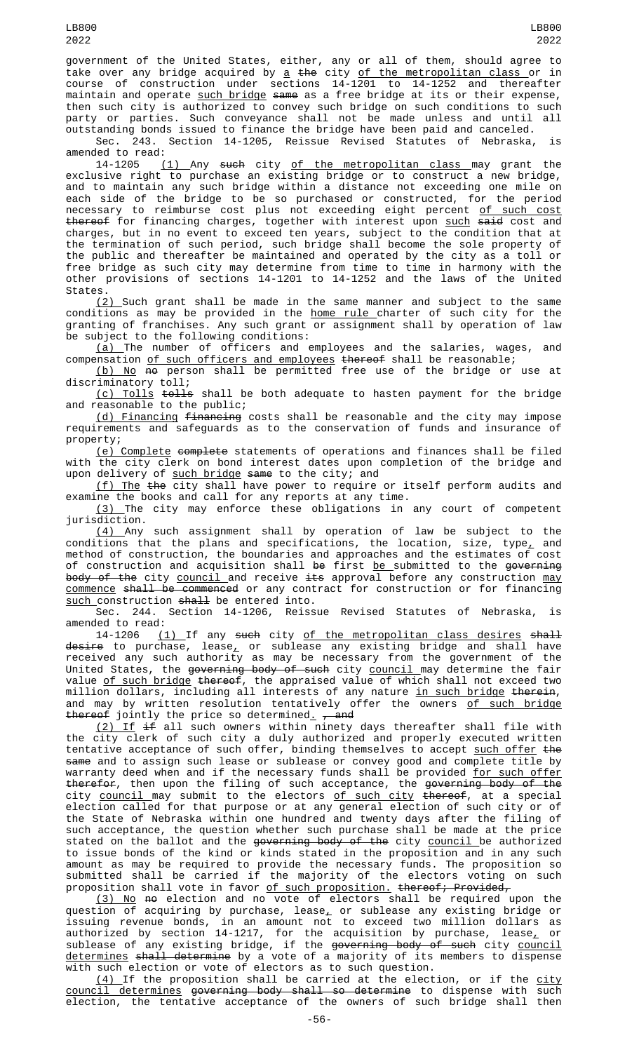government of the United States, either, any or all of them, should agree to take over any bridge acquired by <u>a</u> <del>the</del> city <u>of the metropolitan class or in</u> course of construction under sections 14-1201 to 14-1252 and thereafter maintain and operate such bridge same as a free bridge at its or their expense, then such city is authorized to convey such bridge on such conditions to such party or parties. Such conveyance shall not be made unless and until all outstanding bonds issued to finance the bridge have been paid and canceled.

Sec. 243. Section 14-1205, Reissue Revised Statutes of Nebraska, is amended to read:

14-1205 <u>(1) Any s<del>uch</del> city <u>of the metropolitan class </u>may grant the</u> exclusive right to purchase an existing bridge or to construct a new bridge, and to maintain any such bridge within a distance not exceeding one mile on each side of the bridge to be so purchased or constructed, for the period necessary to reimburse cost plus not exceeding eight percent <u>of such cost</u> <del>thereof</del> for financing charges, together with interest upon <u>such</u> <del>said</del> cost and charges, but in no event to exceed ten years, subject to the condition that at the termination of such period, such bridge shall become the sole property of the public and thereafter be maintained and operated by the city as a toll or free bridge as such city may determine from time to time in harmony with the other provisions of sections 14-1201 to 14-1252 and the laws of the United States.

<u>(2) S</u>uch grant shall be made in the same manner and subject to the same conditions as may be provided in the <u>home rule c</u>harter of such city for the granting of franchises. Any such grant or assignment shall by operation of law be subject to the following conditions:

(a) The number of officers and employees and the salaries, wages, and compensation <u>of such officers and employees</u> t<del>hereof</del> shall be reasonable;

<u>(b) No</u> <del>no</del> person shall be permitted free use of the bridge or use at discriminatory toll;

(c) Tolls tolls shall be both adequate to hasten payment for the bridge and reasonable to the public;

(d) Financing financing costs shall be reasonable and the city may impose requirements and safeguards as to the conservation of funds and insurance of property;

<u>(e) Complete</u> <del>complete</del> statements of operations and finances shall be filed with the city clerk on bond interest dates upon completion of the bridge and upon delivery of such bridge same to the city; and

<u>(f) The</u> <del>the</del> city shall have power to require or itself perform audits and examine the books and call for any reports at any time.

(3) The city may enforce these obligations in any court of competent jurisdiction.

(4) Any such assignment shall by operation of law be subject to the conditions that the plans and specifications, the location, size, type, and method of construction, the boundaries and approaches and the estimates of cost of construction and acquisition shall <del>be</del> first <u>be s</u>ubmitted to the <del>governing</del> body of the city council and receive its approval before any construction may commence shall be commenced or any contract for construction or for financing such construction shall be entered into.

Sec. 244. Section 14-1206, Reissue Revised Statutes of Nebraska, is amended to read:

14-1206 <u>(1)</u> If any <del>such</del> city <u>of the metropolitan class desires</u> <del>shall</del> <del>desire</del> to purchase, lease<u>,</u> or sublease any existing bridge and shall have received any such authority as may be necessary from the government of the United States, the <del>governing body of such</del> city <u>council </u>may determine the fair value <u>of such bridge</u> <del>thereof</del>, the appraised value of which shall not exceed two million dollars, including all interests of any nature <u>in such bridge</u> <del>therein</del>, and may by written resolution tentatively offer the owners <u>of such bridge</u> thereof jointly the price so determined<u>.</u> <del>, and</del>

(2) If if all such owners within ninety days thereafter shall file with the city clerk of such city a duly authorized and properly executed written tentative acceptance of such offer, binding themselves to accept <u>such offer</u> <del>the</del> same and to assign such lease or sublease or convey good and complete title by warranty deed when and if the necessary funds shall be provided <u>for such offer</u> t<del>herefor</del>, then upon the filing of such acceptance, the <del>governing body of the</del> city <u>council </u>may submit to the electors <u>of such city</u> <del>thereof</del>, at a special election called for that purpose or at any general election of such city or of the State of Nebraska within one hundred and twenty days after the filing of such acceptance, the question whether such purchase shall be made at the price stated on the ballot and the <del>governing body of the</del> city <u>council </u>be authorized to issue bonds of the kind or kinds stated in the proposition and in any such amount as may be required to provide the necessary funds. The proposition so submitted shall be carried if the majority of the electors voting on such proposition shall vote in favor <u>of such proposition.</u> <del>thereof; Provided,</del>

<u>(3) No</u> <del>no</del> election and no vote of electors shall be required upon the question of acquiring by purchase, lease $_{\rm \star}$  or sublease any existing bridge or issuing revenue bonds, in an amount not to exceed two million dollars as authorized by section 14-1217, for the acquisition by purchase, lease $_{\scriptscriptstyle \rm L}$  or sublease of any existing bridge, if the <del>governing body of such</del> city <u>council</u> <u>determines</u> <del>shall determine</del> by a vote of a majority of its members to dispense with such election or vote of electors as to such question.

(4) If the proposition shall be carried at the election, or if the city council determines governing body shall so determine to dispense with such election, the tentative acceptance of the owners of such bridge shall then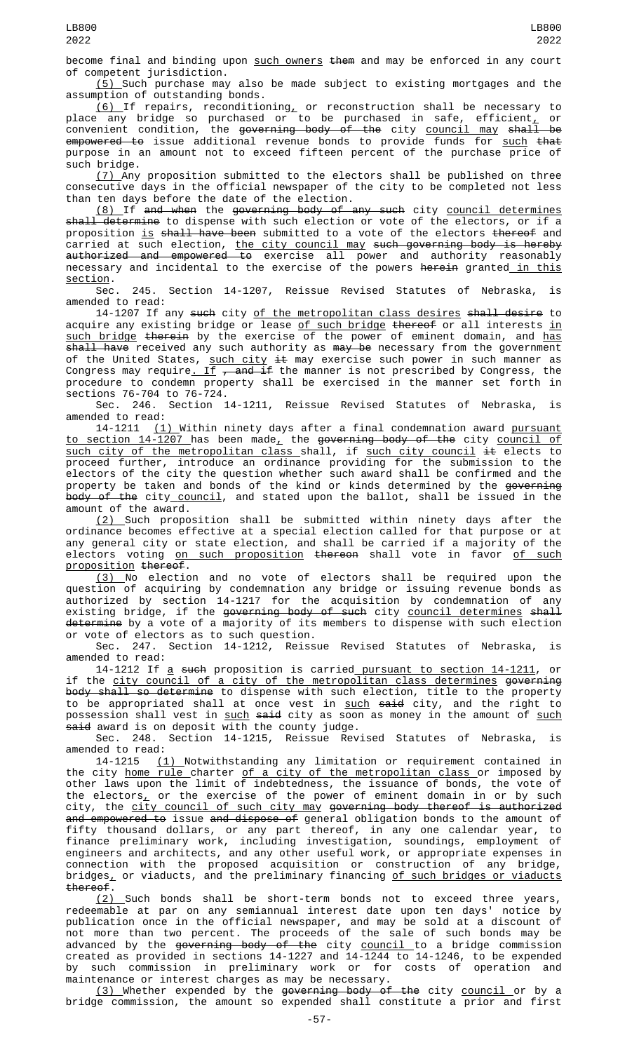become final and binding upon such owners them and may be enforced in any court of competent jurisdiction.

(5) Such purchase may also be made subject to existing mortgages and the assumption of outstanding bonds.

<u>(6) </u>If repairs, reconditioning, or reconstruction shall be necessary to place any bridge so purchased or to be purchased in safe, efficient $_{\rm \scriptscriptstyle L}$  or convenient condition, the <del>governing body of the</del> city <u>council may</u> <del>shall be</del> <del>empowered to</del> issue additional revenue bonds to provide funds for <u>such</u> <del>that</del> purpose in an amount not to exceed fifteen percent of the purchase price of such bridge.

(7) Any proposition submitted to the electors shall be published on three consecutive days in the official newspaper of the city to be completed not less than ten days before the date of the election.

(8) If and when the governing body of any such city council determines shall determine to dispense with such election or vote of the electors, or if a proposition is shall have been submitted to a vote of the electors thereof and carried at such election, <u>the city council may</u> <del>such governing body is hereby</del> authorized and empowered to exercise all power and authority reasonably necessary and incidental to the exercise of the powers herein granted in this section.<br>Sec.

245. Section 14-1207, Reissue Revised Statutes of Nebraska, is amended to read:

14-1207 If any such city of the metropolitan class desires shall desire to acquire any existing bridge or lease <u>of such bridge</u> <del>thereof</del> or all interests <u>in</u> <u>such bridge</u> <del>therein</del> by the exercise of the power of eminent domain, and <u>has</u> shall have received any such authority as may be necessary from the government of the United States, <u>such city</u> <del>it</del> may exercise such power in such manner as Congress may require<u>. If</u> <del>, and if</del> the manner is not prescribed by Congress, the procedure to condemn property shall be exercised in the manner set forth in sections 76-704 to 76-724.

Sec. 246. Section 14-1211, Reissue Revised Statutes of Nebraska, is amended to read:

14-1211 (1) Within ninety days after a final condemnation award <u>pursuant</u> to section 14-1207 has been made, the governing body of the city council of such city of the metropolitan class shall, if such city council it elects to proceed further, introduce an ordinance providing for the submission to the electors of the city the question whether such award shall be confirmed and the property be taken and bonds of the kind or kinds determined by the <del>governing</del> <del>body of the</del> city\_<u>council</u>, and stated upon the ballot, shall be issued in the amount of the award.

(2) Such proposition shall be submitted within ninety days after the ordinance becomes effective at a special election called for that purpose or at any general city or state election, and shall be carried if a majority of the electors voting on such proposition thereon shall vote in favor of such proposition thereof.

(3) No election and no vote of electors shall be required upon the question of acquiring by condemnation any bridge or issuing revenue bonds as authorized by section 14-1217 for the acquisition by condemnation of any existing bridge, if the governing body of such city council determines shall <del>determine</del> by a vote of a majority of its members to dispense with such election or vote of electors as to such question.

Sec. 247. Section 14-1212, Reissue Revised Statutes of Nebraska, is amended to read:

14-1212 If a such proposition is carried pursuant to section 14-1211, or if the city council of a city of the metropolitan class determines governing <del>body shall so determine</del> to dispense with such election, title to the property to be appropriated shall at once vest in <u>such</u> <del>said</del> city, and the right to possession shall vest in <u>such</u> <del>said</del> city as soon as money in the amount of <u>such</u> <del>said</del> award is on deposit with the county judge.

Sec. 248. Section 14-1215, Reissue Revised Statutes of Nebraska, is amended to read:

14-1215 (1) Notwithstanding any limitation or requirement contained in the city <u>home rule charter of a city of the metropolitan class </u>or imposed by other laws upon the limit of indebtedness, the issuance of bonds, the vote of the electors, or the exercise of the power of eminent domain in or by such city, the <u>city council of such city may</u> g<del>overning body thereof is authorized</del> and empowered to issue and dispose of general obligation bonds to the amount of fifty thousand dollars, or any part thereof, in any one calendar year, to finance preliminary work, including investigation, soundings, employment of engineers and architects, and any other useful work, or appropriate expenses in connection with the proposed acquisition or construction of any bridge, bridges<u>,</u> or viaducts, and the preliminary financing <u>of such bridges or viaducts</u> thereof.

(2) Such bonds shall be short-term bonds not to exceed three years, redeemable at par on any semiannual interest date upon ten days' notice by publication once in the official newspaper, and may be sold at a discount of not more than two percent. The proceeds of the sale of such bonds may be advanced by the <del>governing body of the</del> city <u>council </u>to a bridge commission created as provided in sections 14-1227 and 14-1244 to 14-1246, to be expended by such commission in preliminary work or for costs of operation and maintenance or interest charges as may be necessary.

<u>(3) </u>Whether expended by the <del>governing body of the</del> city <u>council </u>or by a bridge commission, the amount so expended shall constitute a prior and first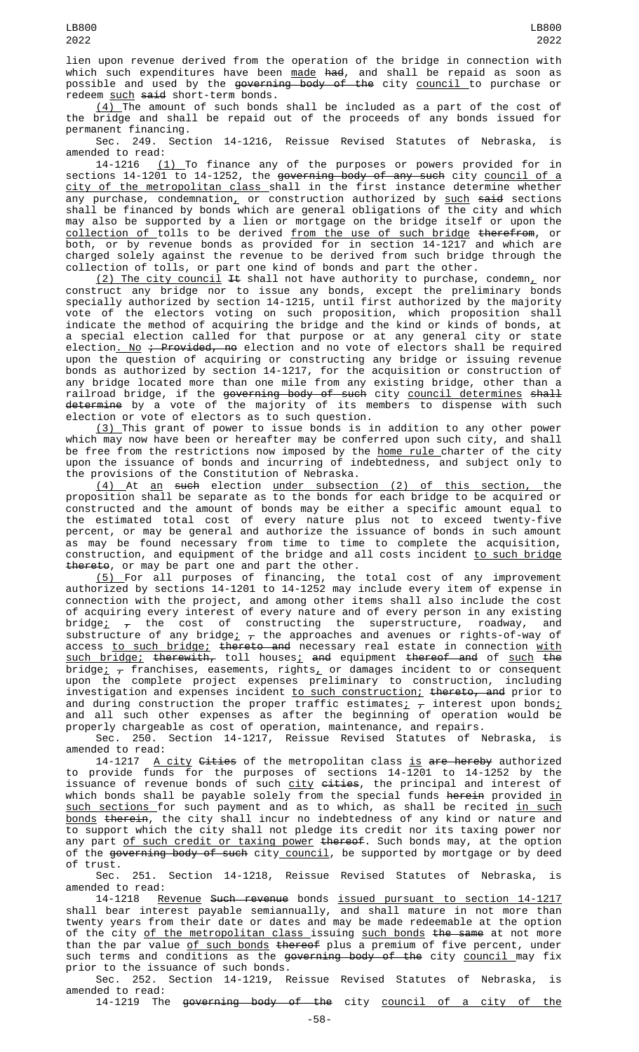lien upon revenue derived from the operation of the bridge in connection with which such expenditures have been <u>made</u> <del>had</del>, and shall be repaid as soon as possible and used by the <del>governing body of the</del> city <u>council </u>to purchase or redeem such said short-term bonds.

 $(4)$  The amount of such bonds shall be included as a part of the cost of the bridge and shall be repaid out of the proceeds of any bonds issued for permanent financing.

Sec. 249. Section 14-1216, Reissue Revised Statutes of Nebraska, is amended to read:

14-1216 (1) To finance any of the purposes or powers provided for in sections 14-1201 to 14-1252, the <del>governing body of any such</del> city <u>council of a</u> <u>city of the metropolitan class s</u>hall in the first instance determine whether any purchase, condemnation<u>,</u> or construction authorized by <u>such</u> <del>said</del> sections shall be financed by bonds which are general obligations of the city and which may also be supported by a lien or mortgage on the bridge itself or upon the collection of tolls to be derived from the use of such bridge therefrom, or both, or by revenue bonds as provided for in section 14-1217 and which are charged solely against the revenue to be derived from such bridge through the collection of tolls, or part one kind of bonds and part the other.

<u>(2) The city council</u> <del>It</del> shall not have authority to purchase, condemn<u>,</u> nor construct any bridge nor to issue any bonds, except the preliminary bonds specially authorized by section 14-1215, until first authorized by the majority vote of the electors voting on such proposition, which proposition shall indicate the method of acquiring the bridge and the kind or kinds of bonds, at a special election called for that purpose or at any general city or state election<u>. No</u> <del>; Provided, no</del> election and no vote of electors shall be required upon the question of acquiring or constructing any bridge or issuing revenue bonds as authorized by section 14-1217, for the acquisition or construction of any bridge located more than one mile from any existing bridge, other than a railroad bridge, if the <del>governing body of such</del> city <u>council determines</u> <del>shall</del> <del>determine</del> by a vote of the majority of its members to dispense with such election or vote of electors as to such question.

(3) This grant of power to issue bonds is in addition to any other power which may now have been or hereafter may be conferred upon such city, and shall be free from the restrictions now imposed by the <u>home rule </u>charter of the city upon the issuance of bonds and incurring of indebtedness, and subject only to the provisions of the Constitution of Nebraska.

(4) At an such election under subsection (2) of this section, the proposition shall be separate as to the bonds for each bridge to be acquired or constructed and the amount of bonds may be either a specific amount equal to the estimated total cost of every nature plus not to exceed twenty-five percent, or may be general and authorize the issuance of bonds in such amount as may be found necessary from time to time to complete the acquisition, construction, and equipment of the bridge and all costs incident <u>to such bridge</u> thereto, or may be part one and part the other.

(5) For all purposes of financing, the total cost of any improvement authorized by sections 14-1201 to 14-1252 may include every item of expense in connection with the project, and among other items shall also include the cost of acquiring every interest of every nature and of every person in any existing bridge;  $_{\mathcal{T}}$  the cost of constructing the superstructure, roadway, and substructure of any bridge<u>;</u>  $_\mathcal{T}$  the approaches and avenues or rights-of-way of access <u>to such bridge;</u> <del>thereto and</del> necessary real estate in connection <u>with</u> such bridge; therewith, toll houses; and equipment thereof and of such the bridge $\frac{\cdot}{\tau}$  franchises, easements, rights $\frac{\cdot}{\tau}$  or damages incident to or consequent upon the complete project expenses preliminary to construction, including investigation and expenses incident <u>to such construction;</u> <del>thereto, and</del> prior to and during construction the proper traffic estimates $_{L}$   $_{\tau}$  interest upon bonds $_{L}$ and all such other expenses as after the beginning of operation would be properly chargeable as cost of operation, maintenance, and repairs.

Sec. 250. Section 14-1217, Reissue Revised Statutes of Nebraska, is amended to read:

14-1217 <u>A city</u> <del>Cities</del> of the metropolitan class <u>is</u> <del>are hereby</del> authorized to provide funds for the purposes of sections 14-1201 to 14-1252 by the issuance of revenue bonds of such <u>city</u> <del>cities</del>, the principal and interest of which bonds shall be payable solely from the special funds <del>herein</del> provided <u>in</u> <u>such sections </u>for such payment and as to which, as shall be recited <u>in such</u> bonds therein, the city shall incur no indebtedness of any kind or nature and to support which the city shall not pledge its credit nor its taxing power nor any part <u>of such credit or taxing power</u> <del>thereof</del>. Such bonds may, at the option of the <del>governing body of such</del> city\_<u>council</u>, be supported by mortgage or by deed of trust.

Sec. 251. Section 14-1218, Reissue Revised Statutes of Nebraska, is amended to read:

14-1218 Revenue Such revenue bonds issued pursuant to section 14-1217 shall bear interest payable semiannually, and shall mature in not more than twenty years from their date or dates and may be made redeemable at the option of the city <u>of the metropolitan class </u>issuing <u>such bonds</u> <del>the same</del> at not more than the par value of such bonds thereof plus a premium of five percent, under such terms and conditions as the governing body of the city council may fix prior to the issuance of such bonds.

Sec. 252. Section 14-1219, Reissue Revised Statutes of Nebraska, is amended to read:

14-1219 The governing body of the city council of a city of the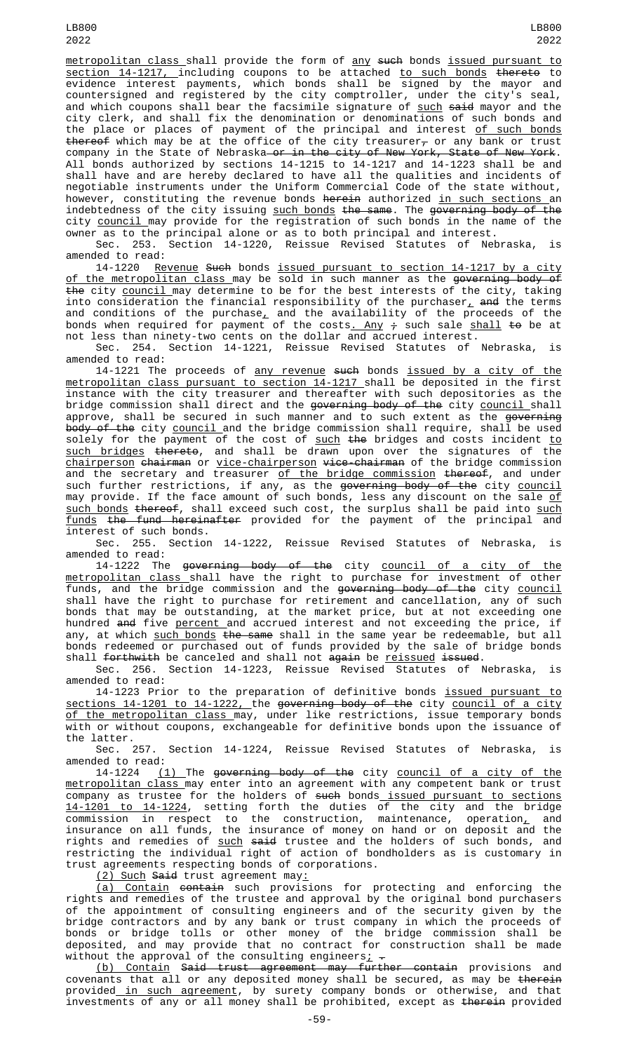LB800 2022

metropolitan class shall provide the form of any such bonds issued pursuant to <u>section 14-1217, </u>including coupons to be attached <u>to such bonds</u> <del>thereto</del> to evidence interest payments, which bonds shall be signed by the mayor and countersigned and registered by the city comptroller, under the city's seal, and which coupons shall bear the facsimile signature of <u>such</u> <del>said</del> mayor and the city clerk, and shall fix the denomination or denominations of such bonds and the place or places of payment of the principal and interest of such bonds <del>thereof</del> which may be at the office of the city treasurer<del>,</del> or any bank or trust company in the State of Nebraska—o<del>r in the city of New York, State of New York</del>. All bonds authorized by sections 14-1215 to 14-1217 and 14-1223 shall be and shall have and are hereby declared to have all the qualities and incidents of negotiable instruments under the Uniform Commercial Code of the state without, however, constituting the revenue bonds herein authorized in such sections an indebtedness of the city issuing <u>such bonds</u> <del>the same</del>. The <del>governing body of the</del> city <u>council </u>may provide for the registration of such bonds in the name of the owner as to the principal alone or as to both principal and interest.

Sec. 253. Section 14-1220, Reissue Revised Statutes of Nebraska, is amended to read:

14-1220 Revenue Such bonds issued pursuant to section 14-1217 by a city <u>of the metropolitan class m</u>ay be sold in such manner as the <del>governing body of</del> the city council may determine to be for the best interests of the city, taking into consideration the financial responsibility of the purchaser $_{\rm L}$  a<del>nd</del> the terms and conditions of the purchase $_{\rm \mathcal{L}}$  and the availability of the proceeds of the bonds when required for payment of the costs<u>. Any</u>  $\div$  such sale <u>shall</u> <del>to</del> be at not less than ninety-two cents on the dollar and accrued interest.

Sec. 254. Section 14-1221, Reissue Revised Statutes of Nebraska, is amended to read:

14-1221 The proceeds of any revenue such bonds issued by a city of the metropolitan class pursuant to section 14-1217 shall be deposited in the first instance with the city treasurer and thereafter with such depositories as the bridge commission shall direct and the <del>governing body of the</del> city <u>council </u>shall approve, shall be secured in such manner and to such extent as the <del>governing</del> <del>body of the</del> city <u>council </u>and the bridge commission shall require, shall be used solely for the payment of the cost of such the bridges and costs incident to such bridges thereto, and shall be drawn upon over the signatures of the <u>chairperson</u> <del>chairman</del> or <u>vice-chairperson</u> <del>vice-chairman</del> of the bridge commission and the secretary and treasurer of the bridge commission thereof, and under such further restrictions, if any, as the <del>governing body of the</del> city <u>council</u> may provide. If the face amount of such bonds, less any discount on the sale <u>of</u> <u>such bonds</u> <del>thereof</del>, shall exceed such cost, the surplus shall be paid into <u>such</u> funds the fund hereinafter provided for the payment of the principal and interest of such bonds.

Sec. 255. Section 14-1222, Reissue Revised Statutes of Nebraska, is amended to read:

14-1222 The governing body of the city council of a city of the metropolitan class shall have the right to purchase for investment of other funds, and the bridge commission and the <del>governing body of the</del> city <u>council</u> shall have the right to purchase for retirement and cancellation, any of such bonds that may be outstanding, at the market price, but at not exceeding one hundred <del>and</del> five <u>percent </u>and accrued interest and not exceeding the price, if any, at which <u>such bonds</u> <del>the same</del> shall in the same year be redeemable, but all bonds redeemed or purchased out of funds provided by the sale of bridge bonds shall <del>forthwith</del> be canceled and shall not <del>again</del> be <u>reissued</u> <del>issued</del>.

Sec. 256. Section 14-1223, Reissue Revised Statutes of Nebraska, is amended to read:

14-1223 Prior to the preparation of definitive bonds <u>issued pursuant to</u> sections 14-1201 to 14-1222, the governing body of the city council of a city <u>of the metropolitan class m</u>ay, under like restrictions, issue temporary bonds with or without coupons, exchangeable for definitive bonds upon the issuance of the latter.

Sec. 257. Section 14-1224, Reissue Revised Statutes of Nebraska, is amended to read:

14-1224 <u>(1)</u> The <del>governing body of the</del> city <u>council of a city of the</u> metropolitan class may enter into an agreement with any competent bank or trust company as trustee for the holders of <del>such</del> bonds<u> issued pursuant to sections</u> 14-1201 to 14-1224, setting forth the duties of the city and the bridge commission in respect to the construction, maintenance, operation<u>,</u> and insurance on all funds, the insurance of money on hand or on deposit and the rights and remedies of <u>such</u> <del>said</del> trustee and the holders of such bonds, and restricting the individual right of action of bondholders as is customary in trust agreements respecting bonds of corporations.

(2) Such Said trust agreement may:

(a) Contain contain such provisions for protecting and enforcing the rights and remedies of the trustee and approval by the original bond purchasers of the appointment of consulting engineers and of the security given by the bridge contractors and by any bank or trust company in which the proceeds of bonds or bridge tolls or other money of the bridge commission shall be deposited, and may provide that no contract for construction shall be made without the approval of the consulting engineers<u>;</u>  $\texttt{-}$ 

<u>(b) Contain</u> <del>Said trust agreement may further contain</del> provisions and covenants that all or any deposited money shall be secured, as may be <del>therein</del> provided<u> in such agreement</u>, by surety company bonds or otherwise, and that investments of any or all money shall be prohibited, except as therein provided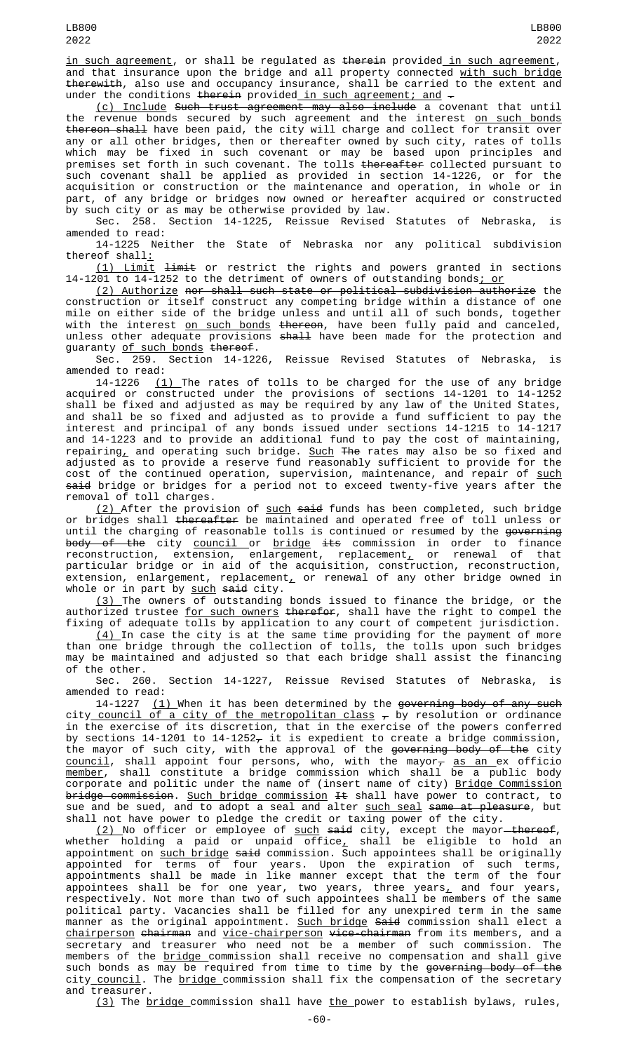in such agreement, or shall be regulated as therein provided in such agreement, and that insurance upon the bridge and all property connected with such bridge therewith, also use and occupancy insurance, shall be carried to the extent and under the conditions therein provided in such agreement; and  $-$ 

(c) Include Such trust agreement may also include a covenant that until the revenue bonds secured by such agreement and the interest <u>on such bonds</u> thereon shall have been paid, the city will charge and collect for transit over any or all other bridges, then or thereafter owned by such city, rates of tolls which may be fixed in such covenant or may be based upon principles and premises set forth in such covenant. The tolls <del>thereafter</del> collected pursuant to such covenant shall be applied as provided in section 14-1226, or for the acquisition or construction or the maintenance and operation, in whole or in part, of any bridge or bridges now owned or hereafter acquired or constructed by such city or as may be otherwise provided by law.

Sec. 258. Section 14-1225, Reissue Revised Statutes of Nebraska, is amended to read:

14-1225 Neither the State of Nebraska nor any political subdivision thereof shall:

(1) Limit limit or restrict the rights and powers granted in sections 14-1201 to 14-1252 to the detriment of owners of outstanding bonds; or

(2) Authorize nor shall such state or political subdivision authorize the construction or itself construct any competing bridge within a distance of one mile on either side of the bridge unless and until all of such bonds, together with the interest <u>on such bonds</u> <del>thereon</del>, have been fully paid and canceled, unless other adequate provisions <del>shall</del> have been made for the protection and guaranty <u>of such bonds</u> <del>thereof</del>.

Sec. 259. Section 14-1226, Reissue Revised Statutes of Nebraska, is amended to read:

14-1226 <u>(1) </u>The rates of tolls to be charged for the use of any bridge acquired or constructed under the provisions of sections 14-1201 to 14-1252 shall be fixed and adjusted as may be required by any law of the United States, and shall be so fixed and adjusted as to provide a fund sufficient to pay the interest and principal of any bonds issued under sections 14-1215 to 14-1217 and 14-1223 and to provide an additional fund to pay the cost of maintaining, repairing<u>,</u> and operating such bridge. <u>Such</u> <del>The</del> rates may also be so fixed and adjusted as to provide a reserve fund reasonably sufficient to provide for the cost of the continued operation, supervision, maintenance, and repair of <u>such</u> <del>said</del> bridge or bridges for a period not to exceed twenty-five years after the removal of toll charges.

(2) After the provision of such said funds has been completed, such bridge or bridges shall thereafter be maintained and operated free of toll unless or until the charging of reasonable tolls is continued or resumed by the governing <del>body of the</del> city <u>council or bridge</u> <del>its</del> commission in order to finance reconstruction, extension, enlargement, replacement<u>,</u> or renewal of that particular bridge or in aid of the acquisition, construction, reconstruction, extension, enlargement, replacement $_{\scriptscriptstyle \! L}$  or renewal of any other bridge owned in whole or in part by <u>such</u> <del>said</del> city.

(3) The owners of outstanding bonds issued to finance the bridge, or the authorized trustee <u>for such owners</u> <del>therefor</del>, shall have the right to compel the fixing of adequate tolls by application to any court of competent jurisdiction.

 $(4)$  In case the city is at the same time providing for the payment of more than one bridge through the collection of tolls, the tolls upon such bridges may be maintained and adjusted so that each bridge shall assist the financing of the other.

Sec. 260. Section 14-1227, Reissue Revised Statutes of Nebraska, is amended to read:

14-1227  $(1)$  When it has been determined by the governing body of any such city <u>council of a city of the metropolitan class</u>  $_\tau$  by resolution or ordinance in the exercise of its discretion, that in the exercise of the powers conferred by sections 14-1201 to 14-1252 $_\tau$  it is expedient to create a bridge commission, the mayor of such city, with the approval of the <del>governing body of the</del> city <u>council</u>, shall appoint four persons, who, with the mayor<del>, <u>as an e</u>x officio</del> <u>member</u>, shall constitute a bridge commission which shall be a public body corporate and politic under the name of (insert name of city) <u>Bridge Commission</u> <del>bridge commission</del>. <u>Such bridge commission</u> <del>It</del> shall have power to contract, to sue and be sued, and to adopt a seal and alter <u>such seal</u> <del>same at pleasure</del>, but shall not have power to pledge the credit or taxing power of the city.

<u>(2) </u>No officer or employee of <u>such</u> <del>said</del> city, except the mayor<del> thereof</del>, whether holding a paid or unpaid office<u>,</u> shall be eligible to hold an appointment on <u>such bridge</u> <del>said</del> commission. Such appointees shall be originally appointed for terms of four years. Upon the expiration of such terms, appointments shall be made in like manner except that the term of the four appointees shall be for one year, two years, three years<u>,</u> and four years, respectively. Not more than two of such appointees shall be members of the same political party. Vacancies shall be filled for any unexpired term in the same manner as the original appointment. Such bridge Said commission shall elect a <u>chairperson</u> <del>chairman</del> and <u>vice-chairperson</u> <del>vice-chairman</del> from its members, and a secretary and treasurer who need not be a member of such commission. The members of the <u>bridge commission shall receive no comp</u>ensation and shall give such bonds as may be required from time to time by the <del>governing body of the</del> city<u> council</u>. The <u>bridge </u>commission shall fix the compensation of the secretary and treasurer.

(3) The bridge commission shall have the power to establish bylaws, rules,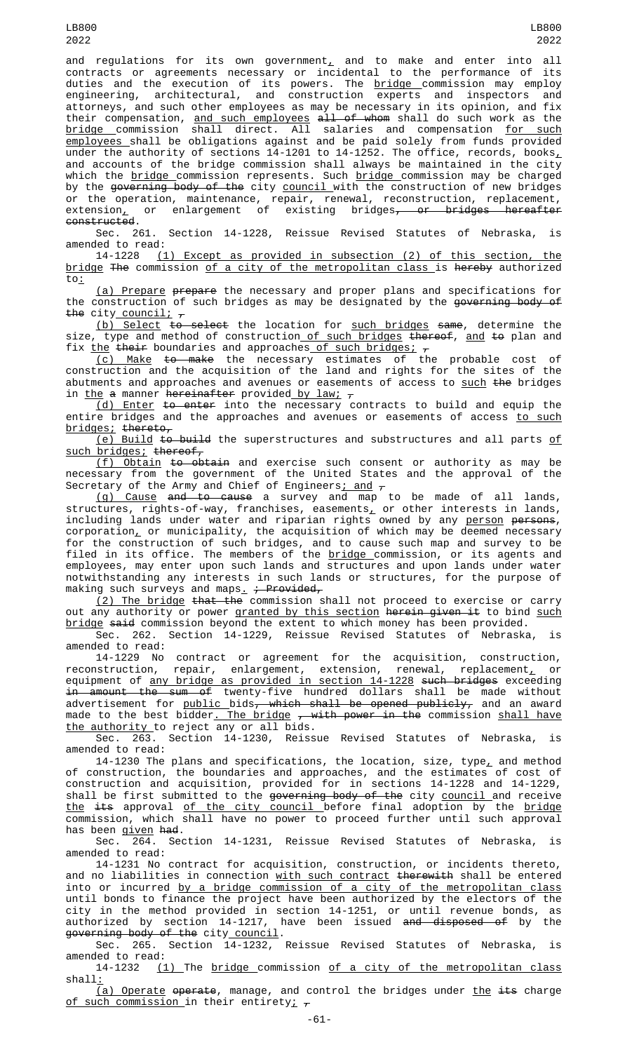and regulations for its own government<sub> $L$ </sub> and to make and enter into all contracts or agreements necessary or incidental to the performance of its duties and the execution of its powers. The <u>bridge commission ma</u>y employ engineering, architectural, and construction experts and inspectors and attorneys, and such other employees as may be necessary in its opinion, and fix their compensation, <u>and such employees</u> <del>all of whom</del> shall do such work as the <u>bridge c</u>ommission shall direct. All salaries and compensation <u>for such</u> employees shall be obligations against and be paid solely from funds provided under the authority of sections 14-1201 to 14-1252. The office, records, books $_{\text{{\textsf p}}}$ and accounts of the bridge commission shall always be maintained in the city which the <u>bridge commission represents. Such bridge commission may be charged</u> by the <del>governing body of the</del> city <u>council </u>with the construction of new bridges or the operation, maintenance, repair, renewal, reconstruction, replacement, extension<u>,</u> or enlargement of existing bridges<del>, or bridges hereafter</del> constructed.

Sec. 261. Section 14-1228, Reissue Revised Statutes of Nebraska, is amended to read:

14-1228 (1) Except as provided in subsection (2) of this section, the bridge The commission of a city of the metropolitan class is hereby authorized to:

(a) Prepare prepare the necessary and proper plans and specifications for the construction of such bridges as may be designated by the governing body of the city council;  $\tau$ 

<u>(b) Select</u> <del>to select</del> the location for <u>such bridges</u> <del>same</del>, determine the size, type and method of construction<u> of such bridges</u> <del>thereof</del>, <u>and</u> <del>to</del> plan and fix <u>the</u> <del>their</del> boundaries and approaches <u>of such bridges;</u>  $_{\tau}$ 

<u>(c) Make</u> <del>to make</del> the necessary estimates of the probable cost of construction and the acquisition of the land and rights for the sites of the abutments and approaches and avenues or easements of access to such the bridges in <u>the</u> a manner <del>hereinafter</del> provided <u>by law;</u> <del>,</del>

<u>(d) Enter</u> <del>to enter</del> into the necessary contracts to build and equip the entire bridges and the approaches and avenues or easements of access <u>to such</u> bridges; thereto,

<u>(e) Build</u> <del>to build</del> the superstructures and substructures and all parts <u>of</u> such bridges; thereof,

<u>(f) Obtain</u> <del>to obtain</del> and exercise such consent or authority as may be necessary from the government of the United States and the approval of the Secretary of the Army and Chief of Engineers<u>; and</u>  $_\tau$ 

(g) Cause and to cause a survey and map to be made of all lands, <code>structures,</code> rights-of-way, franchises, easements $_{\rm L}$  or other interests in lands, including lands under water and riparian rights owned by any <u>person</u> <del>persons</del>, corporation $_{\scriptscriptstyle\rm L}$  or municipality, the acquisition of which may be deemed necessary for the construction of such bridges, and to cause such map and survey to be filed in its office. The members of the <u>bridge </u>commission, or its agents and employees, may enter upon such lands and structures and upon lands under water notwithstanding any interests in such lands or structures, for the purpose of making such surveys and maps<u>.</u> <del>; Provided,</del>

<u>(2) The bridge</u> <del>that the</del> commission shall not proceed to exercise or carry out any authority or power granted by this section herein given it to bind such bridge said commission beyond the extent to which money has been provided.

Sec. 262. Section 14-1229, Reissue Revised Statutes of Nebraska, amended to read:

14-1229 No contract or agreement for the acquisition, construction, reconstruction, repair, enlargement, extension, renewal, replacement<u>,</u> or equipment of <u>any bridge as provided in section 14-1228</u> <del>such bridges</del> exceeding in amount the sum of twenty-five hundred dollars shall be made without advertisement for <u>public b</u>ids<del>, which shall be opened publicly,</del> and an award made to the best bidder<u>. The bridge</u> <del>, with power in the</del> commission <u>shall have</u> the authority to reject any or all bids.

Sec. 263. Section 14-1230, Reissue Revised Statutes of Nebraska, is amended to read:

14-1230 The plans and specifications, the location, size, type, and method of construction, the boundaries and approaches, and the estimates of cost of construction and acquisition, provided for in sections 14-1228 and 14-1229, shall be first submitted to the <del>governing body of the</del> city <u>council </u>and receive <u>the</u> <del>its</del> approval <u>of the city council </u>before final adoption by the <u>bridge</u> commission, which shall have no power to proceed further until such approval has been given had.

Sec. 264. Section 14-1231, Reissue Revised Statutes of Nebraska, amended to read:

14-1231 No contract for acquisition, construction, or incidents thereto, and no liabilities in connection <u>with such contract</u> <del>therewith</del> shall be entered into or incurred by a bridge commission of a city of the metropolitan class until bonds to finance the project have been authorized by the electors of the city in the method provided in section 14-1251, or until revenue bonds, as authorized by section 14-1217, have been issued <del>and disposed of</del> by the governing body of the city council.

Sec. 265. Section 14-1232, Reissue Revised Statutes of Nebraska, is amended to read:

14-1232 (1) The bridge commission of a city of the metropolitan class shall:

 $(a)$  Operate operate, manage, and control the bridges under the its charge of such commission in their entirety;  $\tau$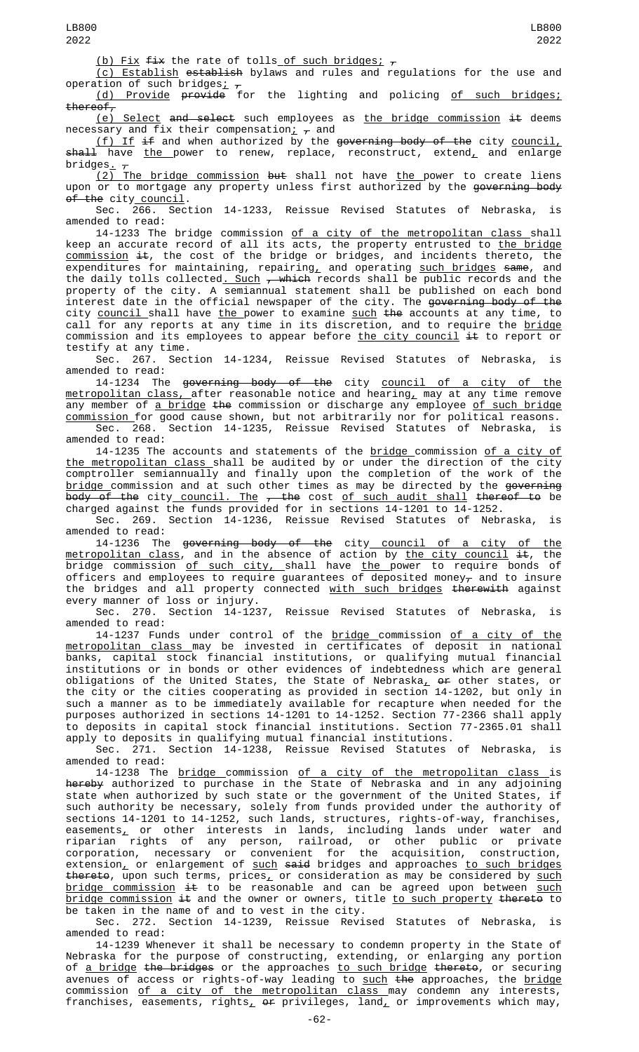(b) Fix fix the rate of tolls of such bridges;  $\tau$ 

(c) Establish establish bylaws and rules and regulations for the use and operation of such bridges<u>;</u>  $_\tau$ 

(d) Provide provide for the lighting and policing of such bridges; thereof,

(e) Select and select such employees as the bridge commission  $#$  deems necessary and fix their compensation<u>;</u>  $_\tau$  and

<u>(f) If</u> <del>if</del> and when authorized by the <del>governing body of the</del> city <u>council,</u> <del>shall</del> have <u>the </u>power to renew, replace, reconstruct, extend<u>,</u> and enlarge  $\frac{3}{2}$ bridges.  $\frac{1}{4}$ 

<u>(2) The bridge commission</u> <del>but</del> shall not have <u>the </u>power to create liens upon or to mortgage any property unless first authorized by the <del>governing body</del> of the city council.

Sec. 266. Section 14-1233, Reissue Revised Statutes of Nebraska, is amended to read:

14-1233 The bridge commission of a city of the metropolitan class shall keep an accurate record of all its acts, the property entrusted to <u>the bridge</u> commission it, the cost of the bridge or bridges, and incidents thereto, the expenditures for maintaining, repairing<u>,</u> and operating <u>such bridges</u> <del>same</del>, and the daily tolls collected<u>. Such</u> <del>, which</del> records shall be public records and the property of the city. A semiannual statement shall be published on each bond interest date in the official newspaper of the city. The governing body of the city <u>council </u>shall have <u>the </u>power to examine <u>such</u> <del>the</del> accounts at any time, to call for any reports at any time in its discretion, and to require the <u>bridge</u> commission and its employees to appear before the city council  $\pm\epsilon$  to report or testify at any time.

Sec. 267. Section 14-1234, Reissue Revised Statutes of Nebraska, is amended to read:

14-1234 The <del>governing body of the</del> city <u>council of a city of the</u> <u>metropolitan class, </u>after reasonable notice and hearing<u>,</u> may at any time remove any member of <u>a bridge</u> <del>the</del> commission or discharge any employee <u>of such bridge</u> commission for good cause shown, but not arbitrarily nor for political reasons. Sec. 268. Section 14-1235, Reissue Revised Statutes of Nebraska, is

amended to read:

14-1235 The accounts and statements of the <u>bridge </u>commission <u>of a city of</u> <u>the metropolitan class </u>shall be audited by or under the direction of the city comptroller semiannually and finally upon the completion of the work of the <u>bridge c</u>ommission and at such other times as may be directed by the <del>governing</del> body of the city\_<u>council. The</u> <del>, the</del> cost <u>of such audit shall</u> <del>thereof to</del> be charged against the funds provided for in sections 14-1201 to 14-1252.

Sec. 269. Section 14-1236, Reissue Revised Statutes of Nebraska, is amended to read:

14-1236 The <del>governing body of the</del> city<u> council of a city of the</u> <u>metropolitan class</u>, and in the absence of action by <u>the city council</u> <del>it</del>, the bridge commission <u>of such city, s</u>hall have <u>the </u>power to require bonds of officers and employees to require guarantees of deposited money $_\tau$  and to insure the bridges and all property connected with such bridges therewith against every manner of loss or injury.

Sec. 270. Section 14-1237, Reissue Revised Statutes of Nebraska, is amended to read:

14-1237 Funds under control of the <u>bridge c</u>ommission <u>of a city of the</u> <u>metropolitan class m</u>ay be invested in certificates of deposit in national banks, capital stock financial institutions, or qualifying mutual financial institutions or in bonds or other evidences of indebtedness which are general obligations of the United States, the State of Nebraska $_{\rm \scriptscriptstyle L}$  o<del>r</del> other states, or the city or the cities cooperating as provided in section 14-1202, but only in such a manner as to be immediately available for recapture when needed for the purposes authorized in sections 14-1201 to 14-1252. Section 77-2366 shall apply to deposits in capital stock financial institutions. Section 77-2365.01 shall apply to deposits in qualifying mutual financial institutions.

Sec. 271. Section 14-1238, Reissue Revised Statutes of Nebraska, is amended to read:

14-1238 The <u>bridge commission of a city of the metropolitan class </u>is hereby authorized to purchase in the State of Nebraska and in any adjoining state when authorized by such state or the government of the United States, if such authority be necessary, solely from funds provided under the authority of sections 14-1201 to 14-1252, such lands, structures, rights-of-way, franchises, easements $_{\rm \star}$  or other interests in lands, including lands under water and riparian rights of any person, railroad, or other public or private corporation, necessary or convenient for the acquisition, construction, extension<u>,</u> or enlargement of <u>such</u> <del>said</del> bridges and approaches <u>to such bridges</u> thereto, upon such terms, prices<u>,</u> or consideration as may be considered by <u>such</u> <u>bridge commission</u> <del>it</del> to be reasonable and can be agreed upon between <u>such</u> <u>bridge commission</u> <del>it</del> and the owner or owners, title <u>to such property</u> <del>thereto</del> to be taken in the name of and to vest in the city.

Sec. 272. Section 14-1239, Reissue Revised Statutes of Nebraska, amended to read:

14-1239 Whenever it shall be necessary to condemn property in the State of Nebraska for the purpose of constructing, extending, or enlarging any portion of <u>a bridge</u> <del>the bridges</del> or the approaches <u>to such bridge</u> <del>thereto</del>, or securing avenues of access or rights-of-way leading to <u>such</u> <del>the</del> approaches, the <u>bridge</u> commission of a city of the metropolitan class may condemn any interests, franchises, easements, rights,  $\Theta$  privileges, land, or improvements which may,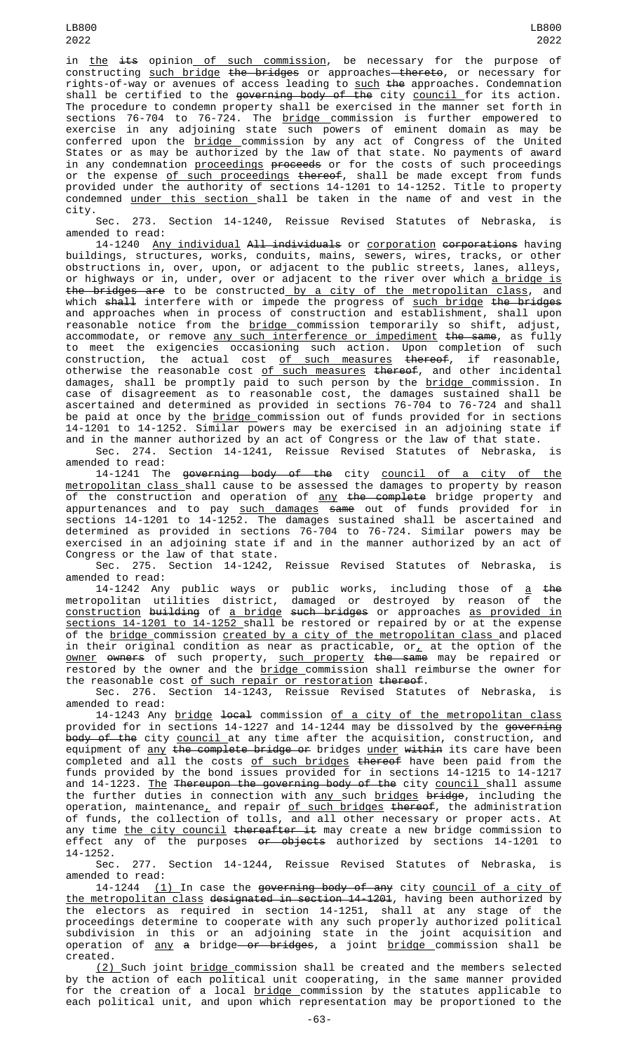LB800 2022

in the its opinion of such commission, be necessary for the purpose of constructing such bridge the bridges or approaches thereto, or necessary for rights-of-way or avenues of access leading to <u>such</u> <del>the</del> approaches. Condemnation shall be certified to the <del>governing body of the</del> city <u>council </u>for its action. The procedure to condemn property shall be exercised in the manner set forth in sections 76-704 to 76-724. The <u>bridge c</u>ommission is further empowered to exercise in any adjoining state such powers of eminent domain as may be conferred upon the <u>bridge c</u>ommission by any act of Congress of the United States or as may be authorized by the law of that state. No payments of award in any condemnation <u>proceedings</u> <del>proceeds</del> or for the costs of such proceedings or the expense <u>of such proceedings</u> <del>thereof</del>, shall be made except from funds provided under the authority of sections 14-1201 to 14-1252. Title to property condemned under this section shall be taken in the name of and vest in the city.

Sec. 273. Section 14-1240, Reissue Revised Statutes of Nebraska, amended to read:

14-1240 Any individual All individuals or corporation corporations having buildings, structures, works, conduits, mains, sewers, wires, tracks, or other obstructions in, over, upon, or adjacent to the public streets, lanes, alleys, or highways or in, under, over or adjacent to the river over which <u>a bridge is</u> the bridges are to be constructed by a city of the metropolitan class, and which <del>shall</del> interfere with or impede the progress of <u>such bridge</u> <del>the bridge</del>s and approaches when in process of construction and establishment, shall upon reasonable notice from the <u>bridge c</u>ommission temporarily so shift, adjust, accommodate, or remove <u>any such interference or impediment</u> <del>the same</del>, as fully to meet the exigencies occasioning such action. Upon completion of such construction, the actual cost <u>of such measures</u> <del>thereof</del>, if reasonable, otherwise the reasonable cost <u>of such measures</u> <del>thereof</del>, and other incidental damages, shall be promptly paid to such person by the <u>bridge </u>commission. In case of disagreement as to reasonable cost, the damages sustained shall be ascertained and determined as provided in sections 76-704 to 76-724 and shall be paid at once by the <u>bridge c</u>ommission out of funds provided for in sections 14-1201 to 14-1252. Similar powers may be exercised in an adjoining state if and in the manner authorized by an act of Congress or the law of that state.

Sec. 274. Section 14-1241, Reissue Revised Statutes of Nebraska, is amended to read:

14-1241 The governing body of the city council of a city of the metropolitan class shall cause to be assessed the damages to property by reason of the construction and operation of any the complete bridge property and appurtenances and to pay such damages same out of funds provided for in sections 14-1201 to 14-1252. The damages sustained shall be ascertained and determined as provided in sections 76-704 to 76-724. Similar powers may be exercised in an adjoining state if and in the manner authorized by an act of Congress or the law of that state.

Sec. 275. Section 14-1242, Reissue Revised Statutes of Nebraska, is amended to read:

14-1242 Any public ways or public works, including those of <u>a</u> <del>the</del> metropolitan utilities district, damaged or destroyed by reason of the construction building of a bridge such bridges or approaches as provided in sections 14-1201 to 14-1252 shall be restored or repaired by or at the expense of the <u>bridge commission created by a city of the metropolitan class</u> and placed in their original condition as near as practicable, or $_{L}$  at the option of the <u>owner</u> <del>owners</del> of such property, <u>such property</u> <del>the same</del> may be repaired or restored by the owner and the <u>bridge commission shall reimburse the owner for</u> the reasonable cost of such repair or restoration thereof.

Sec. 276. Section 14-1243, Reissue Revised Statutes of Nebraska, is amended to read:

14-1243 Any bridge local commission of a city of the metropolitan class provided for in sections 14-1227 and 14-1244 may be dissolved by the <del>governing</del> <del>body of the</del> city <u>council </u>at any time after the acquisition, construction, and equipment of <u>any</u> <del>the complete bridge or</del> bridges <u>under</u> <del>within</del> its care have been completed and all the costs <u>of such bridges</u> <del>thereof</del> have been paid from the funds provided by the bond issues provided for in sections 14-1215 to 14-1217 and 14-1223. <u>The</u> Thereupon the governing body of the city council shall assume the further duties in connection with <u>any </u>such <u>bridges</u> <del>bridge</del>, including the operation, maintenance<u>,</u> and repair <u>of such bridges</u> <del>thereof</del>, the administration of funds, the collection of tolls, and all other necessary or proper acts. At any time <u>the city council</u> <del>thereafter it</del> may create a new bridge commission to effect any of the purposes <del>or objects</del> authorized by sections 14-1201 to 14-1252.

Sec. 277. Section 14-1244, Reissue Revised Statutes of Nebraska, is amended to read:

14-1244 (1) In case the governing body of any city council of a city of the metropolitan class designated in section 14-1201, having been authorized by the electors as required in section 14-1251, shall at any stage of the proceedings determine to cooperate with any such properly authorized political subdivision in this or an adjoining state in the joint acquisition and operation of <u>any</u> <del>a</del> bridge<del> or bridges</del>, a joint <u>bridge commission shall</u> be created.

<u>(2) </u>Such joint <u>bridge c</u>ommission shall be created and the members selected by the action of each political unit cooperating, in the same manner provided for the creation of a local <u>bridge c</u>ommission by the statutes applicable to each political unit, and upon which representation may be proportioned to the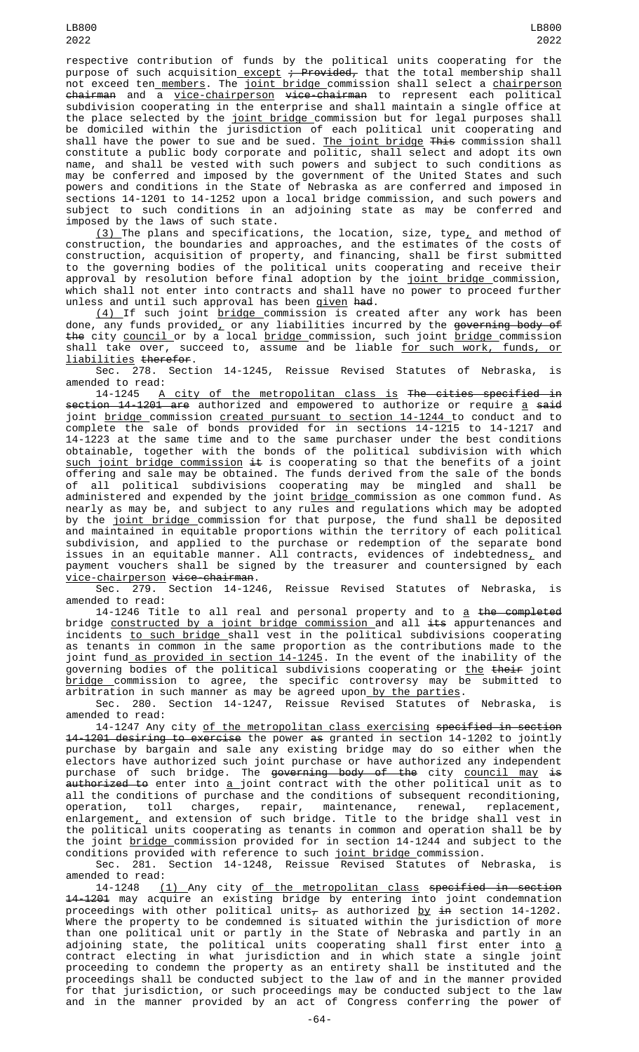respective contribution of funds by the political units cooperating for the purpose of such acquisition\_except <del>; Provided,</del> that the total membership shall not exceed ten<u> members</u>. The <u>joint bridge c</u>ommission shall select a <u>chairperson</u> chairman and a vice-chairperson vice-chairman to represent each political subdivision cooperating in the enterprise and shall maintain a single office at the place selected by the <u>joint bridge commission but for legal</u> purposes shall be domiciled within the jurisdiction of each political unit cooperating and shall have the power to sue and be sued. <u>The joint bridge</u> <del>This</del> commission shall constitute a public body corporate and politic, shall select and adopt its own name, and shall be vested with such powers and subject to such conditions as may be conferred and imposed by the government of the United States and such powers and conditions in the State of Nebraska as are conferred and imposed in sections 14-1201 to 14-1252 upon a local bridge commission, and such powers and subject to such conditions in an adjoining state as may be conferred and imposed by the laws of such state.

<u>(3)</u> The plans and specifications, the location, size, type<u>,</u> and method of construction, the boundaries and approaches, and the estimates of the costs of construction, acquisition of property, and financing, shall be first submitted to the governing bodies of the political units cooperating and receive their approval by resolution before final adoption by the <u>joint bridge </u>commission, which shall not enter into contracts and shall have no power to proceed further unless and until such approval has been <u>given</u> <del>had</del>.

<u>(4) </u>If such joint <u>bridge c</u>ommission is created after any work has been done, any funds provided<u>,</u> or any liabilities incurred by the <del>governing body of</del> the city council or by a local bridge commission, such joint bridge commission shall take over, succeed to, assume and be liable <u>for such work, funds, or</u> liabilities therefor.

Sec. 278. Section 14-1245, Reissue Revised Statutes of Nebraska, is amended to read:

14-1245 A city of the metropolitan class is The cities specified in <del>section 14-1201 are</del> authorized and empowered to authorize or require <u>a</u> <del>said</del> joint <u>bridge c</u>ommission <u>created pursuant to section 14-1244 </u>to conduct and to complete the sale of bonds provided for in sections 14-1215 to 14-1217 and 14-1223 at the same time and to the same purchaser under the best conditions obtainable, together with the bonds of the political subdivision with which such joint bridge commission it is cooperating so that the benefits of a joint offering and sale may be obtained. The funds derived from the sale of the bonds of all political subdivisions cooperating may be mingled and shall be administered and expended by the joint <u>bridge c</u>ommission as one common fund. As nearly as may be, and subject to any rules and regulations which may be adopted by the <u>joint bridge c</u>ommission for that purpose, the fund shall be deposited and maintained in equitable proportions within the territory of each political subdivision, and applied to the purchase or redemption of the separate bond issues in an equitable manner. All contracts, evidences of indebtedness $_{\rm \star}$  and payment vouchers shall be signed by the treasurer and countersigned by each <u>vice-chairperson</u> <del>vice-chairman</del>.

Reissue Revised Statutes of Nebraska, is amended to read:

14-1246 Title to all real and personal property and to a the completed bridge constructed by a joint bridge commission and all its appurtenances and incidents to such bridge shall vest in the political subdivisions cooperating as tenants in common in the same proportion as the contributions made to the joint fund as provided in section 14-1245. In the event of the inability of the governing bodies of the political subdivisions cooperating or <u>the</u> <del>their</del> joint<br>bridge commission to agree, the specific controversy may be submitted to bridge commission to agree, the specific controversy may be submitted to arbitration in such manner as may be agreed upon<u> by the parties</u>.

Sec. 280. Section 14-1247, Reissue Revised Statutes of Nebraska, is amended to read:

14-1247 Any city of the metropolitan class exercising specified in section 14-1201 desiring to exercise the power as granted in section 14-1202 to jointly purchase by bargain and sale any existing bridge may do so either when the electors have authorized such joint purchase or have authorized any independent purchase of such bridge. The <del>governing body of the</del> city <u>council may</u> <del>is</del> <del>authorized to</del> enter into <u>a j</u>oint contract with the other political unit as to all the conditions of purchase and the conditions of subsequent reconditioning, operation, toll charges, repair, maintenance, renewal, replacement, enlargement $_{\rm \scriptscriptstyle L}$  and extension of such bridge. Title to the bridge shall vest in the political units cooperating as tenants in common and operation shall be by the joint bridge commission provided for in section 14-1244 and subject to the conditions provided with reference to such <u>joint bridge c</u>ommission.

Sec. 281. Section 14-1248, Reissue Revised Statutes of Nebraska, is amended to read:

14-1248 (1) Any city of the metropolitan class specified in section 14-1201 may acquire an existing bridge by entering into joint condemnation proceedings with other political units $_\tau$  as authorized <u>by</u> <del>in</del> section 14-1202. Where the property to be condemned is situated within the jurisdiction of more than one political unit or partly in the State of Nebraska and partly in an adjoining state, the political units cooperating shall first enter into <u>a</u> contract electing in what jurisdiction and in which state a single joint proceeding to condemn the property as an entirety shall be instituted and the proceedings shall be conducted subject to the law of and in the manner provided for that jurisdiction, or such proceedings may be conducted subject to the law and in the manner provided by an act of Congress conferring the power of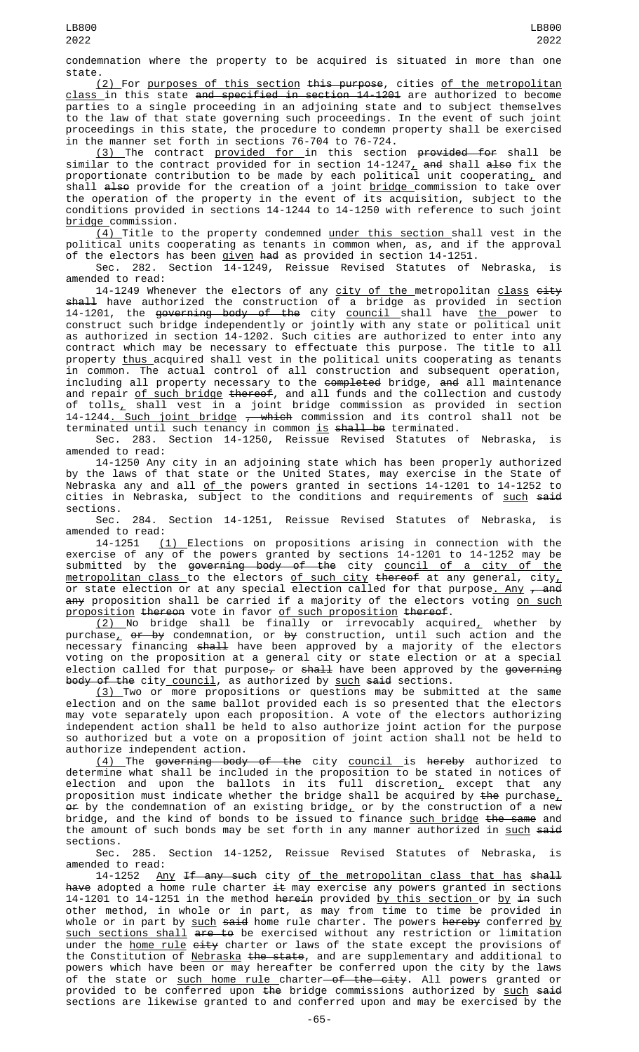condemnation where the property to be acquired is situated in more than one state.

(2) For purposes of this section this purpose, cities of the metropolitan class in this state and specified in section 14-1201 are authorized to become parties to a single proceeding in an adjoining state and to subject themselves to the law of that state governing such proceedings. In the event of such joint proceedings in this state, the procedure to condemn property shall be exercised in the manner set forth in sections 76-704 to 76-724.

<u>(3) </u>The contract <u>provided for </u>in this section <del>provided for</del> shall be similar to the contract provided for in section 14-1247<u>,</u> <del>and</del> shall <del>also</del> fix the proportionate contribution to be made by each political unit cooperating, and shall <del>also</del> provide for the creation of a joint <u>bridge c</u>ommission to take over the operation of the property in the event of its acquisition, subject to the conditions provided in sections 14-1244 to 14-1250 with reference to such joint bridge commission.

<u>(4) </u>Title to the property condemned <u>under this section s</u>hall vest in the political units cooperating as tenants in common when, as, and if the approval of the electors has been <u>given</u> <del>had</del> as provided in section 14-1251.

Sec. 282. Section 14-1249, Reissue Revised Statutes of Nebraska, is amended to read:

14-1249 Whenever the electors of any <u>city of the m</u>etropolitan <u>class</u> <del>city</del> shall have authorized the construction of a bridge as provided in section 14-1201, the <del>governing body of the</del> city <u>council shall have the </u>power to construct such bridge independently or jointly with any state or political unit as authorized in section 14-1202. Such cities are authorized to enter into any contract which may be necessary to effectuate this purpose. The title to all property <u>thus </u>acquired shall vest in the political units cooperating as tenants in common. The actual control of all construction and subsequent operation, including all property necessary to the <del>completed</del> bridge, <del>and</del> all maintenance and repair <u>of such bridge</u> <del>thereof</del>, and all funds and the collection and custody of tolls<u>,</u> shall vest in a joint bridge commission as provided in section 14-1244<u>. Such joint bridge</u> <del>, which</del> commission and its control shall not be terminated until such tenancy in common <u>is</u> <del>shall be</del> terminated.

Sec. 283. Section 14-1250, Reissue Revised Statutes of Nebraska, is amended to read:

14-1250 Any city in an adjoining state which has been properly authorized by the laws of that state or the United States, may exercise in the State of Nebraska any and all <u>of </u>the powers granted in sections 14-1201 to 14-1252 to cities in Nebraska, subject to the conditions and requirements of <u>such</u> <del>said</del> sections.

Sec. 284. Section 14-1251, Reissue Revised Statutes of Nebraska, is amended to read:

14-1251 (1) Elections on propositions arising in connection with the exercise of any of the powers granted by sections 14-1201 to 14-1252 may be submitted by the <del>governing body of the</del> city <u>council of a city of the</u> metropolitan class to the electors of such city thereof at any general, city, or state election or at any special election called for that purpose<u>. Any</u> <del>, and</del> <del>any</del> proposition shall be carried if a majority of the electors voting <u>on such</u> proposition thereon vote in favor of such proposition thereof.

<u>(2) No bridge shall be finall</u>y or irrevocably acquired, whether by purchase<u>,</u> <del>or by</del> condemnation, or <del>by</del> construction, until such action and the necessary financing <del>shall</del> have been approved by a majority of the electors voting on the proposition at a general city or state election or at a special election called for that purpose $_{\tau}$  or shall have been approved by the governing body of the city council, as authorized by such said sections.

(3) Two or more propositions or questions may be submitted at the same election and on the same ballot provided each is so presented that the electors may vote separately upon each proposition. A vote of the electors authorizing independent action shall be held to also authorize joint action for the purpose so authorized but a vote on a proposition of joint action shall not be held to authorize independent action.

<u>(4) </u>The <del>governing body of the</del> city <u>council </u>is <del>hereby</del> authorized to determine what shall be included in the proposition to be stated in notices of election and upon the ballots in its full discretion<u>,</u> except that any proposition must indicate whether the bridge shall be acquired by <del>the</del> purchase $_{{\bm \iota}}$  $\operatorname{\sf or}$  by the condemnation of an existing bridge $_{{\sf L}}$  or by the construction of a new bridge, and the kind of bonds to be issued to finance <u>such bridge</u> <del>the same</del> and the amount of such bonds may be set forth in any manner authorized in such said sections.<br>Sec.

285. Section 14-1252, Reissue Revised Statutes of Nebraska, is amended to read:

14-1252 <u>Any</u> <del>If any such</del> city <u>of the metropolitan class that has</u> <del>shall</del> <del>have</del> adopted a home rule charter <del>it</del> may exercise any powers granted in sections 14-1201 to 14-1251 in the method <del>herein</del> provided <u>by this section or by <del>in</del> such</u> other method, in whole or in part, as may from time to time be provided in whole or in part by <u>such</u> <del>said</del> home rule charter. The powers <del>hereby</del> conferred <u>by</u> such sections shall are to be exercised without any restriction or limitation under the <u>home rule</u> <del>city</del> charter or laws of the state except the provisions of the Constitution of <u>Nebraska</u> <del>the state</del>, and are supplementary and additional to powers which have been or may hereafter be conferred upon the city by the laws of the state or <u>such home rule c</u>harter<del> of the city</del>. All powers granted or provided to be conferred upon <del>the</del> bridge commissions authorized by <u>such</u> <del>said</del> sections are likewise granted to and conferred upon and may be exercised by the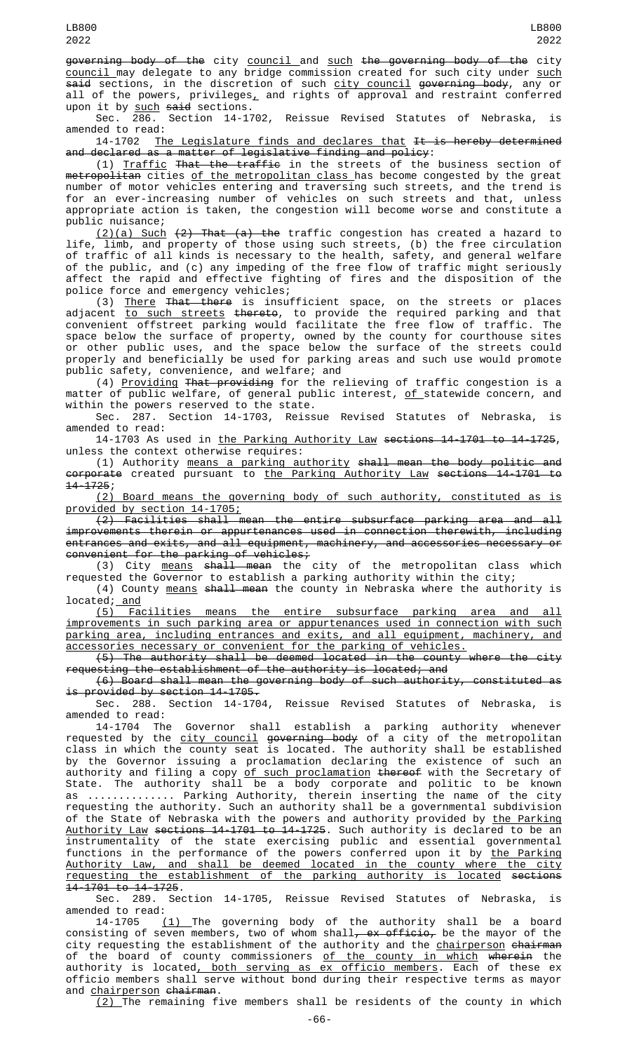governing body of the city council and such the governing body of the city <u>council </u>may delegate to any bridge commission created for such city under <u>such</u> <del>said</del> sections, in the discretion of such <u>city council</u> <del>governing body</del>, any or all of the powers, privileges $_{\rm {\LARGE L}}$  and rights of approval and restraint conferred

upon it by such said sections.<br>Sec. 286. Section 14-17 Section 14-1702, Reissue Revised Statutes of Nebraska, is amended to read:

14-1702 <u>The Legislature finds and declares that</u> <del>It is hereby determined</del> and declared as a matter of legislative finding and policy:

(1) Traffic That the traffic in the streets of the business section of metropolitan cities of the metropolitan class has become congested by the great number of motor vehicles entering and traversing such streets, and the trend is for an ever-increasing number of vehicles on such streets and that, unless appropriate action is taken, the congestion will become worse and constitute a public nuisance;

<u>(2)(a) Such</u> <del>(2) That (a) the</del> traffic congestion has created a hazard to life, limb, and property of those using such streets, (b) the free circulation of traffic of all kinds is necessary to the health, safety, and general welfare of the public, and (c) any impeding of the free flow of traffic might seriously affect the rapid and effective fighting of fires and the disposition of the police force and emergency vehicles;

(3) There That there is insufficient space, on the streets or places adjacent <u>to such streets</u> <del>thereto</del>, to provide the required parking and that convenient offstreet parking would facilitate the free flow of traffic. The space below the surface of property, owned by the county for courthouse sites or other public uses, and the space below the surface of the streets could properly and beneficially be used for parking areas and such use would promote public safety, convenience, and welfare; and

(4) Providing That providing for the relieving of traffic congestion is a matter of public welfare, of general public interest, of statewide concern, and within the powers reserved to the state.

Sec. 287. Section 14-1703, Reissue Revised Statutes of Nebraska, is amended to read:

14-1703 As used in the Parking Authority Law sections 14-1701 to 14-1725, unless the context otherwise requires:

(1) Authority means a parking authority shall mean the body politic and corporate created pursuant to the Parking Authority Law sections 14-1701 to  $14 - 1725;$ <br>(2)

Board means the governing body of such authority, constituted as is provided by section 14-1705;

(2) Facilities shall mean the entire subsurface parking area and all improvements therein or appurtenances used in connection therewith, including entrances and exits, and all equipment, machinery, and accessories necessary or convenient for the parking of vehicles;

(3) City <u>means</u> <del>shall mean</del> the city of the metropolitan class which requested the Governor to establish a parking authority within the city;

(4) County means shall mean the county in Nebraska where the authority is  $located; and$ 

(5) Facilities means the entire subsurface parking area and all improvements in such parking area or appurtenances used in connection with such parking area, including entrances and exits, and all equipment, machinery, and accessories necessary or convenient for the parking of vehicles.

(5) The authority shall be deemed located in the county where the city requesting the establishment of the authority is located; and

(6) Board shall mean the governing body of such authority, constituted as is provided by section 14-1705.

Sec. 288. Section 14-1704, Reissue Revised Statutes of Nebraska, is amended to read:

14-1704 The Governor shall establish a parking authority whenever requested by the <u>city council</u> <del>governing body</del> of a city of the metropolitan class in which the county seat is located. The authority shall be established by the Governor issuing a proclamation declaring the existence of such an authority and filing a copy <u>of such proclamation</u> <del>thereof</del> with the Secretary of State. The authority shall be a body corporate and politic to be known as .............. Parking Authority, therein inserting the name of the city requesting the authority. Such an authority shall be a governmental subdivision of the State of Nebraska with the powers and authority provided by <u>the Parking</u> Authority Law sections 14-1701 to 14-1725. Such authority is declared to be an instrumentality of the state exercising public and essential governmental functions in the performance of the powers conferred upon it by <u>the Parking</u> Authority Law, and shall be deemed located in the county where the city requesting the establishment of the parking authority is located sections 14-1701 to 14-1725.

Sec. 289. Section 14-1705, Reissue Revised Statutes of Nebraska, is amended to read:<br>14-1705 (

 $(1)$  The governing body of the authority shall be a board consisting of seven members, two of whom shall<del>, ex officio,</del> be the mayor of the city requesting the establishment of the authority and the <u>chairperson</u> <del>chairman</del> of the board of county commissioners <u>of the county in which</u> wherein the<br>authority is located<u>, both serving as ex officio members</u>. Each of these ex authority is located<u>, both serving as ex officio members</u>. Each of these ex officio members shall serve without bond during their respective terms as mayor and <u>chairperson</u> <del>chairman</del>.

 $(2)$  The remaining five members shall be residents of the county in which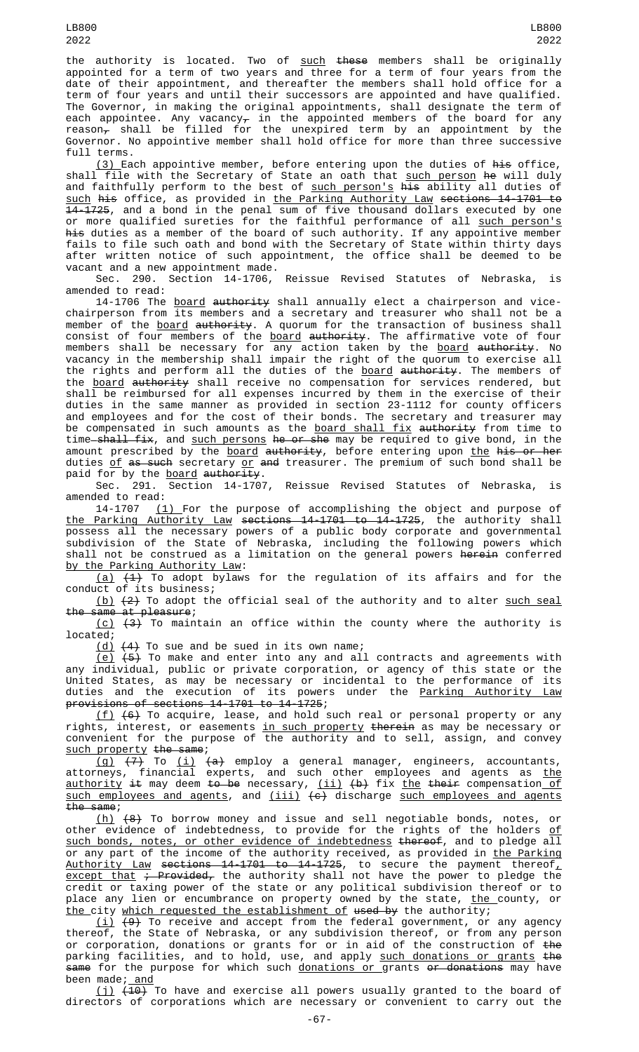the authority is located. Two of such these members shall be originally appointed for a term of two years and three for a term of four years from the date of their appointment, and thereafter the members shall hold office for a term of four years and until their successors are appointed and have qualified. The Governor, in making the original appointments, shall designate the term of each appointee. Any vacancy $_{\mathcal{T}}$  in the appointed members of the board for any reason<del>,</del> shall be filled for the unexpired term by an appointment by the Governor. No appointive member shall hold office for more than three successive full terms.

(3) Each appointive member, before entering upon the duties of his office, shall file with the Secretary of State an oath that <u>such person</u> <del>he</del> will duly and faithfully perform to the best of <u>such person's</u> <del>his</del> ability all duties of <u>such</u> <del>his</del> office, as provided in <u>the Parking Authority Law</u> <del>sections 14-1701 to</del> 14-1725, and a bond in the penal sum of five thousand dollars executed by one or more qualified sureties for the faithful performance of all <u>such person's</u> his duties as a member of the board of such authority. If any appointive member fails to file such oath and bond with the Secretary of State within thirty days after written notice of such appointment, the office shall be deemed to be vacant and a new appointment made.

Sec. 290. Section 14-1706, Reissue Revised Statutes of Nebraska, is amended to read:

14-1706 The <u>board</u> <del>authority</del> shall annually elect a chairperson and vicechairperson from its members and a secretary and treasurer who shall not be a member of the <u>board</u> <del>authority</del>. A quorum for the transaction of business shall consist of four members of the <u>board</u> <del>authority</del>. The affirmative vote of four members shall be necessary for any action taken by the <u>board</u> <del>authority</del>. No vacancy in the membership shall impair the right of the quorum to exercise all the rights and perform all the duties of the <u>board</u> <del>authority</del>. The members of the <u>board</u> <del>authority</del> shall receive no compensation for services rendered, but shall be reimbursed for all expenses incurred by them in the exercise of their duties in the same manner as provided in section 23-1112 for county officers and employees and for the cost of their bonds. The secretary and treasurer may be compensated in such amounts as the <u>board shall fix</u> <del>authority</del> from time to time<del>-shall fix</del>, and <u>such persons</u> <del>he or she</del> may be required to give bond, in the amount prescribed by the board authority, before entering upon the his or her duties of as such secretary or and treasurer. The premium of such bond shall be paid for by the board authority.

Reissue Revised Statutes of Nebraska, is Sec. 291. Section  $14-1707$ , amended to read:

14-1707  $(1)$  For the purpose of accomplishing the object and purpose of the Parking Authority Law sections 14-1701 to 14-1725, the authority shall possess all the necessary powers of a public body corporate and governmental subdivision of the State of Nebraska, including the following powers which shall not be construed as a limitation on the general powers <del>herein</del> conferred by the Parking Authority Law:

 $(a)$   $(1)$  To adopt bylaws for the regulation of its affairs and for the conduct of its business;

(b)  $(2)$  To adopt the official seal of the authority and to alter such seal the same at pleasure;

(c) (3) To maintain an office within the county where the authority is located;

 $(d)$   $(4)$  To sue and be sued in its own name;

<u>(e)</u> <del>(5)</del> To make and enter into any and all contracts and agreements with any individual, public or private corporation, or agency of this state or the United States, as may be necessary or incidental to the performance of its duties and the execution of its powers under the <u>Parking Authority Law</u> provisions of sections 14-1701 to 14-1725;

<u>(f)</u>  $(6)$  To acquire, lease, and hold such real or personal property or any rights, interest, or easements <u>in such property</u> <del>therein</del> as may be necessary or convenient for the purpose of the authority and to sell, assign, and convey such property the same;

(g) (7) To (i) (a) employ a general manager, engineers, accountants, attorneys, financial experts, and such other employees and agents as <u>the</u> <u>authority</u> <del>it</del> may deem <del>to be</del> necessary, <u>(ii)</u> <del>(b)</del> fix <u>the</u> their compensation <u>of</u> <u>such employees and agents</u>, and <u>(iii)</u>  $\left(\epsilon\right)$  discharge <u>such employees and agents</u> the same;

(h) (8) To borrow money and issue and sell negotiable bonds, notes, or other evidence of indebtedness, to provide for the rights of the holders <u>of</u> such bonds, notes, or other evidence of indebtedness thereof, and to pledge all or any part of the income of the authority received, as provided in <u>the Parking</u> <u>Authority Law</u> <del>sections 14-1701 to 14-1725</del>, to secure the payment thereof<u>,</u> <u>except that</u> <del>; Provided,</del> the authority shall not have the power to pledge the credit or taxing power of the state or any political subdivision thereof or to place any lien or encumbrance on property owned by the state, <u>the </u>county, or <u>the city which requested the establishment of</u> <del>used by</del> the authority;

 $(\dot{\texttt{\i}})$   $(9)$  To receive and accept from the federal government, or any agency thereof, the State of Nebraska, or any subdivision thereof, or from any person or corporation, donations or grants for or in aid of the construction of <del>the</del> parking facilities, and to hold, use, and apply <u>such donations or grants</u> <del>the</del> <del>same</del> for the purpose for which such <u>donations or g</u>rants <del>or donations</del> may have been made; and

(j) (10) To have and exercise all powers usually granted to the board of directors of corporations which are necessary or convenient to carry out the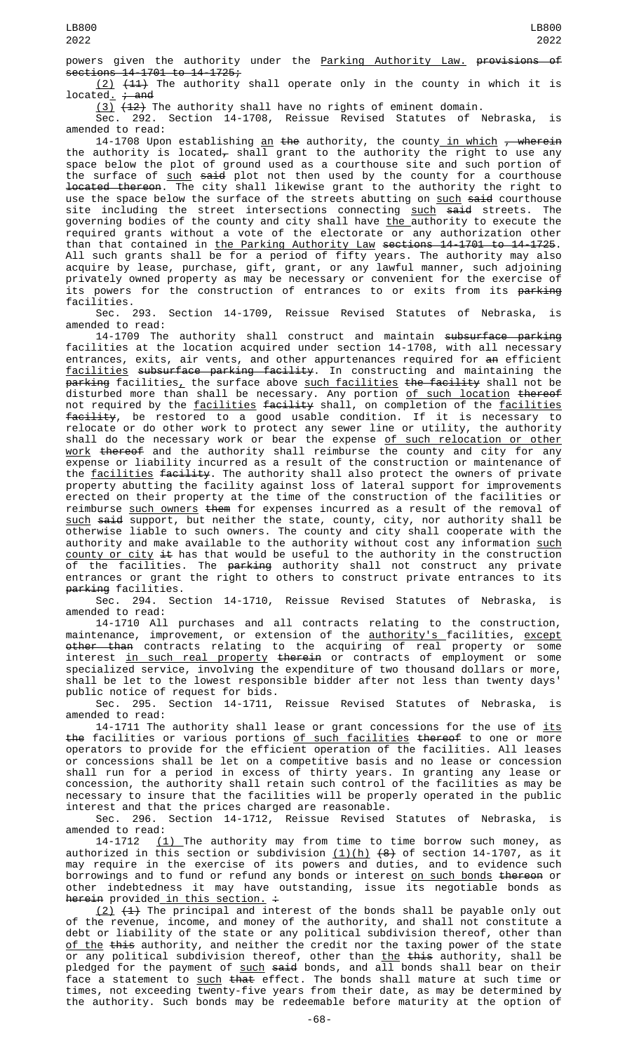powers given the authority under the Parking Authority Law. provisions of sections 14-1701 to 14-1725;

(2) (11) The authority shall operate only in the county in which it is  $located. + and$ 

 $(3)$   $(42)$  The authority shall have no rights of eminent domain. Sec. 292. Section 14-1708, Reissue Revised Statutes of Nebraska, is

amended to read: 14-1708 Upon establishing <u>an</u> <del>the</del> authority, the county\_<u>in which</u> <del>, wherein</del> the authority is located<del>,</del> shall grant to the authority the right to use any space below the plot of ground used as a courthouse site and such portion of the surface of <u>such</u> <del>said</del> plot not then used by the county for a courthouse located thereon. The city shall likewise grant to the authority the right to use the space below the surface of the streets abutting on such said courthouse site including the street intersections connecting <u>such</u> <del>said</del> streets. The governing bodies of the county and city shall have <u>the a</u>uthority to execute the required grants without a vote of the electorate or any authorization other than that contained in the Parking Authority Law sections 14-1701 to 14-1725. All such grants shall be for a period of fifty years. The authority may also acquire by lease, purchase, gift, grant, or any lawful manner, such adjoining privately owned property as may be necessary or convenient for the exercise of its powers for the construction of entrances to or exits from its <del>parking</del> facilities.

Sec. 293. Section 14-1709, Reissue Revised Statutes of Nebraska, is amended to read:

14-1709 The authority shall construct and maintain subsurface parking facilities at the location acquired under section 14-1708, with all necessary entrances, exits, air vents, and other appurtenances required for an efficient facilities subsurface parking facility. In constructing and maintaining the p<del>arking</del> facilities<u>,</u> the surface above <u>such facilities</u> <del>the facility</del> shall not be disturbed more than shall be necessary. Any portion <u>of such location</u> <del>thereof</del> not required by the <u>facilities</u> <del>facility</del> shall, on completion of the <u>facilities</u> <del>facility</del>, be restored to a good usable condition. If it is necessary to relocate or do other work to protect any sewer line or utility, the authority shall do the necessary work or bear the expense <u>of such relocation or other</u> work thereof and the authority shall reimburse the county and city for any expense or liability incurred as a result of the construction or maintenance of the facilities facility. The authority shall also protect the owners of private property abutting the facility against loss of lateral support for improvements erected on their property at the time of the construction of the facilities or reimburse such owners them for expenses incurred as a result of the removal of <u>such</u> <del>said</del> support, but neither the state, county, city, nor authority shall be otherwise liable to such owners. The county and city shall cooperate with the authority and make available to the authority without cost any information <u>such</u> county or city it has that would be useful to the authority in the construction of the facilities. The <del>parking</del> authority shall not construct any private entrances or grant the right to others to construct private entrances to its parking facilities.

Sec. 294. Section 14-1710, Reissue Revised Statutes of Nebraska, is amended to read:

14-1710 All purchases and all contracts relating to the construction, maintenance, improvement, or extension of the <u>authority's f</u>acilities, <u>except</u> other than contracts relating to the acquiring of real property or some interest <u>in such real property</u> <del>therein</del> or contracts of employment or some specialized service, involving the expenditure of two thousand dollars or more, shall be let to the lowest responsible bidder after not less than twenty days' public notice of request for bids.

Sec. 295. Section 14-1711, Reissue Revised Statutes of Nebraska, is amended to read:

14-1711 The authority shall lease or grant concessions for the use of <u>its</u> the facilities or various portions of such facilities thereof to one or more operators to provide for the efficient operation of the facilities. All leases or concessions shall be let on a competitive basis and no lease or concession shall run for a period in excess of thirty years. In granting any lease or concession, the authority shall retain such control of the facilities as may be necessary to insure that the facilities will be properly operated in the public interest and that the prices charged are reasonable.

Sec. 296. Section 14-1712, Reissue Revised Statutes of Nebraska, is amended to read:

14-1712  $(1)$  The authority may from time to time borrow such money, as authorized in this section or subdivision <u>(1)(h)</u> <del>(8)</del> of section 14-1707, as it may require in the exercise of its powers and duties, and to evidence such borrowings and to fund or refund any bonds or interest <u>on such bonds</u> <del>thereon</del> or other indebtedness it may have outstanding, issue its negotiable bonds as <del>herein</del> provided <u>in this section.</u> <del>:</del>

 $(2)$   $(4)$  The principal and interest of the bonds shall be payable only out of the revenue, income, and money of the authority, and shall not constitute a debt or liability of the state or any political subdivision thereof, other than <u>of the</u> <del>this</del> authority, and neither the credit nor the taxing power of the state or any political subdivision thereof, other than <u>the</u> <del>this</del> authority, shall be pledged for the payment of <u>such</u> <del>said</del> bonds, and all bonds shall bear on their face a statement to <u>such</u> <del>that</del> effect. The bonds shall mature at such time or times, not exceeding twenty-five years from their date, as may be determined by the authority. Such bonds may be redeemable before maturity at the option of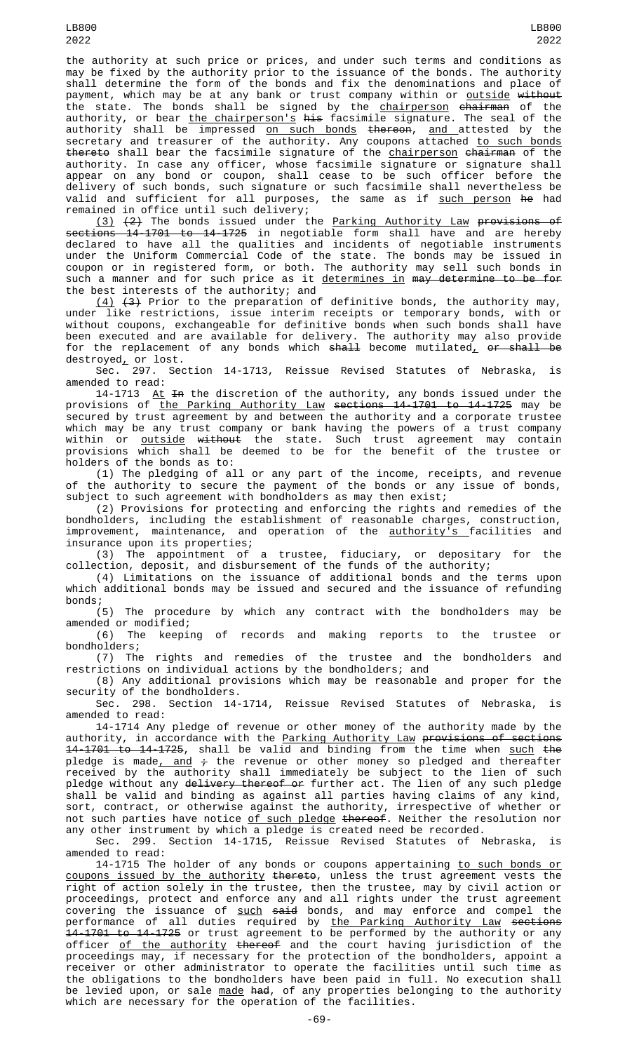the authority at such price or prices, and under such terms and conditions as may be fixed by the authority prior to the issuance of the bonds. The authority shall determine the form of the bonds and fix the denominations and place of payment, which may be at any bank or trust company within or <u>outside</u> <del>without</del> the state. The bonds shall be signed by the <u>chairperson</u> <del>chairman</del> of the authority, or bear <u>the chairperson's</u> <del>his</del> facsimile signature. The seal of the authority shall be impressed <u>on such bonds</u> <del>thereon</del>, <u>and a</u>ttested by the secretary and treasurer of the authority. Any coupons attached <u>to such bonds</u> <del>thereto</del> shall bear the facsimile signature of the <u>chairperson</u> <del>chairman</del> of the authority. In case any officer, whose facsimile signature or signature shall appear on any bond or coupon, shall cease to be such officer before the delivery of such bonds, such signature or such facsimile shall nevertheless be valid and sufficient for all purposes, the same as if <u>such person</u> <del>he</del> had remained in office until such delivery;

(3) (2) The bonds issued under the Parking Authority Law provisions of sections 14-1701 to 14-1725 in negotiable form shall have and are hereby declared to have all the qualities and incidents of negotiable instruments under the Uniform Commercial Code of the state. The bonds may be issued in coupon or in registered form, or both. The authority may sell such bonds in such a manner and for such price as it <u>determines in</u> <del>may determine to be for</del> the best interests of the authority; and

 $(4)$   $(3)$  Prior to the preparation of definitive bonds, the authority may, under like restrictions, issue interim receipts or temporary bonds, with or without coupons, exchangeable for definitive bonds when such bonds shall have been executed and are available for delivery. The authority may also provide for the replacement of any bonds which <del>shall</del> become mutilated<u>,</u> <del>or shall be</del> destroyed, or lost.

Sec. 297. Section 14-1713, Reissue Revised Statutes of Nebraska, is amended to read:

14-1713 <u>At</u> <del>In</del> the discretion of the authority, any bonds issued under the provisions of <u>the Parking Authority Law</u> s<del>ections 14-1701 to 14-1725</del> may be secured by trust agreement by and between the authority and a corporate trustee which may be any trust company or bank having the powers of a trust company within or <u>outside</u> <del>without</del> the state. Such trust agreement may contain provisions which shall be deemed to be for the benefit of the trustee or holders of the bonds as to:

(1) The pledging of all or any part of the income, receipts, and revenue of the authority to secure the payment of the bonds or any issue of bonds, subject to such agreement with bondholders as may then exist;

(2) Provisions for protecting and enforcing the rights and remedies of the bondholders, including the establishment of reasonable charges, construction, improvement, maintenance, and operation of the <u>authority's </u>facilities and insurance upon its properties;

(3) The appointment of a trustee, fiduciary, or depositary for the collection, deposit, and disbursement of the funds of the authority;

(4) Limitations on the issuance of additional bonds and the terms upon which additional bonds may be issued and secured and the issuance of refunding bonds;

(5) The procedure by which any contract with the bondholders may be amended or modified;

(6) The keeping of records and making reports to the trustee or bondholders;

(7) The rights and remedies of the trustee and the bondholders and restrictions on individual actions by the bondholders; and

(8) Any additional provisions which may be reasonable and proper for the security of the bondholders.

Sec. 298. Section 14-1714, Reissue Revised Statutes of Nebraska, is amended to read:

14-1714 Any pledge of revenue or other money of the authority made by the authority, in accordance with the Parking Authority Law provisions of sections 14-1701 to 14-1725, shall be valid and binding from the time when such the pledge is made<u>, and</u> <del>;</del> the revenue or other money so pledged and thereafter received by the authority shall immediately be subject to the lien of such pledge without any <del>delivery thereof or</del> further act. The lien of any such pledge shall be valid and binding as against all parties having claims of any kind, sort, contract, or otherwise against the authority, irrespective of whether or not such parties have notice <u>of such pledge</u> <del>thereof</del>. Neither the resolution nor any other instrument by which a pledge is created need be recorded.

Sec. 299. Section 14-1715, Reissue Revised Statutes of Nebraska, amended to read:

14-1715 The holder of any bonds or coupons appertaining <u>to such bonds or</u> coupons issued by the authority thereto, unless the trust agreement vests the right of action solely in the trustee, then the trustee, may by civil action or proceedings, protect and enforce any and all rights under the trust agreement covering the issuance of <u>such</u> <del>said</del> bonds, and may enforce and compel the performance of all duties required by <u>the Parking Authority Law</u> <del>sections</del> 14-1701 to 14-1725 or trust agreement to be performed by the authority or any officer <u>of the authority</u> <del>thereof</del> and the court having jurisdiction of the proceedings may, if necessary for the protection of the bondholders, appoint a receiver or other administrator to operate the facilities until such time as the obligations to the bondholders have been paid in full. No execution shall be levied upon, or sale <u>made</u> <del>had</del>, of any properties belonging to the authority which are necessary for the operation of the facilities.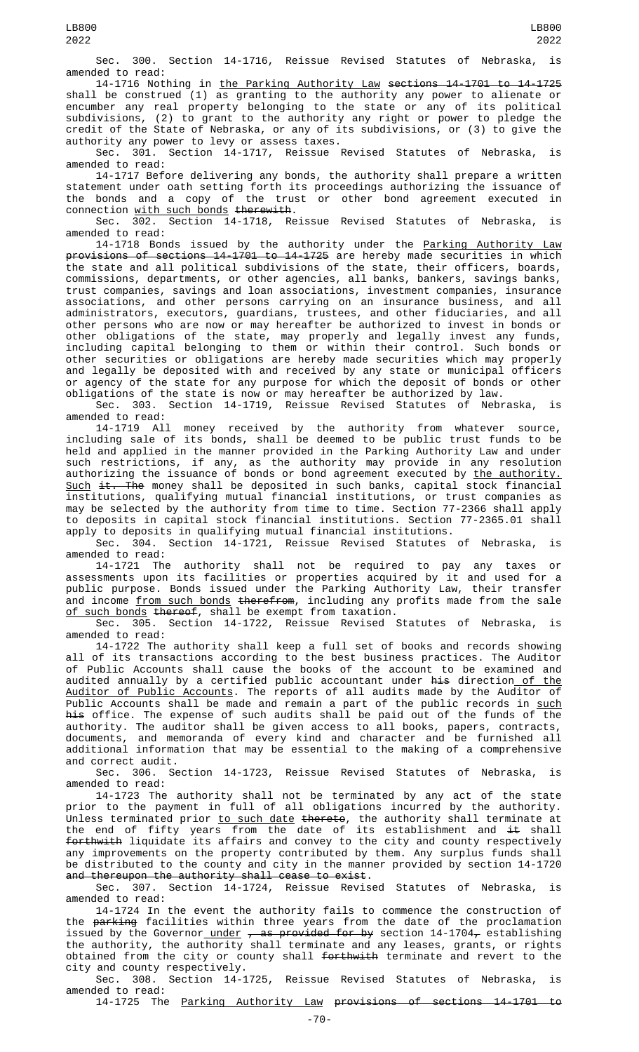Sec. 300. Section 14-1716, Reissue Revised Statutes of Nebraska, is amended to read:

14-1716 Nothing in the Parking Authority Law sections 14-1701 to 14-1725 shall be construed (1) as granting to the authority any power to alienate or encumber any real property belonging to the state or any of its political subdivisions, (2) to grant to the authority any right or power to pledge the credit of the State of Nebraska, or any of its subdivisions, or (3) to give the authority any power to levy or assess taxes.

Sec. 301. Section 14-1717, Reissue Revised Statutes of Nebraska, is amended to read:

14-1717 Before delivering any bonds, the authority shall prepare a written statement under oath setting forth its proceedings authorizing the issuance of the bonds and a copy of the trust or other bond agreement executed in connection <u>with such bonds</u> therewith.<br>Sec. 302. Section 14-1718, Re

Section 14-1718, Reissue Revised Statutes of Nebraska, is amended to read:

14-1718 Bonds issued by the authority under the <u>Parking Authority Law</u> provisions of sections 14-1701 to 14-1725 are hereby made securities in which the state and all political subdivisions of the state, their officers, boards, commissions, departments, or other agencies, all banks, bankers, savings banks, trust companies, savings and loan associations, investment companies, insurance associations, and other persons carrying on an insurance business, and all administrators, executors, guardians, trustees, and other fiduciaries, and all other persons who are now or may hereafter be authorized to invest in bonds or other obligations of the state, may properly and legally invest any funds, including capital belonging to them or within their control. Such bonds or other securities or obligations are hereby made securities which may properly and legally be deposited with and received by any state or municipal officers or agency of the state for any purpose for which the deposit of bonds or other obligations of the state is now or may hereafter be authorized by law.

Sec. 303. Section 14-1719, Reissue Revised Statutes of Nebraska, is amended to read:

14-1719 All money received by the authority from whatever source, including sale of its bonds, shall be deemed to be public trust funds to be held and applied in the manner provided in the Parking Authority Law and under such restrictions, if any, as the authority may provide in any resolution authorizing the issuance of bonds or bond agreement executed by the authority. Such it. The money shall be deposited in such banks, capital stock financial institutions, qualifying mutual financial institutions, or trust companies as may be selected by the authority from time to time. Section 77-2366 shall apply to deposits in capital stock financial institutions. Section 77-2365.01 shall apply to deposits in qualifying mutual financial institutions.

Sec. 304. Section 14-1721, Reissue Revised Statutes of Nebraska, is amended to read:

14-1721 The authority shall not be required to pay any taxes or assessments upon its facilities or properties acquired by it and used for a public purpose. Bonds issued under the Parking Authority Law, their transfer and income <u>from such bonds</u> <del>therefrom</del>, including any profits made from the sale <u>of such bonds</u> <del>thereof</del>, shall be exempt from taxation.

Sec. 305. Section 14-1722, Reissue Revised Statutes of Nebraska, is amended to read:

14-1722 The authority shall keep a full set of books and records showing all of its transactions according to the best business practices. The Auditor of Public Accounts shall cause the books of the account to be examined and audited annually by a certified public accountant under <del>his</del> direction<u> of the</u> Auditor of Public Accounts. The reports of all audits made by the Auditor of Public Accounts shall be made and remain a part of the public records in <u>such</u> his office. The expense of such audits shall be paid out of the funds of the authority. The auditor shall be given access to all books, papers, contracts, documents, and memoranda of every kind and character and be furnished all additional information that may be essential to the making of a comprehensive and correct audit.

Sec. 306. Section 14-1723, Reissue Revised Statutes of Nebraska, is amended to read:

14-1723 The authority shall not be terminated by any act of the state prior to the payment in full of all obligations incurred by the authority. Unless terminated prior <u>to such date</u> <del>thereto</del>, the authority shall terminate at the end of fifty years from the date of its establishment and  $\pm\mathfrak{t}$  shall forthwith liquidate its affairs and convey to the city and county respectively any improvements on the property contributed by them. Any surplus funds shall be distributed to the county and city in the manner provided by section 14-1720 and thereupon the authority shall cease to exist.

Sec. 307. Section 14-1724, Reissue Revised Statutes of Nebraska, is amended to read:

14-1724 In the event the authority fails to commence the construction of the parking facilities within three years from the date of the proclamation issued by the Governor\_<u>under</u> <del>, as provided for by</del> section 14-1704<del>,</del> establishing the authority, the authority shall terminate and any leases, grants, or rights obtained from the city or county shall <del>forthwith</del> terminate and revert to the city and county respectively.

Sec. 308. Section 14-1725, Reissue Revised Statutes of Nebraska, is amended to read:

14-1725 The Parking Authority Law provisions of sections 14-1701 to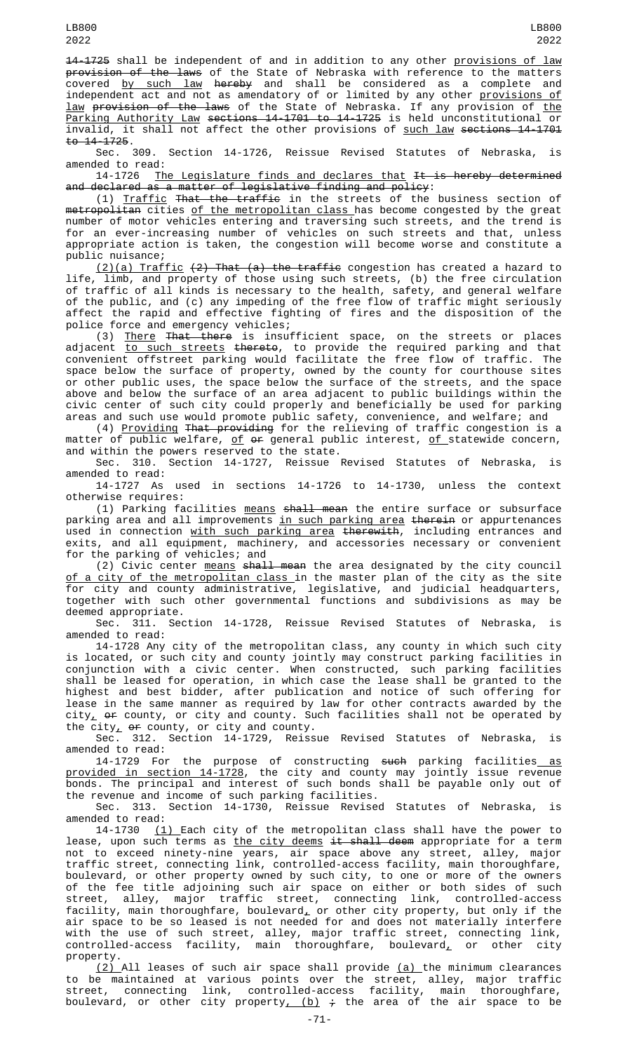14-1725 shall be independent of and in addition to any other provisions of law <del>provision of the laws</del> of the State of Nebraska with reference to the matters covered <u>by such law</u> <del>hereby</del> and shall be considered as a complete and independent act and not as amendatory of or limited by any other <u>provisions of</u> <u>law</u> <del>provision of the laws</del> of the State of Nebraska. If any provision of <u>the</u> Parking Authority Law sections 14-1701 to 14-1725 is held unconstitutional or invalid, it shall not affect the other provisions of such law sections 14-1701  $\frac{10}{14} - \frac{1725}{100}$ .<br>Sec. 309.

Section 14-1726, Reissue Revised Statutes of Nebraska, is amended to read:

14-1726 <u>The Legislature finds and declares that</u> <del>It is hereby determined</del> and declared as a matter of legislative finding and policy:

(1) Traffic That the traffic in the streets of the business section of metropolitan cities of the metropolitan class has become congested by the great number of motor vehicles entering and traversing such streets, and the trend is for an ever-increasing number of vehicles on such streets and that, unless appropriate action is taken, the congestion will become worse and constitute a public nuisance;

<u>(2)(a) Traffic</u> <del>(2) That (a) the traffic</del> congestion has created a hazard to life, limb, and property of those using such streets, (b) the free circulation of traffic of all kinds is necessary to the health, safety, and general welfare of the public, and (c) any impeding of the free flow of traffic might seriously affect the rapid and effective fighting of fires and the disposition of the police force and emergency vehicles;

(3) <u>There</u> <del>That there</del> is insufficient space, on the streets or places adjacent <u>to such streets</u> <del>thereto</del>, to provide the required parking and that convenient offstreet parking would facilitate the free flow of traffic. The space below the surface of property, owned by the county for courthouse sites or other public uses, the space below the surface of the streets, and the space above and below the surface of an area adjacent to public buildings within the civic center of such city could properly and beneficially be used for parking areas and such use would promote public safety, convenience, and welfare; and

(4) Providing That providing for the relieving of traffic congestion is a matter of public welfare, of  $\theta$  general public interest, of statewide concern, and within the powers reserved to the state.<br>Sec. 310. Section 14-1727, Reissue

Section 14-1727, Reissue Revised Statutes of Nebraska, is amended to read:

14-1727 As used in sections 14-1726 to 14-1730, unless the context otherwise requires:

(1) Parking facilities means shall mean the entire surface or subsurface parking area and all improvements in such parking area therein or appurtenances used in connection with such parking area therewith, including entrances and exits, and all equipment, machinery, and accessories necessary or convenient for the parking of vehicles; and

(2) Civic center <u>means</u> shall mean the area designated by the city council of a city of the metropolitan class in the master plan of the city as the site for city and county administrative, legislative, and judicial headquarters, together with such other governmental functions and subdivisions as may be deemed appropriate.

Sec. 311. Section 14-1728, Reissue Revised Statutes of Nebraska, is amended to read:

14-1728 Any city of the metropolitan class, any county in which such city is located, or such city and county jointly may construct parking facilities in conjunction with a civic center. When constructed, such parking facilities shall be leased for operation, in which case the lease shall be granted to the highest and best bidder, after publication and notice of such offering for lease in the same manner as required by law for other contracts awarded by the  $city_{L}$  or county, or city and county. Such facilities shall not be operated by the city<sub> $\mu$ </sub> or county, or city and county.

Sec. 312. Section 14-1729, Reissue Revised Statutes of Nebraska, is amended to read:

14-1729 For the purpose of constructing <del>such</del> parking facilities<u> as</u> provided in section 14-1728, the city and county may jointly issue revenue bonds. The principal and interest of such bonds shall be payable only out of the revenue and income of such parking facilities.<br>Sec. 313. Section 14-1730, Reissue Revise

Section 14-1730, Reissue Revised Statutes of Nebraska, is amended to read:

14-1730 (1) Each city of the metropolitan class shall have the power to lease, upon such terms as the city deems it shall deem appropriate for a term not to exceed ninety-nine years, air space above any street, alley, major traffic street, connecting link, controlled-access facility, main thoroughfare, boulevard, or other property owned by such city, to one or more of the owners of the fee title adjoining such air space on either or both sides of such street, alley, major traffic street, connecting link, controlled-access facility, main thoroughfare, boulevard<u>,</u> or other city property, but only if the air space to be so leased is not needed for and does not materially interfere with the use of such street, alley, major traffic street, connecting link, controlled-access facility, main thoroughfare, boulevard $_{\rm L}$  or other city property.

<u>(2) All</u> leases of such air space shall provide <u>(a) </u>the minimum clearances to be maintained at various points over the street, alley, major traffic street, connecting link, controlled-access facility, main thoroughfare, boulevard, or other city property, (b) ; the area of the air space to be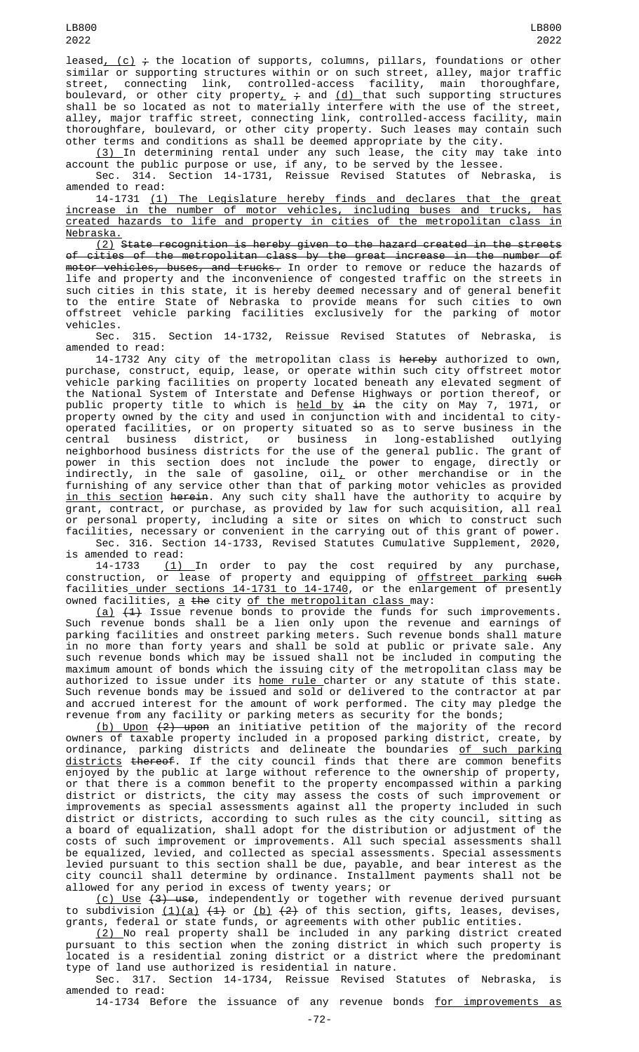leased<sub> $( c ) \div t$ </sub> the location of supports, columns, pillars, foundations or other similar or supporting structures within or on such street, alley, major traffic street, connecting link, controlled-access facility, main thoroughfare, boulevard, or other city property $_{\rm L}$   $_{\rm \dot{+}}$  and <u>(d) </u>that such supporting structures shall be so located as not to materially interfere with the use of the street, alley, major traffic street, connecting link, controlled-access facility, main thoroughfare, boulevard, or other city property. Such leases may contain such other terms and conditions as shall be deemed appropriate by the city.

(3) In determining rental under any such lease, the city may take into account the public purpose or use, if any, to be served by the lessee.

Sec. 314. Section 14-1731, Reissue Revised Statutes of Nebraska, is amended to read:

14-1731 (1) The Legislature hereby finds and declares that the great increase in the number of motor vehicles, including buses and trucks, has created hazards to life and property in cities of the metropolitan class in Nebraska.

(2) State recognition is hereby given to the hazard created in the streets of cities of the metropolitan class by the great increase in the number of motor vehicles, buses, and trucks. In order to remove or reduce the hazards of life and property and the inconvenience of congested traffic on the streets in such cities in this state, it is hereby deemed necessary and of general benefit to the entire State of Nebraska to provide means for such cities to own offstreet vehicle parking facilities exclusively for the parking of motor vehicles.<br>Sec.

315. Section 14-1732, Reissue Revised Statutes of Nebraska, is amended to read:

14-1732 Any city of the metropolitan class is hereby authorized to own, purchase, construct, equip, lease, or operate within such city offstreet motor vehicle parking facilities on property located beneath any elevated segment of the National System of Interstate and Defense Highways or portion thereof, or public property title to which is <u>held by</u> <del>in</del> the city on May 7, 1971, or property owned by the city and used in conjunction with and incidental to cityoperated facilities, or on property situated so as to serve business in the central business district, or business in long-established outlying neighborhood business districts for the use of the general public. The grant of power in this section does not include the power to engage, directly or indirectly, in the sale of gasoline, oil $_{\rm L}$  or other merchandise or in the furnishing of any service other than that of parking motor vehicles as provided in this section herein. Any such city shall have the authority to acquire by grant, contract, or purchase, as provided by law for such acquisition, all real or personal property, including a site or sites on which to construct such facilities, necessary or convenient in the carrying out of this grant of power.

Sec. 316. Section 14-1733, Revised Statutes Cumulative Supplement, 2020, is amended to read:<br> $14-1733$  (1)

 $(1)$  In order to pay the cost required by any purchase, construction, or lease of property and equipping of <u>offstreet parking</u> <del>such</del> facilities\_<u>under sections 14-1731 to 14-1740</u>, or the enlargement of presently owned facilities, <u>a</u> <del>the</del> city <u>of the metropolitan class </u>may:

 $(a)$   $(1)$  Issue revenue bonds to provide the funds for such improvements. Such revenue bonds shall be a lien only upon the revenue and earnings of parking facilities and onstreet parking meters. Such revenue bonds shall mature in no more than forty years and shall be sold at public or private sale. Any such revenue bonds which may be issued shall not be included in computing the maximum amount of bonds which the issuing city of the metropolitan class may be authorized to issue under its <u>home rule c</u>harter or any statute of this state. Such revenue bonds may be issued and sold or delivered to the contractor at par and accrued interest for the amount of work performed. The city may pledge the revenue from any facility or parking meters as security for the bonds;

(b) Upon (2) upon an initiative petition of the majority of the record owners of taxable property included in a proposed parking district, create, by ordinance, parking districts and delineate the boundaries <u>of such parking</u> <u>districts</u> <del>thereof</del>. If the city council finds that there are common benefits enjoyed by the public at large without reference to the ownership of property, or that there is a common benefit to the property encompassed within a parking district or districts, the city may assess the costs of such improvement or improvements as special assessments against all the property included in such district or districts, according to such rules as the city council, sitting as a board of equalization, shall adopt for the distribution or adjustment of the costs of such improvement or improvements. All such special assessments shall be equalized, levied, and collected as special assessments. Special assessments levied pursuant to this section shall be due, payable, and bear interest as the city council shall determine by ordinance. Installment payments shall not be allowed for any period in excess of twenty years; or

<u>(c) Use</u> <del>(3) use</del>, independently or together with revenue derived pursuant to subdivision  $(1)(a)$   $(4)$  or  $(b)$   $(2)$  of this section, gifts, leases, devises, grants, federal or state funds, or agreements with other public entities.

(2) No real property shall be included in any parking district created pursuant to this section when the zoning district in which such property is located is a residential zoning district or a district where the predominant type of land use authorized is residential in nature.

Sec. 317. Section 14-1734, Reissue Revised Statutes of Nebraska, is amended to read:

14-1734 Before the issuance of any revenue bonds for improvements as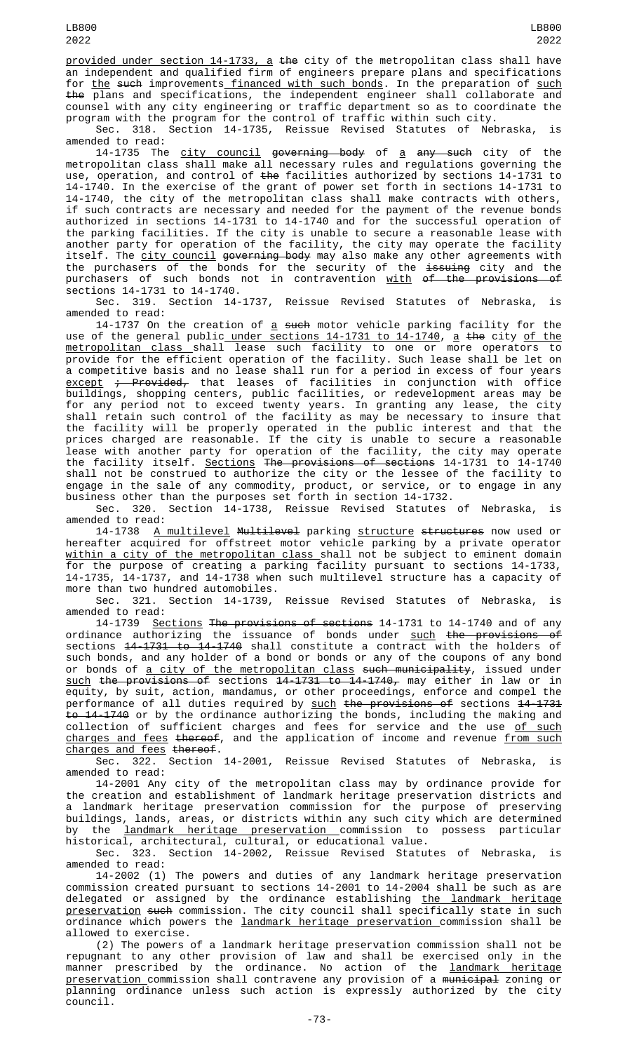provided under section 14-1733, a the city of the metropolitan class shall have an independent and qualified firm of engineers prepare plans and specifications for the such improvements financed with such bonds. In the preparation of such the plans and specifications, the independent engineer shall collaborate and counsel with any city engineering or traffic department so as to coordinate the program with the program for the control of traffic within such city.

Sec. 318. Section 14-1735, Reissue Revised Statutes of Nebraska, is

amended to read:<br>14-1735 The 14-1735 The <u>city council</u> <del>governing body</del> of <u>a</u> <del>any such</del> city of the metropolitan class shall make all necessary rules and regulations governing the use, operation, and control of <del>the</del> facilities authorized by sections 14-1731 to 14-1740. In the exercise of the grant of power set forth in sections 14-1731 to 14-1740, the city of the metropolitan class shall make contracts with others, if such contracts are necessary and needed for the payment of the revenue bonds authorized in sections 14-1731 to 14-1740 and for the successful operation of the parking facilities. If the city is unable to secure a reasonable lease with another party for operation of the facility, the city may operate the facility itself. The <u>city council</u> <del>governing body</del> may also make any other agreements with the purchasers of the bonds for the security of the <del>issuing</del> city and the purchasers of such bonds not in contravention <u>with</u> <del>of the provisions of</del> sections 14-1731 to 14-1740.

Sec. 319. Section 14-1737, Reissue Revised Statutes of Nebraska, is amended to read:

14-1737 On the creation of <u>a</u> <del>such</del> motor vehicle parking facility for the use of the general public<u> under sections 14-1731 to 14-1740</u>, <u>a</u> <del>th</del>e city <u>of the</u> <u>metropolitan class s</u>hall lease such facility to one or more operators to provide for the efficient operation of the facility. Such lease shall be let on a competitive basis and no lease shall run for a period in excess of four years  $\frac{except}{t}$  ; Provided, that leases of facilities in conjunction with office buildings, shopping centers, public facilities, or redevelopment areas may be for any period not to exceed twenty years. In granting any lease, the city shall retain such control of the facility as may be necessary to insure that the facility will be properly operated in the public interest and that the prices charged are reasonable. If the city is unable to secure a reasonable lease with another party for operation of the facility, the city may operate the facility itself. Sections The provisions of sections 14-1731 to 14-1740 shall not be construed to authorize the city or the lessee of the facility to engage in the sale of any commodity, product, or service, or to engage in any business other than the purposes set forth in section 14-1732.

Sec. 320. Section 14-1738, Reissue Revised Statutes of Nebraska, is amended to read:

14-1738 A multilevel Multilevel parking structure structures now used or hereafter acquired for offstreet motor vehicle parking by a private operator <u>within a city of the metropolitan class shall not be subject to eminent domain</u> for the purpose of creating a parking facility pursuant to sections 14-1733, 14-1735, 14-1737, and 14-1738 when such multilevel structure has a capacity of more than two hundred automobiles.

Sec. 321. Section 14-1739, Reissue Revised Statutes of Nebraska, is amended to read:

14-1739 <u>Sections</u> <del>The provisions of sections</del> 14-1731 to 14-1740 and of any ordinance authorizing the issuance of bonds under <u>such</u> <del>the provisions of</del> sections 14-1731 to 14-1740 shall constitute a contract with the holders of such bonds, and any holder of a bond or bonds or any of the coupons of any bond or bonds of <u>a city of the metropolitan class</u> <del>such municipality</del>, issued under such the provisions of sections 14-1731 to 14-1740, may either in law or in equity, by suit, action, mandamus, or other proceedings, enforce and compel the performance of all duties required by <u>such</u> <del>the provisions of</del> sections <del>14-1731</del> to 14-1740 or by the ordinance authorizing the bonds, including the making and collection of sufficient charges and fees for service and the use <u>of such</u> charges and fees thereof, and the application of income and revenue from such charges and fees thereof.

Sec. 322. Section 14-2001, Reissue Revised Statutes of Nebraska, is amended to read:

14-2001 Any city of the metropolitan class may by ordinance provide for the creation and establishment of landmark heritage preservation districts and a landmark heritage preservation commission for the purpose of preserving buildings, lands, areas, or districts within any such city which are determined by the landmark heritage preservation commission to possess particular historical, architectural, cultural, or educational value.

Sec. 323. Section 14-2002, Reissue Revised Statutes of Nebraska, is amended to read:

14-2002 (1) The powers and duties of any landmark heritage preservation commission created pursuant to sections 14-2001 to 14-2004 shall be such as are delegated or assigned by the ordinance establishing <u>the landmark heritage</u> preservation such commission. The city council shall specifically state in such ordinance which powers the landmark heritage preservation commission shall be allowed to exercise.

(2) The powers of a landmark heritage preservation commission shall not be repugnant to any other provision of law and shall be exercised only in the manner prescribed by the ordinance. No action of the <u>landmark heritage</u> preservation commission shall contravene any provision of a municipal zoning or planning ordinance unless such action is expressly authorized by the city council.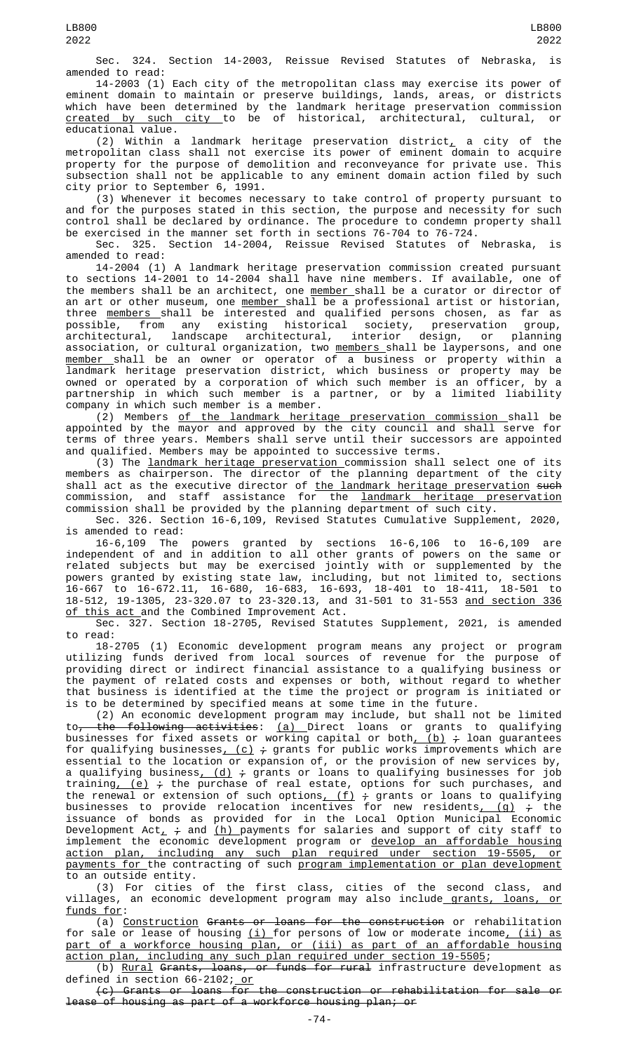Sec. 324. Section 14-2003, Reissue Revised Statutes of Nebraska, is amended to read:

14-2003 (1) Each city of the metropolitan class may exercise its power of eminent domain to maintain or preserve buildings, lands, areas, or districts which have been determined by the landmark heritage preservation commission <u>created by such city </u>to be of historical, architectural, cultural, or educational value.

(2) Within a landmark heritage preservation district, a city of the metropolitan class shall not exercise its power of eminent domain to acquire property for the purpose of demolition and reconveyance for private use. This subsection shall not be applicable to any eminent domain action filed by such city prior to September 6, 1991.

(3) Whenever it becomes necessary to take control of property pursuant to and for the purposes stated in this section, the purpose and necessity for such control shall be declared by ordinance. The procedure to condemn property shall be exercised in the manner set forth in sections 76-704 to 76-724.

Sec. 325. Section 14-2004, Reissue Revised Statutes of Nebraska, is amended to read:

14-2004 (1) A landmark heritage preservation commission created pursuant to sections 14-2001 to 14-2004 shall have nine members. If available, one of the members shall be an architect, one <u>member shall be a curator or director of</u> an art or other museum, one <u>member shall be a professional artist or historia</u>n, three <u>members shall be interested and qualified</u> persons chosen, as far as possible, from any existing historical society, preservation group, architectural, landscape architectural, interior design, or planning association, or cultural organization, two <u>members shall be lay</u>persons, and one <u>member </u>shall be an owner or operator of a business or property within a landmark heritage preservation district, which business or property may be owned or operated by a corporation of which such member is an officer, by a partnership in which such member is a partner, or by a limited liability company in which such member is a member.

(2) Members of the landmark heritage preservation commission shall be appointed by the mayor and approved by the city council and shall serve for terms of three years. Members shall serve until their successors are appointed and qualified. Members may be appointed to successive terms.

(3) The landmark heritage preservation commission shall select one of its members as chairperson. The director of the planning department of the city shall act as the executive director of <u>the landmark heritage preservation</u> <del>such</del> commission, and staff assistance for the <u>landmark heritage preservation</u> commission shall be provided by the planning department of such city.

Sec. 326. Section 16-6,109, Revised Statutes Cumulative Supplement, 2020, is amended to read:

16-6,109 The powers granted by sections 16-6,106 to 16-6,109 are independent of and in addition to all other grants of powers on the same or related subjects but may be exercised jointly with or supplemented by the powers granted by existing state law, including, but not limited to, sections 16-667 to 16-672.11, 16-680, 16-683, 16-693, 18-401 to 18-411, 18-501 to 18-512, 19-1305, 23-320.07 to 23-320.13, and 31-501 to 31-553 and section 336 <u>of this act </u>and the Combined Improvement Act.

Sec. 327. Section 18-2705, Revised Statutes Supplement, 2021, is amended to read:

18-2705 (1) Economic development program means any project or program utilizing funds derived from local sources of revenue for the purpose of providing direct or indirect financial assistance to a qualifying business or the payment of related costs and expenses or both, without regard to whether that business is identified at the time the project or program is initiated or is to be determined by specified means at some time in the future.

(2) An economic development program may include, but shall not be limited to<del>, the following activities</del>: <u>(a) </u>Direct loans or grants to qualifying businesses for fixed assets or working capital or both<u>, (b)</u> <del>;</del> loan guarantees for qualifying businesses<u>, (c)</u>  $\div$  grants for public works improvements which are essential to the location or expansion of, or the provision of new services by, a qualifying business, (d) ; grants or loans to qualifying businesses for job training<u>, (e)</u>  $\div$  the purchase of real estate, options for such purchases, and the renewal or extension of such options,  $(f)$   $\div$  grants or loans to qualifying businesses to provide relocation incentives for new residents<u>, (g)</u>  $_7^{\star}$  the issuance of bonds as provided for in the Local Option Municipal Economic Development Act $\scriptstyle\perp$   $\div$  and <u>(h) </u>payments for salaries and support of city staff to implement the economic development program or develop an affordable housing action plan, including any such plan required under section 19-5505, or payments for the contracting of such program implementation or plan development to an outside entity.

(3) For cities of the first class, cities of the second class, and villages, an economic development program may also include\_<u>grants, loans, or</u> funds for:

(a) Construction Grants or loans for the construction or rehabilitation for sale or lease of housing <u>(i) </u>for persons of low or moderate income<u>, (ii) as</u> part of a workforce housing plan, or (iii) as part of an affordable housing action plan, including any such plan required under section 19-5505;

(b) <u>Rural</u> <del>Grants, loans, or funds for rural</del> infrastructure development as defined in section 66-2102; <u>or</u>

(c) Grants or loans for the construction or rehabilitation for sale or lease of housing as part of a workforce housing plan; or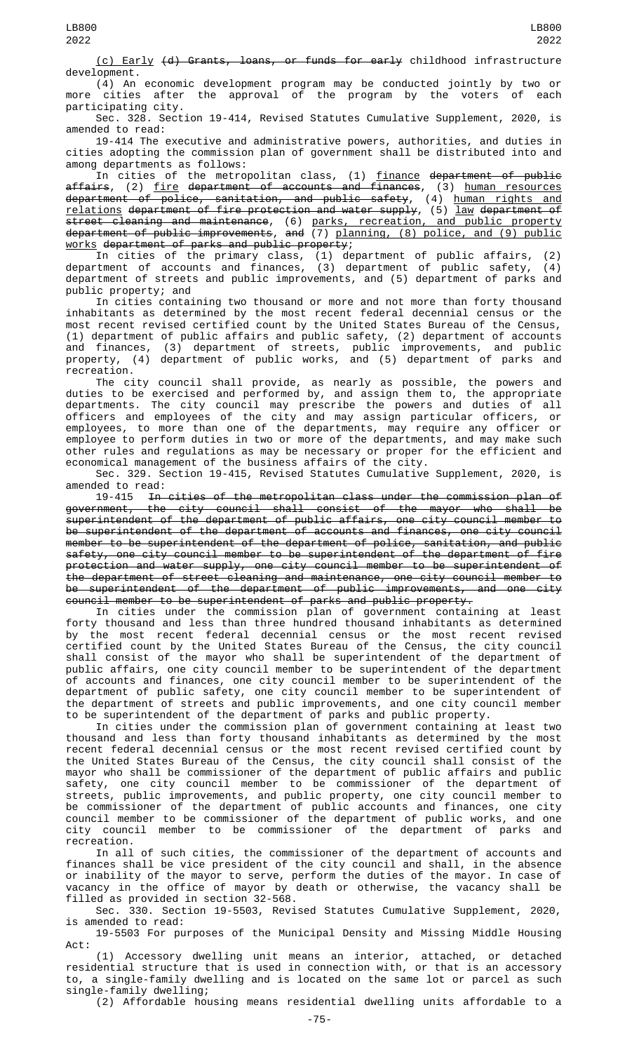(c) Early (d) Grants, loans, or funds for early childhood infrastructure development.

(4) An economic development program may be conducted jointly by two or more cities after the approval of the program by the voters of each participating city.

Sec. 328. Section 19-414, Revised Statutes Cumulative Supplement, 2020, is amended to read:

19-414 The executive and administrative powers, authorities, and duties in cities adopting the commission plan of government shall be distributed into and among departments as follows:

In cities of the metropolitan class, (1) <u>finance</u> <del>department of public</del> affairs, (2) fire department of accounts and finances, (3) human resources department of police, sanitation, and public safety, (4) human rights and relations department of fire protection and water supply, (5) law department of street cleaning and maintenance, (6) parks, recreation, and public property department of public improvements, and (7) planning, (8) police, and (9) public works department of parks and public property;

In cities of the primary class, (1) department of public affairs, (2) department of accounts and finances, (3) department of public safety, (4) department of streets and public improvements, and (5) department of parks and public property; and

In cities containing two thousand or more and not more than forty thousand inhabitants as determined by the most recent federal decennial census or the most recent revised certified count by the United States Bureau of the Census, (1) department of public affairs and public safety, (2) department of accounts and finances, (3) department of streets, public improvements, and public property, (4) department of public works, and (5) department of parks and recreation.

The city council shall provide, as nearly as possible, the powers and duties to be exercised and performed by, and assign them to, the appropriate departments. The city council may prescribe the powers and duties of all officers and employees of the city and may assign particular officers, or employees, to more than one of the departments, may require any officer or employee to perform duties in two or more of the departments, and may make such other rules and regulations as may be necessary or proper for the efficient and economical management of the business affairs of the city.

Sec. 329. Section 19-415, Revised Statutes Cumulative Supplement, 2020, is amended to read:

19-415 In cities of the metropolitan class under the commission plan of<br>government, the city council shall consist of the mayor who shall be the city council shall consist of the mayor who shall be superintendent of the department of public affairs, one city council member to be superintendent of the department of accounts and finances, one city council member to be superintendent of the department of police, sanitation, and public safety, one city council member to be superintendent of the department of fire protection and water supply, one city council member to be superintendent of the department of street cleaning and maintenance, one city council member to be superintendent of the department of public improvements, and one city council member to be superintendent of parks and public property.

In cities under the commission plan of government containing at least forty thousand and less than three hundred thousand inhabitants as determined by the most recent federal decennial census or the most recent revised certified count by the United States Bureau of the Census, the city council shall consist of the mayor who shall be superintendent of the department of public affairs, one city council member to be superintendent of the department of accounts and finances, one city council member to be superintendent of the department of public safety, one city council member to be superintendent of the department of streets and public improvements, and one city council member to be superintendent of the department of parks and public property.

In cities under the commission plan of government containing at least two thousand and less than forty thousand inhabitants as determined by the most recent federal decennial census or the most recent revised certified count by the United States Bureau of the Census, the city council shall consist of the mayor who shall be commissioner of the department of public affairs and public safety, one city council member to be commissioner of the department of streets, public improvements, and public property, one city council member to be commissioner of the department of public accounts and finances, one city council member to be commissioner of the department of public works, and one city council member to be commissioner of the department of parks and recreation.

In all of such cities, the commissioner of the department of accounts and finances shall be vice president of the city council and shall, in the absence or inability of the mayor to serve, perform the duties of the mayor. In case of vacancy in the office of mayor by death or otherwise, the vacancy shall be filled as provided in section 32-568.

Sec. 330. Section 19-5503, Revised Statutes Cumulative Supplement, 2020, is amended to read:

19-5503 For purposes of the Municipal Density and Missing Middle Housing Act:

(1) Accessory dwelling unit means an interior, attached, or detached residential structure that is used in connection with, or that is an accessory to, a single-family dwelling and is located on the same lot or parcel as such single-family dwelling;

(2) Affordable housing means residential dwelling units affordable to a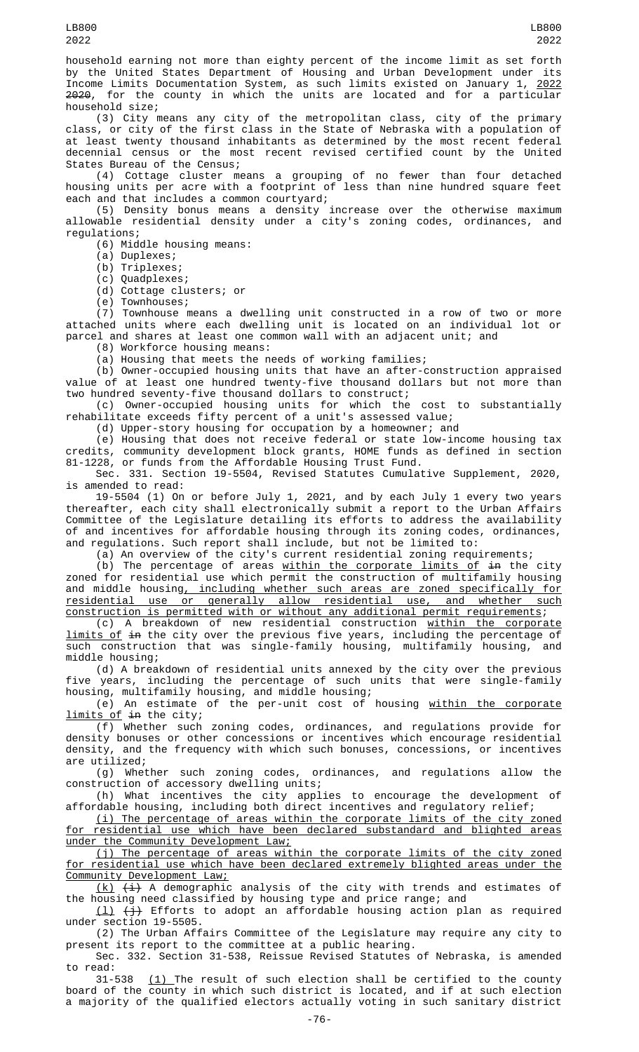household earning not more than eighty percent of the income limit as set forth by the United States Department of Housing and Urban Development under its Income Limits Documentation System, as such limits existed on January 1, 2022 2020, for the county in which the units are located and for a particular household size;

(3) City means any city of the metropolitan class, city of the primary class, or city of the first class in the State of Nebraska with a population of at least twenty thousand inhabitants as determined by the most recent federal decennial census or the most recent revised certified count by the United States Bureau of the Census;

(4) Cottage cluster means a grouping of no fewer than four detached housing units per acre with a footprint of less than nine hundred square feet each and that includes a common courtyard;

(5) Density bonus means a density increase over the otherwise maximum allowable residential density under a city's zoning codes, ordinances, and regulations;

(6) Middle housing means:

(a) Duplexes;

(b) Triplexes;

(c) Quadplexes;

(d) Cottage clusters; or

(e) Townhouses;

(7) Townhouse means a dwelling unit constructed in a row of two or more attached units where each dwelling unit is located on an individual lot or parcel and shares at least one common wall with an adjacent unit; and

(8) Workforce housing means:

(a) Housing that meets the needs of working families;

(b) Owner-occupied housing units that have an after-construction appraised value of at least one hundred twenty-five thousand dollars but not more than two hundred seventy-five thousand dollars to construct;

(c) Owner-occupied housing units for which the cost to substantially rehabilitate exceeds fifty percent of a unit's assessed value;

(d) Upper-story housing for occupation by a homeowner; and

(e) Housing that does not receive federal or state low-income housing tax credits, community development block grants, HOME funds as defined in section 81-1228, or funds from the Affordable Housing Trust Fund.

Sec. 331. Section 19-5504, Revised Statutes Cumulative Supplement, 2020, is amended to read:

19-5504 (1) On or before July 1, 2021, and by each July 1 every two years thereafter, each city shall electronically submit a report to the Urban Affairs Committee of the Legislature detailing its efforts to address the availability of and incentives for affordable housing through its zoning codes, ordinances, and regulations. Such report shall include, but not be limited to:

(a) An overview of the city's current residential zoning requirements;

(b) The percentage of areas  $\underline{\text{within the corporate limits of in}}$  the city zoned for residential use which permit the construction of multifamily housing and middle housing, including whether such areas are zoned specifically for residential use or generally allow residential use, and whether such construction is permitted with or without any additional permit requirements;

(c) A breakdown of new residential construction <u>within the corporate</u> limits of in the city over the previous five years, including the percentage of such construction that was single-family housing, multifamily housing, and middle housing;

(d) A breakdown of residential units annexed by the city over the previous five years, including the percentage of such units that were single-family housing, multifamily housing, and middle housing;

(e) An estimate of the per-unit cost of housing <u>within the corporate</u> limits of in the city;

(f) Whether such zoning codes, ordinances, and regulations provide for density bonuses or other concessions or incentives which encourage residential density, and the frequency with which such bonuses, concessions, or incentives are utilized;

(g) Whether such zoning codes, ordinances, and regulations allow the construction of accessory dwelling units;

(h) What incentives the city applies to encourage the development of affordable housing, including both direct incentives and regulatory relief;

(i) The percentage of areas within the corporate limits of the city zoned for residential use which have been declared substandard and blighted areas under the Community Development Law;

(j) The percentage of areas within the corporate limits of the city zoned for residential use which have been declared extremely blighted areas under the Community Development Law;

 $(k)$   $(i)$  A demographic analysis of the city with trends and estimates of the housing need classified by housing type and price range; and

(l) (j) Efforts to adopt an affordable housing action plan as required under section 19-5505.

(2) The Urban Affairs Committee of the Legislature may require any city to present its report to the committee at a public hearing.

Sec. 332. Section 31-538, Reissue Revised Statutes of Nebraska, is amended

to read:<br>31-538  $(1)$  The result of such election shall be certified to the county board of the county in which such district is located, and if at such election a majority of the qualified electors actually voting in such sanitary district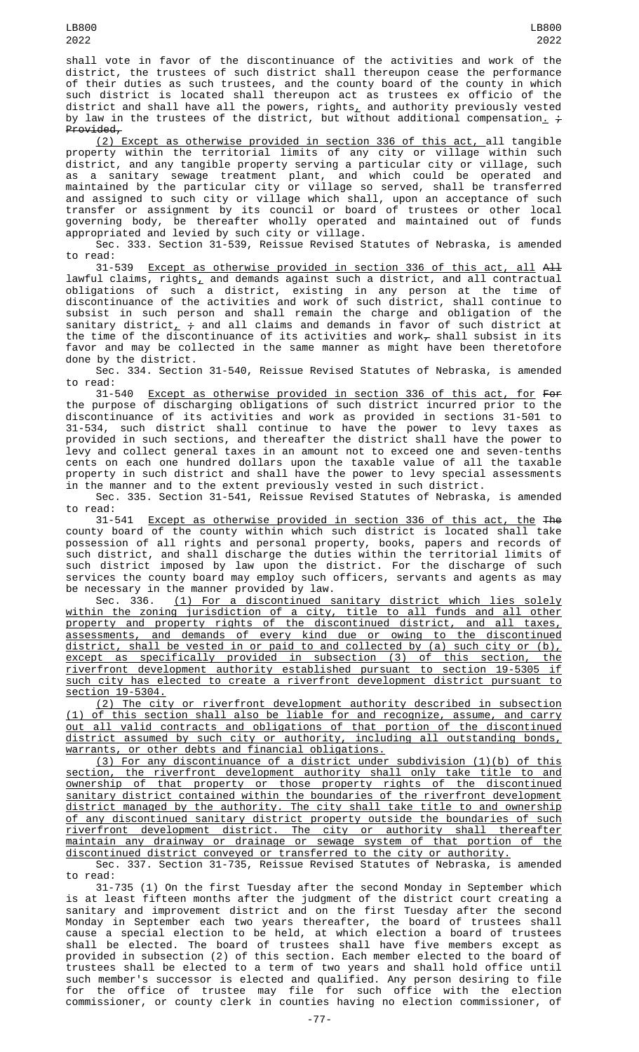shall vote in favor of the discontinuance of the activities and work of the district, the trustees of such district shall thereupon cease the performance of their duties as such trustees, and the county board of the county in which such district is located shall thereupon act as trustees ex officio of the district and shall have all the powers, rights, and authority previously vested by law in the trustees of the district, but without additional compensation<u>.</u> <del>;</del> Provided,

(2) Except as otherwise provided in section 336 of this act, all tangible property within the territorial limits of any city or village within such district, and any tangible property serving a particular city or village, such as a sanitary sewage treatment plant, and which could be operated and maintained by the particular city or village so served, shall be transferred and assigned to such city or village which shall, upon an acceptance of such transfer or assignment by its council or board of trustees or other local governing body, be thereafter wholly operated and maintained out of funds appropriated and levied by such city or village.

Sec. 333. Section 31-539, Reissue Revised Statutes of Nebraska, is amended to read:

31-539 Except as otherwise provided in section 336 of this act, all All lawful claims, rights $_{\rm \star}$  and demands against such a district, and all contractual obligations of such a district, existing in any person at the time of discontinuance of the activities and work of such district, shall continue to subsist in such person and shall remain the charge and obligation of the sanitary district,  $\frac{1}{t}$  and all claims and demands in favor of such district at the time of the discontinuance of its activities and work $<sub>\tau</sub>$  shall subsist in its</sub> favor and may be collected in the same manner as might have been theretofore done by the district.

Sec. 334. Section 31-540, Reissue Revised Statutes of Nebraska, is amended to read:

31-540 Except as otherwise provided in section 336 of this act, for For the purpose of discharging obligations of such district incurred prior to the discontinuance of its activities and work as provided in sections 31-501 to 31-534, such district shall continue to have the power to levy taxes as provided in such sections, and thereafter the district shall have the power to levy and collect general taxes in an amount not to exceed one and seven-tenths cents on each one hundred dollars upon the taxable value of all the taxable property in such district and shall have the power to levy special assessments in the manner and to the extent previously vested in such district.

Sec. 335. Section 31-541, Reissue Revised Statutes of Nebraska, is amended to read:

31-541 Except as otherwise provided in section 336 of this act, the The county board of the county within which such district is located shall take possession of all rights and personal property, books, papers and records of such district, and shall discharge the duties within the territorial limits of such district imposed by law upon the district. For the discharge of such services the county board may employ such officers, servants and agents as may be necessary in the manner provided by law.<br>Sec. 336. (1) For a discontinued s

(1) For a discontinued sanitary district which lies solely within the zoning jurisdiction of a city, title to all funds and all other property and property rights of the discontinued district, and all taxes, assessments, and demands of every kind due or owing to the discontinued district, shall be vested in or paid to and collected by (a) such city or (b), except as specifically provided in subsection (3) of this section, the riverfront development authority established pursuant to section 19-5305 if such city has elected to create a riverfront development district pursuant to section 19-5304.

(2) The city or riverfront development authority described in subsection (1) of this section shall also be liable for and recognize, assume, and carry out all valid contracts and obligations of that portion of the discontinued district assumed by such city or authority, including all outstanding bonds, warrants, or other debts and financial obligations.

(3) For any discontinuance of a district under subdivision (1)(b) of this section, the riverfront development authority shall only take title to and ownership of that property or those property rights of the discontinued sanitary district contained within the boundaries of the riverfront development district managed by the authority. The city shall take title to and ownership of any discontinued sanitary district property outside the boundaries of such riverfront development district. The city or authority shall thereafter maintain any drainway or drainage or sewage system of that portion of the discontinued district conveyed or transferred to the city or authority.

Sec. 337. Section 31-735, Reissue Revised Statutes of Nebraska, is amended to read:

31-735 (1) On the first Tuesday after the second Monday in September which is at least fifteen months after the judgment of the district court creating a sanitary and improvement district and on the first Tuesday after the second Monday in September each two years thereafter, the board of trustees shall cause a special election to be held, at which election a board of trustees shall be elected. The board of trustees shall have five members except as provided in subsection (2) of this section. Each member elected to the board of trustees shall be elected to a term of two years and shall hold office until such member's successor is elected and qualified. Any person desiring to file for the office of trustee may file for such office with the election commissioner, or county clerk in counties having no election commissioner, of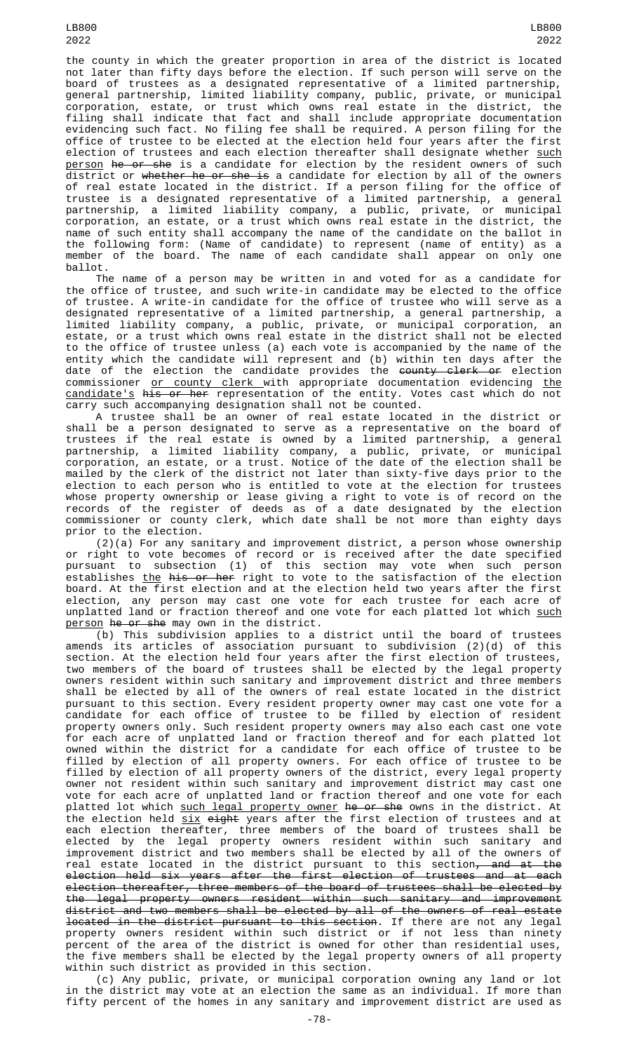LB800 2022

the county in which the greater proportion in area of the district is located not later than fifty days before the election. If such person will serve on the board of trustees as a designated representative of a limited partnership, general partnership, limited liability company, public, private, or municipal corporation, estate, or trust which owns real estate in the district, the filing shall indicate that fact and shall include appropriate documentation evidencing such fact. No filing fee shall be required. A person filing for the office of trustee to be elected at the election held four years after the first election of trustees and each election thereafter shall designate whether <u>such</u> person he or she is a candidate for election by the resident owners of such district or <del>whether he or she is</del> a candidate for election by all of the owners of real estate located in the district. If a person filing for the office of trustee is a designated representative of a limited partnership, a general partnership, a limited liability company, a public, private, or municipal corporation, an estate, or a trust which owns real estate in the district, the name of such entity shall accompany the name of the candidate on the ballot in the following form: (Name of candidate) to represent (name of entity) as a member of the board. The name of each candidate shall appear on only one ballot.

The name of a person may be written in and voted for as a candidate for the office of trustee, and such write-in candidate may be elected to the office of trustee. A write-in candidate for the office of trustee who will serve as a designated representative of a limited partnership, a general partnership, a limited liability company, a public, private, or municipal corporation, an estate, or a trust which owns real estate in the district shall not be elected to the office of trustee unless (a) each vote is accompanied by the name of the entity which the candidate will represent and (b) within ten days after the date of the election the candidate provides the <del>county clerk or</del> election commissioner <u>or county clerk w</u>ith appropriate documentation evidencing <u>the</u> candidate's his or her representation of the entity. Votes cast which do not carry such accompanying designation shall not be counted.

A trustee shall be an owner of real estate located in the district or shall be a person designated to serve as a representative on the board of trustees if the real estate is owned by a limited partnership, a general partnership, a limited liability company, a public, private, or municipal corporation, an estate, or a trust. Notice of the date of the election shall be mailed by the clerk of the district not later than sixty-five days prior to the election to each person who is entitled to vote at the election for trustees whose property ownership or lease giving a right to vote is of record on the records of the register of deeds as of a date designated by the election commissioner or county clerk, which date shall be not more than eighty days prior to the election.

(2)(a) For any sanitary and improvement district, a person whose ownership or right to vote becomes of record or is received after the date specified pursuant to subsection (1) of this section may vote when such person establishes <u>the</u> <del>his or her</del> right to vote to the satisfaction of the election board. At the first election and at the election held two years after the first<br>election, any person may cast one yote for each trustee for each acre of any person may cast one vote for each trustee for each acre of unplatted land or fraction thereof and one vote for each platted lot which such person he or she may own in the district.

 $(b)$  This subdivision applies to a district until the board of trustees amends its articles of association pursuant to subdivision (2)(d) of this section. At the election held four years after the first election of trustees, two members of the board of trustees shall be elected by the legal property owners resident within such sanitary and improvement district and three members shall be elected by all of the owners of real estate located in the district pursuant to this section. Every resident property owner may cast one vote for a candidate for each office of trustee to be filled by election of resident property owners only. Such resident property owners may also each cast one vote for each acre of unplatted land or fraction thereof and for each platted lot owned within the district for a candidate for each office of trustee to be filled by election of all property owners. For each office of trustee to be filled by election of all property owners of the district, every legal property owner not resident within such sanitary and improvement district may cast one vote for each acre of unplatted land or fraction thereof and one vote for each platted lot which <u>such legal property owner</u> <del>he or she</del> owns in the district. At the election held <u>six</u> <del>eight</del> years after the first election of trustees and at each election thereafter, three members of the board of trustees shall be elected by the legal property owners resident within such sanitary and improvement district and two members shall be elected by all of the owners of real estate located in the district pursuant to this section<del>, and at the</del> election held six years after the first election of trustees and at each election thereafter, three members of the board of trustees shall be elected by the legal property owners resident within such sanitary and improvement district and two members shall be elected by all of the owners of real estate located in the district pursuant to this section. If there are not any legal property owners resident within such district or if not less than ninety percent of the area of the district is owned for other than residential uses, the five members shall be elected by the legal property owners of all property within such district as provided in this section.

(c) Any public, private, or municipal corporation owning any land or lot in the district may vote at an election the same as an individual. If more than fifty percent of the homes in any sanitary and improvement district are used as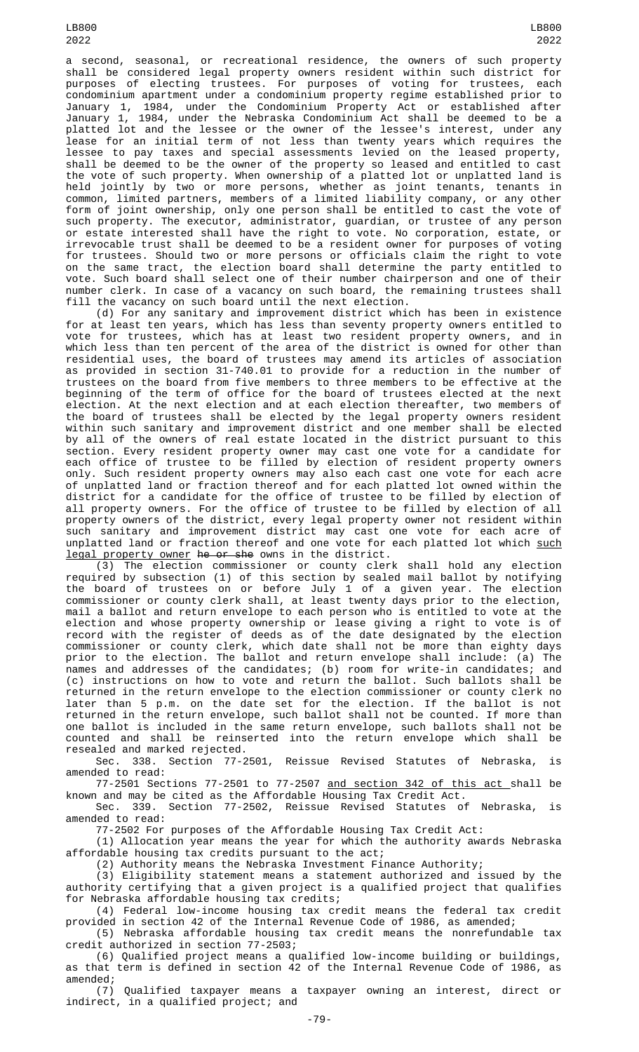LB800 2022

a second, seasonal, or recreational residence, the owners of such property shall be considered legal property owners resident within such district for purposes of electing trustees. For purposes of voting for trustees, each condominium apartment under a condominium property regime established prior to January 1, 1984, under the Condominium Property Act or established after January 1, 1984, under the Nebraska Condominium Act shall be deemed to be a platted lot and the lessee or the owner of the lessee's interest, under any lease for an initial term of not less than twenty years which requires the lessee to pay taxes and special assessments levied on the leased property, shall be deemed to be the owner of the property so leased and entitled to cast the vote of such property. When ownership of a platted lot or unplatted land is held jointly by two or more persons, whether as joint tenants, tenants in common, limited partners, members of a limited liability company, or any other form of joint ownership, only one person shall be entitled to cast the vote of such property. The executor, administrator, guardian, or trustee of any person or estate interested shall have the right to vote. No corporation, estate, or irrevocable trust shall be deemed to be a resident owner for purposes of voting for trustees. Should two or more persons or officials claim the right to vote on the same tract, the election board shall determine the party entitled to vote. Such board shall select one of their number chairperson and one of their number clerk. In case of a vacancy on such board, the remaining trustees shall fill the vacancy on such board until the next election.

LB800 2022

(d) For any sanitary and improvement district which has been in existence for at least ten years, which has less than seventy property owners entitled to vote for trustees, which has at least two resident property owners, and in which less than ten percent of the area of the district is owned for other than residential uses, the board of trustees may amend its articles of association as provided in section 31-740.01 to provide for a reduction in the number of trustees on the board from five members to three members to be effective at the beginning of the term of office for the board of trustees elected at the next election. At the next election and at each election thereafter, two members of the board of trustees shall be elected by the legal property owners resident within such sanitary and improvement district and one member shall be elected by all of the owners of real estate located in the district pursuant to this section. Every resident property owner may cast one vote for a candidate for each office of trustee to be filled by election of resident property owners only. Such resident property owners may also each cast one vote for each acre of unplatted land or fraction thereof and for each platted lot owned within the district for a candidate for the office of trustee to be filled by election of all property owners. For the office of trustee to be filled by election of all property owners of the district, every legal property owner not resident within such sanitary and improvement district may cast one vote for each acre of unplatted land or fraction thereof and one vote for each platted lot which such legal property owner he or she owns in the district.

(3) The election commissioner or county clerk shall hold any election required by subsection (1) of this section by sealed mail ballot by notifying the board of trustees on or before July 1 of a given year. The election commissioner or county clerk shall, at least twenty days prior to the election, mail a ballot and return envelope to each person who is entitled to vote at the election and whose property ownership or lease giving a right to vote is of record with the register of deeds as of the date designated by the election commissioner or county clerk, which date shall not be more than eighty days prior to the election. The ballot and return envelope shall include: (a) The names and addresses of the candidates; (b) room for write-in candidates; and (c) instructions on how to vote and return the ballot. Such ballots shall be returned in the return envelope to the election commissioner or county clerk no later than 5 p.m. on the date set for the election. If the ballot is not returned in the return envelope, such ballot shall not be counted. If more than one ballot is included in the same return envelope, such ballots shall not be counted and shall be reinserted into the return envelope which shall be resealed and marked rejected.

Sec. 338. Section 77-2501, Reissue Revised Statutes of Nebraska, is amended to read:

77-2501 Sections 77-2501 to 77-2507 and section 342 of this act shall be known and may be cited as the Affordable Housing Tax Credit Act.

Sec. 339. Section 77-2502, Reissue Revised Statutes of Nebraska, is amended to read:

77-2502 For purposes of the Affordable Housing Tax Credit Act: (1) Allocation year means the year for which the authority awards Nebraska

affordable housing tax credits pursuant to the act;

(2) Authority means the Nebraska Investment Finance Authority;

(3) Eligibility statement means a statement authorized and issued by the authority certifying that a given project is a qualified project that qualifies for Nebraska affordable housing tax credits;

(4) Federal low-income housing tax credit means the federal tax credit provided in section 42 of the Internal Revenue Code of 1986, as amended;

(5) Nebraska affordable housing tax credit means the nonrefundable tax credit authorized in section 77-2503;

(6) Qualified project means a qualified low-income building or buildings, as that term is defined in section 42 of the Internal Revenue Code of 1986, as amended;

(7) Qualified taxpayer means a taxpayer owning an interest, direct or indirect, in a qualified project; and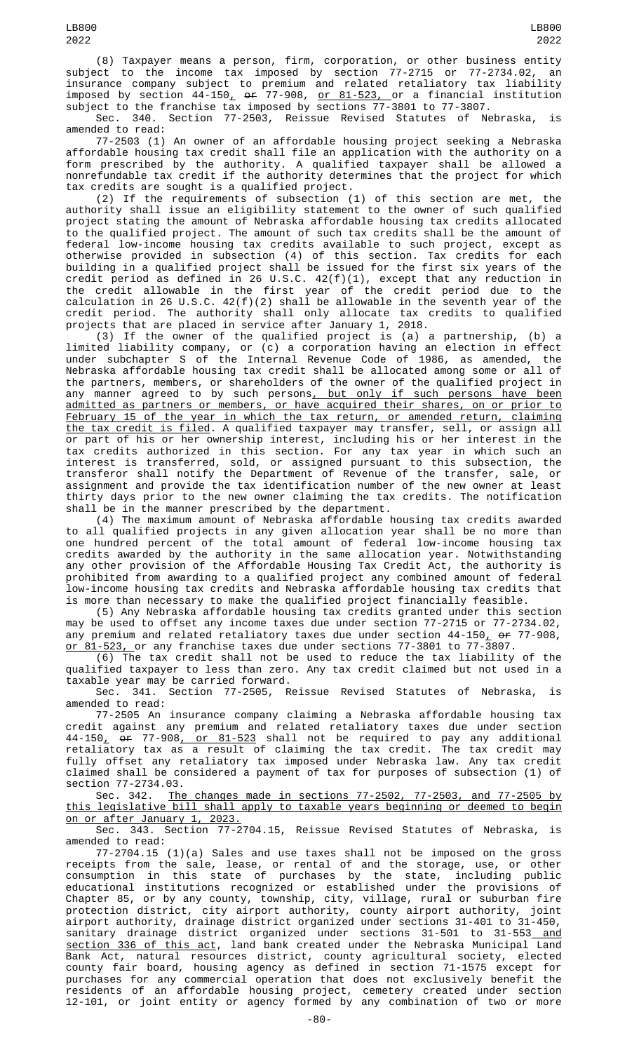(8) Taxpayer means a person, firm, corporation, or other business entity subject to the income tax imposed by section 77-2715 or 77-2734.02, an insurance company subject to premium and related retaliatory tax liability imposed by section 44-150<u>,</u> <del>or</del> 77-908, <u>or 81-523, </u>or a financial institution subject to the franchise tax imposed by sections 77-3801 to 77-3807.

Sec. 340. Section 77-2503, Reissue Revised Statutes of Nebraska, is amended to read:

77-2503 (1) An owner of an affordable housing project seeking a Nebraska affordable housing tax credit shall file an application with the authority on a form prescribed by the authority. A qualified taxpayer shall be allowed a nonrefundable tax credit if the authority determines that the project for which tax credits are sought is a qualified project.

(2) If the requirements of subsection (1) of this section are met, the authority shall issue an eligibility statement to the owner of such qualified project stating the amount of Nebraska affordable housing tax credits allocated to the qualified project. The amount of such tax credits shall be the amount of federal low-income housing tax credits available to such project, except as otherwise provided in subsection (4) of this section. Tax credits for each building in a qualified project shall be issued for the first six years of the credit period as defined in 26 U.S.C. 42(f)(1), except that any reduction in the credit allowable in the first year of the credit period due to the calculation in 26 U.S.C. 42(f)(2) shall be allowable in the seventh year of the credit period. The authority shall only allocate tax credits to qualified projects that are placed in service after January 1, 2018.

(3) If the owner of the qualified project is (a) a partnership, (b) a limited liability company, or (c) a corporation having an election in effect under subchapter S of the Internal Revenue Code of 1986, as amended, the Nebraska affordable housing tax credit shall be allocated among some or all of the partners, members, or shareholders of the owner of the qualified project in any manner agreed to by such persons<u>, but only if such persons have been</u> admitted as partners or members, or have acquired their shares, on or prior to February 15 of the year in which the tax return, or amended return, claiming the tax credit is filed. A qualified taxpayer may transfer, sell, or assign all or part of his or her ownership interest, including his or her interest in the tax credits authorized in this section. For any tax year in which such an interest is transferred, sold, or assigned pursuant to this subsection, the transferor shall notify the Department of Revenue of the transfer, sale, or assignment and provide the tax identification number of the new owner at least thirty days prior to the new owner claiming the tax credits. The notification shall be in the manner prescribed by the department.

(4) The maximum amount of Nebraska affordable housing tax credits awarded to all qualified projects in any given allocation year shall be no more than one hundred percent of the total amount of federal low-income housing tax credits awarded by the authority in the same allocation year. Notwithstanding any other provision of the Affordable Housing Tax Credit Act, the authority is prohibited from awarding to a qualified project any combined amount of federal low-income housing tax credits and Nebraska affordable housing tax credits that is more than necessary to make the qualified project financially feasible.

(5) Any Nebraska affordable housing tax credits granted under this section may be used to offset any income taxes due under section 77-2715 or 77-2734.02, any premium and related retaliatory taxes due under section 44-150, or 77-908, <u>or 81-523, o</u>r any franchise taxes due under sections 77-3801 to 77-3807.

(6) The tax credit shall not be used to reduce the tax liability of the qualified taxpayer to less than zero. Any tax credit claimed but not used in a taxable year may be carried forward.

Sec. 341. Section 77-2505, Reissue Revised Statutes of Nebraska, is amended to read:

77-2505 An insurance company claiming a Nebraska affordable housing tax credit against any premium and related retaliatory taxes due under section 44-150<u>,</u> <del>or</del> 77-908<u>, or 81-523</u> shall not be required to pay any additional retaliatory tax as a result of claiming the tax credit. The tax credit may fully offset any retaliatory tax imposed under Nebraska law. Any tax credit claimed shall be considered a payment of tax for purposes of subsection (1) of section 77-2734.03.

Sec. 342. The changes made in sections 77-2502, 77-2503, and 77-2505 by this legislative bill shall apply to taxable years beginning or deemed to begin on or after January 1, 2023.

Sec. 343. Section 77-2704.15, Reissue Revised Statutes of Nebraska, is amended to read:

77-2704.15 (1)(a) Sales and use taxes shall not be imposed on the gross receipts from the sale, lease, or rental of and the storage, use, or other consumption in this state of purchases by the state, including public educational institutions recognized or established under the provisions of Chapter 85, or by any county, township, city, village, rural or suburban fire protection district, city airport authority, county airport authority, joint airport authority, drainage district organized under sections 31-401 to 31-450, sanitary drainage district organized under sections 31-501 to 31-553<u> and</u> section 336 of this act, land bank created under the Nebraska Municipal Land Bank Act, natural resources district, county agricultural society, elected county fair board, housing agency as defined in section 71-1575 except for purchases for any commercial operation that does not exclusively benefit the residents of an affordable housing project, cemetery created under section 12-101, or joint entity or agency formed by any combination of two or more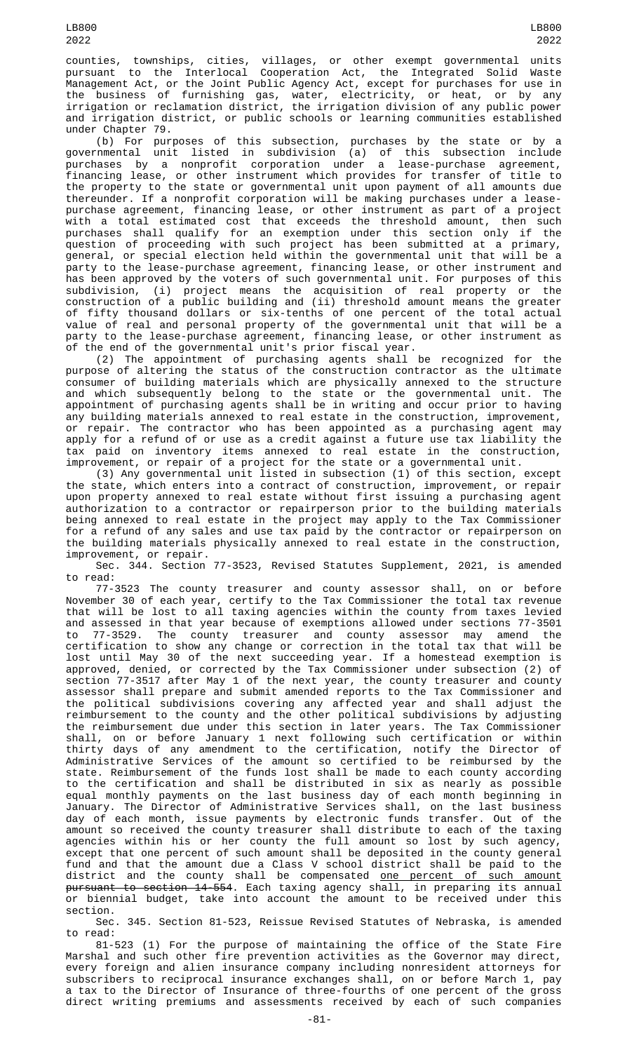counties, townships, cities, villages, or other exempt governmental units pursuant to the Interlocal Cooperation Act, the Integrated Solid Waste Management Act, or the Joint Public Agency Act, except for purchases for use in the business of furnishing gas, water, electricity, or heat, or by any irrigation or reclamation district, the irrigation division of any public power and irrigation district, or public schools or learning communities established under Chapter 79.

(b) For purposes of this subsection, purchases by the state or by a governmental unit listed in subdivision (a) of this subsection include purchases by a nonprofit corporation under a lease-purchase agreement, financing lease, or other instrument which provides for transfer of title to the property to the state or governmental unit upon payment of all amounts due thereunder. If a nonprofit corporation will be making purchases under a leasepurchase agreement, financing lease, or other instrument as part of a project with a total estimated cost that exceeds the threshold amount, then such purchases shall qualify for an exemption under this section only if the question of proceeding with such project has been submitted at a primary, general, or special election held within the governmental unit that will be a party to the lease-purchase agreement, financing lease, or other instrument and has been approved by the voters of such governmental unit. For purposes of this subdivision, (i) project means the acquisition of real property or the construction of a public building and (ii) threshold amount means the greater of fifty thousand dollars or six-tenths of one percent of the total actual value of real and personal property of the governmental unit that will be a party to the lease-purchase agreement, financing lease, or other instrument as of the end of the governmental unit's prior fiscal year.

(2) The appointment of purchasing agents shall be recognized for the purpose of altering the status of the construction contractor as the ultimate consumer of building materials which are physically annexed to the structure and which subsequently belong to the state or the governmental unit. The appointment of purchasing agents shall be in writing and occur prior to having any building materials annexed to real estate in the construction, improvement, or repair. The contractor who has been appointed as a purchasing agent may apply for a refund of or use as a credit against a future use tax liability the tax paid on inventory items annexed to real estate in the construction, improvement, or repair of a project for the state or a governmental unit.

(3) Any governmental unit listed in subsection (1) of this section, except the state, which enters into a contract of construction, improvement, or repair upon property annexed to real estate without first issuing a purchasing agent authorization to a contractor or repairperson prior to the building materials being annexed to real estate in the project may apply to the Tax Commissioner for a refund of any sales and use tax paid by the contractor or repairperson on the building materials physically annexed to real estate in the construction, improvement, or repair.

Sec. 344. Section 77-3523, Revised Statutes Supplement, 2021, is amended to read:

77-3523 The county treasurer and county assessor shall, on or before November 30 of each year, certify to the Tax Commissioner the total tax revenue that will be lost to all taxing agencies within the county from taxes levied and assessed in that year because of exemptions allowed under sections 77-3501 to 77-3529. The county treasurer and county assessor may amend the certification to show any change or correction in the total tax that will be lost until May 30 of the next succeeding year. If a homestead exemption is approved, denied, or corrected by the Tax Commissioner under subsection (2) of section 77-3517 after May 1 of the next year, the county treasurer and county assessor shall prepare and submit amended reports to the Tax Commissioner and the political subdivisions covering any affected year and shall adjust the reimbursement to the county and the other political subdivisions by adjusting the reimbursement due under this section in later years. The Tax Commissioner shall, on or before January 1 next following such certification or within thirty days of any amendment to the certification, notify the Director of Administrative Services of the amount so certified to be reimbursed by the state. Reimbursement of the funds lost shall be made to each county according to the certification and shall be distributed in six as nearly as possible equal monthly payments on the last business day of each month beginning in January. The Director of Administrative Services shall, on the last business day of each month, issue payments by electronic funds transfer. Out of the amount so received the county treasurer shall distribute to each of the taxing agencies within his or her county the full amount so lost by such agency, except that one percent of such amount shall be deposited in the county general fund and that the amount due a Class V school district shall be paid to the district and the county shall be compensated <u>one percent of such amount</u> pursuant to section 14-554. Each taxing agency shall, in preparing its annual or biennial budget, take into account the amount to be received under this section.

Sec. 345. Section 81-523, Reissue Revised Statutes of Nebraska, is amended to read:

81-523 (1) For the purpose of maintaining the office of the State Fire Marshal and such other fire prevention activities as the Governor may direct, every foreign and alien insurance company including nonresident attorneys for subscribers to reciprocal insurance exchanges shall, on or before March 1, pay a tax to the Director of Insurance of three-fourths of one percent of the gross direct writing premiums and assessments received by each of such companies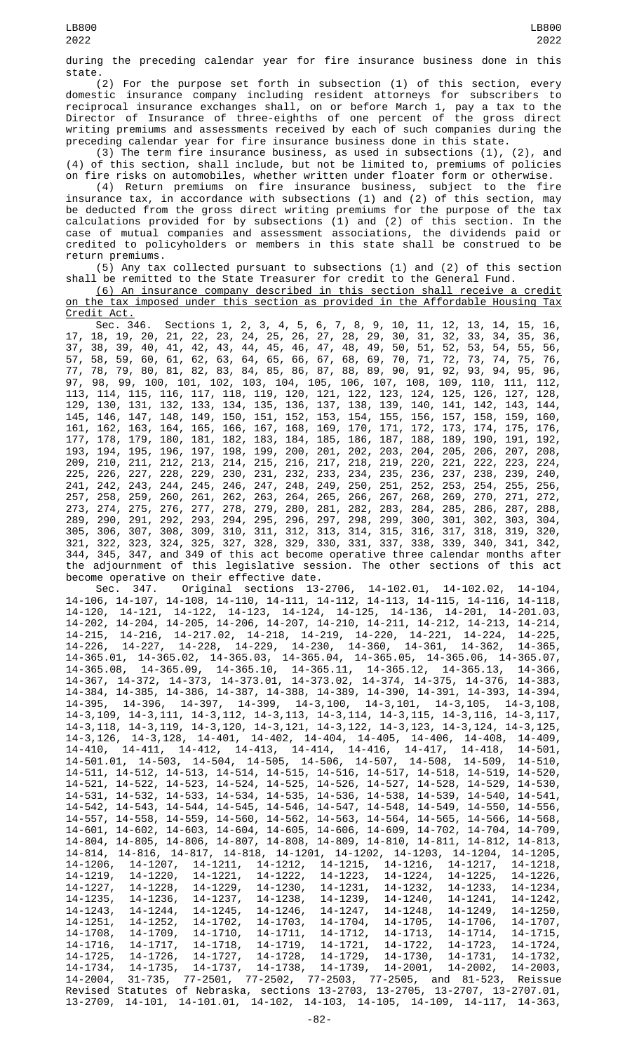during the preceding calendar year for fire insurance business done in this state.

(2) For the purpose set forth in subsection (1) of this section, every domestic insurance company including resident attorneys for subscribers to reciprocal insurance exchanges shall, on or before March 1, pay a tax to the Director of Insurance of three-eighths of one percent of the gross direct writing premiums and assessments received by each of such companies during the preceding calendar year for fire insurance business done in this state.

(3) The term fire insurance business, as used in subsections (1), (2), and (4) of this section, shall include, but not be limited to, premiums of policies on fire risks on automobiles, whether written under floater form or otherwise.

(4) Return premiums on fire insurance business, subject to the fire insurance tax, in accordance with subsections (1) and (2) of this section, may be deducted from the gross direct writing premiums for the purpose of the tax calculations provided for by subsections (1) and (2) of this section. In the case of mutual companies and assessment associations, the dividends paid or credited to policyholders or members in this state shall be construed to be return premiums.

(5) Any tax collected pursuant to subsections (1) and (2) of this section shall be remitted to the State Treasurer for credit to the General Fund.

(6) An insurance company described in this section shall receive a credit on the tax imposed under this section as provided in the Affordable Housing Tax <u>Credit Act.</u>

| UI CUILL NUL I |  |                                           |  |  |  |  |  |  |  |  |                                                                                 |  |  |  |  |
|----------------|--|-------------------------------------------|--|--|--|--|--|--|--|--|---------------------------------------------------------------------------------|--|--|--|--|
|                |  |                                           |  |  |  |  |  |  |  |  | Sec. 346. Sections 1, 2, 3, 4, 5, 6, 7, 8, 9, 10, 11, 12, 13, 14, 15, 16,       |  |  |  |  |
|                |  |                                           |  |  |  |  |  |  |  |  | 17, 18, 19, 20, 21, 22, 23, 24, 25, 26, 27, 28, 29, 30, 31, 32, 33, 34, 35, 36, |  |  |  |  |
|                |  |                                           |  |  |  |  |  |  |  |  | 37, 38, 39, 40, 41, 42, 43, 44, 45, 46, 47, 48, 49, 50, 51, 52, 53, 54, 55, 56, |  |  |  |  |
|                |  |                                           |  |  |  |  |  |  |  |  | 57, 58, 59, 60, 61, 62, 63, 64, 65, 66, 67, 68, 69, 70, 71, 72, 73, 74, 75, 76, |  |  |  |  |
|                |  |                                           |  |  |  |  |  |  |  |  | 77, 78, 79, 80, 81, 82, 83, 84, 85, 86, 87, 88, 89, 90, 91, 92, 93, 94, 95, 96, |  |  |  |  |
|                |  |                                           |  |  |  |  |  |  |  |  | 97, 98, 99, 100, 101, 102, 103, 104, 105, 106, 107, 108, 109, 110, 111, 112,    |  |  |  |  |
|                |  |                                           |  |  |  |  |  |  |  |  | 113, 114, 115, 116, 117, 118, 119, 120, 121, 122, 123, 124, 125, 126, 127, 128, |  |  |  |  |
|                |  |                                           |  |  |  |  |  |  |  |  | 129, 130, 131, 132, 133, 134, 135, 136, 137, 138, 139, 140, 141, 142, 143, 144, |  |  |  |  |
|                |  |                                           |  |  |  |  |  |  |  |  | 145, 146, 147, 148, 149, 150, 151, 152, 153, 154, 155, 156, 157, 158, 159, 160, |  |  |  |  |
|                |  |                                           |  |  |  |  |  |  |  |  | 161, 162, 163, 164, 165, 166, 167, 168, 169, 170, 171, 172, 173, 174, 175, 176, |  |  |  |  |
|                |  |                                           |  |  |  |  |  |  |  |  | 177, 178, 179, 180, 181, 182, 183, 184, 185, 186, 187, 188, 189, 190, 191, 192, |  |  |  |  |
|                |  |                                           |  |  |  |  |  |  |  |  | 193, 194, 195, 196, 197, 198, 199, 200, 201, 202, 203, 204, 205, 206, 207, 208, |  |  |  |  |
|                |  |                                           |  |  |  |  |  |  |  |  | 209, 210, 211, 212, 213, 214, 215, 216, 217, 218, 219, 220, 221, 222, 223, 224, |  |  |  |  |
|                |  |                                           |  |  |  |  |  |  |  |  | 225, 226, 227, 228, 229, 230, 231, 232, 233, 234, 235, 236, 237, 238, 239, 240, |  |  |  |  |
|                |  |                                           |  |  |  |  |  |  |  |  | 241, 242, 243, 244, 245, 246, 247, 248, 249, 250, 251, 252, 253, 254, 255, 256, |  |  |  |  |
|                |  |                                           |  |  |  |  |  |  |  |  | 257, 258, 259, 260, 261, 262, 263, 264, 265, 266, 267, 268, 269, 270, 271, 272, |  |  |  |  |
|                |  |                                           |  |  |  |  |  |  |  |  | 273, 274, 275, 276, 277, 278, 279, 280, 281, 282, 283, 284, 285, 286, 287, 288, |  |  |  |  |
|                |  |                                           |  |  |  |  |  |  |  |  | 289, 290, 291, 292, 293, 294, 295, 296, 297, 298, 299, 300, 301, 302, 303, 304, |  |  |  |  |
|                |  |                                           |  |  |  |  |  |  |  |  | 305, 306, 307, 308, 309, 310, 311, 312, 313, 314, 315, 316, 317, 318, 319, 320, |  |  |  |  |
|                |  |                                           |  |  |  |  |  |  |  |  | 321, 322, 323, 324, 325, 327, 328, 329, 330, 331, 337, 338, 339, 340, 341, 342, |  |  |  |  |
|                |  |                                           |  |  |  |  |  |  |  |  | 344, 345, 347, and 349 of this act become operative three calendar months after |  |  |  |  |
|                |  |                                           |  |  |  |  |  |  |  |  | the adjournment of this legislative session. The other sections of this act     |  |  |  |  |
|                |  | become operative on their effective date. |  |  |  |  |  |  |  |  |                                                                                 |  |  |  |  |

Sec. 347. Original sections 13-2706, 14-102.01, 14-102.02, 14-104, 14-106, 14-107, 14-108, 14-110, 14-111, 14-112, 14-113, 14-115, 14-116, 14-118, 14-120, 14-121, 14-122, 14-123, 14-124, 14-125, 14-136, 14-201, 14-201.03, 14-202, 14-204, 14-205, 14-206, 14-207, 14-210, 14-211, 14-212, 14-213, 14-214, 14-215, 14-216, 14-217.02, 14-218, 14-219, 14-220, 14-221, 14-224, 14-225, 14-226, 14-227, 14-228, 14-229, 14-230, 14-360, 14-361, 14-362, 14-365, 14-365.01, 14-365.02, 14-365.03, 14-365.04, 14-365.05, 14-365.06, 14-365.07, 14-365.08, 14-365.09, 14-365.10, 14-365.11, 14-365.12, 14-365.13, 14-366, 14-367, 14-372, 14-373, 14-373.01, 14-373.02, 14-374, 14-375, 14-376, 14-383, 14-384, 14-385, 14-386, 14-387, 14-388, 14-389, 14-390, 14-391, 14-393, 14-394, 14-395, 14-396, 14-397, 14-399, 14-3,100, 14-3,101, 14-3,105, 14-3,108, 14-3,109, 14-3,111, 14-3,112, 14-3,113, 14-3,114, 14-3,115, 14-3,116, 14-3,117, 14-3,118, 14-3,119, 14-3,120, 14-3,121, 14-3,122, 14-3,123, 14-3,124, 14-3,125, 14-3,126, 14-3,128, 14-401, 14-402, 14-404, 14-405, 14-406, 14-408, 14-409, 14-410, 14-411, 14-412, 14-413, 14-414, 14-416, 14-417, 14-418, 14-501, 14-501.01, 14-503, 14-504, 14-505, 14-506, 14-507, 14-508, 14-509, 14-510, 14-511, 14-512, 14-513, 14-514, 14-515, 14-516, 14-517, 14-518, 14-519, 14-520, 14-521, 14-522, 14-523, 14-524, 14-525, 14-526, 14-527, 14-528, 14-529, 14-530, 14-531, 14-532, 14-533, 14-534, 14-535, 14-536, 14-538, 14-539, 14-540, 14-541, 14-542, 14-543, 14-544, 14-545, 14-546, 14-547, 14-548, 14-549, 14-550, 14-556, 14-557, 14-558, 14-559, 14-560, 14-562, 14-563, 14-564, 14-565, 14-566, 14-568, 14-601, 14-602, 14-603, 14-604, 14-605, 14-606, 14-609, 14-702, 14-704, 14-709, 14-804, 14-805, 14-806, 14-807, 14-808, 14-809, 14-810, 14-811, 14-812, 14-813, 14-814, 14-816, 14-817, 14-818, 14-1201, 14-1202, 14-1203, 14-1204, 14-1205, 14-1206, 14-1207, 14-1211, 14-1212, 14-1215, 14-1216, 14-1217, 14-1218, 14-1219, 14-1220, 14-1221, 14-1222, 14-1223, 14-1224, 14-1225, 14-1226, 14-1227, 14-1228, 14-1229, 14-1230, 14-1231, 14-1232, 14-1233, 14-1234, 14-1235, 14-1236, 14-1237, 14-1238, 14-1239, 14-1240, 14-1241, 14-1242, 14-1235, 14-1236, 14-1237, 14-1238, 14-1239, 14-1240, 14-1241, 14-1242,<br>14-1243, 14-1244, 14-1245, 14-1246, 14-1247, 14-1248, 14-1249, 14-1250,<br>14-1251, 14-1252, 14-1702, 14-1703, 14-1704, 14-1705, 14-1706, 14-1707, 14-1251, 14-1252, 14-1702, 14-1703, 14-1704, 14-1705, 14-1706, 14-1707, 14-1708, 14-1709, 14-1710, 14-1711, 14-1712, 14-1713, 14-1714, 14-1715, 14-1716, 14-1717, 14-1718, 14-1719, 14-1721, 14-1722, 14-1723, 14-1724,<br>14-1725, 14-1726, 14-1727, 14-1728, 14-1729, 14-1730, 14-1731, 14-1732,<br>14-1734, 14-1735, 14-1737, 14-1738, 14-1739, 14-2001, 14-2002, 14-2003, 14-1725, 14-1726, 14-1727, 14-1728, 14-1729, 14-1730, 14-1731, 14-1732, 14-1734, 14-1735, 14-1737, 14-1738, 14-1739, 14-2001, 14-2002, 14-2003, 14-2004, 31-735, 77-2501, 77-2502, 77-2503, 77-2505, and 81-523, Reissue Revised Statutes of Nebraska, sections 13-2703, 13-2705, 13-2707, 13-2707.01, 13-2709, 14-101, 14-101.01, 14-102, 14-103, 14-105, 14-109, 14-117, 14-363,